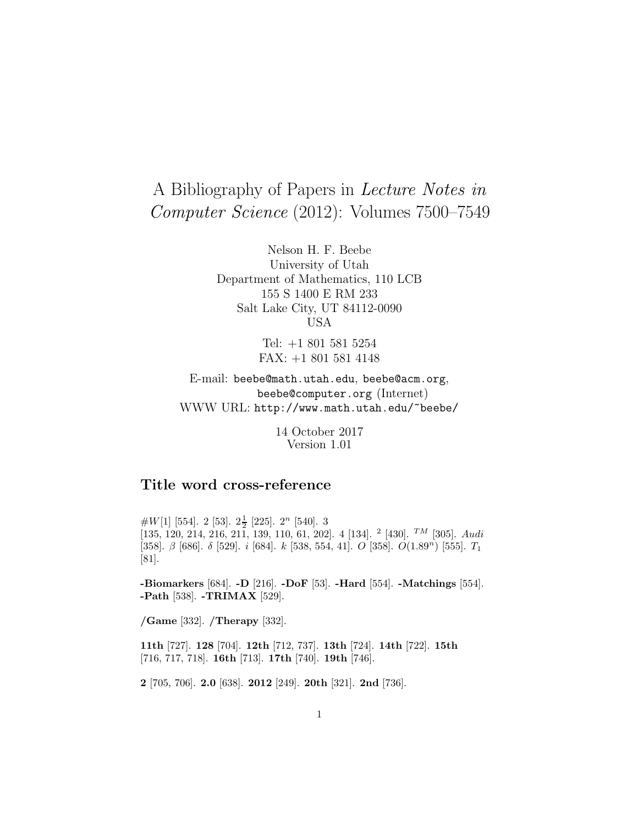# A Bibliography of Papers in Lecture Notes in Computer Science (2012): Volumes 7500–7549

Nelson H. F. Beebe University of Utah Department of Mathematics, 110 LCB 155 S 1400 E RM 233 Salt Lake City, UT 84112-0090 USA

> Tel: +1 801 581 5254 FAX: +1 801 581 4148

E-mail: beebe@math.utah.edu, beebe@acm.org, beebe@computer.org (Internet) WWW URL: http://www.math.utah.edu/~beebe/

> 14 October 2017 Version 1.01

# **Title word cross-reference**

 $#W[1]$  [554]. 2 [53].  $2\frac{1}{2}$  [225].  $2^n$  [540]. 3 [135, 120, 214, 216, 211, 139, 110, 61, 202]. 4 [134]. <sup>2</sup> [430]. <sup>TM</sup> [305]. Audi [358].  $\beta$  [686].  $\delta$  [529]. i [684]. k [538, 554, 41]. O [358]. O(1.89<sup>n</sup>) [555]. T<sub>1</sub> [81].

**-Biomarkers** [684]. **-D** [216]. **-DoF** [53]. **-Hard** [554]. **-Matchings** [554]. **-Path** [538]. **-TRIMAX** [529].

**/Game** [332]. **/Therapy** [332].

**11th** [727]. **128** [704]. **12th** [712, 737]. **13th** [724]. **14th** [722]. **15th** [716, 717, 718]. **16th** [713]. **17th** [740]. **19th** [746].

**2** [705, 706]. **2.0** [638]. **2012** [249]. **20th** [321]. **2nd** [736].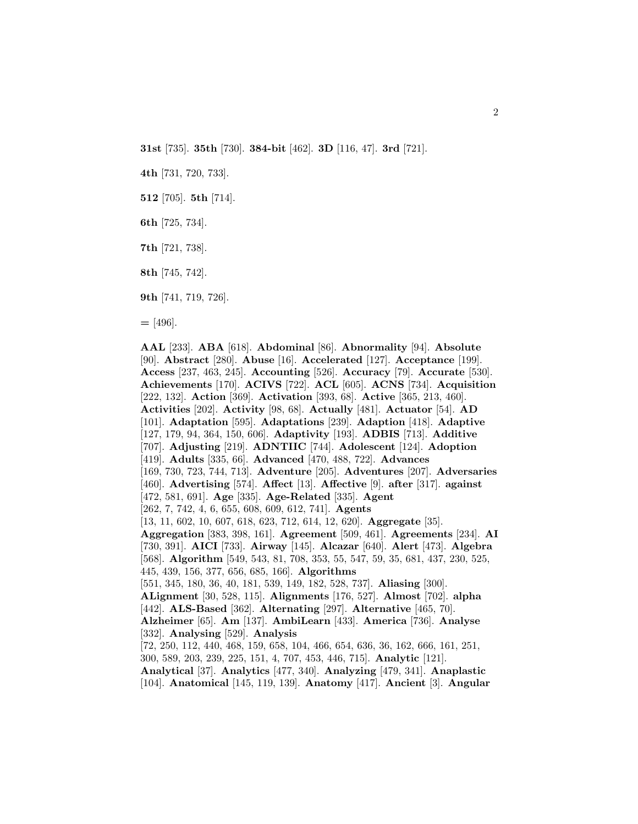**31st** [735]. **35th** [730]. **384-bit** [462]. **3D** [116, 47]. **3rd** [721].

**4th** [731, 720, 733].

**512** [705]. **5th** [714].

**6th** [725, 734].

**7th** [721, 738].

**8th** [745, 742].

**9th** [741, 719, 726].

**=** [496].

**AAL** [233]. **ABA** [618]. **Abdominal** [86]. **Abnormality** [94]. **Absolute** [90]. **Abstract** [280]. **Abuse** [16]. **Accelerated** [127]. **Acceptance** [199]. **Access** [237, 463, 245]. **Accounting** [526]. **Accuracy** [79]. **Accurate** [530]. **Achievements** [170]. **ACIVS** [722]. **ACL** [605]. **ACNS** [734]. **Acquisition** [222, 132]. **Action** [369]. **Activation** [393, 68]. **Active** [365, 213, 460]. **Activities** [202]. **Activity** [98, 68]. **Actually** [481]. **Actuator** [54]. **AD** [101]. **Adaptation** [595]. **Adaptations** [239]. **Adaption** [418]. **Adaptive** [127, 179, 94, 364, 150, 606]. **Adaptivity** [193]. **ADBIS** [713]. **Additive** [707]. **Adjusting** [219]. **ADNTIIC** [744]. **Adolescent** [124]. **Adoption** [419]. **Adults** [335, 66]. **Advanced** [470, 488, 722]. **Advances** [169, 730, 723, 744, 713]. **Adventure** [205]. **Adventures** [207]. **Adversaries** [460]. **Advertising** [574]. **Affect** [13]. **Affective** [9]. **after** [317]. **against** [472, 581, 691]. **Age** [335]. **Age-Related** [335]. **Agent** [262, 7, 742, 4, 6, 655, 608, 609, 612, 741]. **Agents** [13, 11, 602, 10, 607, 618, 623, 712, 614, 12, 620]. **Aggregate** [35]. **Aggregation** [383, 398, 161]. **Agreement** [509, 461]. **Agreements** [234]. **AI** [730, 391]. **AICI** [733]. **Airway** [145]. **Alcazar** [640]. **Alert** [473]. **Algebra** [568]. **Algorithm** [549, 543, 81, 708, 353, 55, 547, 59, 35, 681, 437, 230, 525, 445, 439, 156, 377, 656, 685, 166]. **Algorithms** [551, 345, 180, 36, 40, 181, 539, 149, 182, 528, 737]. **Aliasing** [300]. **ALignment** [30, 528, 115]. **Alignments** [176, 527]. **Almost** [702]. **alpha** [442]. **ALS-Based** [362]. **Alternating** [297]. **Alternative** [465, 70]. **Alzheimer** [65]. **Am** [137]. **AmbiLearn** [433]. **America** [736]. **Analyse** [332]. **Analysing** [529]. **Analysis** [72, 250, 112, 440, 468, 159, 658, 104, 466, 654, 636, 36, 162, 666, 161, 251, 300, 589, 203, 239, 225, 151, 4, 707, 453, 446, 715]. **Analytic** [121]. **Analytical** [37]. **Analytics** [477, 340]. **Analyzing** [479, 341]. **Anaplastic** [104]. **Anatomical** [145, 119, 139]. **Anatomy** [417]. **Ancient** [3]. **Angular**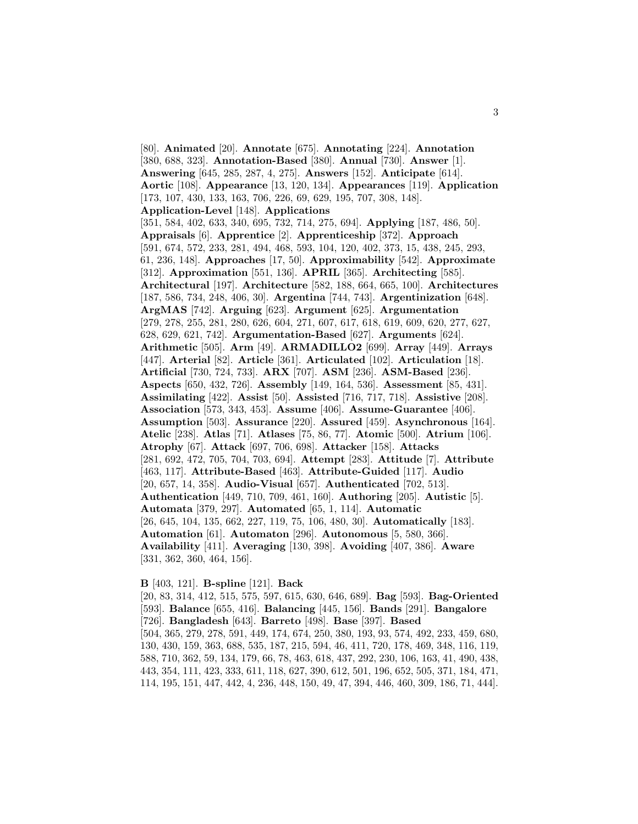[80]. **Animated** [20]. **Annotate** [675]. **Annotating** [224]. **Annotation** [380, 688, 323]. **Annotation-Based** [380]. **Annual** [730]. **Answer** [1]. **Answering** [645, 285, 287, 4, 275]. **Answers** [152]. **Anticipate** [614]. **Aortic** [108]. **Appearance** [13, 120, 134]. **Appearances** [119]. **Application** [173, 107, 430, 133, 163, 706, 226, 69, 629, 195, 707, 308, 148]. **Application-Level** [148]. **Applications** [351, 584, 402, 633, 340, 695, 732, 714, 275, 694]. **Applying** [187, 486, 50]. **Appraisals** [6]. **Apprentice** [2]. **Apprenticeship** [372]. **Approach** [591, 674, 572, 233, 281, 494, 468, 593, 104, 120, 402, 373, 15, 438, 245, 293, 61, 236, 148]. **Approaches** [17, 50]. **Approximability** [542]. **Approximate** [312]. **Approximation** [551, 136]. **APRIL** [365]. **Architecting** [585]. **Architectural** [197]. **Architecture** [582, 188, 664, 665, 100]. **Architectures** [187, 586, 734, 248, 406, 30]. **Argentina** [744, 743]. **Argentinization** [648]. **ArgMAS** [742]. **Arguing** [623]. **Argument** [625]. **Argumentation** [279, 278, 255, 281, 280, 626, 604, 271, 607, 617, 618, 619, 609, 620, 277, 627, 628, 629, 621, 742]. **Argumentation-Based** [627]. **Arguments** [624]. **Arithmetic** [505]. **Arm** [49]. **ARMADILLO2** [699]. **Array** [449]. **Arrays** [447]. **Arterial** [82]. **Article** [361]. **Articulated** [102]. **Articulation** [18]. **Artificial** [730, 724, 733]. **ARX** [707]. **ASM** [236]. **ASM-Based** [236]. **Aspects** [650, 432, 726]. **Assembly** [149, 164, 536]. **Assessment** [85, 431]. **Assimilating** [422]. **Assist** [50]. **Assisted** [716, 717, 718]. **Assistive** [208]. **Association** [573, 343, 453]. **Assume** [406]. **Assume-Guarantee** [406]. **Assumption** [503]. **Assurance** [220]. **Assured** [459]. **Asynchronous** [164]. **Atelic** [238]. **Atlas** [71]. **Atlases** [75, 86, 77]. **Atomic** [500]. **Atrium** [106]. **Atrophy** [67]. **Attack** [697, 706, 698]. **Attacker** [158]. **Attacks** [281, 692, 472, 705, 704, 703, 694]. **Attempt** [283]. **Attitude** [7]. **Attribute** [463, 117]. **Attribute-Based** [463]. **Attribute-Guided** [117]. **Audio** [20, 657, 14, 358]. **Audio-Visual** [657]. **Authenticated** [702, 513]. **Authentication** [449, 710, 709, 461, 160]. **Authoring** [205]. **Autistic** [5]. **Automata** [379, 297]. **Automated** [65, 1, 114]. **Automatic** [26, 645, 104, 135, 662, 227, 119, 75, 106, 480, 30]. **Automatically** [183]. **Automation** [61]. **Automaton** [296]. **Autonomous** [5, 580, 366]. **Availability** [411]. **Averaging** [130, 398]. **Avoiding** [407, 386]. **Aware** [331, 362, 360, 464, 156].

#### **B** [403, 121]. **B-spline** [121]. **Back**

[20, 83, 314, 412, 515, 575, 597, 615, 630, 646, 689]. **Bag** [593]. **Bag-Oriented** [593]. **Balance** [655, 416]. **Balancing** [445, 156]. **Bands** [291]. **Bangalore** [726]. **Bangladesh** [643]. **Barreto** [498]. **Base** [397]. **Based** [504, 365, 279, 278, 591, 449, 174, 674, 250, 380, 193, 93, 574, 492, 233, 459, 680, 130, 430, 159, 363, 688, 535, 187, 215, 594, 46, 411, 720, 178, 469, 348, 116, 119, 588, 710, 362, 59, 134, 179, 66, 78, 463, 618, 437, 292, 230, 106, 163, 41, 490, 438, 443, 354, 111, 423, 333, 611, 118, 627, 390, 612, 501, 196, 652, 505, 371, 184, 471, 114, 195, 151, 447, 442, 4, 236, 448, 150, 49, 47, 394, 446, 460, 309, 186, 71, 444].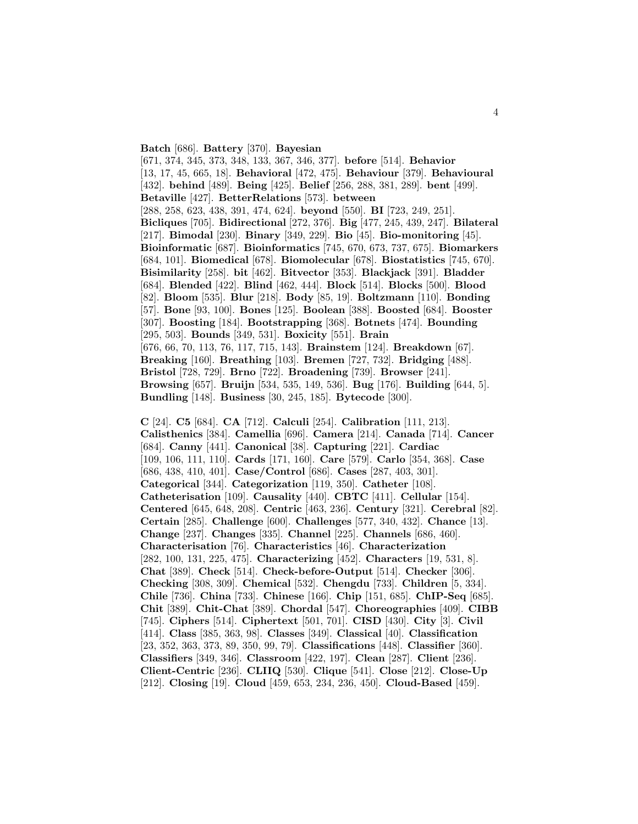**Batch** [686]. **Battery** [370]. **Bayesian**

[671, 374, 345, 373, 348, 133, 367, 346, 377]. **before** [514]. **Behavior** [13, 17, 45, 665, 18]. **Behavioral** [472, 475]. **Behaviour** [379]. **Behavioural** [432]. **behind** [489]. **Being** [425]. **Belief** [256, 288, 381, 289]. **bent** [499]. **Betaville** [427]. **BetterRelations** [573]. **between** [288, 258, 623, 438, 391, 474, 624]. **beyond** [550]. **BI** [723, 249, 251]. **Bicliques** [705]. **Bidirectional** [272, 376]. **Big** [477, 245, 439, 247]. **Bilateral** [217]. **Bimodal** [230]. **Binary** [349, 229]. **Bio** [45]. **Bio-monitoring** [45]. **Bioinformatic** [687]. **Bioinformatics** [745, 670, 673, 737, 675]. **Biomarkers** [684, 101]. **Biomedical** [678]. **Biomolecular** [678]. **Biostatistics** [745, 670]. **Bisimilarity** [258]. **bit** [462]. **Bitvector** [353]. **Blackjack** [391]. **Bladder** [684]. **Blended** [422]. **Blind** [462, 444]. **Block** [514]. **Blocks** [500]. **Blood** [82]. **Bloom** [535]. **Blur** [218]. **Body** [85, 19]. **Boltzmann** [110]. **Bonding** [57]. **Bone** [93, 100]. **Bones** [125]. **Boolean** [388]. **Boosted** [684]. **Booster** [307]. **Boosting** [184]. **Bootstrapping** [368]. **Botnets** [474]. **Bounding** [295, 503]. **Bounds** [349, 531]. **Boxicity** [551]. **Brain** [676, 66, 70, 113, 76, 117, 715, 143]. **Brainstem** [124]. **Breakdown** [67]. **Breaking** [160]. **Breathing** [103]. **Bremen** [727, 732]. **Bridging** [488]. **Bristol** [728, 729]. **Brno** [722]. **Broadening** [739]. **Browser** [241]. **Browsing** [657]. **Bruijn** [534, 535, 149, 536]. **Bug** [176]. **Building** [644, 5]. **Bundling** [148]. **Business** [30, 245, 185]. **Bytecode** [300].

**C** [24]. **C5** [684]. **CA** [712]. **Calculi** [254]. **Calibration** [111, 213]. **Calisthenics** [384]. **Camellia** [696]. **Camera** [214]. **Canada** [714]. **Cancer** [684]. **Canny** [441]. **Canonical** [38]. **Capturing** [221]. **Cardiac** [109, 106, 111, 110]. **Cards** [171, 160]. **Care** [579]. **Carlo** [354, 368]. **Case** [686, 438, 410, 401]. **Case/Control** [686]. **Cases** [287, 403, 301]. **Categorical** [344]. **Categorization** [119, 350]. **Catheter** [108]. **Catheterisation** [109]. **Causality** [440]. **CBTC** [411]. **Cellular** [154]. **Centered** [645, 648, 208]. **Centric** [463, 236]. **Century** [321]. **Cerebral** [82]. **Certain** [285]. **Challenge** [600]. **Challenges** [577, 340, 432]. **Chance** [13]. **Change** [237]. **Changes** [335]. **Channel** [225]. **Channels** [686, 460]. **Characterisation** [76]. **Characteristics** [46]. **Characterization** [282, 100, 131, 225, 475]. **Characterizing** [452]. **Characters** [19, 531, 8]. **Chat** [389]. **Check** [514]. **Check-before-Output** [514]. **Checker** [306]. **Checking** [308, 309]. **Chemical** [532]. **Chengdu** [733]. **Children** [5, 334]. **Chile** [736]. **China** [733]. **Chinese** [166]. **Chip** [151, 685]. **ChIP-Seq** [685]. **Chit** [389]. **Chit-Chat** [389]. **Chordal** [547]. **Choreographies** [409]. **CIBB** [745]. **Ciphers** [514]. **Ciphertext** [501, 701]. **CISD** [430]. **City** [3]. **Civil** [414]. **Class** [385, 363, 98]. **Classes** [349]. **Classical** [40]. **Classification** [23, 352, 363, 373, 89, 350, 99, 79]. **Classifications** [448]. **Classifier** [360]. **Classifiers** [349, 346]. **Classroom** [422, 197]. **Clean** [287]. **Client** [236]. **Client-Centric** [236]. **CLIIQ** [530]. **Clique** [541]. **Close** [212]. **Close-Up** [212]. **Closing** [19]. **Cloud** [459, 653, 234, 236, 450]. **Cloud-Based** [459].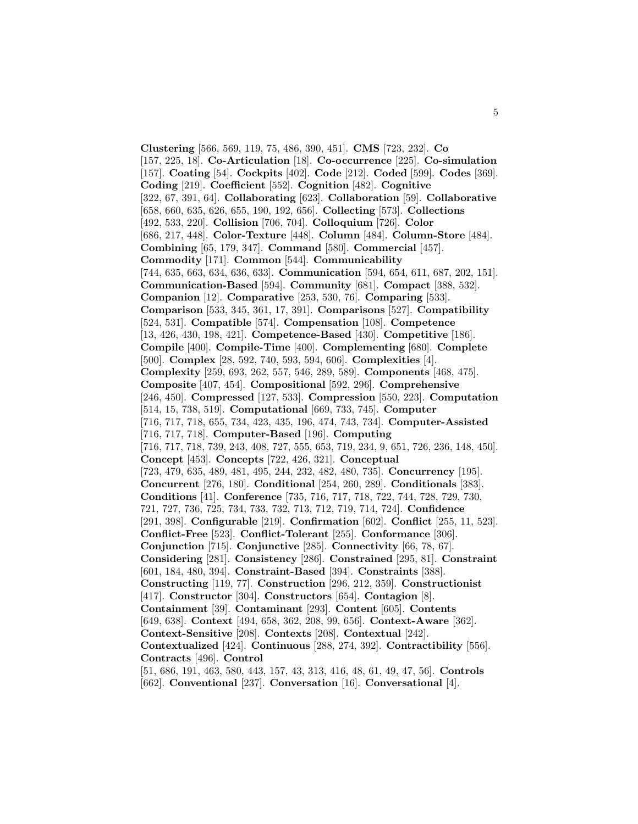**Clustering** [566, 569, 119, 75, 486, 390, 451]. **CMS** [723, 232]. **Co** [157, 225, 18]. **Co-Articulation** [18]. **Co-occurrence** [225]. **Co-simulation** [157]. **Coating** [54]. **Cockpits** [402]. **Code** [212]. **Coded** [599]. **Codes** [369]. **Coding** [219]. **Coefficient** [552]. **Cognition** [482]. **Cognitive** [322, 67, 391, 64]. **Collaborating** [623]. **Collaboration** [59]. **Collaborative** [658, 660, 635, 626, 655, 190, 192, 656]. **Collecting** [573]. **Collections** [492, 533, 220]. **Collision** [706, 704]. **Colloquium** [726]. **Color** [686, 217, 448]. **Color-Texture** [448]. **Column** [484]. **Column-Store** [484]. **Combining** [65, 179, 347]. **Command** [580]. **Commercial** [457]. **Commodity** [171]. **Common** [544]. **Communicability** [744, 635, 663, 634, 636, 633]. **Communication** [594, 654, 611, 687, 202, 151]. **Communication-Based** [594]. **Community** [681]. **Compact** [388, 532]. **Companion** [12]. **Comparative** [253, 530, 76]. **Comparing** [533]. **Comparison** [533, 345, 361, 17, 391]. **Comparisons** [527]. **Compatibility** [524, 531]. **Compatible** [574]. **Compensation** [108]. **Competence** [13, 426, 430, 198, 421]. **Competence-Based** [430]. **Competitive** [186]. **Compile** [400]. **Compile-Time** [400]. **Complementing** [680]. **Complete** [500]. **Complex** [28, 592, 740, 593, 594, 606]. **Complexities** [4]. **Complexity** [259, 693, 262, 557, 546, 289, 589]. **Components** [468, 475]. **Composite** [407, 454]. **Compositional** [592, 296]. **Comprehensive** [246, 450]. **Compressed** [127, 533]. **Compression** [550, 223]. **Computation** [514, 15, 738, 519]. **Computational** [669, 733, 745]. **Computer** [716, 717, 718, 655, 734, 423, 435, 196, 474, 743, 734]. **Computer-Assisted** [716, 717, 718]. **Computer-Based** [196]. **Computing** [716, 717, 718, 739, 243, 408, 727, 555, 653, 719, 234, 9, 651, 726, 236, 148, 450]. **Concept** [453]. **Concepts** [722, 426, 321]. **Conceptual** [723, 479, 635, 489, 481, 495, 244, 232, 482, 480, 735]. **Concurrency** [195]. **Concurrent** [276, 180]. **Conditional** [254, 260, 289]. **Conditionals** [383]. **Conditions** [41]. **Conference** [735, 716, 717, 718, 722, 744, 728, 729, 730, 721, 727, 736, 725, 734, 733, 732, 713, 712, 719, 714, 724]. **Confidence** [291, 398]. **Configurable** [219]. **Confirmation** [602]. **Conflict** [255, 11, 523]. **Conflict-Free** [523]. **Conflict-Tolerant** [255]. **Conformance** [306]. **Conjunction** [715]. **Conjunctive** [285]. **Connectivity** [66, 78, 67]. **Considering** [281]. **Consistency** [286]. **Constrained** [295, 81]. **Constraint** [601, 184, 480, 394]. **Constraint-Based** [394]. **Constraints** [388]. **Constructing** [119, 77]. **Construction** [296, 212, 359]. **Constructionist** [417]. **Constructor** [304]. **Constructors** [654]. **Contagion** [8]. **Containment** [39]. **Contaminant** [293]. **Content** [605]. **Contents** [649, 638]. **Context** [494, 658, 362, 208, 99, 656]. **Context-Aware** [362]. **Context-Sensitive** [208]. **Contexts** [208]. **Contextual** [242]. **Contextualized** [424]. **Continuous** [288, 274, 392]. **Contractibility** [556]. **Contracts** [496]. **Control** [51, 686, 191, 463, 580, 443, 157, 43, 313, 416, 48, 61, 49, 47, 56]. **Controls**

[662]. **Conventional** [237]. **Conversation** [16]. **Conversational** [4].

5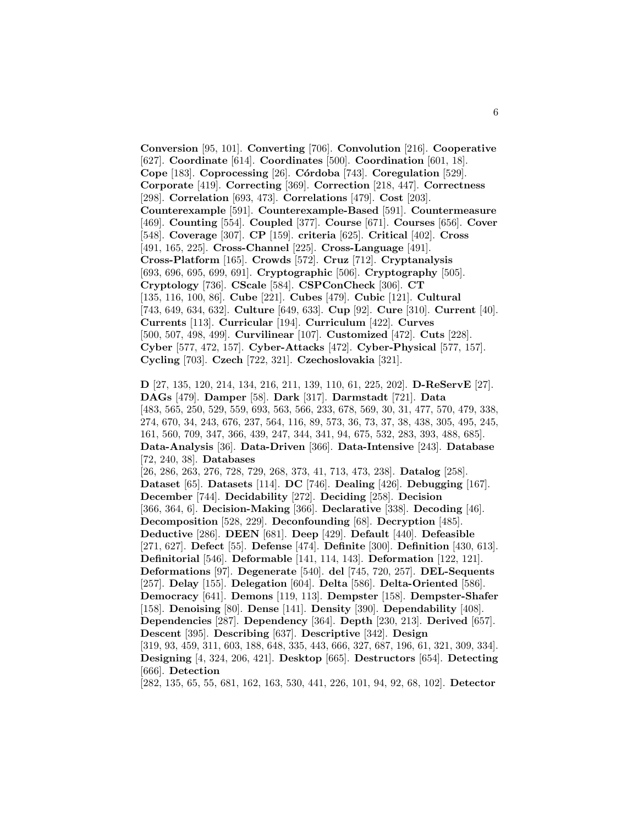**Conversion** [95, 101]. **Converting** [706]. **Convolution** [216]. **Cooperative** [627]. **Coordinate** [614]. **Coordinates** [500]. **Coordination** [601, 18]. **Cope** [183]. **Coprocessing** [26]. **C´ordoba** [743]. **Coregulation** [529]. **Corporate** [419]. **Correcting** [369]. **Correction** [218, 447]. **Correctness** [298]. **Correlation** [693, 473]. **Correlations** [479]. **Cost** [203]. **Counterexample** [591]. **Counterexample-Based** [591]. **Countermeasure** [469]. **Counting** [554]. **Coupled** [377]. **Course** [671]. **Courses** [656]. **Cover** [548]. **Coverage** [307]. **CP** [159]. **criteria** [625]. **Critical** [402]. **Cross** [491, 165, 225]. **Cross-Channel** [225]. **Cross-Language** [491]. **Cross-Platform** [165]. **Crowds** [572]. **Cruz** [712]. **Cryptanalysis** [693, 696, 695, 699, 691]. **Cryptographic** [506]. **Cryptography** [505]. **Cryptology** [736]. **CScale** [584]. **CSPConCheck** [306]. **CT** [135, 116, 100, 86]. **Cube** [221]. **Cubes** [479]. **Cubic** [121]. **Cultural** [743, 649, 634, 632]. **Culture** [649, 633]. **Cup** [92]. **Cure** [310]. **Current** [40]. **Currents** [113]. **Curricular** [194]. **Curriculum** [422]. **Curves** [500, 507, 498, 499]. **Curvilinear** [107]. **Customized** [472]. **Cuts** [228]. **Cyber** [577, 472, 157]. **Cyber-Attacks** [472]. **Cyber-Physical** [577, 157]. **Cycling** [703]. **Czech** [722, 321]. **Czechoslovakia** [321].

**D** [27, 135, 120, 214, 134, 216, 211, 139, 110, 61, 225, 202]. **D-ReServE** [27]. **DAGs** [479]. **Damper** [58]. **Dark** [317]. **Darmstadt** [721]. **Data** [483, 565, 250, 529, 559, 693, 563, 566, 233, 678, 569, 30, 31, 477, 570, 479, 338, 274, 670, 34, 243, 676, 237, 564, 116, 89, 573, 36, 73, 37, 38, 438, 305, 495, 245, 161, 560, 709, 347, 366, 439, 247, 344, 341, 94, 675, 532, 283, 393, 488, 685]. **Data-Analysis** [36]. **Data-Driven** [366]. **Data-Intensive** [243]. **Database** [72, 240, 38]. **Databases** [26, 286, 263, 276, 728, 729, 268, 373, 41, 713, 473, 238]. **Datalog** [258]. **Dataset** [65]. **Datasets** [114]. **DC** [746]. **Dealing** [426]. **Debugging** [167]. **December** [744]. **Decidability** [272]. **Deciding** [258]. **Decision** [366, 364, 6]. **Decision-Making** [366]. **Declarative** [338]. **Decoding** [46]. **Decomposition** [528, 229]. **Deconfounding** [68]. **Decryption** [485]. **Deductive** [286]. **DEEN** [681]. **Deep** [429]. **Default** [440]. **Defeasible** [271, 627]. **Defect** [55]. **Defense** [474]. **Definite** [300]. **Definition** [430, 613]. **Definitorial** [546]. **Deformable** [141, 114, 143]. **Deformation** [122, 121]. **Deformations** [97]. **Degenerate** [540]. **del** [745, 720, 257]. **DEL-Sequents** [257]. **Delay** [155]. **Delegation** [604]. **Delta** [586]. **Delta-Oriented** [586]. **Democracy** [641]. **Demons** [119, 113]. **Dempster** [158]. **Dempster-Shafer** [158]. **Denoising** [80]. **Dense** [141]. **Density** [390]. **Dependability** [408]. **Dependencies** [287]. **Dependency** [364]. **Depth** [230, 213]. **Derived** [657]. **Descent** [395]. **Describing** [637]. **Descriptive** [342]. **Design** [319, 93, 459, 311, 603, 188, 648, 335, 443, 666, 327, 687, 196, 61, 321, 309, 334]. **Designing** [4, 324, 206, 421]. **Desktop** [665]. **Destructors** [654]. **Detecting** [666]. **Detection** [282, 135, 65, 55, 681, 162, 163, 530, 441, 226, 101, 94, 92, 68, 102]. **Detector**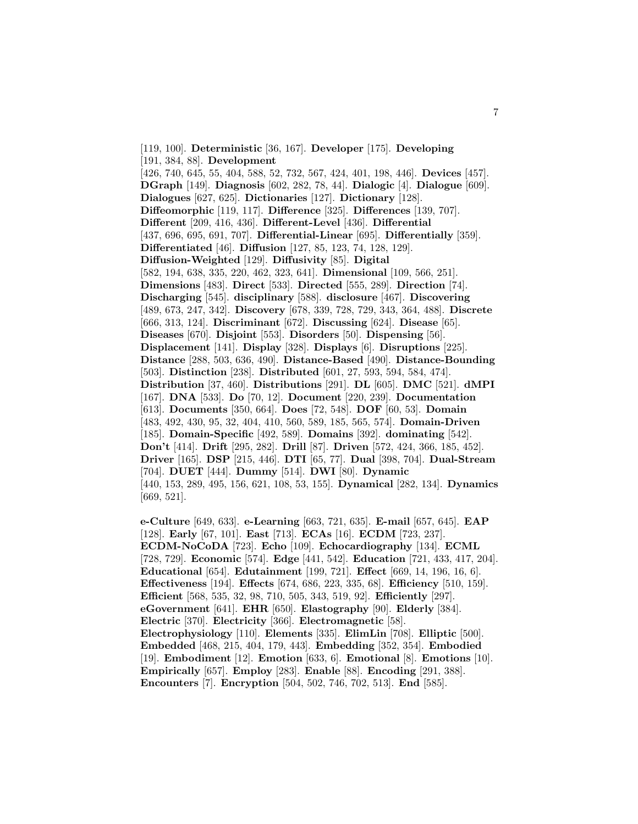[119, 100]. **Deterministic** [36, 167]. **Developer** [175]. **Developing** [191, 384, 88]. **Development** [426, 740, 645, 55, 404, 588, 52, 732, 567, 424, 401, 198, 446]. **Devices** [457]. **DGraph** [149]. **Diagnosis** [602, 282, 78, 44]. **Dialogic** [4]. **Dialogue** [609]. **Dialogues** [627, 625]. **Dictionaries** [127]. **Dictionary** [128]. **Diffeomorphic** [119, 117]. **Difference** [325]. **Differences** [139, 707]. **Different** [209, 416, 436]. **Different-Level** [436]. **Differential** [437, 696, 695, 691, 707]. **Differential-Linear** [695]. **Differentially** [359]. **Differentiated** [46]. **Diffusion** [127, 85, 123, 74, 128, 129]. **Diffusion-Weighted** [129]. **Diffusivity** [85]. **Digital** [582, 194, 638, 335, 220, 462, 323, 641]. **Dimensional** [109, 566, 251]. **Dimensions** [483]. **Direct** [533]. **Directed** [555, 289]. **Direction** [74]. **Discharging** [545]. **disciplinary** [588]. **disclosure** [467]. **Discovering** [489, 673, 247, 342]. **Discovery** [678, 339, 728, 729, 343, 364, 488]. **Discrete** [666, 313, 124]. **Discriminant** [672]. **Discussing** [624]. **Disease** [65]. **Diseases** [670]. **Disjoint** [553]. **Disorders** [50]. **Dispensing** [56]. **Displacement** [141]. **Display** [328]. **Displays** [6]. **Disruptions** [225]. **Distance** [288, 503, 636, 490]. **Distance-Based** [490]. **Distance-Bounding** [503]. **Distinction** [238]. **Distributed** [601, 27, 593, 594, 584, 474]. **Distribution** [37, 460]. **Distributions** [291]. **DL** [605]. **DMC** [521]. **dMPI** [167]. **DNA** [533]. **Do** [70, 12]. **Document** [220, 239]. **Documentation** [613]. **Documents** [350, 664]. **Does** [72, 548]. **DOF** [60, 53]. **Domain** [483, 492, 430, 95, 32, 404, 410, 560, 589, 185, 565, 574]. **Domain-Driven** [185]. **Domain-Specific** [492, 589]. **Domains** [392]. **dominating** [542]. **Don't** [414]. **Drift** [295, 282]. **Drill** [87]. **Driven** [572, 424, 366, 185, 452]. **Driver** [165]. **DSP** [215, 446]. **DTI** [65, 77]. **Dual** [398, 704]. **Dual-Stream** [704]. **DUET** [444]. **Dummy** [514]. **DWI** [80]. **Dynamic** [440, 153, 289, 495, 156, 621, 108, 53, 155]. **Dynamical** [282, 134]. **Dynamics** [669, 521].

**e-Culture** [649, 633]. **e-Learning** [663, 721, 635]. **E-mail** [657, 645]. **EAP** [128]. **Early** [67, 101]. **East** [713]. **ECAs** [16]. **ECDM** [723, 237]. **ECDM-NoCoDA** [723]. **Echo** [109]. **Echocardiography** [134]. **ECML** [728, 729]. **Economic** [574]. **Edge** [441, 542]. **Education** [721, 433, 417, 204]. **Educational** [654]. **Edutainment** [199, 721]. **Effect** [669, 14, 196, 16, 6]. **Effectiveness** [194]. **Effects** [674, 686, 223, 335, 68]. **Efficiency** [510, 159]. **Efficient** [568, 535, 32, 98, 710, 505, 343, 519, 92]. **Efficiently** [297]. **eGovernment** [641]. **EHR** [650]. **Elastography** [90]. **Elderly** [384]. **Electric** [370]. **Electricity** [366]. **Electromagnetic** [58]. **Electrophysiology** [110]. **Elements** [335]. **ElimLin** [708]. **Elliptic** [500]. **Embedded** [468, 215, 404, 179, 443]. **Embedding** [352, 354]. **Embodied** [19]. **Embodiment** [12]. **Emotion** [633, 6]. **Emotional** [8]. **Emotions** [10]. **Empirically** [657]. **Employ** [283]. **Enable** [88]. **Encoding** [291, 388]. **Encounters** [7]. **Encryption** [504, 502, 746, 702, 513]. **End** [585].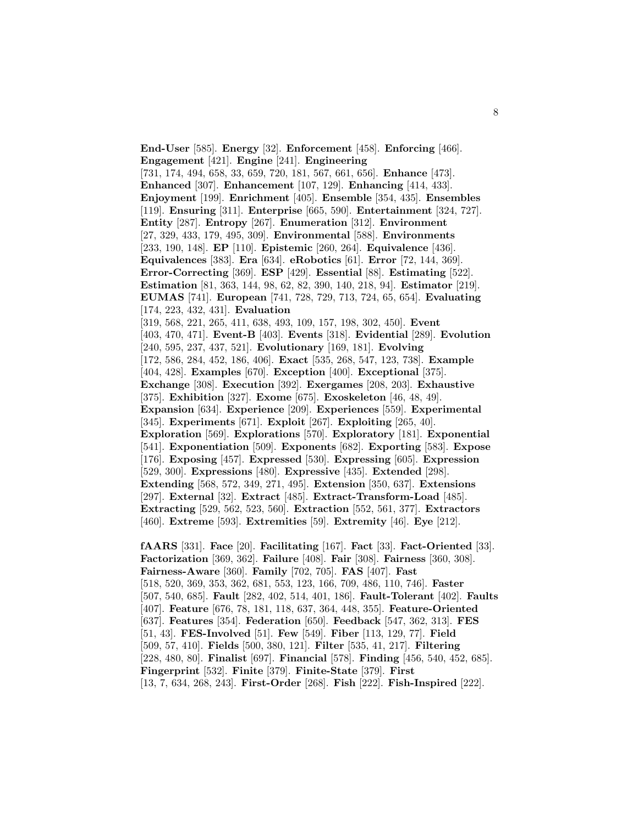**End-User** [585]. **Energy** [32]. **Enforcement** [458]. **Enforcing** [466]. **Engagement** [421]. **Engine** [241]. **Engineering** [731, 174, 494, 658, 33, 659, 720, 181, 567, 661, 656]. **Enhance** [473]. **Enhanced** [307]. **Enhancement** [107, 129]. **Enhancing** [414, 433]. **Enjoyment** [199]. **Enrichment** [405]. **Ensemble** [354, 435]. **Ensembles** [119]. **Ensuring** [311]. **Enterprise** [665, 590]. **Entertainment** [324, 727]. **Entity** [287]. **Entropy** [267]. **Enumeration** [312]. **Environment** [27, 329, 433, 179, 495, 309]. **Environmental** [588]. **Environments** [233, 190, 148]. **EP** [110]. **Epistemic** [260, 264]. **Equivalence** [436]. **Equivalences** [383]. **Era** [634]. **eRobotics** [61]. **Error** [72, 144, 369]. **Error-Correcting** [369]. **ESP** [429]. **Essential** [88]. **Estimating** [522]. **Estimation** [81, 363, 144, 98, 62, 82, 390, 140, 218, 94]. **Estimator** [219]. **EUMAS** [741]. **European** [741, 728, 729, 713, 724, 65, 654]. **Evaluating** [174, 223, 432, 431]. **Evaluation** [319, 568, 221, 265, 411, 638, 493, 109, 157, 198, 302, 450]. **Event** [403, 470, 471]. **Event-B** [403]. **Events** [318]. **Evidential** [289]. **Evolution** [240, 595, 237, 437, 521]. **Evolutionary** [169, 181]. **Evolving** [172, 586, 284, 452, 186, 406]. **Exact** [535, 268, 547, 123, 738]. **Example** [404, 428]. **Examples** [670]. **Exception** [400]. **Exceptional** [375]. **Exchange** [308]. **Execution** [392]. **Exergames** [208, 203]. **Exhaustive** [375]. **Exhibition** [327]. **Exome** [675]. **Exoskeleton** [46, 48, 49]. **Expansion** [634]. **Experience** [209]. **Experiences** [559]. **Experimental** [345]. **Experiments** [671]. **Exploit** [267]. **Exploiting** [265, 40]. **Exploration** [569]. **Explorations** [570]. **Exploratory** [181]. **Exponential** [541]. **Exponentiation** [509]. **Exponents** [682]. **Exporting** [583]. **Expose** [176]. **Exposing** [457]. **Expressed** [530]. **Expressing** [605]. **Expression** [529, 300]. **Expressions** [480]. **Expressive** [435]. **Extended** [298]. **Extending** [568, 572, 349, 271, 495]. **Extension** [350, 637]. **Extensions** [297]. **External** [32]. **Extract** [485]. **Extract-Transform-Load** [485]. **Extracting** [529, 562, 523, 560]. **Extraction** [552, 561, 377]. **Extractors** [460]. **Extreme** [593]. **Extremities** [59]. **Extremity** [46]. **Eye** [212]. **fAARS** [331]. **Face** [20]. **Facilitating** [167]. **Fact** [33]. **Fact-Oriented** [33].

**Factorization** [369, 362]. **Failure** [408]. **Fair** [308]. **Fairness** [360, 308]. **Fairness-Aware** [360]. **Family** [702, 705]. **FAS** [407]. **Fast** [518, 520, 369, 353, 362, 681, 553, 123, 166, 709, 486, 110, 746]. **Faster** [507, 540, 685]. **Fault** [282, 402, 514, 401, 186]. **Fault-Tolerant** [402]. **Faults** [407]. **Feature** [676, 78, 181, 118, 637, 364, 448, 355]. **Feature-Oriented** [637]. **Features** [354]. **Federation** [650]. **Feedback** [547, 362, 313]. **FES** [51, 43]. **FES-Involved** [51]. **Few** [549]. **Fiber** [113, 129, 77]. **Field** [509, 57, 410]. **Fields** [500, 380, 121]. **Filter** [535, 41, 217]. **Filtering** [228, 480, 80]. **Finalist** [697]. **Financial** [578]. **Finding** [456, 540, 452, 685]. **Fingerprint** [532]. **Finite** [379]. **Finite-State** [379]. **First** [13, 7, 634, 268, 243]. **First-Order** [268]. **Fish** [222]. **Fish-Inspired** [222].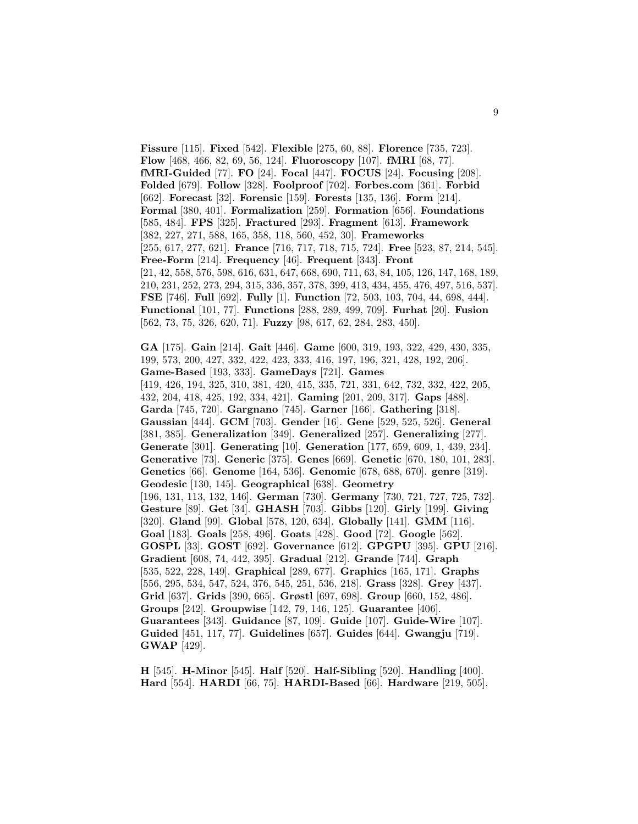**Fissure** [115]. **Fixed** [542]. **Flexible** [275, 60, 88]. **Florence** [735, 723]. **Flow** [468, 466, 82, 69, 56, 124]. **Fluoroscopy** [107]. **fMRI** [68, 77]. **fMRI-Guided** [77]. **FO** [24]. **Focal** [447]. **FOCUS** [24]. **Focusing** [208]. **Folded** [679]. **Follow** [328]. **Foolproof** [702]. **Forbes.com** [361]. **Forbid** [662]. **Forecast** [32]. **Forensic** [159]. **Forests** [135, 136]. **Form** [214]. **Formal** [380, 401]. **Formalization** [259]. **Formation** [656]. **Foundations** [585, 484]. **FPS** [325]. **Fractured** [293]. **Fragment** [613]. **Framework** [382, 227, 271, 588, 165, 358, 118, 560, 452, 30]. **Frameworks** [255, 617, 277, 621]. **France** [716, 717, 718, 715, 724]. **Free** [523, 87, 214, 545]. **Free-Form** [214]. **Frequency** [46]. **Frequent** [343]. **Front** [21, 42, 558, 576, 598, 616, 631, 647, 668, 690, 711, 63, 84, 105, 126, 147, 168, 189, 210, 231, 252, 273, 294, 315, 336, 357, 378, 399, 413, 434, 455, 476, 497, 516, 537]. **FSE** [746]. **Full** [692]. **Fully** [1]. **Function** [72, 503, 103, 704, 44, 698, 444]. **Functional** [101, 77]. **Functions** [288, 289, 499, 709]. **Furhat** [20]. **Fusion** [562, 73, 75, 326, 620, 71]. **Fuzzy** [98, 617, 62, 284, 283, 450].

**GA** [175]. **Gain** [214]. **Gait** [446]. **Game** [600, 319, 193, 322, 429, 430, 335, 199, 573, 200, 427, 332, 422, 423, 333, 416, 197, 196, 321, 428, 192, 206]. **Game-Based** [193, 333]. **GameDays** [721]. **Games** [419, 426, 194, 325, 310, 381, 420, 415, 335, 721, 331, 642, 732, 332, 422, 205, 432, 204, 418, 425, 192, 334, 421]. **Gaming** [201, 209, 317]. **Gaps** [488]. **Garda** [745, 720]. **Gargnano** [745]. **Garner** [166]. **Gathering** [318]. **Gaussian** [444]. **GCM** [703]. **Gender** [16]. **Gene** [529, 525, 526]. **General** [381, 385]. **Generalization** [349]. **Generalized** [257]. **Generalizing** [277]. **Generate** [301]. **Generating** [10]. **Generation** [177, 659, 609, 1, 439, 234]. **Generative** [73]. **Generic** [375]. **Genes** [669]. **Genetic** [670, 180, 101, 283]. **Genetics** [66]. **Genome** [164, 536]. **Genomic** [678, 688, 670]. **genre** [319]. **Geodesic** [130, 145]. **Geographical** [638]. **Geometry** [196, 131, 113, 132, 146]. **German** [730]. **Germany** [730, 721, 727, 725, 732]. **Gesture** [89]. **Get** [34]. **GHASH** [703]. **Gibbs** [120]. **Girly** [199]. **Giving** [320]. **Gland** [99]. **Global** [578, 120, 634]. **Globally** [141]. **GMM** [116]. **Goal** [183]. **Goals** [258, 496]. **Goats** [428]. **Good** [72]. **Google** [562]. **GOSPL** [33]. **GOST** [692]. **Governance** [612]. **GPGPU** [395]. **GPU** [216]. **Gradient** [608, 74, 442, 395]. **Gradual** [212]. **Grande** [744]. **Graph** [535, 522, 228, 149]. **Graphical** [289, 677]. **Graphics** [165, 171]. **Graphs** [556, 295, 534, 547, 524, 376, 545, 251, 536, 218]. **Grass** [328]. **Grey** [437]. **Grid** [637]. **Grids** [390, 665]. **Grøstl** [697, 698]. **Group** [660, 152, 486]. **Groups** [242]. **Groupwise** [142, 79, 146, 125]. **Guarantee** [406]. **Guarantees** [343]. **Guidance** [87, 109]. **Guide** [107]. **Guide-Wire** [107]. **Guided** [451, 117, 77]. **Guidelines** [657]. **Guides** [644]. **Gwangju** [719]. **GWAP** [429].

**H** [545]. **H-Minor** [545]. **Half** [520]. **Half-Sibling** [520]. **Handling** [400]. **Hard** [554]. **HARDI** [66, 75]. **HARDI-Based** [66]. **Hardware** [219, 505].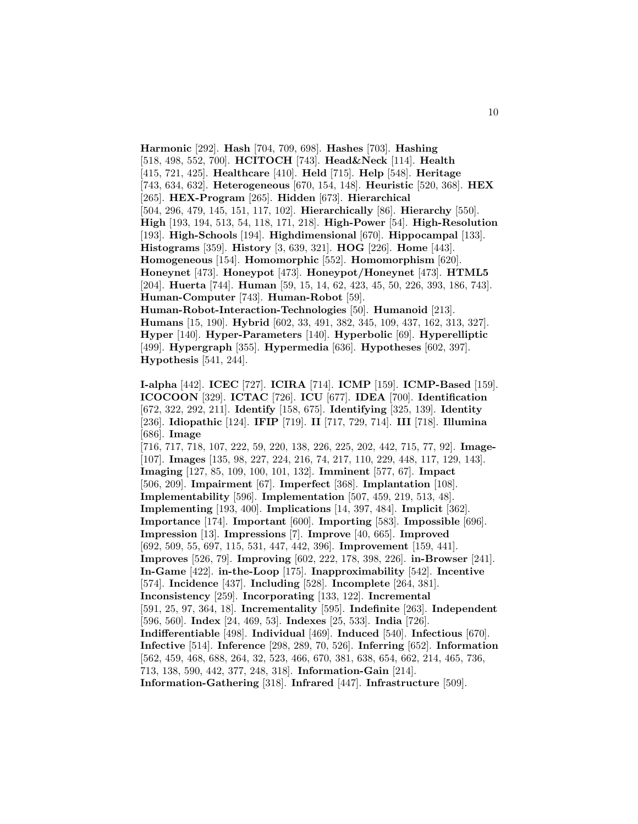**Harmonic** [292]. **Hash** [704, 709, 698]. **Hashes** [703]. **Hashing** [518, 498, 552, 700]. **HCITOCH** [743]. **Head&Neck** [114]. **Health** [415, 721, 425]. **Healthcare** [410]. **Held** [715]. **Help** [548]. **Heritage** [743, 634, 632]. **Heterogeneous** [670, 154, 148]. **Heuristic** [520, 368]. **HEX** [265]. **HEX-Program** [265]. **Hidden** [673]. **Hierarchical** [504, 296, 479, 145, 151, 117, 102]. **Hierarchically** [86]. **Hierarchy** [550]. **High** [193, 194, 513, 54, 118, 171, 218]. **High-Power** [54]. **High-Resolution** [193]. **High-Schools** [194]. **Highdimensional** [670]. **Hippocampal** [133]. **Histograms** [359]. **History** [3, 639, 321]. **HOG** [226]. **Home** [443]. **Homogeneous** [154]. **Homomorphic** [552]. **Homomorphism** [620]. **Honeynet** [473]. **Honeypot** [473]. **Honeypot/Honeynet** [473]. **HTML5** [204]. **Huerta** [744]. **Human** [59, 15, 14, 62, 423, 45, 50, 226, 393, 186, 743]. **Human-Computer** [743]. **Human-Robot** [59]. **Human-Robot-Interaction-Technologies** [50]. **Humanoid** [213]. **Humans** [15, 190]. **Hybrid** [602, 33, 491, 382, 345, 109, 437, 162, 313, 327].

**Hyper** [140]. **Hyper-Parameters** [140]. **Hyperbolic** [69]. **Hyperelliptic** [499]. **Hypergraph** [355]. **Hypermedia** [636]. **Hypotheses** [602, 397]. **Hypothesis** [541, 244].

**I-alpha** [442]. **ICEC** [727]. **ICIRA** [714]. **ICMP** [159]. **ICMP-Based** [159]. **ICOCOON** [329]. **ICTAC** [726]. **ICU** [677]. **IDEA** [700]. **Identification** [672, 322, 292, 211]. **Identify** [158, 675]. **Identifying** [325, 139]. **Identity** [236]. **Idiopathic** [124]. **IFIP** [719]. **II** [717, 729, 714]. **III** [718]. **Illumina** [686]. **Image**

[716, 717, 718, 107, 222, 59, 220, 138, 226, 225, 202, 442, 715, 77, 92]. **Image-** [107]. **Images** [135, 98, 227, 224, 216, 74, 217, 110, 229, 448, 117, 129, 143]. **Imaging** [127, 85, 109, 100, 101, 132]. **Imminent** [577, 67]. **Impact** [506, 209]. **Impairment** [67]. **Imperfect** [368]. **Implantation** [108]. **Implementability** [596]. **Implementation** [507, 459, 219, 513, 48]. **Implementing** [193, 400]. **Implications** [14, 397, 484]. **Implicit** [362]. **Importance** [174]. **Important** [600]. **Importing** [583]. **Impossible** [696]. **Impression** [13]. **Impressions** [7]. **Improve** [40, 665]. **Improved** [692, 509, 55, 697, 115, 531, 447, 442, 396]. **Improvement** [159, 441]. **Improves** [526, 79]. **Improving** [602, 222, 178, 398, 226]. **in-Browser** [241]. **In-Game** [422]. **in-the-Loop** [175]. **Inapproximability** [542]. **Incentive** [574]. **Incidence** [437]. **Including** [528]. **Incomplete** [264, 381]. **Inconsistency** [259]. **Incorporating** [133, 122]. **Incremental** [591, 25, 97, 364, 18]. **Incrementality** [595]. **Indefinite** [263]. **Independent** [596, 560]. **Index** [24, 469, 53]. **Indexes** [25, 533]. **India** [726]. **Indifferentiable** [498]. **Individual** [469]. **Induced** [540]. **Infectious** [670]. **Infective** [514]. **Inference** [298, 289, 70, 526]. **Inferring** [652]. **Information** [562, 459, 468, 688, 264, 32, 523, 466, 670, 381, 638, 654, 662, 214, 465, 736, 713, 138, 590, 442, 377, 248, 318]. **Information-Gain** [214]. **Information-Gathering** [318]. **Infrared** [447]. **Infrastructure** [509].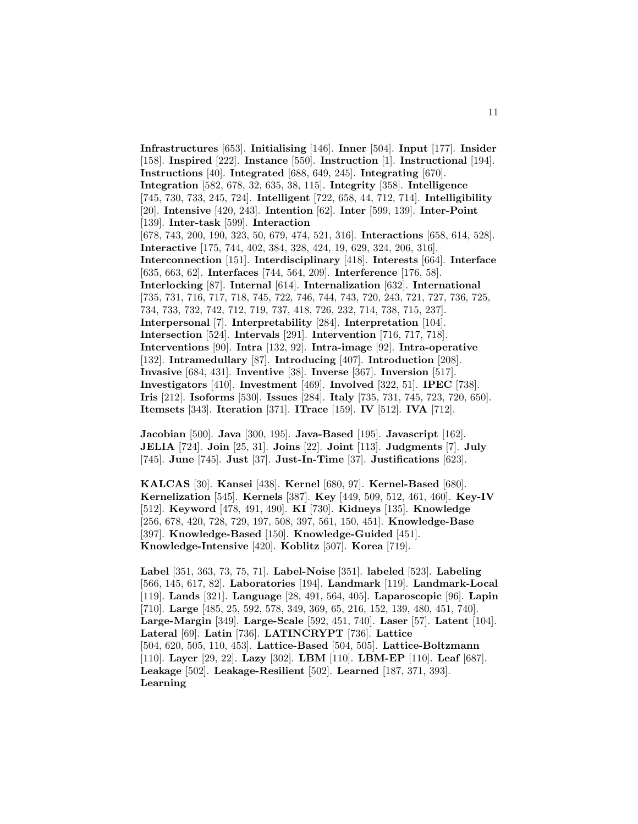**Infrastructures** [653]. **Initialising** [146]. **Inner** [504]. **Input** [177]. **Insider** [158]. **Inspired** [222]. **Instance** [550]. **Instruction** [1]. **Instructional** [194]. **Instructions** [40]. **Integrated** [688, 649, 245]. **Integrating** [670]. **Integration** [582, 678, 32, 635, 38, 115]. **Integrity** [358]. **Intelligence** [745, 730, 733, 245, 724]. **Intelligent** [722, 658, 44, 712, 714]. **Intelligibility** [20]. **Intensive** [420, 243]. **Intention** [62]. **Inter** [599, 139]. **Inter-Point** [139]. **Inter-task** [599]. **Interaction** [678, 743, 200, 190, 323, 50, 679, 474, 521, 316]. **Interactions** [658, 614, 528]. **Interactive** [175, 744, 402, 384, 328, 424, 19, 629, 324, 206, 316]. **Interconnection** [151]. **Interdisciplinary** [418]. **Interests** [664]. **Interface** [635, 663, 62]. **Interfaces** [744, 564, 209]. **Interference** [176, 58]. **Interlocking** [87]. **Internal** [614]. **Internalization** [632]. **International** [735, 731, 716, 717, 718, 745, 722, 746, 744, 743, 720, 243, 721, 727, 736, 725, 734, 733, 732, 742, 712, 719, 737, 418, 726, 232, 714, 738, 715, 237]. **Interpersonal** [7]. **Interpretability** [284]. **Interpretation** [104]. **Intersection** [524]. **Intervals** [291]. **Intervention** [716, 717, 718]. **Interventions** [90]. **Intra** [132, 92]. **Intra-image** [92]. **Intra-operative** [132]. **Intramedullary** [87]. **Introducing** [407]. **Introduction** [208]. **Invasive** [684, 431]. **Inventive** [38]. **Inverse** [367]. **Inversion** [517]. **Investigators** [410]. **Investment** [469]. **Involved** [322, 51]. **IPEC** [738]. **Iris** [212]. **Isoforms** [530]. **Issues** [284]. **Italy** [735, 731, 745, 723, 720, 650]. **Itemsets** [343]. **Iteration** [371]. **ITrace** [159]. **IV** [512]. **IVA** [712].

**Jacobian** [500]. **Java** [300, 195]. **Java-Based** [195]. **Javascript** [162]. **JELIA** [724]. **Join** [25, 31]. **Joins** [22]. **Joint** [113]. **Judgments** [7]. **July** [745]. **June** [745]. **Just** [37]. **Just-In-Time** [37]. **Justifications** [623].

**KALCAS** [30]. **Kansei** [438]. **Kernel** [680, 97]. **Kernel-Based** [680]. **Kernelization** [545]. **Kernels** [387]. **Key** [449, 509, 512, 461, 460]. **Key-IV** [512]. **Keyword** [478, 491, 490]. **KI** [730]. **Kidneys** [135]. **Knowledge** [256, 678, 420, 728, 729, 197, 508, 397, 561, 150, 451]. **Knowledge-Base** [397]. **Knowledge-Based** [150]. **Knowledge-Guided** [451]. **Knowledge-Intensive** [420]. **Koblitz** [507]. **Korea** [719].

**Label** [351, 363, 73, 75, 71]. **Label-Noise** [351]. **labeled** [523]. **Labeling** [566, 145, 617, 82]. **Laboratories** [194]. **Landmark** [119]. **Landmark-Local** [119]. **Lands** [321]. **Language** [28, 491, 564, 405]. **Laparoscopic** [96]. **Lapin** [710]. **Large** [485, 25, 592, 578, 349, 369, 65, 216, 152, 139, 480, 451, 740]. **Large-Margin** [349]. **Large-Scale** [592, 451, 740]. **Laser** [57]. **Latent** [104]. **Lateral** [69]. **Latin** [736]. **LATINCRYPT** [736]. **Lattice** [504, 620, 505, 110, 453]. **Lattice-Based** [504, 505]. **Lattice-Boltzmann** [110]. **Layer** [29, 22]. **Lazy** [302]. **LBM** [110]. **LBM-EP** [110]. **Leaf** [687]. **Leakage** [502]. **Leakage-Resilient** [502]. **Learned** [187, 371, 393]. **Learning**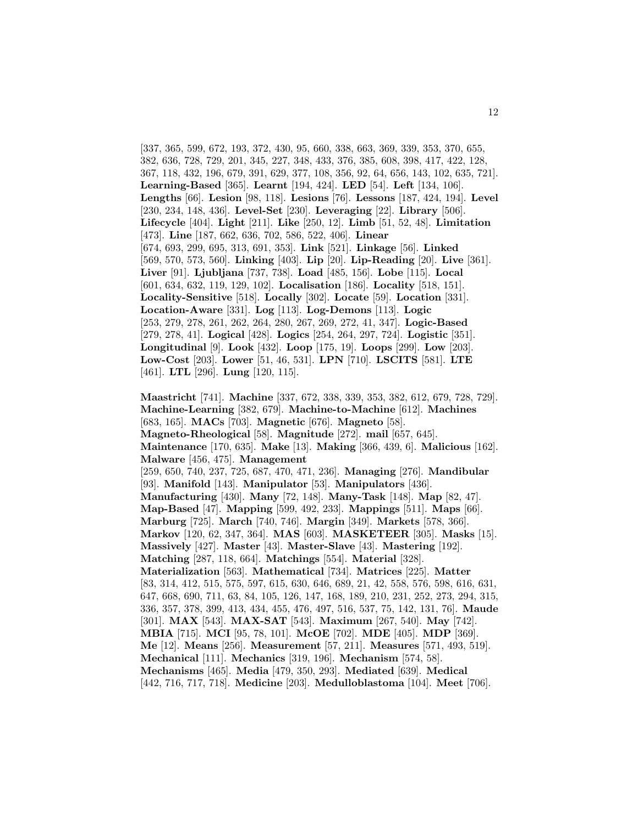[337, 365, 599, 672, 193, 372, 430, 95, 660, 338, 663, 369, 339, 353, 370, 655, 382, 636, 728, 729, 201, 345, 227, 348, 433, 376, 385, 608, 398, 417, 422, 128, 367, 118, 432, 196, 679, 391, 629, 377, 108, 356, 92, 64, 656, 143, 102, 635, 721]. **Learning-Based** [365]. **Learnt** [194, 424]. **LED** [54]. **Left** [134, 106]. **Lengths** [66]. **Lesion** [98, 118]. **Lesions** [76]. **Lessons** [187, 424, 194]. **Level** [230, 234, 148, 436]. **Level-Set** [230]. **Leveraging** [22]. **Library** [506]. **Lifecycle** [404]. **Light** [211]. **Like** [250, 12]. **Limb** [51, 52, 48]. **Limitation** [473]. **Line** [187, 662, 636, 702, 586, 522, 406]. **Linear** [674, 693, 299, 695, 313, 691, 353]. **Link** [521]. **Linkage** [56]. **Linked** [569, 570, 573, 560]. **Linking** [403]. **Lip** [20]. **Lip-Reading** [20]. **Live** [361]. **Liver** [91]. **Ljubljana** [737, 738]. **Load** [485, 156]. **Lobe** [115]. **Local** [601, 634, 632, 119, 129, 102]. **Localisation** [186]. **Locality** [518, 151]. **Locality-Sensitive** [518]. **Locally** [302]. **Locate** [59]. **Location** [331]. **Location-Aware** [331]. **Log** [113]. **Log-Demons** [113]. **Logic** [253, 279, 278, 261, 262, 264, 280, 267, 269, 272, 41, 347]. **Logic-Based** [279, 278, 41]. **Logical** [428]. **Logics** [254, 264, 297, 724]. **Logistic** [351]. **Longitudinal** [9]. **Look** [432]. **Loop** [175, 19]. **Loops** [299]. **Low** [203]. **Low-Cost** [203]. **Lower** [51, 46, 531]. **LPN** [710]. **LSCITS** [581]. **LTE** [461]. **LTL** [296]. **Lung** [120, 115].

**Maastricht** [741]. **Machine** [337, 672, 338, 339, 353, 382, 612, 679, 728, 729]. **Machine-Learning** [382, 679]. **Machine-to-Machine** [612]. **Machines** [683, 165]. **MACs** [703]. **Magnetic** [676]. **Magneto** [58]. **Magneto-Rheological** [58]. **Magnitude** [272]. **mail** [657, 645]. **Maintenance** [170, 635]. **Make** [13]. **Making** [366, 439, 6]. **Malicious** [162]. **Malware** [456, 475]. **Management** [259, 650, 740, 237, 725, 687, 470, 471, 236]. **Managing** [276]. **Mandibular** [93]. **Manifold** [143]. **Manipulator** [53]. **Manipulators** [436]. **Manufacturing** [430]. **Many** [72, 148]. **Many-Task** [148]. **Map** [82, 47]. **Map-Based** [47]. **Mapping** [599, 492, 233]. **Mappings** [511]. **Maps** [66]. **Marburg** [725]. **March** [740, 746]. **Margin** [349]. **Markets** [578, 366]. **Markov** [120, 62, 347, 364]. **MAS** [603]. **MASKETEER** [305]. **Masks** [15]. **Massively** [427]. **Master** [43]. **Master-Slave** [43]. **Mastering** [192]. **Matching** [287, 118, 664]. **Matchings** [554]. **Material** [328]. **Materialization** [563]. **Mathematical** [734]. **Matrices** [225]. **Matter** [83, 314, 412, 515, 575, 597, 615, 630, 646, 689, 21, 42, 558, 576, 598, 616, 631, 647, 668, 690, 711, 63, 84, 105, 126, 147, 168, 189, 210, 231, 252, 273, 294, 315, 336, 357, 378, 399, 413, 434, 455, 476, 497, 516, 537, 75, 142, 131, 76]. **Maude** [301]. **MAX** [543]. **MAX-SAT** [543]. **Maximum** [267, 540]. **May** [742]. **MBIA** [715]. **MCI** [95, 78, 101]. **McOE** [702]. **MDE** [405]. **MDP** [369]. **Me** [12]. **Means** [256]. **Measurement** [57, 211]. **Measures** [571, 493, 519]. **Mechanical** [111]. **Mechanics** [319, 196]. **Mechanism** [574, 58]. **Mechanisms** [465]. **Media** [479, 350, 293]. **Mediated** [639]. **Medical** [442, 716, 717, 718]. **Medicine** [203]. **Medulloblastoma** [104]. **Meet** [706].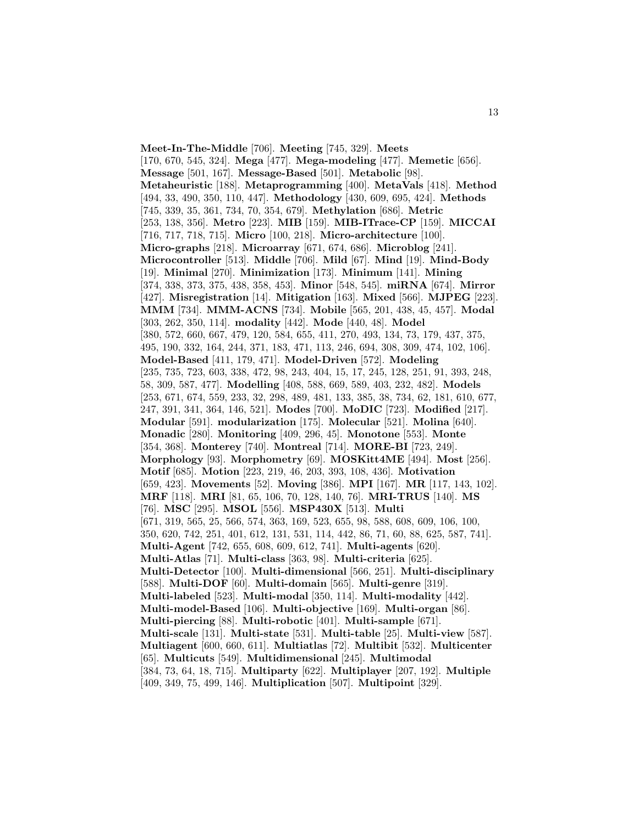**Meet-In-The-Middle** [706]. **Meeting** [745, 329]. **Meets** [170, 670, 545, 324]. **Mega** [477]. **Mega-modeling** [477]. **Memetic** [656]. **Message** [501, 167]. **Message-Based** [501]. **Metabolic** [98]. **Metaheuristic** [188]. **Metaprogramming** [400]. **MetaVals** [418]. **Method** [494, 33, 490, 350, 110, 447]. **Methodology** [430, 609, 695, 424]. **Methods** [745, 339, 35, 361, 734, 70, 354, 679]. **Methylation** [686]. **Metric** [253, 138, 356]. **Metro** [223]. **MIB** [159]. **MIB-ITrace-CP** [159]. **MICCAI** [716, 717, 718, 715]. **Micro** [100, 218]. **Micro-architecture** [100]. **Micro-graphs** [218]. **Microarray** [671, 674, 686]. **Microblog** [241]. **Microcontroller** [513]. **Middle** [706]. **Mild** [67]. **Mind** [19]. **Mind-Body** [19]. **Minimal** [270]. **Minimization** [173]. **Minimum** [141]. **Mining** [374, 338, 373, 375, 438, 358, 453]. **Minor** [548, 545]. **miRNA** [674]. **Mirror** [427]. **Misregistration** [14]. **Mitigation** [163]. **Mixed** [566]. **MJPEG** [223]. **MMM** [734]. **MMM-ACNS** [734]. **Mobile** [565, 201, 438, 45, 457]. **Modal** [303, 262, 350, 114]. **modality** [442]. **Mode** [440, 48]. **Model** [380, 572, 660, 667, 479, 120, 584, 655, 411, 270, 493, 134, 73, 179, 437, 375, 495, 190, 332, 164, 244, 371, 183, 471, 113, 246, 694, 308, 309, 474, 102, 106]. **Model-Based** [411, 179, 471]. **Model-Driven** [572]. **Modeling** [235, 735, 723, 603, 338, 472, 98, 243, 404, 15, 17, 245, 128, 251, 91, 393, 248, 58, 309, 587, 477]. **Modelling** [408, 588, 669, 589, 403, 232, 482]. **Models** [253, 671, 674, 559, 233, 32, 298, 489, 481, 133, 385, 38, 734, 62, 181, 610, 677, 247, 391, 341, 364, 146, 521]. **Modes** [700]. **MoDIC** [723]. **Modified** [217]. **Modular** [591]. **modularization** [175]. **Molecular** [521]. **Molina** [640]. **Monadic** [280]. **Monitoring** [409, 296, 45]. **Monotone** [553]. **Monte** [354, 368]. **Monterey** [740]. **Montreal** [714]. **MORE-BI** [723, 249]. **Morphology** [93]. **Morphometry** [69]. **MOSKitt4ME** [494]. **Most** [256]. **Motif** [685]. **Motion** [223, 219, 46, 203, 393, 108, 436]. **Motivation** [659, 423]. **Movements** [52]. **Moving** [386]. **MPI** [167]. **MR** [117, 143, 102]. **MRF** [118]. **MRI** [81, 65, 106, 70, 128, 140, 76]. **MRI-TRUS** [140]. **MS** [76]. **MSC** [295]. **MSOL** [556]. **MSP430X** [513]. **Multi** [671, 319, 565, 25, 566, 574, 363, 169, 523, 655, 98, 588, 608, 609, 106, 100, 350, 620, 742, 251, 401, 612, 131, 531, 114, 442, 86, 71, 60, 88, 625, 587, 741]. **Multi-Agent** [742, 655, 608, 609, 612, 741]. **Multi-agents** [620]. **Multi-Atlas** [71]. **Multi-class** [363, 98]. **Multi-criteria** [625]. **Multi-Detector** [100]. **Multi-dimensional** [566, 251]. **Multi-disciplinary** [588]. **Multi-DOF** [60]. **Multi-domain** [565]. **Multi-genre** [319]. **Multi-labeled** [523]. **Multi-modal** [350, 114]. **Multi-modality** [442]. **Multi-model-Based** [106]. **Multi-objective** [169]. **Multi-organ** [86]. **Multi-piercing** [88]. **Multi-robotic** [401]. **Multi-sample** [671]. **Multi-scale** [131]. **Multi-state** [531]. **Multi-table** [25]. **Multi-view** [587]. **Multiagent** [600, 660, 611]. **Multiatlas** [72]. **Multibit** [532]. **Multicenter** [65]. **Multicuts** [549]. **Multidimensional** [245]. **Multimodal** [384, 73, 64, 18, 715]. **Multiparty** [622]. **Multiplayer** [207, 192]. **Multiple** [409, 349, 75, 499, 146]. **Multiplication** [507]. **Multipoint** [329].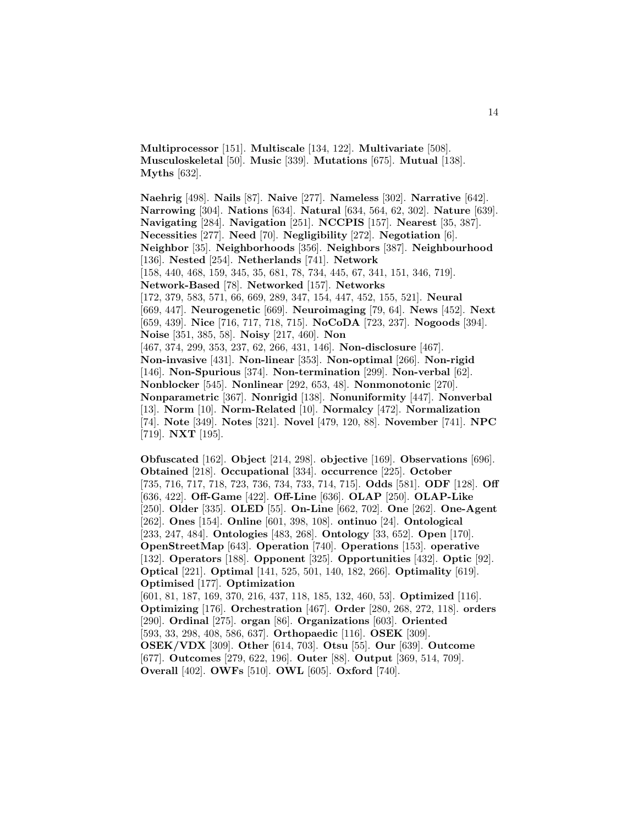**Multiprocessor** [151]. **Multiscale** [134, 122]. **Multivariate** [508]. **Musculoskeletal** [50]. **Music** [339]. **Mutations** [675]. **Mutual** [138]. **Myths** [632].

**Naehrig** [498]. **Nails** [87]. **Naive** [277]. **Nameless** [302]. **Narrative** [642]. **Narrowing** [304]. **Nations** [634]. **Natural** [634, 564, 62, 302]. **Nature** [639]. **Navigating** [284]. **Navigation** [251]. **NCCPIS** [157]. **Nearest** [35, 387]. **Necessities** [277]. **Need** [70]. **Negligibility** [272]. **Negotiation** [6]. **Neighbor** [35]. **Neighborhoods** [356]. **Neighbors** [387]. **Neighbourhood** [136]. **Nested** [254]. **Netherlands** [741]. **Network** [158, 440, 468, 159, 345, 35, 681, 78, 734, 445, 67, 341, 151, 346, 719]. **Network-Based** [78]. **Networked** [157]. **Networks** [172, 379, 583, 571, 66, 669, 289, 347, 154, 447, 452, 155, 521]. **Neural** [669, 447]. **Neurogenetic** [669]. **Neuroimaging** [79, 64]. **News** [452]. **Next** [659, 439]. **Nice** [716, 717, 718, 715]. **NoCoDA** [723, 237]. **Nogoods** [394]. **Noise** [351, 385, 58]. **Noisy** [217, 460]. **Non** [467, 374, 299, 353, 237, 62, 266, 431, 146]. **Non-disclosure** [467]. **Non-invasive** [431]. **Non-linear** [353]. **Non-optimal** [266]. **Non-rigid** [146]. **Non-Spurious** [374]. **Non-termination** [299]. **Non-verbal** [62]. **Nonblocker** [545]. **Nonlinear** [292, 653, 48]. **Nonmonotonic** [270]. **Nonparametric** [367]. **Nonrigid** [138]. **Nonuniformity** [447]. **Nonverbal** [13]. **Norm** [10]. **Norm-Related** [10]. **Normalcy** [472]. **Normalization** [74]. **Note** [349]. **Notes** [321]. **Novel** [479, 120, 88]. **November** [741]. **NPC** [719]. **NXT** [195].

**Obfuscated** [162]. **Object** [214, 298]. **objective** [169]. **Observations** [696]. **Obtained** [218]. **Occupational** [334]. **occurrence** [225]. **October** [735, 716, 717, 718, 723, 736, 734, 733, 714, 715]. **Odds** [581]. **ODF** [128]. **Off** [636, 422]. **Off-Game** [422]. **Off-Line** [636]. **OLAP** [250]. **OLAP-Like** [250]. **Older** [335]. **OLED** [55]. **On-Line** [662, 702]. **One** [262]. **One-Agent** [262]. **Ones** [154]. **Online** [601, 398, 108]. **ontinuo** [24]. **Ontological** [233, 247, 484]. **Ontologies** [483, 268]. **Ontology** [33, 652]. **Open** [170]. **OpenStreetMap** [643]. **Operation** [740]. **Operations** [153]. **operative** [132]. **Operators** [188]. **Opponent** [325]. **Opportunities** [432]. **Optic** [92]. **Optical** [221]. **Optimal** [141, 525, 501, 140, 182, 266]. **Optimality** [619]. **Optimised** [177]. **Optimization** [601, 81, 187, 169, 370, 216, 437, 118, 185, 132, 460, 53]. **Optimized** [116]. **Optimizing** [176]. **Orchestration** [467]. **Order** [280, 268, 272, 118]. **orders** [290]. **Ordinal** [275]. **organ** [86]. **Organizations** [603]. **Oriented** [593, 33, 298, 408, 586, 637]. **Orthopaedic** [116]. **OSEK** [309]. **OSEK/VDX** [309]. **Other** [614, 703]. **Otsu** [55]. **Our** [639]. **Outcome** [677]. **Outcomes** [279, 622, 196]. **Outer** [88]. **Output** [369, 514, 709]. **Overall** [402]. **OWFs** [510]. **OWL** [605]. **Oxford** [740].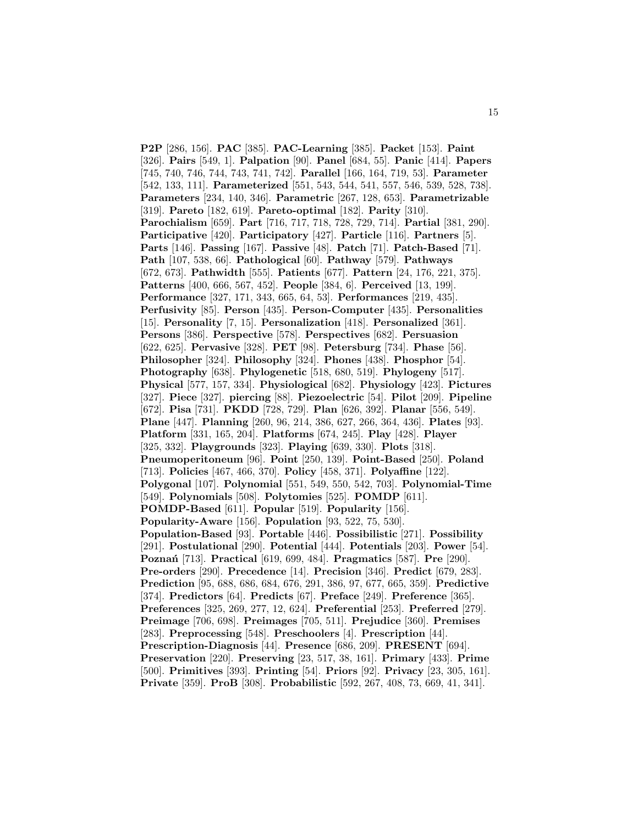**P2P** [286, 156]. **PAC** [385]. **PAC-Learning** [385]. **Packet** [153]. **Paint** [326]. **Pairs** [549, 1]. **Palpation** [90]. **Panel** [684, 55]. **Panic** [414]. **Papers** [745, 740, 746, 744, 743, 741, 742]. **Parallel** [166, 164, 719, 53]. **Parameter** [542, 133, 111]. **Parameterized** [551, 543, 544, 541, 557, 546, 539, 528, 738]. **Parameters** [234, 140, 346]. **Parametric** [267, 128, 653]. **Parametrizable** [319]. **Pareto** [182, 619]. **Pareto-optimal** [182]. **Parity** [310]. **Parochialism** [659]. **Part** [716, 717, 718, 728, 729, 714]. **Partial** [381, 290]. **Participative** [420]. **Participatory** [427]. **Particle** [116]. **Partners** [5]. **Parts** [146]. **Passing** [167]. **Passive** [48]. **Patch** [71]. **Patch-Based** [71]. **Path** [107, 538, 66]. **Pathological** [60]. **Pathway** [579]. **Pathways** [672, 673]. **Pathwidth** [555]. **Patients** [677]. **Pattern** [24, 176, 221, 375]. **Patterns** [400, 666, 567, 452]. **People** [384, 6]. **Perceived** [13, 199]. **Performance** [327, 171, 343, 665, 64, 53]. **Performances** [219, 435]. **Perfusivity** [85]. **Person** [435]. **Person-Computer** [435]. **Personalities** [15]. **Personality** [7, 15]. **Personalization** [418]. **Personalized** [361]. **Persons** [386]. **Perspective** [578]. **Perspectives** [682]. **Persuasion** [622, 625]. **Pervasive** [328]. **PET** [98]. **Petersburg** [734]. **Phase** [56]. **Philosopher** [324]. **Philosophy** [324]. **Phones** [438]. **Phosphor** [54]. **Photography** [638]. **Phylogenetic** [518, 680, 519]. **Phylogeny** [517]. **Physical** [577, 157, 334]. **Physiological** [682]. **Physiology** [423]. **Pictures** [327]. **Piece** [327]. **piercing** [88]. **Piezoelectric** [54]. **Pilot** [209]. **Pipeline** [672]. **Pisa** [731]. **PKDD** [728, 729]. **Plan** [626, 392]. **Planar** [556, 549]. **Plane** [447]. **Planning** [260, 96, 214, 386, 627, 266, 364, 436]. **Plates** [93]. **Platform** [331, 165, 204]. **Platforms** [674, 245]. **Play** [428]. **Player** [325, 332]. **Playgrounds** [323]. **Playing** [639, 330]. **Plots** [318]. **Pneumoperitoneum** [96]. **Point** [250, 139]. **Point-Based** [250]. **Poland** [713]. **Policies** [467, 466, 370]. **Policy** [458, 371]. **Polyaffine** [122]. **Polygonal** [107]. **Polynomial** [551, 549, 550, 542, 703]. **Polynomial-Time** [549]. **Polynomials** [508]. **Polytomies** [525]. **POMDP** [611]. **POMDP-Based** [611]. **Popular** [519]. **Popularity** [156]. **Popularity-Aware** [156]. **Population** [93, 522, 75, 530]. **Population-Based** [93]. **Portable** [446]. **Possibilistic** [271]. **Possibility** [291]. **Postulational** [290]. **Potential** [444]. **Potentials** [203]. **Power** [54]. **Pozna´n** [713]. **Practical** [619, 699, 484]. **Pragmatics** [587]. **Pre** [290]. **Pre-orders** [290]. **Precedence** [14]. **Precision** [346]. **Predict** [679, 283]. **Prediction** [95, 688, 686, 684, 676, 291, 386, 97, 677, 665, 359]. **Predictive** [374]. **Predictors** [64]. **Predicts** [67]. **Preface** [249]. **Preference** [365]. **Preferences** [325, 269, 277, 12, 624]. **Preferential** [253]. **Preferred** [279]. **Preimage** [706, 698]. **Preimages** [705, 511]. **Prejudice** [360]. **Premises** [283]. **Preprocessing** [548]. **Preschoolers** [4]. **Prescription** [44]. **Prescription-Diagnosis** [44]. **Presence** [686, 209]. **PRESENT** [694]. **Preservation** [220]. **Preserving** [23, 517, 38, 161]. **Primary** [433]. **Prime** [500]. **Primitives** [393]. **Printing** [54]. **Priors** [92]. **Privacy** [23, 305, 161]. **Private** [359]. **ProB** [308]. **Probabilistic** [592, 267, 408, 73, 669, 41, 341].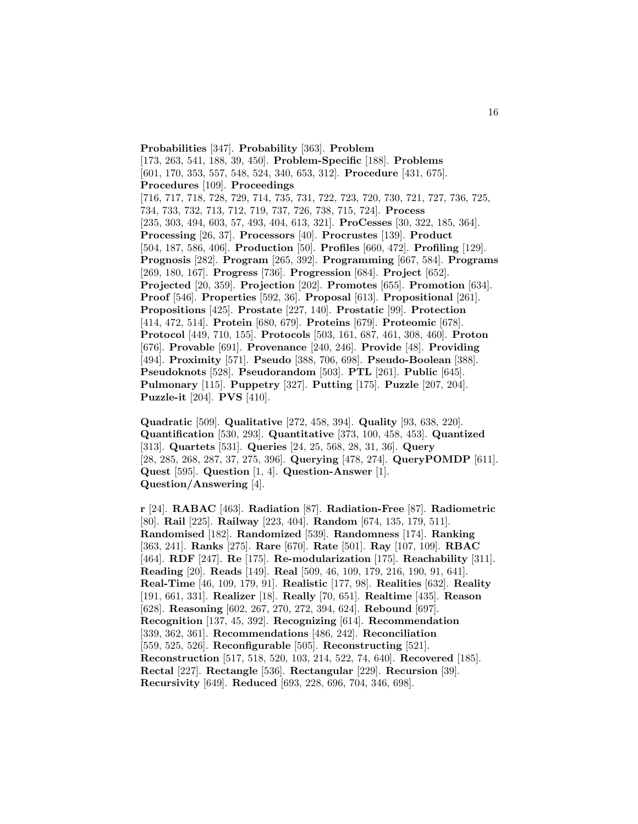**Probabilities** [347]. **Probability** [363]. **Problem** [173, 263, 541, 188, 39, 450]. **Problem-Specific** [188]. **Problems** [601, 170, 353, 557, 548, 524, 340, 653, 312]. **Procedure** [431, 675]. **Procedures** [109]. **Proceedings** [716, 717, 718, 728, 729, 714, 735, 731, 722, 723, 720, 730, 721, 727, 736, 725, 734, 733, 732, 713, 712, 719, 737, 726, 738, 715, 724]. **Process** [235, 303, 494, 603, 57, 493, 404, 613, 321]. **ProCesses** [30, 322, 185, 364]. **Processing** [26, 37]. **Processors** [40]. **Procrustes** [139]. **Product** [504, 187, 586, 406]. **Production** [50]. **Profiles** [660, 472]. **Profiling** [129]. **Prognosis** [282]. **Program** [265, 392]. **Programming** [667, 584]. **Programs** [269, 180, 167]. **Progress** [736]. **Progression** [684]. **Project** [652]. **Projected** [20, 359]. **Projection** [202]. **Promotes** [655]. **Promotion** [634]. **Proof** [546]. **Properties** [592, 36]. **Proposal** [613]. **Propositional** [261]. **Propositions** [425]. **Prostate** [227, 140]. **Prostatic** [99]. **Protection** [414, 472, 514]. **Protein** [680, 679]. **Proteins** [679]. **Proteomic** [678]. **Protocol** [449, 710, 155]. **Protocols** [503, 161, 687, 461, 308, 460]. **Proton** [676]. **Provable** [691]. **Provenance** [240, 246]. **Provide** [48]. **Providing** [494]. **Proximity** [571]. **Pseudo** [388, 706, 698]. **Pseudo-Boolean** [388]. **Pseudoknots** [528]. **Pseudorandom** [503]. **PTL** [261]. **Public** [645]. **Pulmonary** [115]. **Puppetry** [327]. **Putting** [175]. **Puzzle** [207, 204]. **Puzzle-it** [204]. **PVS** [410].

**Quadratic** [509]. **Qualitative** [272, 458, 394]. **Quality** [93, 638, 220]. **Quantification** [530, 293]. **Quantitative** [373, 100, 458, 453]. **Quantized** [313]. **Quartets** [531]. **Queries** [24, 25, 568, 28, 31, 36]. **Query** [28, 285, 268, 287, 37, 275, 396]. **Querying** [478, 274]. **QueryPOMDP** [611]. **Quest** [595]. **Question** [1, 4]. **Question-Answer** [1]. **Question/Answering** [4].

**r** [24]. **RABAC** [463]. **Radiation** [87]. **Radiation-Free** [87]. **Radiometric** [80]. **Rail** [225]. **Railway** [223, 404]. **Random** [674, 135, 179, 511]. **Randomised** [182]. **Randomized** [539]. **Randomness** [174]. **Ranking** [363, 241]. **Ranks** [275]. **Rare** [670]. **Rate** [501]. **Ray** [107, 109]. **RBAC** [464]. **RDF** [247]. **Re** [175]. **Re-modularization** [175]. **Reachability** [311]. **Reading** [20]. **Reads** [149]. **Real** [509, 46, 109, 179, 216, 190, 91, 641]. **Real-Time** [46, 109, 179, 91]. **Realistic** [177, 98]. **Realities** [632]. **Reality** [191, 661, 331]. **Realizer** [18]. **Really** [70, 651]. **Realtime** [435]. **Reason** [628]. **Reasoning** [602, 267, 270, 272, 394, 624]. **Rebound** [697]. **Recognition** [137, 45, 392]. **Recognizing** [614]. **Recommendation** [339, 362, 361]. **Recommendations** [486, 242]. **Reconciliation** [559, 525, 526]. **Reconfigurable** [505]. **Reconstructing** [521]. **Reconstruction** [517, 518, 520, 103, 214, 522, 74, 640]. **Recovered** [185]. **Rectal** [227]. **Rectangle** [536]. **Rectangular** [229]. **Recursion** [39]. **Recursivity** [649]. **Reduced** [693, 228, 696, 704, 346, 698].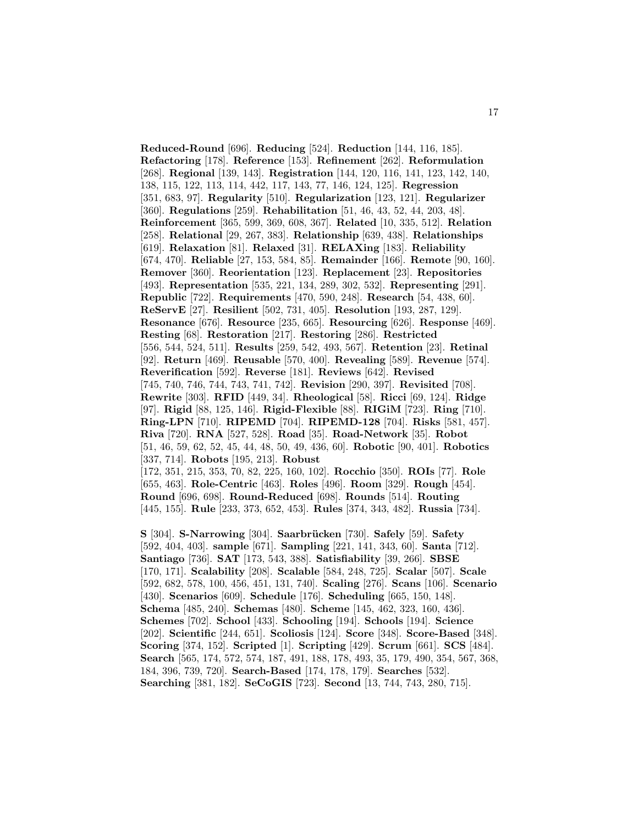**Reduced-Round** [696]. **Reducing** [524]. **Reduction** [144, 116, 185]. **Refactoring** [178]. **Reference** [153]. **Refinement** [262]. **Reformulation** [268]. **Regional** [139, 143]. **Registration** [144, 120, 116, 141, 123, 142, 140, 138, 115, 122, 113, 114, 442, 117, 143, 77, 146, 124, 125]. **Regression** [351, 683, 97]. **Regularity** [510]. **Regularization** [123, 121]. **Regularizer** [360]. **Regulations** [259]. **Rehabilitation** [51, 46, 43, 52, 44, 203, 48]. **Reinforcement** [365, 599, 369, 608, 367]. **Related** [10, 335, 512]. **Relation** [258]. **Relational** [29, 267, 383]. **Relationship** [639, 438]. **Relationships** [619]. **Relaxation** [81]. **Relaxed** [31]. **RELAXing** [183]. **Reliability** [674, 470]. **Reliable** [27, 153, 584, 85]. **Remainder** [166]. **Remote** [90, 160]. **Remover** [360]. **Reorientation** [123]. **Replacement** [23]. **Repositories** [493]. **Representation** [535, 221, 134, 289, 302, 532]. **Representing** [291]. **Republic** [722]. **Requirements** [470, 590, 248]. **Research** [54, 438, 60]. **ReServE** [27]. **Resilient** [502, 731, 405]. **Resolution** [193, 287, 129]. **Resonance** [676]. **Resource** [235, 665]. **Resourcing** [626]. **Response** [469]. **Resting** [68]. **Restoration** [217]. **Restoring** [286]. **Restricted** [556, 544, 524, 511]. **Results** [259, 542, 493, 567]. **Retention** [23]. **Retinal** [92]. **Return** [469]. **Reusable** [570, 400]. **Revealing** [589]. **Revenue** [574]. **Reverification** [592]. **Reverse** [181]. **Reviews** [642]. **Revised** [745, 740, 746, 744, 743, 741, 742]. **Revision** [290, 397]. **Revisited** [708]. **Rewrite** [303]. **RFID** [449, 34]. **Rheological** [58]. **Ricci** [69, 124]. **Ridge** [97]. **Rigid** [88, 125, 146]. **Rigid-Flexible** [88]. **RIGiM** [723]. **Ring** [710]. **Ring-LPN** [710]. **RIPEMD** [704]. **RIPEMD-128** [704]. **Risks** [581, 457]. **Riva** [720]. **RNA** [527, 528]. **Road** [35]. **Road-Network** [35]. **Robot** [51, 46, 59, 62, 52, 45, 44, 48, 50, 49, 436, 60]. **Robotic** [90, 401]. **Robotics** [337, 714]. **Robots** [195, 213]. **Robust** [172, 351, 215, 353, 70, 82, 225, 160, 102]. **Rocchio** [350]. **ROIs** [77]. **Role** [655, 463]. **Role-Centric** [463]. **Roles** [496]. **Room** [329]. **Rough** [454]. **Round** [696, 698]. **Round-Reduced** [698]. **Rounds** [514]. **Routing** [445, 155]. **Rule** [233, 373, 652, 453]. **Rules** [374, 343, 482]. **Russia** [734].

**S** [304]. **S-Narrowing** [304]. **Saarbr¨ucken** [730]. **Safely** [59]. **Safety** [592, 404, 403]. **sample** [671]. **Sampling** [221, 141, 343, 60]. **Santa** [712]. **Santiago** [736]. **SAT** [173, 543, 388]. **Satisfiability** [39, 266]. **SBSE** [170, 171]. **Scalability** [208]. **Scalable** [584, 248, 725]. **Scalar** [507]. **Scale** [592, 682, 578, 100, 456, 451, 131, 740]. **Scaling** [276]. **Scans** [106]. **Scenario** [430]. **Scenarios** [609]. **Schedule** [176]. **Scheduling** [665, 150, 148]. **Schema** [485, 240]. **Schemas** [480]. **Scheme** [145, 462, 323, 160, 436]. **Schemes** [702]. **School** [433]. **Schooling** [194]. **Schools** [194]. **Science** [202]. **Scientific** [244, 651]. **Scoliosis** [124]. **Score** [348]. **Score-Based** [348]. **Scoring** [374, 152]. **Scripted** [1]. **Scripting** [429]. **Scrum** [661]. **SCS** [484]. **Search** [565, 174, 572, 574, 187, 491, 188, 178, 493, 35, 179, 490, 354, 567, 368, 184, 396, 739, 720]. **Search-Based** [174, 178, 179]. **Searches** [532]. **Searching** [381, 182]. **SeCoGIS** [723]. **Second** [13, 744, 743, 280, 715].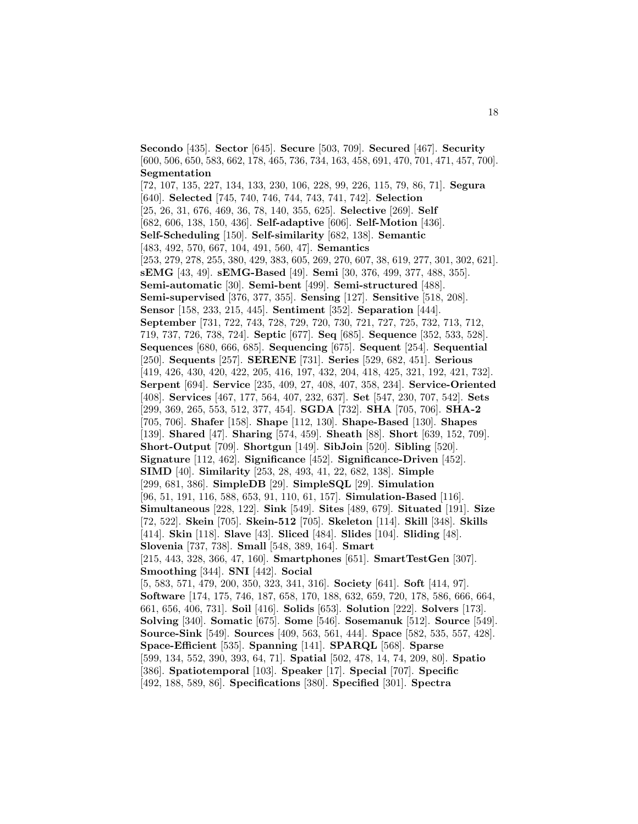**Secondo** [435]. **Sector** [645]. **Secure** [503, 709]. **Secured** [467]. **Security** [600, 506, 650, 583, 662, 178, 465, 736, 734, 163, 458, 691, 470, 701, 471, 457, 700]. **Segmentation**

[72, 107, 135, 227, 134, 133, 230, 106, 228, 99, 226, 115, 79, 86, 71]. **Segura** [640]. **Selected** [745, 740, 746, 744, 743, 741, 742]. **Selection** [25, 26, 31, 676, 469, 36, 78, 140, 355, 625]. **Selective** [269]. **Self** [682, 606, 138, 150, 436]. **Self-adaptive** [606]. **Self-Motion** [436]. **Self-Scheduling** [150]. **Self-similarity** [682, 138]. **Semantic** [483, 492, 570, 667, 104, 491, 560, 47]. **Semantics** [253, 279, 278, 255, 380, 429, 383, 605, 269, 270, 607, 38, 619, 277, 301, 302, 621]. **sEMG** [43, 49]. **sEMG-Based** [49]. **Semi** [30, 376, 499, 377, 488, 355]. **Semi-automatic** [30]. **Semi-bent** [499]. **Semi-structured** [488]. **Semi-supervised** [376, 377, 355]. **Sensing** [127]. **Sensitive** [518, 208]. **Sensor** [158, 233, 215, 445]. **Sentiment** [352]. **Separation** [444]. **September** [731, 722, 743, 728, 729, 720, 730, 721, 727, 725, 732, 713, 712, 719, 737, 726, 738, 724]. **Septic** [677]. **Seq** [685]. **Sequence** [352, 533, 528]. **Sequences** [680, 666, 685]. **Sequencing** [675]. **Sequent** [254]. **Sequential** [250]. **Sequents** [257]. **SERENE** [731]. **Series** [529, 682, 451]. **Serious** [419, 426, 430, 420, 422, 205, 416, 197, 432, 204, 418, 425, 321, 192, 421, 732]. **Serpent** [694]. **Service** [235, 409, 27, 408, 407, 358, 234]. **Service-Oriented** [408]. **Services** [467, 177, 564, 407, 232, 637]. **Set** [547, 230, 707, 542]. **Sets** [299, 369, 265, 553, 512, 377, 454]. **SGDA** [732]. **SHA** [705, 706]. **SHA-2** [705, 706]. **Shafer** [158]. **Shape** [112, 130]. **Shape-Based** [130]. **Shapes** [139]. **Shared** [47]. **Sharing** [574, 459]. **Sheath** [88]. **Short** [639, 152, 709]. **Short-Output** [709]. **Shortgun** [149]. **SibJoin** [520]. **Sibling** [520]. **Signature** [112, 462]. **Significance** [452]. **Significance-Driven** [452]. **SIMD** [40]. **Similarity** [253, 28, 493, 41, 22, 682, 138]. **Simple** [299, 681, 386]. **SimpleDB** [29]. **SimpleSQL** [29]. **Simulation** [96, 51, 191, 116, 588, 653, 91, 110, 61, 157]. **Simulation-Based** [116]. **Simultaneous** [228, 122]. **Sink** [549]. **Sites** [489, 679]. **Situated** [191]. **Size** [72, 522]. **Skein** [705]. **Skein-512** [705]. **Skeleton** [114]. **Skill** [348]. **Skills** [414]. **Skin** [118]. **Slave** [43]. **Sliced** [484]. **Slides** [104]. **Sliding** [48]. **Slovenia** [737, 738]. **Small** [548, 389, 164]. **Smart** [215, 443, 328, 366, 47, 160]. **Smartphones** [651]. **SmartTestGen** [307]. **Smoothing** [344]. **SNI** [442]. **Social** [5, 583, 571, 479, 200, 350, 323, 341, 316]. **Society** [641]. **Soft** [414, 97]. **Software** [174, 175, 746, 187, 658, 170, 188, 632, 659, 720, 178, 586, 666, 664, 661, 656, 406, 731]. **Soil** [416]. **Solids** [653]. **Solution** [222]. **Solvers** [173]. **Solving** [340]. **Somatic** [675]. **Some** [546]. **Sosemanuk** [512]. **Source** [549]. **Source-Sink** [549]. **Sources** [409, 563, 561, 444]. **Space** [582, 535, 557, 428]. **Space-Efficient** [535]. **Spanning** [141]. **SPARQL** [568]. **Sparse** [599, 134, 552, 390, 393, 64, 71]. **Spatial** [502, 478, 14, 74, 209, 80]. **Spatio** [386]. **Spatiotemporal** [103]. **Speaker** [17]. **Special** [707]. **Specific** [492, 188, 589, 86]. **Specifications** [380]. **Specified** [301]. **Spectra**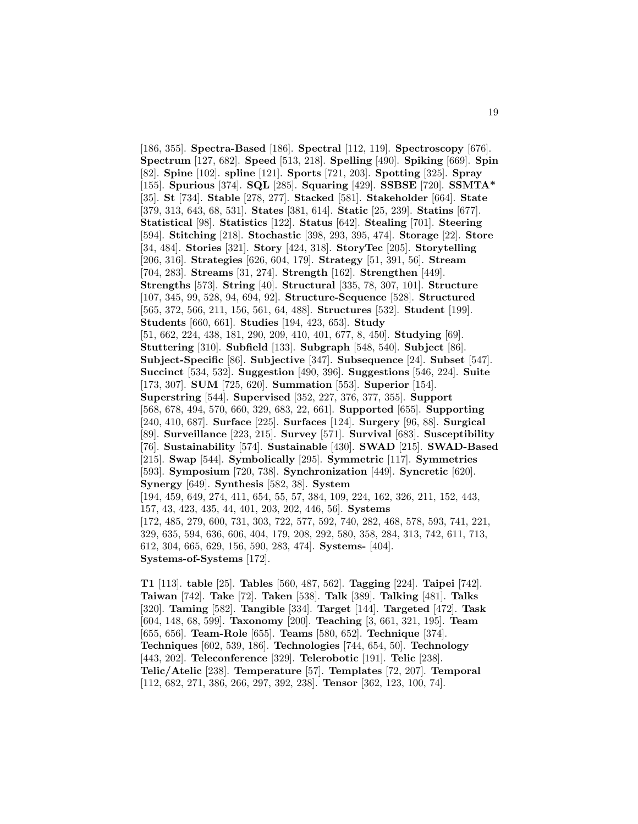[186, 355]. **Spectra-Based** [186]. **Spectral** [112, 119]. **Spectroscopy** [676]. **Spectrum** [127, 682]. **Speed** [513, 218]. **Spelling** [490]. **Spiking** [669]. **Spin** [82]. **Spine** [102]. **spline** [121]. **Sports** [721, 203]. **Spotting** [325]. **Spray** [155]. **Spurious** [374]. **SQL** [285]. **Squaring** [429]. **SSBSE** [720]. **SSMTA\*** [35]. **St** [734]. **Stable** [278, 277]. **Stacked** [581]. **Stakeholder** [664]. **State** [379, 313, 643, 68, 531]. **States** [381, 614]. **Static** [25, 239]. **Statins** [677]. **Statistical** [98]. **Statistics** [122]. **Status** [642]. **Stealing** [701]. **Steering** [594]. **Stitching** [218]. **Stochastic** [398, 293, 395, 474]. **Storage** [22]. **Store** [34, 484]. **Stories** [321]. **Story** [424, 318]. **StoryTec** [205]. **Storytelling** [206, 316]. **Strategies** [626, 604, 179]. **Strategy** [51, 391, 56]. **Stream** [704, 283]. **Streams** [31, 274]. **Strength** [162]. **Strengthen** [449]. **Strengths** [573]. **String** [40]. **Structural** [335, 78, 307, 101]. **Structure** [107, 345, 99, 528, 94, 694, 92]. **Structure-Sequence** [528]. **Structured** [565, 372, 566, 211, 156, 561, 64, 488]. **Structures** [532]. **Student** [199]. **Students** [660, 661]. **Studies** [194, 423, 653]. **Study** [51, 662, 224, 438, 181, 290, 209, 410, 401, 677, 8, 450]. **Studying** [69]. **Stuttering** [310]. **Subfield** [133]. **Subgraph** [548, 540]. **Subject** [86]. **Subject-Specific** [86]. **Subjective** [347]. **Subsequence** [24]. **Subset** [547]. **Succinct** [534, 532]. **Suggestion** [490, 396]. **Suggestions** [546, 224]. **Suite** [173, 307]. **SUM** [725, 620]. **Summation** [553]. **Superior** [154]. **Superstring** [544]. **Supervised** [352, 227, 376, 377, 355]. **Support** [568, 678, 494, 570, 660, 329, 683, 22, 661]. **Supported** [655]. **Supporting** [240, 410, 687]. **Surface** [225]. **Surfaces** [124]. **Surgery** [96, 88]. **Surgical** [89]. **Surveillance** [223, 215]. **Survey** [571]. **Survival** [683]. **Susceptibility** [76]. **Sustainability** [574]. **Sustainable** [430]. **SWAD** [215]. **SWAD-Based** [215]. **Swap** [544]. **Symbolically** [295]. **Symmetric** [117]. **Symmetries** [593]. **Symposium** [720, 738]. **Synchronization** [449]. **Syncretic** [620]. **Synergy** [649]. **Synthesis** [582, 38]. **System** [194, 459, 649, 274, 411, 654, 55, 57, 384, 109, 224, 162, 326, 211, 152, 443, 157, 43, 423, 435, 44, 401, 203, 202, 446, 56]. **Systems** [172, 485, 279, 600, 731, 303, 722, 577, 592, 740, 282, 468, 578, 593, 741, 221, 329, 635, 594, 636, 606, 404, 179, 208, 292, 580, 358, 284, 313, 742, 611, 713, 612, 304, 665, 629, 156, 590, 283, 474]. **Systems-** [404]. **Systems-of-Systems** [172].

**T1** [113]. **table** [25]. **Tables** [560, 487, 562]. **Tagging** [224]. **Taipei** [742]. **Taiwan** [742]. **Take** [72]. **Taken** [538]. **Talk** [389]. **Talking** [481]. **Talks** [320]. **Taming** [582]. **Tangible** [334]. **Target** [144]. **Targeted** [472]. **Task** [604, 148, 68, 599]. **Taxonomy** [200]. **Teaching** [3, 661, 321, 195]. **Team** [655, 656]. **Team-Role** [655]. **Teams** [580, 652]. **Technique** [374]. **Techniques** [602, 539, 186]. **Technologies** [744, 654, 50]. **Technology** [443, 202]. **Teleconference** [329]. **Telerobotic** [191]. **Telic** [238]. **Telic/Atelic** [238]. **Temperature** [57]. **Templates** [72, 207]. **Temporal** [112, 682, 271, 386, 266, 297, 392, 238]. **Tensor** [362, 123, 100, 74].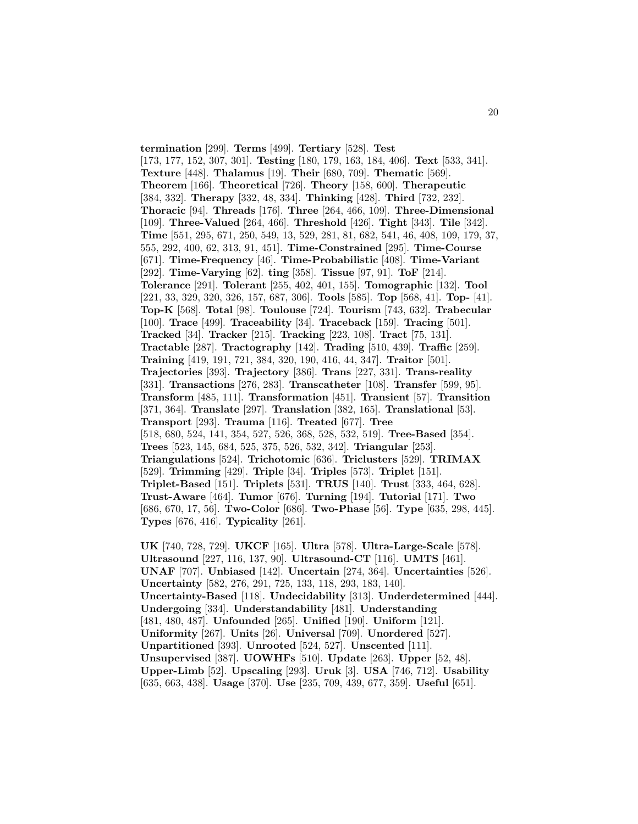**termination** [299]. **Terms** [499]. **Tertiary** [528]. **Test** [173, 177, 152, 307, 301]. **Testing** [180, 179, 163, 184, 406]. **Text** [533, 341]. **Texture** [448]. **Thalamus** [19]. **Their** [680, 709]. **Thematic** [569]. **Theorem** [166]. **Theoretical** [726]. **Theory** [158, 600]. **Therapeutic** [384, 332]. **Therapy** [332, 48, 334]. **Thinking** [428]. **Third** [732, 232]. **Thoracic** [94]. **Threads** [176]. **Three** [264, 466, 109]. **Three-Dimensional** [109]. **Three-Valued** [264, 466]. **Threshold** [426]. **Tight** [343]. **Tile** [342]. **Time** [551, 295, 671, 250, 549, 13, 529, 281, 81, 682, 541, 46, 408, 109, 179, 37, 555, 292, 400, 62, 313, 91, 451]. **Time-Constrained** [295]. **Time-Course** [671]. **Time-Frequency** [46]. **Time-Probabilistic** [408]. **Time-Variant** [292]. **Time-Varying** [62]. **ting** [358]. **Tissue** [97, 91]. **ToF** [214]. **Tolerance** [291]. **Tolerant** [255, 402, 401, 155]. **Tomographic** [132]. **Tool** [221, 33, 329, 320, 326, 157, 687, 306]. **Tools** [585]. **Top** [568, 41]. **Top-** [41]. **Top-K** [568]. **Total** [98]. **Toulouse** [724]. **Tourism** [743, 632]. **Trabecular** [100]. **Trace** [499]. **Traceability** [34]. **Traceback** [159]. **Tracing** [501]. **Tracked** [34]. **Tracker** [215]. **Tracking** [223, 108]. **Tract** [75, 131]. **Tractable** [287]. **Tractography** [142]. **Trading** [510, 439]. **Traffic** [259]. **Training** [419, 191, 721, 384, 320, 190, 416, 44, 347]. **Traitor** [501]. **Trajectories** [393]. **Trajectory** [386]. **Trans** [227, 331]. **Trans-reality** [331]. **Transactions** [276, 283]. **Transcatheter** [108]. **Transfer** [599, 95]. **Transform** [485, 111]. **Transformation** [451]. **Transient** [57]. **Transition** [371, 364]. **Translate** [297]. **Translation** [382, 165]. **Translational** [53]. **Transport** [293]. **Trauma** [116]. **Treated** [677]. **Tree** [518, 680, 524, 141, 354, 527, 526, 368, 528, 532, 519]. **Tree-Based** [354]. **Trees** [523, 145, 684, 525, 375, 526, 532, 342]. **Triangular** [253]. **Triangulations** [524]. **Trichotomic** [636]. **Triclusters** [529]. **TRIMAX** [529]. **Trimming** [429]. **Triple** [34]. **Triples** [573]. **Triplet** [151]. **Triplet-Based** [151]. **Triplets** [531]. **TRUS** [140]. **Trust** [333, 464, 628]. **Trust-Aware** [464]. **Tumor** [676]. **Turning** [194]. **Tutorial** [171]. **Two** [686, 670, 17, 56]. **Two-Color** [686]. **Two-Phase** [56]. **Type** [635, 298, 445]. **Types** [676, 416]. **Typicality** [261].

**UK** [740, 728, 729]. **UKCF** [165]. **Ultra** [578]. **Ultra-Large-Scale** [578]. **Ultrasound** [227, 116, 137, 90]. **Ultrasound-CT** [116]. **UMTS** [461]. **UNAF** [707]. **Unbiased** [142]. **Uncertain** [274, 364]. **Uncertainties** [526]. **Uncertainty** [582, 276, 291, 725, 133, 118, 293, 183, 140]. **Uncertainty-Based** [118]. **Undecidability** [313]. **Underdetermined** [444]. **Undergoing** [334]. **Understandability** [481]. **Understanding** [481, 480, 487]. **Unfounded** [265]. **Unified** [190]. **Uniform** [121]. **Uniformity** [267]. **Units** [26]. **Universal** [709]. **Unordered** [527]. **Unpartitioned** [393]. **Unrooted** [524, 527]. **Unscented** [111]. **Unsupervised** [387]. **UOWHFs** [510]. **Update** [263]. **Upper** [52, 48]. **Upper-Limb** [52]. **Upscaling** [293]. **Uruk** [3]. **USA** [746, 712]. **Usability** [635, 663, 438]. **Usage** [370]. **Use** [235, 709, 439, 677, 359]. **Useful** [651].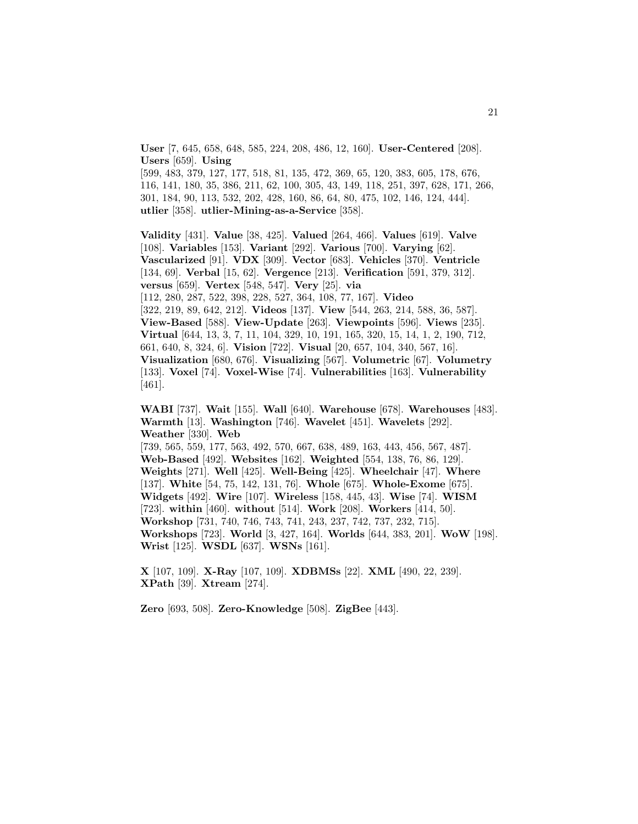**User** [7, 645, 658, 648, 585, 224, 208, 486, 12, 160]. **User-Centered** [208]. **Users** [659]. **Using**

[599, 483, 379, 127, 177, 518, 81, 135, 472, 369, 65, 120, 383, 605, 178, 676, 116, 141, 180, 35, 386, 211, 62, 100, 305, 43, 149, 118, 251, 397, 628, 171, 266, 301, 184, 90, 113, 532, 202, 428, 160, 86, 64, 80, 475, 102, 146, 124, 444]. **utlier** [358]. **utlier-Mining-as-a-Service** [358].

**Validity** [431]. **Value** [38, 425]. **Valued** [264, 466]. **Values** [619]. **Valve** [108]. **Variables** [153]. **Variant** [292]. **Various** [700]. **Varying** [62]. **Vascularized** [91]. **VDX** [309]. **Vector** [683]. **Vehicles** [370]. **Ventricle** [134, 69]. **Verbal** [15, 62]. **Vergence** [213]. **Verification** [591, 379, 312]. **versus** [659]. **Vertex** [548, 547]. **Very** [25]. **via** [112, 280, 287, 522, 398, 228, 527, 364, 108, 77, 167]. **Video** [322, 219, 89, 642, 212]. **Videos** [137]. **View** [544, 263, 214, 588, 36, 587]. **View-Based** [588]. **View-Update** [263]. **Viewpoints** [596]. **Views** [235]. **Virtual** [644, 13, 3, 7, 11, 104, 329, 10, 191, 165, 320, 15, 14, 1, 2, 190, 712, 661, 640, 8, 324, 6]. **Vision** [722]. **Visual** [20, 657, 104, 340, 567, 16].

**Visualization** [680, 676]. **Visualizing** [567]. **Volumetric** [67]. **Volumetry** [133]. **Voxel** [74]. **Voxel-Wise** [74]. **Vulnerabilities** [163]. **Vulnerability** [461].

**WABI** [737]. **Wait** [155]. **Wall** [640]. **Warehouse** [678]. **Warehouses** [483]. **Warmth** [13]. **Washington** [746]. **Wavelet** [451]. **Wavelets** [292]. **Weather** [330]. **Web**

[739, 565, 559, 177, 563, 492, 570, 667, 638, 489, 163, 443, 456, 567, 487]. **Web-Based** [492]. **Websites** [162]. **Weighted** [554, 138, 76, 86, 129]. **Weights** [271]. **Well** [425]. **Well-Being** [425]. **Wheelchair** [47]. **Where** [137]. **White** [54, 75, 142, 131, 76]. **Whole** [675]. **Whole-Exome** [675]. **Widgets** [492]. **Wire** [107]. **Wireless** [158, 445, 43]. **Wise** [74]. **WISM** [723]. **within** [460]. **without** [514]. **Work** [208]. **Workers** [414, 50]. **Workshop** [731, 740, 746, 743, 741, 243, 237, 742, 737, 232, 715]. **Workshops** [723]. **World** [3, 427, 164]. **Worlds** [644, 383, 201]. **WoW** [198]. **Wrist** [125]. **WSDL** [637]. **WSNs** [161].

**X** [107, 109]. **X-Ray** [107, 109]. **XDBMSs** [22]. **XML** [490, 22, 239]. **XPath** [39]. **Xtream** [274].

**Zero** [693, 508]. **Zero-Knowledge** [508]. **ZigBee** [443].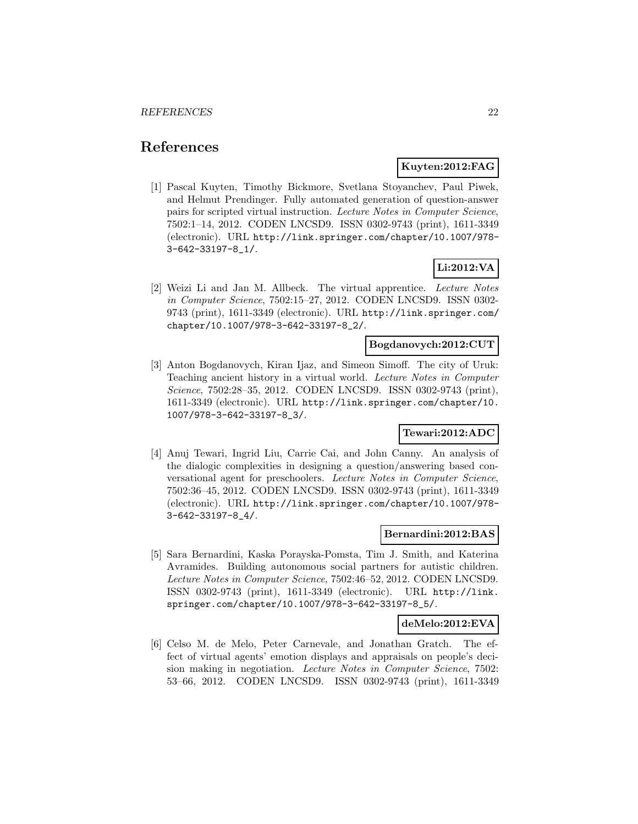### **References**

### **Kuyten:2012:FAG**

[1] Pascal Kuyten, Timothy Bickmore, Svetlana Stoyanchev, Paul Piwek, and Helmut Prendinger. Fully automated generation of question-answer pairs for scripted virtual instruction. Lecture Notes in Computer Science, 7502:1–14, 2012. CODEN LNCSD9. ISSN 0302-9743 (print), 1611-3349 (electronic). URL http://link.springer.com/chapter/10.1007/978- 3-642-33197-8\_1/.

### **Li:2012:VA**

[2] Weizi Li and Jan M. Allbeck. The virtual apprentice. Lecture Notes in Computer Science, 7502:15–27, 2012. CODEN LNCSD9. ISSN 0302- 9743 (print), 1611-3349 (electronic). URL http://link.springer.com/ chapter/10.1007/978-3-642-33197-8\_2/.

### **Bogdanovych:2012:CUT**

[3] Anton Bogdanovych, Kiran Ijaz, and Simeon Simoff. The city of Uruk: Teaching ancient history in a virtual world. Lecture Notes in Computer Science, 7502:28–35, 2012. CODEN LNCSD9. ISSN 0302-9743 (print), 1611-3349 (electronic). URL http://link.springer.com/chapter/10. 1007/978-3-642-33197-8\_3/.

#### **Tewari:2012:ADC**

[4] Anuj Tewari, Ingrid Liu, Carrie Cai, and John Canny. An analysis of the dialogic complexities in designing a question/answering based conversational agent for preschoolers. Lecture Notes in Computer Science, 7502:36–45, 2012. CODEN LNCSD9. ISSN 0302-9743 (print), 1611-3349 (electronic). URL http://link.springer.com/chapter/10.1007/978- 3-642-33197-8\_4/.

#### **Bernardini:2012:BAS**

[5] Sara Bernardini, Kaska Porayska-Pomsta, Tim J. Smith, and Katerina Avramides. Building autonomous social partners for autistic children. Lecture Notes in Computer Science, 7502:46–52, 2012. CODEN LNCSD9. ISSN 0302-9743 (print), 1611-3349 (electronic). URL http://link. springer.com/chapter/10.1007/978-3-642-33197-8\_5/.

### **deMelo:2012:EVA**

[6] Celso M. de Melo, Peter Carnevale, and Jonathan Gratch. The effect of virtual agents' emotion displays and appraisals on people's decision making in negotiation. Lecture Notes in Computer Science, 7502: 53–66, 2012. CODEN LNCSD9. ISSN 0302-9743 (print), 1611-3349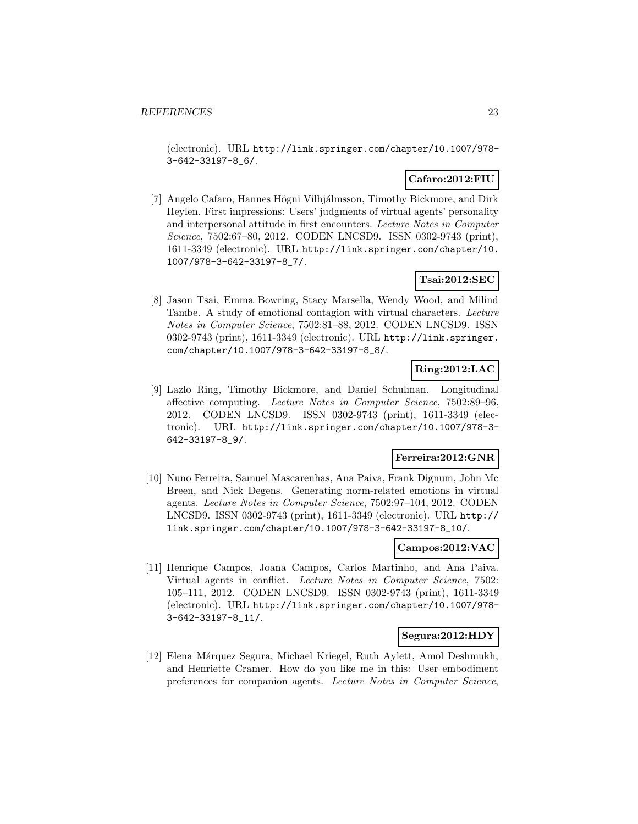(electronic). URL http://link.springer.com/chapter/10.1007/978- 3-642-33197-8\_6/.

### **Cafaro:2012:FIU**

[7] Angelo Cafaro, Hannes Högni Vilhjálmsson, Timothy Bickmore, and Dirk Heylen. First impressions: Users' judgments of virtual agents' personality and interpersonal attitude in first encounters. Lecture Notes in Computer Science, 7502:67–80, 2012. CODEN LNCSD9. ISSN 0302-9743 (print), 1611-3349 (electronic). URL http://link.springer.com/chapter/10. 1007/978-3-642-33197-8\_7/.

### **Tsai:2012:SEC**

[8] Jason Tsai, Emma Bowring, Stacy Marsella, Wendy Wood, and Milind Tambe. A study of emotional contagion with virtual characters. Lecture Notes in Computer Science, 7502:81–88, 2012. CODEN LNCSD9. ISSN 0302-9743 (print), 1611-3349 (electronic). URL http://link.springer. com/chapter/10.1007/978-3-642-33197-8\_8/.

### **Ring:2012:LAC**

[9] Lazlo Ring, Timothy Bickmore, and Daniel Schulman. Longitudinal affective computing. Lecture Notes in Computer Science, 7502:89–96, 2012. CODEN LNCSD9. ISSN 0302-9743 (print), 1611-3349 (electronic). URL http://link.springer.com/chapter/10.1007/978-3- 642-33197-8\_9/.

### **Ferreira:2012:GNR**

[10] Nuno Ferreira, Samuel Mascarenhas, Ana Paiva, Frank Dignum, John Mc Breen, and Nick Degens. Generating norm-related emotions in virtual agents. Lecture Notes in Computer Science, 7502:97–104, 2012. CODEN LNCSD9. ISSN 0302-9743 (print), 1611-3349 (electronic). URL http:// link.springer.com/chapter/10.1007/978-3-642-33197-8\_10/.

### **Campos:2012:VAC**

[11] Henrique Campos, Joana Campos, Carlos Martinho, and Ana Paiva. Virtual agents in conflict. Lecture Notes in Computer Science, 7502: 105–111, 2012. CODEN LNCSD9. ISSN 0302-9743 (print), 1611-3349 (electronic). URL http://link.springer.com/chapter/10.1007/978- 3-642-33197-8\_11/.

### **Segura:2012:HDY**

[12] Elena M´arquez Segura, Michael Kriegel, Ruth Aylett, Amol Deshmukh, and Henriette Cramer. How do you like me in this: User embodiment preferences for companion agents. Lecture Notes in Computer Science,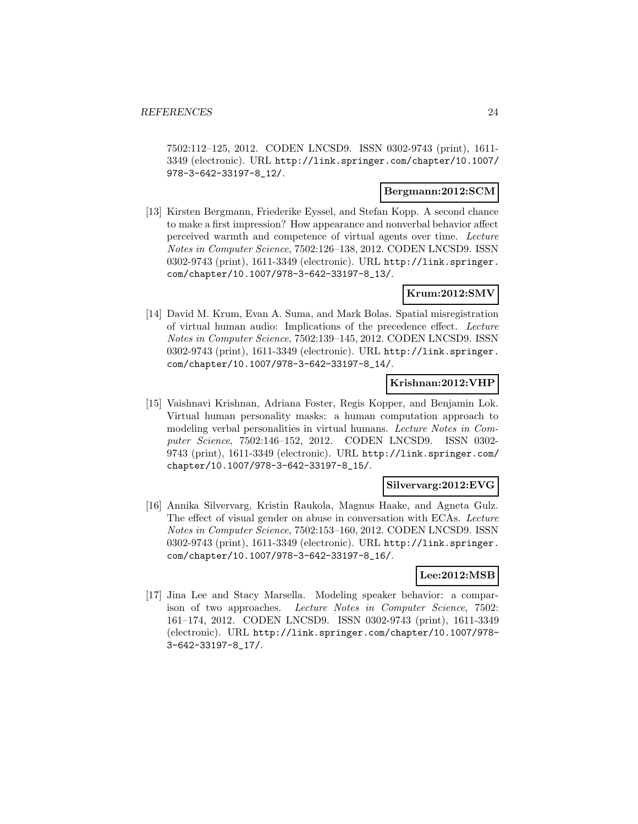7502:112–125, 2012. CODEN LNCSD9. ISSN 0302-9743 (print), 1611- 3349 (electronic). URL http://link.springer.com/chapter/10.1007/ 978-3-642-33197-8\_12/.

#### **Bergmann:2012:SCM**

[13] Kirsten Bergmann, Friederike Eyssel, and Stefan Kopp. A second chance to make a first impression? How appearance and nonverbal behavior affect perceived warmth and competence of virtual agents over time. Lecture Notes in Computer Science, 7502:126–138, 2012. CODEN LNCSD9. ISSN 0302-9743 (print), 1611-3349 (electronic). URL http://link.springer. com/chapter/10.1007/978-3-642-33197-8\_13/.

### **Krum:2012:SMV**

[14] David M. Krum, Evan A. Suma, and Mark Bolas. Spatial misregistration of virtual human audio: Implications of the precedence effect. Lecture Notes in Computer Science, 7502:139–145, 2012. CODEN LNCSD9. ISSN 0302-9743 (print), 1611-3349 (electronic). URL http://link.springer. com/chapter/10.1007/978-3-642-33197-8\_14/.

#### **Krishnan:2012:VHP**

[15] Vaishnavi Krishnan, Adriana Foster, Regis Kopper, and Benjamin Lok. Virtual human personality masks: a human computation approach to modeling verbal personalities in virtual humans. Lecture Notes in Computer Science, 7502:146–152, 2012. CODEN LNCSD9. ISSN 0302- 9743 (print), 1611-3349 (electronic). URL http://link.springer.com/ chapter/10.1007/978-3-642-33197-8\_15/.

#### **Silvervarg:2012:EVG**

[16] Annika Silvervarg, Kristin Raukola, Magnus Haake, and Agneta Gulz. The effect of visual gender on abuse in conversation with ECAs. Lecture Notes in Computer Science, 7502:153–160, 2012. CODEN LNCSD9. ISSN 0302-9743 (print), 1611-3349 (electronic). URL http://link.springer. com/chapter/10.1007/978-3-642-33197-8\_16/.

### **Lee:2012:MSB**

[17] Jina Lee and Stacy Marsella. Modeling speaker behavior: a comparison of two approaches. Lecture Notes in Computer Science, 7502: 161–174, 2012. CODEN LNCSD9. ISSN 0302-9743 (print), 1611-3349 (electronic). URL http://link.springer.com/chapter/10.1007/978- 3-642-33197-8\_17/.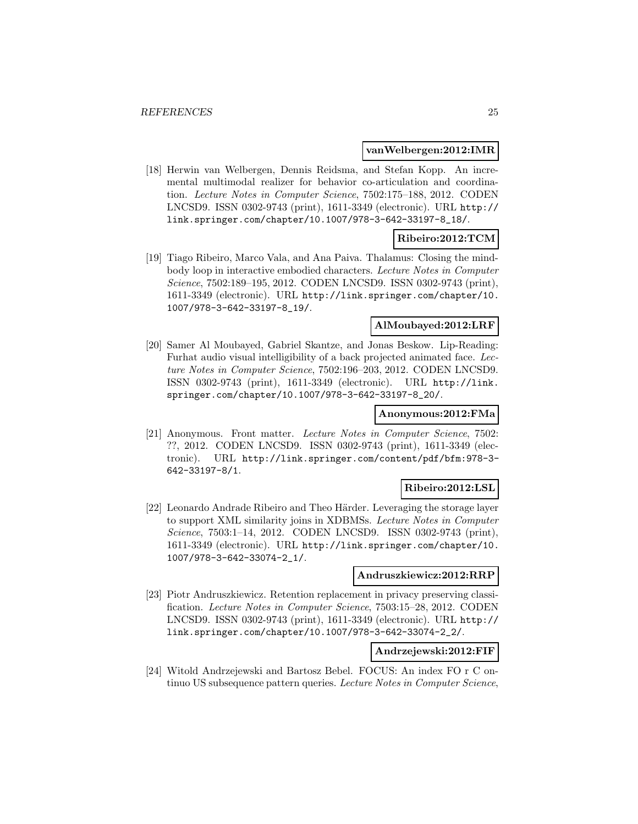#### **vanWelbergen:2012:IMR**

[18] Herwin van Welbergen, Dennis Reidsma, and Stefan Kopp. An incremental multimodal realizer for behavior co-articulation and coordination. Lecture Notes in Computer Science, 7502:175–188, 2012. CODEN LNCSD9. ISSN 0302-9743 (print), 1611-3349 (electronic). URL http:// link.springer.com/chapter/10.1007/978-3-642-33197-8\_18/.

### **Ribeiro:2012:TCM**

[19] Tiago Ribeiro, Marco Vala, and Ana Paiva. Thalamus: Closing the mindbody loop in interactive embodied characters. Lecture Notes in Computer Science, 7502:189–195, 2012. CODEN LNCSD9. ISSN 0302-9743 (print), 1611-3349 (electronic). URL http://link.springer.com/chapter/10. 1007/978-3-642-33197-8\_19/.

### **AlMoubayed:2012:LRF**

[20] Samer Al Moubayed, Gabriel Skantze, and Jonas Beskow. Lip-Reading: Furhat audio visual intelligibility of a back projected animated face. Lecture Notes in Computer Science, 7502:196–203, 2012. CODEN LNCSD9. ISSN 0302-9743 (print), 1611-3349 (electronic). URL http://link. springer.com/chapter/10.1007/978-3-642-33197-8\_20/.

#### **Anonymous:2012:FMa**

[21] Anonymous. Front matter. Lecture Notes in Computer Science, 7502: ??, 2012. CODEN LNCSD9. ISSN 0302-9743 (print), 1611-3349 (electronic). URL http://link.springer.com/content/pdf/bfm:978-3- 642-33197-8/1.

#### **Ribeiro:2012:LSL**

[22] Leonardo Andrade Ribeiro and Theo Härder. Leveraging the storage layer to support XML similarity joins in XDBMSs. Lecture Notes in Computer Science, 7503:1-14, 2012. CODEN LNCSD9. ISSN 0302-9743 (print), 1611-3349 (electronic). URL http://link.springer.com/chapter/10. 1007/978-3-642-33074-2\_1/.

#### **Andruszkiewicz:2012:RRP**

[23] Piotr Andruszkiewicz. Retention replacement in privacy preserving classification. Lecture Notes in Computer Science, 7503:15–28, 2012. CODEN LNCSD9. ISSN 0302-9743 (print), 1611-3349 (electronic). URL http:// link.springer.com/chapter/10.1007/978-3-642-33074-2\_2/.

### **Andrzejewski:2012:FIF**

[24] Witold Andrzejewski and Bartosz Bebel. FOCUS: An index FO r C ontinuo US subsequence pattern queries. Lecture Notes in Computer Science,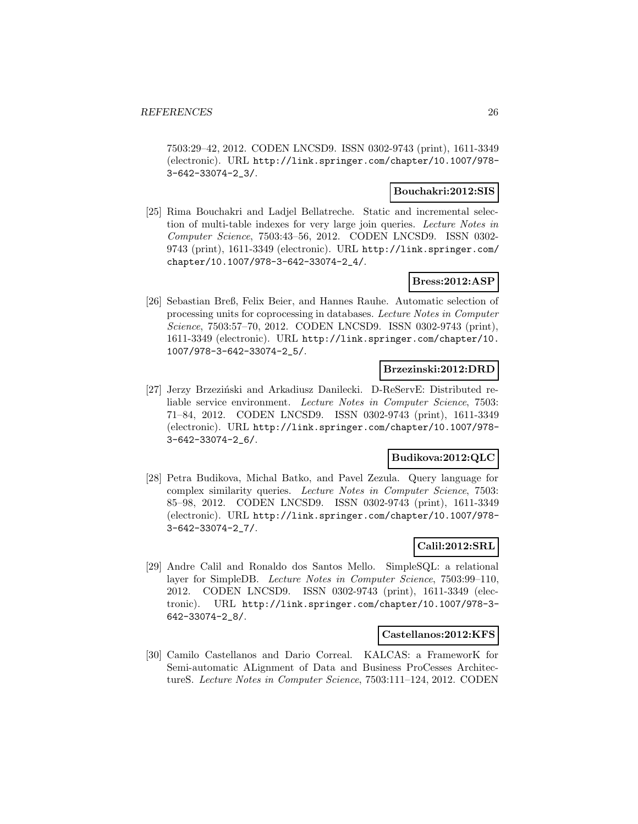7503:29–42, 2012. CODEN LNCSD9. ISSN 0302-9743 (print), 1611-3349 (electronic). URL http://link.springer.com/chapter/10.1007/978- 3-642-33074-2\_3/.

#### **Bouchakri:2012:SIS**

[25] Rima Bouchakri and Ladjel Bellatreche. Static and incremental selection of multi-table indexes for very large join queries. Lecture Notes in Computer Science, 7503:43–56, 2012. CODEN LNCSD9. ISSN 0302- 9743 (print), 1611-3349 (electronic). URL http://link.springer.com/ chapter/10.1007/978-3-642-33074-2\_4/.

### **Bress:2012:ASP**

[26] Sebastian Breß, Felix Beier, and Hannes Rauhe. Automatic selection of processing units for coprocessing in databases. Lecture Notes in Computer Science, 7503:57–70, 2012. CODEN LNCSD9. ISSN 0302-9743 (print), 1611-3349 (electronic). URL http://link.springer.com/chapter/10. 1007/978-3-642-33074-2\_5/.

#### **Brzezinski:2012:DRD**

[27] Jerzy Brzeziński and Arkadiusz Danilecki. D-ReServE: Distributed reliable service environment. Lecture Notes in Computer Science, 7503: 71–84, 2012. CODEN LNCSD9. ISSN 0302-9743 (print), 1611-3349 (electronic). URL http://link.springer.com/chapter/10.1007/978- 3-642-33074-2\_6/.

#### **Budikova:2012:QLC**

[28] Petra Budikova, Michal Batko, and Pavel Zezula. Query language for complex similarity queries. Lecture Notes in Computer Science, 7503: 85–98, 2012. CODEN LNCSD9. ISSN 0302-9743 (print), 1611-3349 (electronic). URL http://link.springer.com/chapter/10.1007/978- 3-642-33074-2\_7/.

### **Calil:2012:SRL**

[29] Andre Calil and Ronaldo dos Santos Mello. SimpleSQL: a relational layer for SimpleDB. Lecture Notes in Computer Science, 7503:99–110, 2012. CODEN LNCSD9. ISSN 0302-9743 (print), 1611-3349 (electronic). URL http://link.springer.com/chapter/10.1007/978-3- 642-33074-2\_8/.

### **Castellanos:2012:KFS**

[30] Camilo Castellanos and Dario Correal. KALCAS: a FrameworK for Semi-automatic ALignment of Data and Business ProCesses ArchitectureS. Lecture Notes in Computer Science, 7503:111–124, 2012. CODEN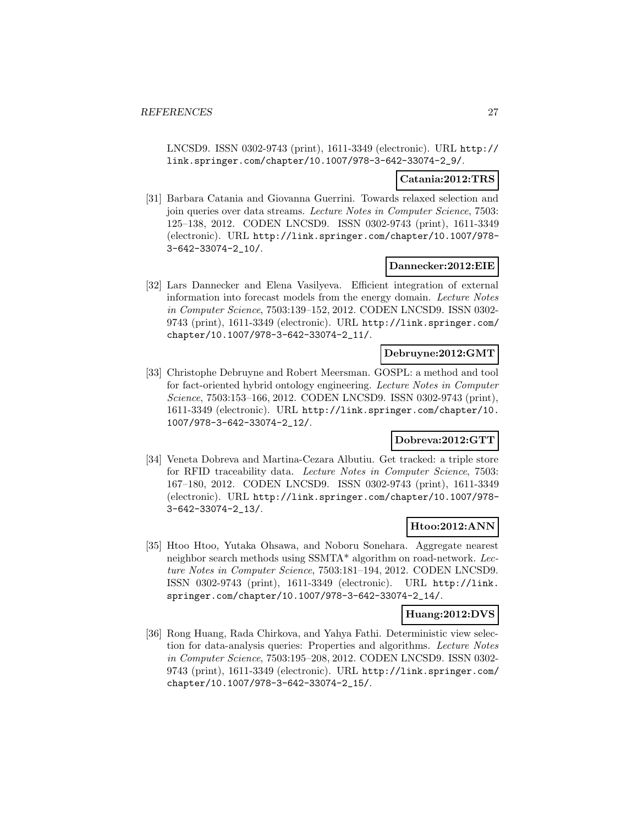LNCSD9. ISSN 0302-9743 (print), 1611-3349 (electronic). URL http:// link.springer.com/chapter/10.1007/978-3-642-33074-2\_9/.

#### **Catania:2012:TRS**

[31] Barbara Catania and Giovanna Guerrini. Towards relaxed selection and join queries over data streams. Lecture Notes in Computer Science, 7503: 125–138, 2012. CODEN LNCSD9. ISSN 0302-9743 (print), 1611-3349 (electronic). URL http://link.springer.com/chapter/10.1007/978- 3-642-33074-2\_10/.

#### **Dannecker:2012:EIE**

[32] Lars Dannecker and Elena Vasilyeva. Efficient integration of external information into forecast models from the energy domain. Lecture Notes in Computer Science, 7503:139–152, 2012. CODEN LNCSD9. ISSN 0302- 9743 (print), 1611-3349 (electronic). URL http://link.springer.com/ chapter/10.1007/978-3-642-33074-2\_11/.

#### **Debruyne:2012:GMT**

[33] Christophe Debruyne and Robert Meersman. GOSPL: a method and tool for fact-oriented hybrid ontology engineering. Lecture Notes in Computer Science, 7503:153–166, 2012. CODEN LNCSD9. ISSN 0302-9743 (print), 1611-3349 (electronic). URL http://link.springer.com/chapter/10. 1007/978-3-642-33074-2\_12/.

### **Dobreva:2012:GTT**

[34] Veneta Dobreva and Martina-Cezara Albutiu. Get tracked: a triple store for RFID traceability data. Lecture Notes in Computer Science, 7503: 167–180, 2012. CODEN LNCSD9. ISSN 0302-9743 (print), 1611-3349 (electronic). URL http://link.springer.com/chapter/10.1007/978- 3-642-33074-2\_13/.

### **Htoo:2012:ANN**

[35] Htoo Htoo, Yutaka Ohsawa, and Noboru Sonehara. Aggregate nearest neighbor search methods using SSMTA\* algorithm on road-network. Lecture Notes in Computer Science, 7503:181–194, 2012. CODEN LNCSD9. ISSN 0302-9743 (print), 1611-3349 (electronic). URL http://link. springer.com/chapter/10.1007/978-3-642-33074-2\_14/.

#### **Huang:2012:DVS**

[36] Rong Huang, Rada Chirkova, and Yahya Fathi. Deterministic view selection for data-analysis queries: Properties and algorithms. Lecture Notes in Computer Science, 7503:195–208, 2012. CODEN LNCSD9. ISSN 0302- 9743 (print), 1611-3349 (electronic). URL http://link.springer.com/ chapter/10.1007/978-3-642-33074-2\_15/.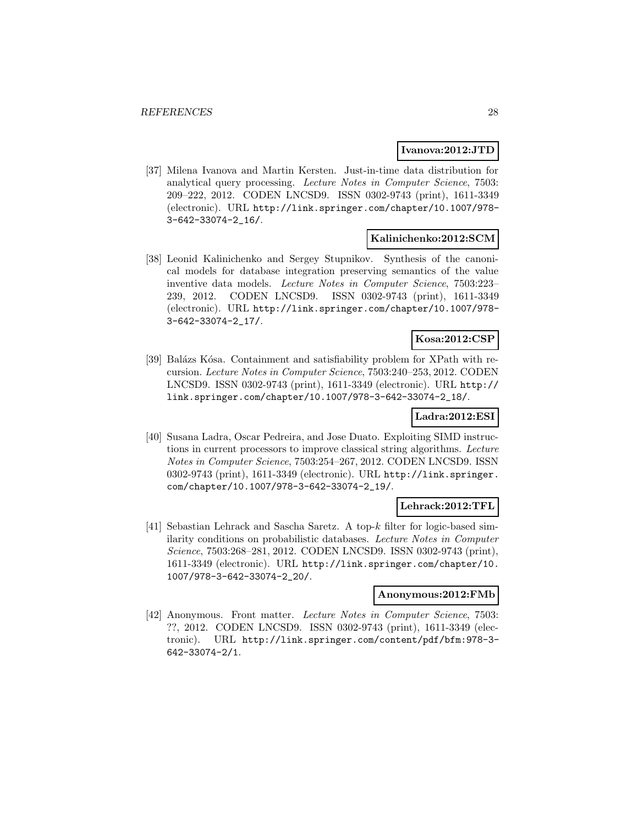#### **Ivanova:2012:JTD**

[37] Milena Ivanova and Martin Kersten. Just-in-time data distribution for analytical query processing. Lecture Notes in Computer Science, 7503: 209–222, 2012. CODEN LNCSD9. ISSN 0302-9743 (print), 1611-3349 (electronic). URL http://link.springer.com/chapter/10.1007/978- 3-642-33074-2\_16/.

### **Kalinichenko:2012:SCM**

[38] Leonid Kalinichenko and Sergey Stupnikov. Synthesis of the canonical models for database integration preserving semantics of the value inventive data models. Lecture Notes in Computer Science, 7503:223– 239, 2012. CODEN LNCSD9. ISSN 0302-9743 (print), 1611-3349 (electronic). URL http://link.springer.com/chapter/10.1007/978- 3-642-33074-2\_17/.

### **Kosa:2012:CSP**

[39] Balázs Kósa. Containment and satisfiability problem for XPath with recursion. Lecture Notes in Computer Science, 7503:240–253, 2012. CODEN LNCSD9. ISSN 0302-9743 (print), 1611-3349 (electronic). URL http:// link.springer.com/chapter/10.1007/978-3-642-33074-2\_18/.

### **Ladra:2012:ESI**

[40] Susana Ladra, Oscar Pedreira, and Jose Duato. Exploiting SIMD instructions in current processors to improve classical string algorithms. Lecture Notes in Computer Science, 7503:254–267, 2012. CODEN LNCSD9. ISSN 0302-9743 (print), 1611-3349 (electronic). URL http://link.springer. com/chapter/10.1007/978-3-642-33074-2\_19/.

#### **Lehrack:2012:TFL**

[41] Sebastian Lehrack and Sascha Saretz. A top-k filter for logic-based similarity conditions on probabilistic databases. Lecture Notes in Computer Science, 7503:268–281, 2012. CODEN LNCSD9. ISSN 0302-9743 (print), 1611-3349 (electronic). URL http://link.springer.com/chapter/10. 1007/978-3-642-33074-2\_20/.

#### **Anonymous:2012:FMb**

[42] Anonymous. Front matter. Lecture Notes in Computer Science, 7503: ??, 2012. CODEN LNCSD9. ISSN 0302-9743 (print), 1611-3349 (electronic). URL http://link.springer.com/content/pdf/bfm:978-3- 642-33074-2/1.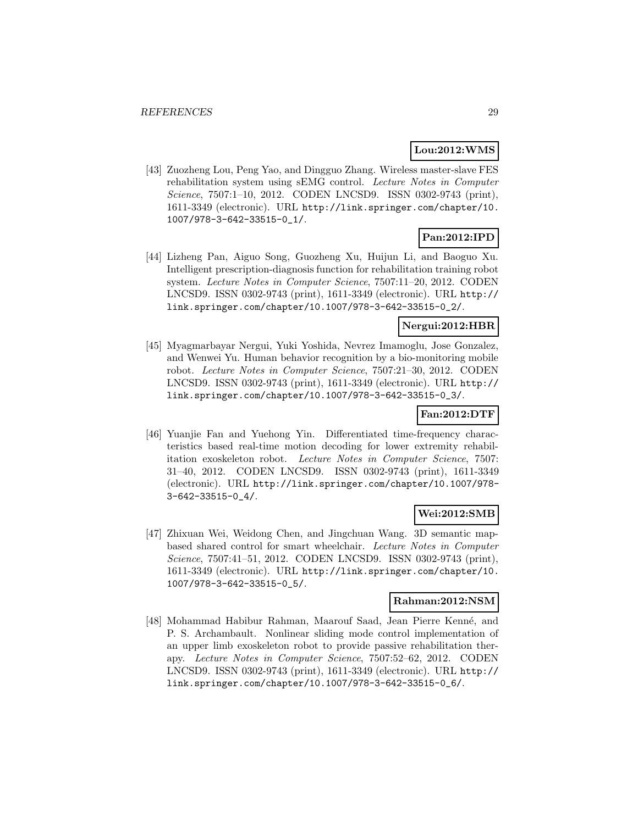### **Lou:2012:WMS**

[43] Zuozheng Lou, Peng Yao, and Dingguo Zhang. Wireless master-slave FES rehabilitation system using sEMG control. Lecture Notes in Computer Science, 7507:1–10, 2012. CODEN LNCSD9. ISSN 0302-9743 (print), 1611-3349 (electronic). URL http://link.springer.com/chapter/10. 1007/978-3-642-33515-0\_1/.

## **Pan:2012:IPD**

[44] Lizheng Pan, Aiguo Song, Guozheng Xu, Huijun Li, and Baoguo Xu. Intelligent prescription-diagnosis function for rehabilitation training robot system. Lecture Notes in Computer Science, 7507:11–20, 2012. CODEN LNCSD9. ISSN 0302-9743 (print), 1611-3349 (electronic). URL http:// link.springer.com/chapter/10.1007/978-3-642-33515-0\_2/.

### **Nergui:2012:HBR**

[45] Myagmarbayar Nergui, Yuki Yoshida, Nevrez Imamoglu, Jose Gonzalez, and Wenwei Yu. Human behavior recognition by a bio-monitoring mobile robot. Lecture Notes in Computer Science, 7507:21–30, 2012. CODEN LNCSD9. ISSN 0302-9743 (print), 1611-3349 (electronic). URL http:// link.springer.com/chapter/10.1007/978-3-642-33515-0\_3/.

### **Fan:2012:DTF**

[46] Yuanjie Fan and Yuehong Yin. Differentiated time-frequency characteristics based real-time motion decoding for lower extremity rehabilitation exoskeleton robot. Lecture Notes in Computer Science, 7507: 31–40, 2012. CODEN LNCSD9. ISSN 0302-9743 (print), 1611-3349 (electronic). URL http://link.springer.com/chapter/10.1007/978- 3-642-33515-0\_4/.

### **Wei:2012:SMB**

[47] Zhixuan Wei, Weidong Chen, and Jingchuan Wang. 3D semantic mapbased shared control for smart wheelchair. Lecture Notes in Computer Science, 7507:41–51, 2012. CODEN LNCSD9. ISSN 0302-9743 (print), 1611-3349 (electronic). URL http://link.springer.com/chapter/10. 1007/978-3-642-33515-0\_5/.

### **Rahman:2012:NSM**

[48] Mohammad Habibur Rahman, Maarouf Saad, Jean Pierre Kenné, and P. S. Archambault. Nonlinear sliding mode control implementation of an upper limb exoskeleton robot to provide passive rehabilitation therapy. Lecture Notes in Computer Science, 7507:52–62, 2012. CODEN LNCSD9. ISSN 0302-9743 (print), 1611-3349 (electronic). URL http:// link.springer.com/chapter/10.1007/978-3-642-33515-0\_6/.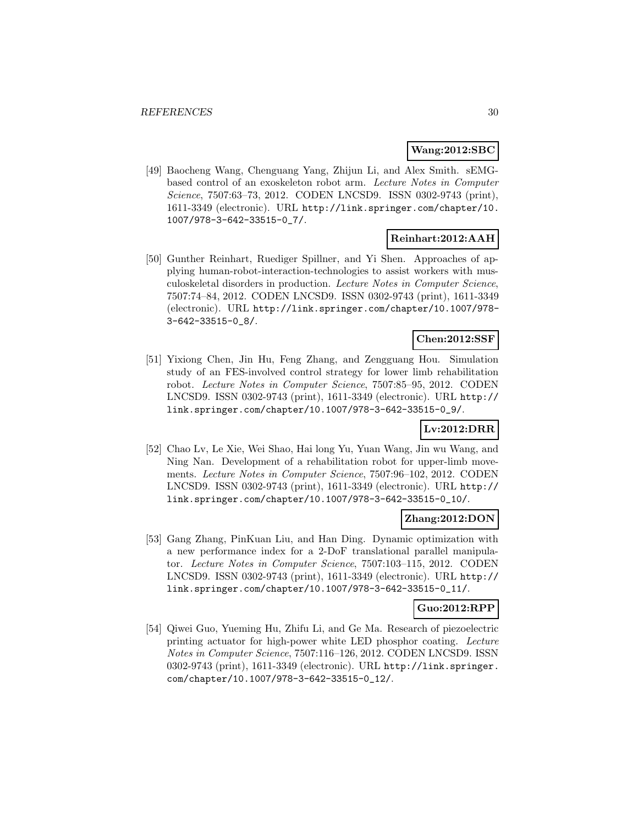### **Wang:2012:SBC**

[49] Baocheng Wang, Chenguang Yang, Zhijun Li, and Alex Smith. sEMGbased control of an exoskeleton robot arm. Lecture Notes in Computer Science, 7507:63–73, 2012. CODEN LNCSD9. ISSN 0302-9743 (print), 1611-3349 (electronic). URL http://link.springer.com/chapter/10. 1007/978-3-642-33515-0\_7/.

### **Reinhart:2012:AAH**

[50] Gunther Reinhart, Ruediger Spillner, and Yi Shen. Approaches of applying human-robot-interaction-technologies to assist workers with musculoskeletal disorders in production. Lecture Notes in Computer Science, 7507:74–84, 2012. CODEN LNCSD9. ISSN 0302-9743 (print), 1611-3349 (electronic). URL http://link.springer.com/chapter/10.1007/978- 3-642-33515-0\_8/.

### **Chen:2012:SSF**

[51] Yixiong Chen, Jin Hu, Feng Zhang, and Zengguang Hou. Simulation study of an FES-involved control strategy for lower limb rehabilitation robot. Lecture Notes in Computer Science, 7507:85–95, 2012. CODEN LNCSD9. ISSN 0302-9743 (print), 1611-3349 (electronic). URL http:// link.springer.com/chapter/10.1007/978-3-642-33515-0\_9/.

### **Lv:2012:DRR**

[52] Chao Lv, Le Xie, Wei Shao, Hai long Yu, Yuan Wang, Jin wu Wang, and Ning Nan. Development of a rehabilitation robot for upper-limb movements. Lecture Notes in Computer Science, 7507:96–102, 2012. CODEN LNCSD9. ISSN 0302-9743 (print), 1611-3349 (electronic). URL http:// link.springer.com/chapter/10.1007/978-3-642-33515-0\_10/.

#### **Zhang:2012:DON**

[53] Gang Zhang, PinKuan Liu, and Han Ding. Dynamic optimization with a new performance index for a 2-DoF translational parallel manipulator. Lecture Notes in Computer Science, 7507:103–115, 2012. CODEN LNCSD9. ISSN 0302-9743 (print), 1611-3349 (electronic). URL http:// link.springer.com/chapter/10.1007/978-3-642-33515-0\_11/.

#### **Guo:2012:RPP**

[54] Qiwei Guo, Yueming Hu, Zhifu Li, and Ge Ma. Research of piezoelectric printing actuator for high-power white LED phosphor coating. Lecture Notes in Computer Science, 7507:116–126, 2012. CODEN LNCSD9. ISSN 0302-9743 (print), 1611-3349 (electronic). URL http://link.springer. com/chapter/10.1007/978-3-642-33515-0\_12/.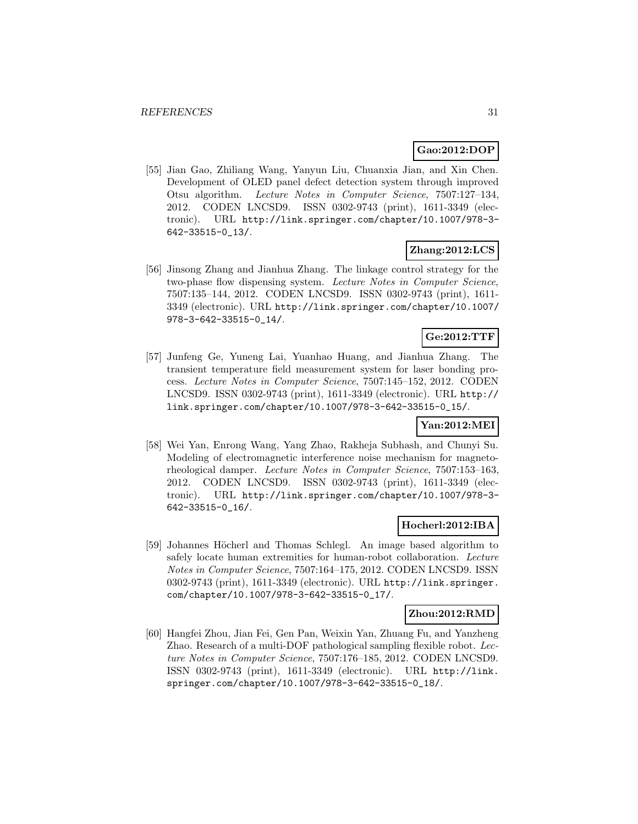### **Gao:2012:DOP**

[55] Jian Gao, Zhiliang Wang, Yanyun Liu, Chuanxia Jian, and Xin Chen. Development of OLED panel defect detection system through improved Otsu algorithm. Lecture Notes in Computer Science, 7507:127–134, 2012. CODEN LNCSD9. ISSN 0302-9743 (print), 1611-3349 (electronic). URL http://link.springer.com/chapter/10.1007/978-3- 642-33515-0\_13/.

### **Zhang:2012:LCS**

[56] Jinsong Zhang and Jianhua Zhang. The linkage control strategy for the two-phase flow dispensing system. Lecture Notes in Computer Science, 7507:135–144, 2012. CODEN LNCSD9. ISSN 0302-9743 (print), 1611- 3349 (electronic). URL http://link.springer.com/chapter/10.1007/ 978-3-642-33515-0\_14/.

### **Ge:2012:TTF**

[57] Junfeng Ge, Yuneng Lai, Yuanhao Huang, and Jianhua Zhang. The transient temperature field measurement system for laser bonding process. Lecture Notes in Computer Science, 7507:145–152, 2012. CODEN LNCSD9. ISSN 0302-9743 (print), 1611-3349 (electronic). URL http:// link.springer.com/chapter/10.1007/978-3-642-33515-0\_15/.

### **Yan:2012:MEI**

[58] Wei Yan, Enrong Wang, Yang Zhao, Rakheja Subhash, and Chunyi Su. Modeling of electromagnetic interference noise mechanism for magnetorheological damper. Lecture Notes in Computer Science, 7507:153–163, 2012. CODEN LNCSD9. ISSN 0302-9743 (print), 1611-3349 (electronic). URL http://link.springer.com/chapter/10.1007/978-3- 642-33515-0\_16/.

### **Hocherl:2012:IBA**

[59] Johannes Höcherl and Thomas Schlegl. An image based algorithm to safely locate human extremities for human-robot collaboration. Lecture Notes in Computer Science, 7507:164–175, 2012. CODEN LNCSD9. ISSN 0302-9743 (print), 1611-3349 (electronic). URL http://link.springer. com/chapter/10.1007/978-3-642-33515-0\_17/.

#### **Zhou:2012:RMD**

[60] Hangfei Zhou, Jian Fei, Gen Pan, Weixin Yan, Zhuang Fu, and Yanzheng Zhao. Research of a multi-DOF pathological sampling flexible robot. Lecture Notes in Computer Science, 7507:176–185, 2012. CODEN LNCSD9. ISSN 0302-9743 (print), 1611-3349 (electronic). URL http://link. springer.com/chapter/10.1007/978-3-642-33515-0\_18/.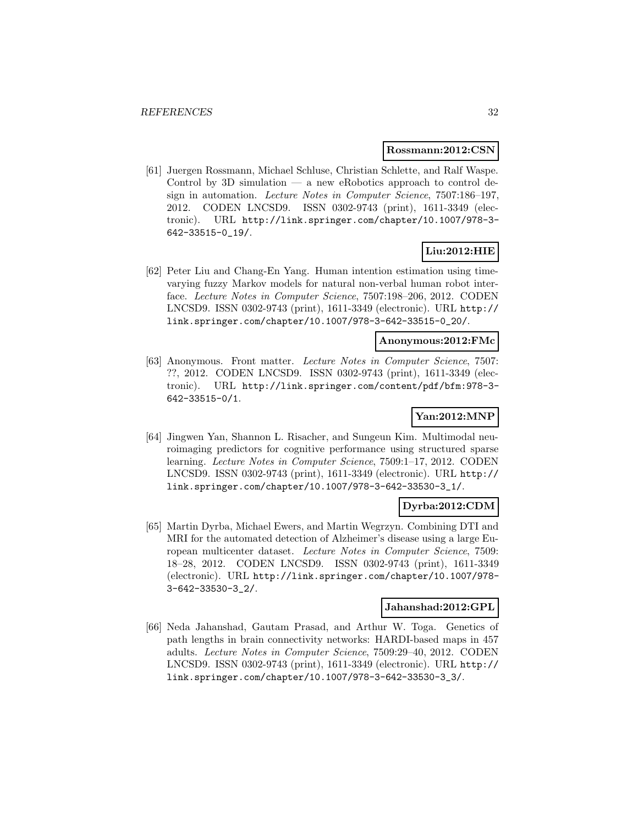#### **Rossmann:2012:CSN**

[61] Juergen Rossmann, Michael Schluse, Christian Schlette, and Ralf Waspe. Control by 3D simulation  $-$  a new eRobotics approach to control design in automation. Lecture Notes in Computer Science, 7507:186–197, 2012. CODEN LNCSD9. ISSN 0302-9743 (print), 1611-3349 (electronic). URL http://link.springer.com/chapter/10.1007/978-3- 642-33515-0\_19/.

### **Liu:2012:HIE**

[62] Peter Liu and Chang-En Yang. Human intention estimation using timevarying fuzzy Markov models for natural non-verbal human robot interface. Lecture Notes in Computer Science, 7507:198–206, 2012. CODEN LNCSD9. ISSN 0302-9743 (print), 1611-3349 (electronic). URL http:// link.springer.com/chapter/10.1007/978-3-642-33515-0\_20/.

### **Anonymous:2012:FMc**

[63] Anonymous. Front matter. Lecture Notes in Computer Science, 7507: ??, 2012. CODEN LNCSD9. ISSN 0302-9743 (print), 1611-3349 (electronic). URL http://link.springer.com/content/pdf/bfm:978-3- 642-33515-0/1.

### **Yan:2012:MNP**

[64] Jingwen Yan, Shannon L. Risacher, and Sungeun Kim. Multimodal neuroimaging predictors for cognitive performance using structured sparse learning. Lecture Notes in Computer Science, 7509:1–17, 2012. CODEN LNCSD9. ISSN 0302-9743 (print), 1611-3349 (electronic). URL http:// link.springer.com/chapter/10.1007/978-3-642-33530-3\_1/.

### **Dyrba:2012:CDM**

[65] Martin Dyrba, Michael Ewers, and Martin Wegrzyn. Combining DTI and MRI for the automated detection of Alzheimer's disease using a large European multicenter dataset. Lecture Notes in Computer Science, 7509: 18–28, 2012. CODEN LNCSD9. ISSN 0302-9743 (print), 1611-3349 (electronic). URL http://link.springer.com/chapter/10.1007/978- 3-642-33530-3\_2/.

### **Jahanshad:2012:GPL**

[66] Neda Jahanshad, Gautam Prasad, and Arthur W. Toga. Genetics of path lengths in brain connectivity networks: HARDI-based maps in 457 adults. Lecture Notes in Computer Science, 7509:29–40, 2012. CODEN LNCSD9. ISSN 0302-9743 (print), 1611-3349 (electronic). URL http:// link.springer.com/chapter/10.1007/978-3-642-33530-3\_3/.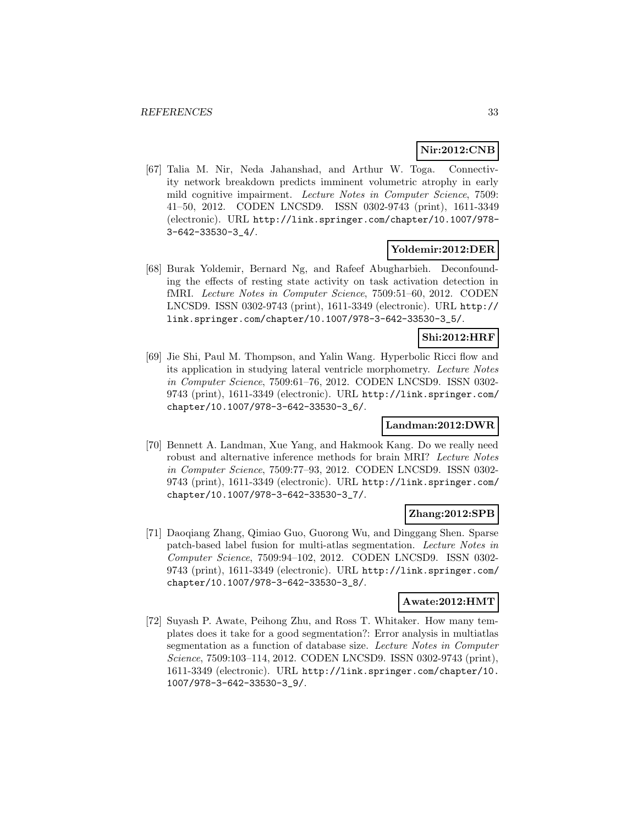### **Nir:2012:CNB**

[67] Talia M. Nir, Neda Jahanshad, and Arthur W. Toga. Connectivity network breakdown predicts imminent volumetric atrophy in early mild cognitive impairment. Lecture Notes in Computer Science, 7509: 41–50, 2012. CODEN LNCSD9. ISSN 0302-9743 (print), 1611-3349 (electronic). URL http://link.springer.com/chapter/10.1007/978- 3-642-33530-3\_4/.

### **Yoldemir:2012:DER**

[68] Burak Yoldemir, Bernard Ng, and Rafeef Abugharbieh. Deconfounding the effects of resting state activity on task activation detection in fMRI. Lecture Notes in Computer Science, 7509:51–60, 2012. CODEN LNCSD9. ISSN 0302-9743 (print), 1611-3349 (electronic). URL http:// link.springer.com/chapter/10.1007/978-3-642-33530-3\_5/.

### **Shi:2012:HRF**

[69] Jie Shi, Paul M. Thompson, and Yalin Wang. Hyperbolic Ricci flow and its application in studying lateral ventricle morphometry. Lecture Notes in Computer Science, 7509:61–76, 2012. CODEN LNCSD9. ISSN 0302- 9743 (print), 1611-3349 (electronic). URL http://link.springer.com/ chapter/10.1007/978-3-642-33530-3\_6/.

#### **Landman:2012:DWR**

[70] Bennett A. Landman, Xue Yang, and Hakmook Kang. Do we really need robust and alternative inference methods for brain MRI? Lecture Notes in Computer Science, 7509:77–93, 2012. CODEN LNCSD9. ISSN 0302- 9743 (print), 1611-3349 (electronic). URL http://link.springer.com/ chapter/10.1007/978-3-642-33530-3\_7/.

### **Zhang:2012:SPB**

[71] Daoqiang Zhang, Qimiao Guo, Guorong Wu, and Dinggang Shen. Sparse patch-based label fusion for multi-atlas segmentation. Lecture Notes in Computer Science, 7509:94–102, 2012. CODEN LNCSD9. ISSN 0302- 9743 (print), 1611-3349 (electronic). URL http://link.springer.com/ chapter/10.1007/978-3-642-33530-3\_8/.

### **Awate:2012:HMT**

[72] Suyash P. Awate, Peihong Zhu, and Ross T. Whitaker. How many templates does it take for a good segmentation?: Error analysis in multiatlas segmentation as a function of database size. Lecture Notes in Computer Science, 7509:103–114, 2012. CODEN LNCSD9. ISSN 0302-9743 (print), 1611-3349 (electronic). URL http://link.springer.com/chapter/10. 1007/978-3-642-33530-3\_9/.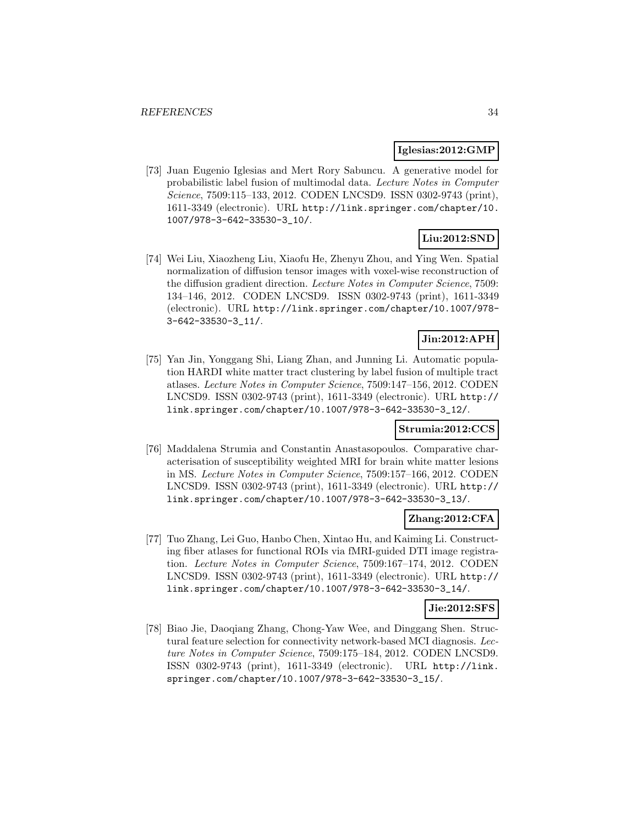#### **Iglesias:2012:GMP**

[73] Juan Eugenio Iglesias and Mert Rory Sabuncu. A generative model for probabilistic label fusion of multimodal data. Lecture Notes in Computer Science, 7509:115–133, 2012. CODEN LNCSD9. ISSN 0302-9743 (print), 1611-3349 (electronic). URL http://link.springer.com/chapter/10. 1007/978-3-642-33530-3\_10/.

### **Liu:2012:SND**

[74] Wei Liu, Xiaozheng Liu, Xiaofu He, Zhenyu Zhou, and Ying Wen. Spatial normalization of diffusion tensor images with voxel-wise reconstruction of the diffusion gradient direction. Lecture Notes in Computer Science, 7509: 134–146, 2012. CODEN LNCSD9. ISSN 0302-9743 (print), 1611-3349 (electronic). URL http://link.springer.com/chapter/10.1007/978- 3-642-33530-3\_11/.

### **Jin:2012:APH**

[75] Yan Jin, Yonggang Shi, Liang Zhan, and Junning Li. Automatic population HARDI white matter tract clustering by label fusion of multiple tract atlases. Lecture Notes in Computer Science, 7509:147–156, 2012. CODEN LNCSD9. ISSN 0302-9743 (print), 1611-3349 (electronic). URL http:// link.springer.com/chapter/10.1007/978-3-642-33530-3\_12/.

### **Strumia:2012:CCS**

[76] Maddalena Strumia and Constantin Anastasopoulos. Comparative characterisation of susceptibility weighted MRI for brain white matter lesions in MS. Lecture Notes in Computer Science, 7509:157–166, 2012. CODEN LNCSD9. ISSN 0302-9743 (print), 1611-3349 (electronic). URL http:// link.springer.com/chapter/10.1007/978-3-642-33530-3\_13/.

### **Zhang:2012:CFA**

[77] Tuo Zhang, Lei Guo, Hanbo Chen, Xintao Hu, and Kaiming Li. Constructing fiber atlases for functional ROIs via fMRI-guided DTI image registration. Lecture Notes in Computer Science, 7509:167–174, 2012. CODEN LNCSD9. ISSN 0302-9743 (print), 1611-3349 (electronic). URL http:// link.springer.com/chapter/10.1007/978-3-642-33530-3\_14/.

### **Jie:2012:SFS**

[78] Biao Jie, Daoqiang Zhang, Chong-Yaw Wee, and Dinggang Shen. Structural feature selection for connectivity network-based MCI diagnosis. Lecture Notes in Computer Science, 7509:175–184, 2012. CODEN LNCSD9. ISSN 0302-9743 (print), 1611-3349 (electronic). URL http://link. springer.com/chapter/10.1007/978-3-642-33530-3\_15/.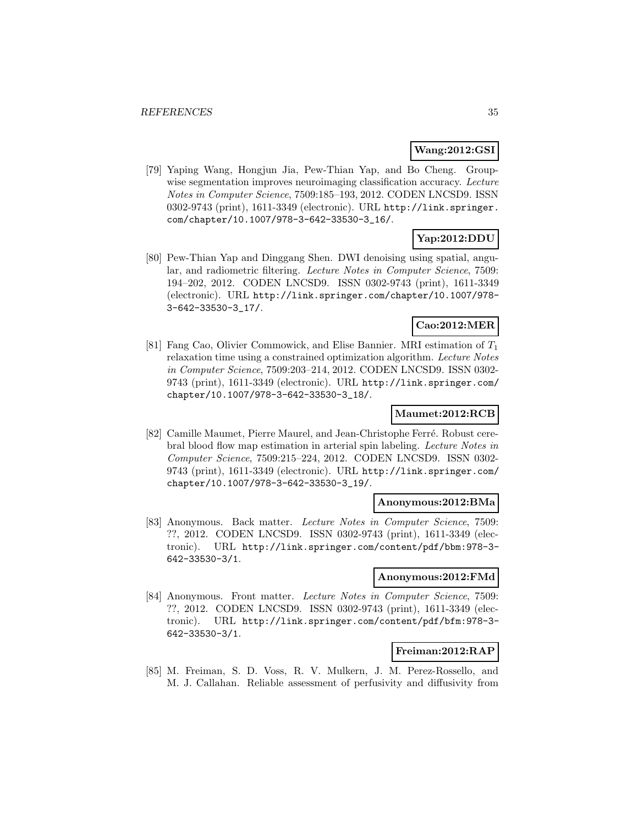### **Wang:2012:GSI**

[79] Yaping Wang, Hongjun Jia, Pew-Thian Yap, and Bo Cheng. Groupwise segmentation improves neuroimaging classification accuracy. Lecture Notes in Computer Science, 7509:185–193, 2012. CODEN LNCSD9. ISSN 0302-9743 (print), 1611-3349 (electronic). URL http://link.springer. com/chapter/10.1007/978-3-642-33530-3\_16/.

# **Yap:2012:DDU**

[80] Pew-Thian Yap and Dinggang Shen. DWI denoising using spatial, angular, and radiometric filtering. Lecture Notes in Computer Science, 7509: 194–202, 2012. CODEN LNCSD9. ISSN 0302-9743 (print), 1611-3349 (electronic). URL http://link.springer.com/chapter/10.1007/978- 3-642-33530-3\_17/.

### **Cao:2012:MER**

[81] Fang Cao, Olivier Commowick, and Elise Bannier. MRI estimation of  $T_1$ relaxation time using a constrained optimization algorithm. Lecture Notes in Computer Science, 7509:203–214, 2012. CODEN LNCSD9. ISSN 0302- 9743 (print), 1611-3349 (electronic). URL http://link.springer.com/ chapter/10.1007/978-3-642-33530-3\_18/.

### **Maumet:2012:RCB**

[82] Camille Maumet, Pierre Maurel, and Jean-Christophe Ferré. Robust cerebral blood flow map estimation in arterial spin labeling. Lecture Notes in Computer Science, 7509:215–224, 2012. CODEN LNCSD9. ISSN 0302- 9743 (print), 1611-3349 (electronic). URL http://link.springer.com/ chapter/10.1007/978-3-642-33530-3\_19/.

#### **Anonymous:2012:BMa**

[83] Anonymous. Back matter. Lecture Notes in Computer Science, 7509: ??, 2012. CODEN LNCSD9. ISSN 0302-9743 (print), 1611-3349 (electronic). URL http://link.springer.com/content/pdf/bbm:978-3- 642-33530-3/1.

#### **Anonymous:2012:FMd**

[84] Anonymous. Front matter. Lecture Notes in Computer Science, 7509: ??, 2012. CODEN LNCSD9. ISSN 0302-9743 (print), 1611-3349 (electronic). URL http://link.springer.com/content/pdf/bfm:978-3- 642-33530-3/1.

### **Freiman:2012:RAP**

[85] M. Freiman, S. D. Voss, R. V. Mulkern, J. M. Perez-Rossello, and M. J. Callahan. Reliable assessment of perfusivity and diffusivity from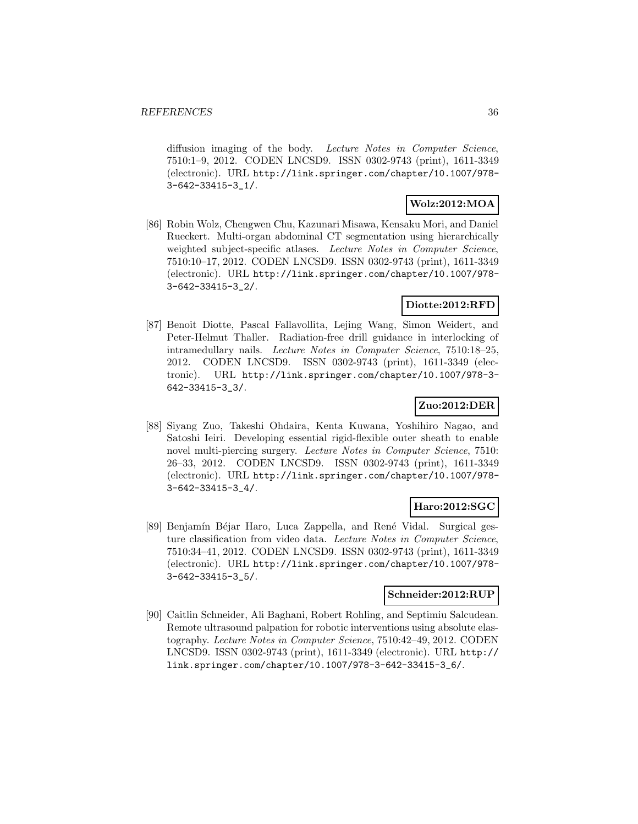diffusion imaging of the body. Lecture Notes in Computer Science, 7510:1–9, 2012. CODEN LNCSD9. ISSN 0302-9743 (print), 1611-3349 (electronic). URL http://link.springer.com/chapter/10.1007/978- 3-642-33415-3\_1/.

### **Wolz:2012:MOA**

[86] Robin Wolz, Chengwen Chu, Kazunari Misawa, Kensaku Mori, and Daniel Rueckert. Multi-organ abdominal CT segmentation using hierarchically weighted subject-specific atlases. Lecture Notes in Computer Science, 7510:10–17, 2012. CODEN LNCSD9. ISSN 0302-9743 (print), 1611-3349 (electronic). URL http://link.springer.com/chapter/10.1007/978- 3-642-33415-3\_2/.

### **Diotte:2012:RFD**

[87] Benoit Diotte, Pascal Fallavollita, Lejing Wang, Simon Weidert, and Peter-Helmut Thaller. Radiation-free drill guidance in interlocking of intramedullary nails. Lecture Notes in Computer Science, 7510:18–25, 2012. CODEN LNCSD9. ISSN 0302-9743 (print), 1611-3349 (electronic). URL http://link.springer.com/chapter/10.1007/978-3- 642-33415-3\_3/.

### **Zuo:2012:DER**

[88] Siyang Zuo, Takeshi Ohdaira, Kenta Kuwana, Yoshihiro Nagao, and Satoshi Ieiri. Developing essential rigid-flexible outer sheath to enable novel multi-piercing surgery. Lecture Notes in Computer Science, 7510: 26–33, 2012. CODEN LNCSD9. ISSN 0302-9743 (print), 1611-3349 (electronic). URL http://link.springer.com/chapter/10.1007/978- 3-642-33415-3\_4/.

#### **Haro:2012:SGC**

[89] Benjamín Béjar Haro, Luca Zappella, and René Vidal. Surgical gesture classification from video data. Lecture Notes in Computer Science, 7510:34–41, 2012. CODEN LNCSD9. ISSN 0302-9743 (print), 1611-3349 (electronic). URL http://link.springer.com/chapter/10.1007/978- 3-642-33415-3\_5/.

#### **Schneider:2012:RUP**

[90] Caitlin Schneider, Ali Baghani, Robert Rohling, and Septimiu Salcudean. Remote ultrasound palpation for robotic interventions using absolute elastography. Lecture Notes in Computer Science, 7510:42–49, 2012. CODEN LNCSD9. ISSN 0302-9743 (print), 1611-3349 (electronic). URL http:// link.springer.com/chapter/10.1007/978-3-642-33415-3\_6/.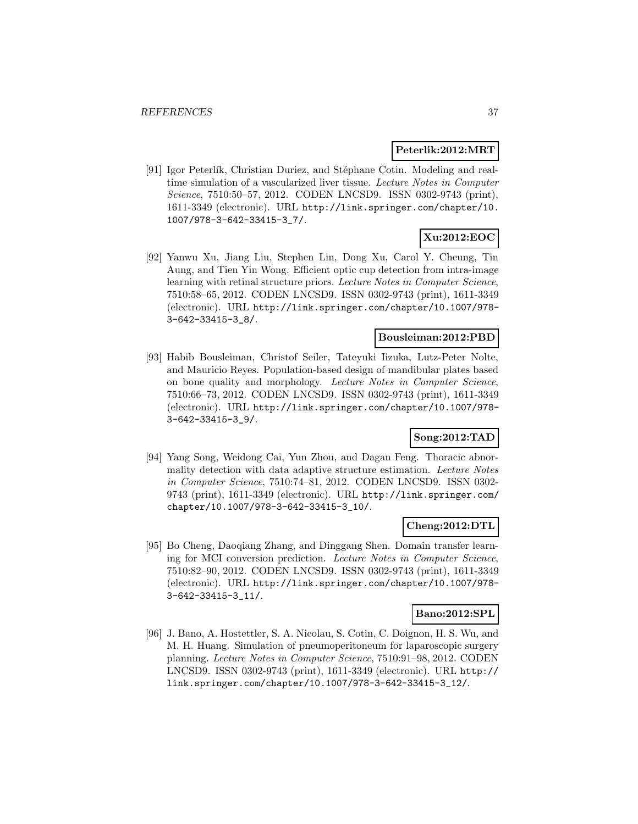### **Peterlik:2012:MRT**

[91] Igor Peterlík, Christian Duriez, and Stéphane Cotin. Modeling and realtime simulation of a vascularized liver tissue. Lecture Notes in Computer Science, 7510:50–57, 2012. CODEN LNCSD9. ISSN 0302-9743 (print), 1611-3349 (electronic). URL http://link.springer.com/chapter/10. 1007/978-3-642-33415-3\_7/.

# **Xu:2012:EOC**

[92] Yanwu Xu, Jiang Liu, Stephen Lin, Dong Xu, Carol Y. Cheung, Tin Aung, and Tien Yin Wong. Efficient optic cup detection from intra-image learning with retinal structure priors. Lecture Notes in Computer Science, 7510:58–65, 2012. CODEN LNCSD9. ISSN 0302-9743 (print), 1611-3349 (electronic). URL http://link.springer.com/chapter/10.1007/978- 3-642-33415-3\_8/.

#### **Bousleiman:2012:PBD**

[93] Habib Bousleiman, Christof Seiler, Tateyuki Iizuka, Lutz-Peter Nolte, and Mauricio Reyes. Population-based design of mandibular plates based on bone quality and morphology. Lecture Notes in Computer Science, 7510:66–73, 2012. CODEN LNCSD9. ISSN 0302-9743 (print), 1611-3349 (electronic). URL http://link.springer.com/chapter/10.1007/978- 3-642-33415-3\_9/.

#### **Song:2012:TAD**

[94] Yang Song, Weidong Cai, Yun Zhou, and Dagan Feng. Thoracic abnormality detection with data adaptive structure estimation. Lecture Notes in Computer Science, 7510:74–81, 2012. CODEN LNCSD9. ISSN 0302- 9743 (print), 1611-3349 (electronic). URL http://link.springer.com/ chapter/10.1007/978-3-642-33415-3\_10/.

#### **Cheng:2012:DTL**

[95] Bo Cheng, Daoqiang Zhang, and Dinggang Shen. Domain transfer learning for MCI conversion prediction. Lecture Notes in Computer Science, 7510:82–90, 2012. CODEN LNCSD9. ISSN 0302-9743 (print), 1611-3349 (electronic). URL http://link.springer.com/chapter/10.1007/978- 3-642-33415-3\_11/.

#### **Bano:2012:SPL**

[96] J. Bano, A. Hostettler, S. A. Nicolau, S. Cotin, C. Doignon, H. S. Wu, and M. H. Huang. Simulation of pneumoperitoneum for laparoscopic surgery planning. Lecture Notes in Computer Science, 7510:91–98, 2012. CODEN LNCSD9. ISSN 0302-9743 (print), 1611-3349 (electronic). URL http:// link.springer.com/chapter/10.1007/978-3-642-33415-3\_12/.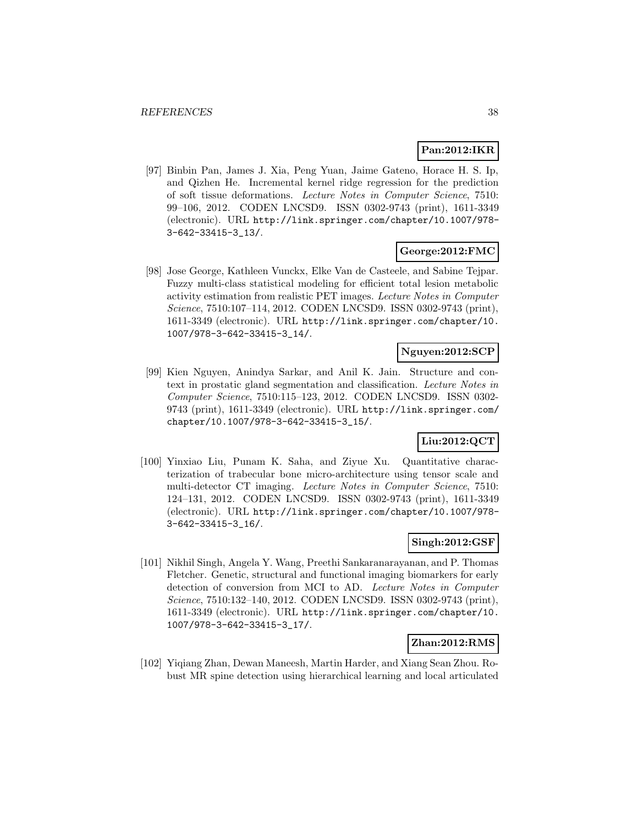# **Pan:2012:IKR**

[97] Binbin Pan, James J. Xia, Peng Yuan, Jaime Gateno, Horace H. S. Ip, and Qizhen He. Incremental kernel ridge regression for the prediction of soft tissue deformations. Lecture Notes in Computer Science, 7510: 99–106, 2012. CODEN LNCSD9. ISSN 0302-9743 (print), 1611-3349 (electronic). URL http://link.springer.com/chapter/10.1007/978- 3-642-33415-3\_13/.

#### **George:2012:FMC**

[98] Jose George, Kathleen Vunckx, Elke Van de Casteele, and Sabine Tejpar. Fuzzy multi-class statistical modeling for efficient total lesion metabolic activity estimation from realistic PET images. Lecture Notes in Computer Science, 7510:107–114, 2012. CODEN LNCSD9. ISSN 0302-9743 (print), 1611-3349 (electronic). URL http://link.springer.com/chapter/10. 1007/978-3-642-33415-3\_14/.

# **Nguyen:2012:SCP**

[99] Kien Nguyen, Anindya Sarkar, and Anil K. Jain. Structure and context in prostatic gland segmentation and classification. Lecture Notes in Computer Science, 7510:115–123, 2012. CODEN LNCSD9. ISSN 0302- 9743 (print), 1611-3349 (electronic). URL http://link.springer.com/ chapter/10.1007/978-3-642-33415-3\_15/.

### **Liu:2012:QCT**

[100] Yinxiao Liu, Punam K. Saha, and Ziyue Xu. Quantitative characterization of trabecular bone micro-architecture using tensor scale and multi-detector CT imaging. Lecture Notes in Computer Science, 7510: 124–131, 2012. CODEN LNCSD9. ISSN 0302-9743 (print), 1611-3349 (electronic). URL http://link.springer.com/chapter/10.1007/978- 3-642-33415-3\_16/.

#### **Singh:2012:GSF**

[101] Nikhil Singh, Angela Y. Wang, Preethi Sankaranarayanan, and P. Thomas Fletcher. Genetic, structural and functional imaging biomarkers for early detection of conversion from MCI to AD. Lecture Notes in Computer Science, 7510:132–140, 2012. CODEN LNCSD9. ISSN 0302-9743 (print), 1611-3349 (electronic). URL http://link.springer.com/chapter/10. 1007/978-3-642-33415-3\_17/.

### **Zhan:2012:RMS**

[102] Yiqiang Zhan, Dewan Maneesh, Martin Harder, and Xiang Sean Zhou. Robust MR spine detection using hierarchical learning and local articulated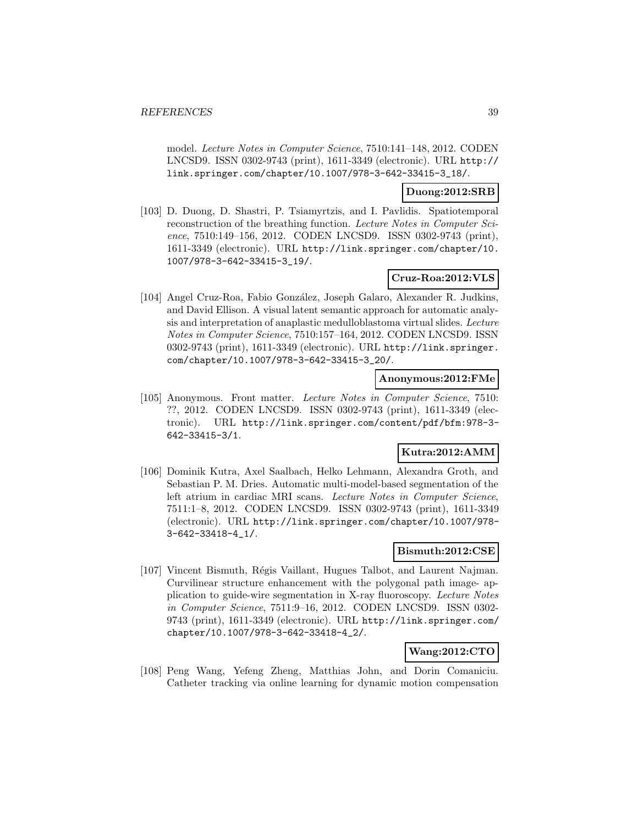model. Lecture Notes in Computer Science, 7510:141–148, 2012. CODEN LNCSD9. ISSN 0302-9743 (print), 1611-3349 (electronic). URL http:// link.springer.com/chapter/10.1007/978-3-642-33415-3\_18/.

#### **Duong:2012:SRB**

[103] D. Duong, D. Shastri, P. Tsiamyrtzis, and I. Pavlidis. Spatiotemporal reconstruction of the breathing function. Lecture Notes in Computer Science, 7510:149–156, 2012. CODEN LNCSD9. ISSN 0302-9743 (print), 1611-3349 (electronic). URL http://link.springer.com/chapter/10. 1007/978-3-642-33415-3\_19/.

# **Cruz-Roa:2012:VLS**

[104] Angel Cruz-Roa, Fabio González, Joseph Galaro, Alexander R. Judkins, and David Ellison. A visual latent semantic approach for automatic analysis and interpretation of anaplastic medulloblastoma virtual slides. Lecture Notes in Computer Science, 7510:157–164, 2012. CODEN LNCSD9. ISSN 0302-9743 (print), 1611-3349 (electronic). URL http://link.springer. com/chapter/10.1007/978-3-642-33415-3\_20/.

### **Anonymous:2012:FMe**

[105] Anonymous. Front matter. Lecture Notes in Computer Science, 7510: ??, 2012. CODEN LNCSD9. ISSN 0302-9743 (print), 1611-3349 (electronic). URL http://link.springer.com/content/pdf/bfm:978-3- 642-33415-3/1.

# **Kutra:2012:AMM**

[106] Dominik Kutra, Axel Saalbach, Helko Lehmann, Alexandra Groth, and Sebastian P. M. Dries. Automatic multi-model-based segmentation of the left atrium in cardiac MRI scans. Lecture Notes in Computer Science, 7511:1–8, 2012. CODEN LNCSD9. ISSN 0302-9743 (print), 1611-3349 (electronic). URL http://link.springer.com/chapter/10.1007/978- 3-642-33418-4\_1/.

### **Bismuth:2012:CSE**

[107] Vincent Bismuth, Régis Vaillant, Hugues Talbot, and Laurent Najman. Curvilinear structure enhancement with the polygonal path image- application to guide-wire segmentation in X-ray fluoroscopy. Lecture Notes in Computer Science, 7511:9–16, 2012. CODEN LNCSD9. ISSN 0302- 9743 (print), 1611-3349 (electronic). URL http://link.springer.com/ chapter/10.1007/978-3-642-33418-4\_2/.

# **Wang:2012:CTO**

[108] Peng Wang, Yefeng Zheng, Matthias John, and Dorin Comaniciu. Catheter tracking via online learning for dynamic motion compensation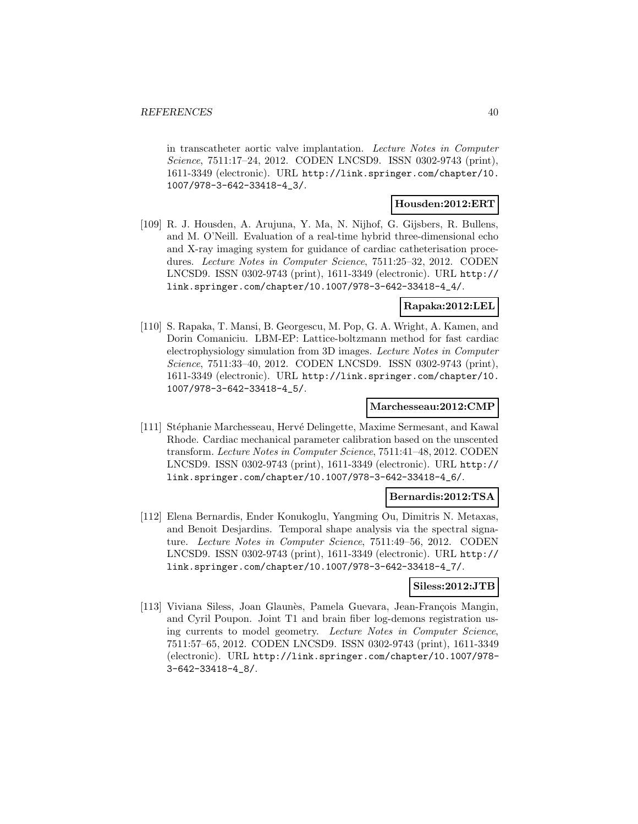in transcatheter aortic valve implantation. Lecture Notes in Computer Science, 7511:17–24, 2012. CODEN LNCSD9. ISSN 0302-9743 (print), 1611-3349 (electronic). URL http://link.springer.com/chapter/10. 1007/978-3-642-33418-4\_3/.

#### **Housden:2012:ERT**

[109] R. J. Housden, A. Arujuna, Y. Ma, N. Nijhof, G. Gijsbers, R. Bullens, and M. O'Neill. Evaluation of a real-time hybrid three-dimensional echo and X-ray imaging system for guidance of cardiac catheterisation procedures. Lecture Notes in Computer Science, 7511:25–32, 2012. CODEN LNCSD9. ISSN 0302-9743 (print), 1611-3349 (electronic). URL http:// link.springer.com/chapter/10.1007/978-3-642-33418-4\_4/.

#### **Rapaka:2012:LEL**

[110] S. Rapaka, T. Mansi, B. Georgescu, M. Pop, G. A. Wright, A. Kamen, and Dorin Comaniciu. LBM-EP: Lattice-boltzmann method for fast cardiac electrophysiology simulation from 3D images. Lecture Notes in Computer Science, 7511:33–40, 2012. CODEN LNCSD9. ISSN 0302-9743 (print), 1611-3349 (electronic). URL http://link.springer.com/chapter/10. 1007/978-3-642-33418-4\_5/.

#### **Marchesseau:2012:CMP**

[111] Stéphanie Marchesseau, Hervé Delingette, Maxime Sermesant, and Kawal Rhode. Cardiac mechanical parameter calibration based on the unscented transform. Lecture Notes in Computer Science, 7511:41–48, 2012. CODEN LNCSD9. ISSN 0302-9743 (print), 1611-3349 (electronic). URL http:// link.springer.com/chapter/10.1007/978-3-642-33418-4\_6/.

#### **Bernardis:2012:TSA**

[112] Elena Bernardis, Ender Konukoglu, Yangming Ou, Dimitris N. Metaxas, and Benoit Desjardins. Temporal shape analysis via the spectral signature. Lecture Notes in Computer Science, 7511:49–56, 2012. CODEN LNCSD9. ISSN 0302-9743 (print), 1611-3349 (electronic). URL http:// link.springer.com/chapter/10.1007/978-3-642-33418-4\_7/.

#### **Siless:2012:JTB**

[113] Viviana Siless, Joan Glaunès, Pamela Guevara, Jean-François Mangin, and Cyril Poupon. Joint T1 and brain fiber log-demons registration using currents to model geometry. Lecture Notes in Computer Science, 7511:57–65, 2012. CODEN LNCSD9. ISSN 0302-9743 (print), 1611-3349 (electronic). URL http://link.springer.com/chapter/10.1007/978- 3-642-33418-4\_8/.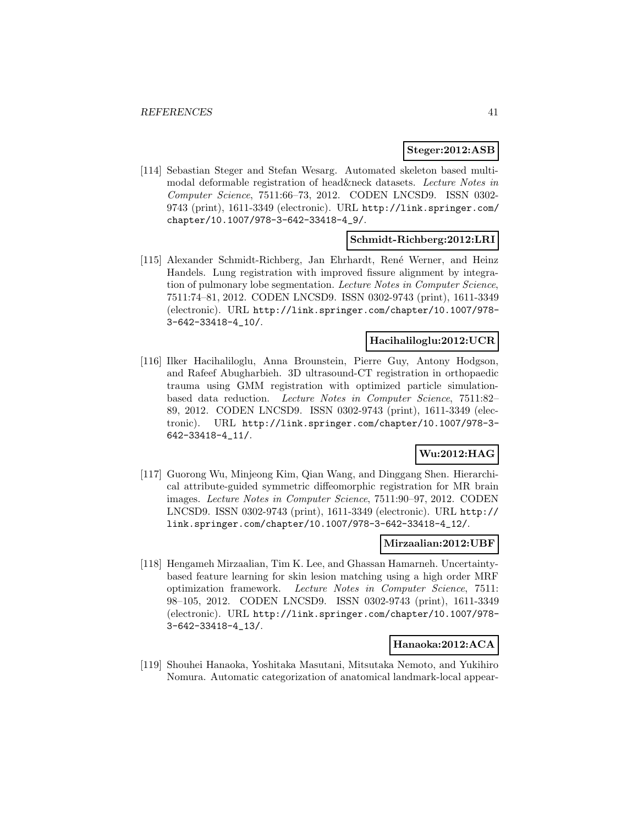#### **Steger:2012:ASB**

[114] Sebastian Steger and Stefan Wesarg. Automated skeleton based multimodal deformable registration of head&neck datasets. Lecture Notes in Computer Science, 7511:66–73, 2012. CODEN LNCSD9. ISSN 0302- 9743 (print), 1611-3349 (electronic). URL http://link.springer.com/ chapter/10.1007/978-3-642-33418-4\_9/.

### **Schmidt-Richberg:2012:LRI**

[115] Alexander Schmidt-Richberg, Jan Ehrhardt, Ren´e Werner, and Heinz Handels. Lung registration with improved fissure alignment by integration of pulmonary lobe segmentation. Lecture Notes in Computer Science, 7511:74–81, 2012. CODEN LNCSD9. ISSN 0302-9743 (print), 1611-3349 (electronic). URL http://link.springer.com/chapter/10.1007/978- 3-642-33418-4\_10/.

### **Hacihaliloglu:2012:UCR**

[116] Ilker Hacihaliloglu, Anna Brounstein, Pierre Guy, Antony Hodgson, and Rafeef Abugharbieh. 3D ultrasound-CT registration in orthopaedic trauma using GMM registration with optimized particle simulationbased data reduction. Lecture Notes in Computer Science, 7511:82– 89, 2012. CODEN LNCSD9. ISSN 0302-9743 (print), 1611-3349 (electronic). URL http://link.springer.com/chapter/10.1007/978-3- 642-33418-4\_11/.

# **Wu:2012:HAG**

[117] Guorong Wu, Minjeong Kim, Qian Wang, and Dinggang Shen. Hierarchical attribute-guided symmetric diffeomorphic registration for MR brain images. Lecture Notes in Computer Science, 7511:90–97, 2012. CODEN LNCSD9. ISSN 0302-9743 (print), 1611-3349 (electronic). URL http:// link.springer.com/chapter/10.1007/978-3-642-33418-4\_12/.

#### **Mirzaalian:2012:UBF**

[118] Hengameh Mirzaalian, Tim K. Lee, and Ghassan Hamarneh. Uncertaintybased feature learning for skin lesion matching using a high order MRF optimization framework. Lecture Notes in Computer Science, 7511: 98–105, 2012. CODEN LNCSD9. ISSN 0302-9743 (print), 1611-3349 (electronic). URL http://link.springer.com/chapter/10.1007/978- 3-642-33418-4\_13/.

### **Hanaoka:2012:ACA**

[119] Shouhei Hanaoka, Yoshitaka Masutani, Mitsutaka Nemoto, and Yukihiro Nomura. Automatic categorization of anatomical landmark-local appear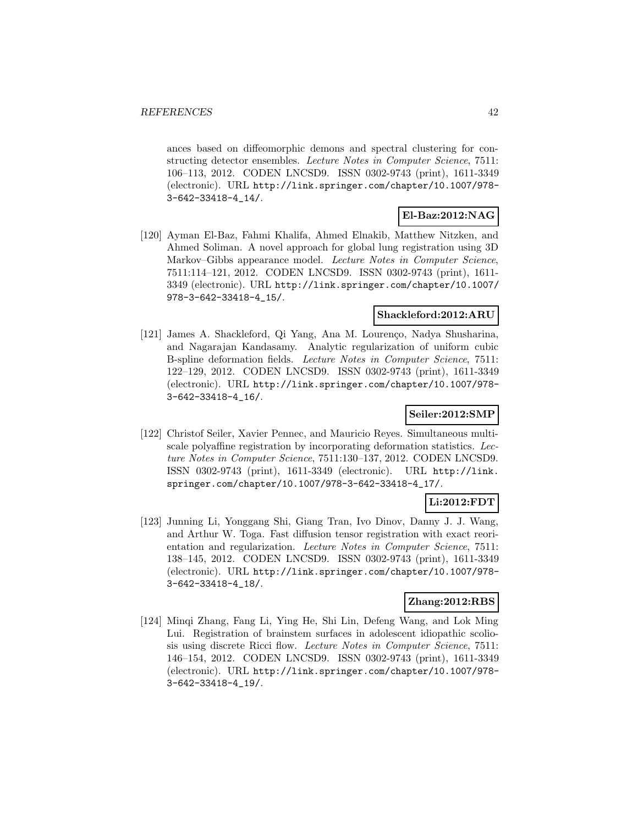ances based on diffeomorphic demons and spectral clustering for constructing detector ensembles. Lecture Notes in Computer Science, 7511: 106–113, 2012. CODEN LNCSD9. ISSN 0302-9743 (print), 1611-3349 (electronic). URL http://link.springer.com/chapter/10.1007/978- 3-642-33418-4\_14/.

# **El-Baz:2012:NAG**

[120] Ayman El-Baz, Fahmi Khalifa, Ahmed Elnakib, Matthew Nitzken, and Ahmed Soliman. A novel approach for global lung registration using 3D Markov–Gibbs appearance model. Lecture Notes in Computer Science, 7511:114–121, 2012. CODEN LNCSD9. ISSN 0302-9743 (print), 1611- 3349 (electronic). URL http://link.springer.com/chapter/10.1007/ 978-3-642-33418-4\_15/.

### **Shackleford:2012:ARU**

[121] James A. Shackleford, Qi Yang, Ana M. Lourenço, Nadya Shusharina, and Nagarajan Kandasamy. Analytic regularization of uniform cubic B-spline deformation fields. Lecture Notes in Computer Science, 7511: 122–129, 2012. CODEN LNCSD9. ISSN 0302-9743 (print), 1611-3349 (electronic). URL http://link.springer.com/chapter/10.1007/978- 3-642-33418-4\_16/.

## **Seiler:2012:SMP**

[122] Christof Seiler, Xavier Pennec, and Mauricio Reyes. Simultaneous multiscale polyaffine registration by incorporating deformation statistics. Lecture Notes in Computer Science, 7511:130–137, 2012. CODEN LNCSD9. ISSN 0302-9743 (print), 1611-3349 (electronic). URL http://link. springer.com/chapter/10.1007/978-3-642-33418-4\_17/.

# **Li:2012:FDT**

[123] Junning Li, Yonggang Shi, Giang Tran, Ivo Dinov, Danny J. J. Wang, and Arthur W. Toga. Fast diffusion tensor registration with exact reorientation and regularization. Lecture Notes in Computer Science, 7511: 138–145, 2012. CODEN LNCSD9. ISSN 0302-9743 (print), 1611-3349 (electronic). URL http://link.springer.com/chapter/10.1007/978- 3-642-33418-4\_18/.

# **Zhang:2012:RBS**

[124] Minqi Zhang, Fang Li, Ying He, Shi Lin, Defeng Wang, and Lok Ming Lui. Registration of brainstem surfaces in adolescent idiopathic scoliosis using discrete Ricci flow. Lecture Notes in Computer Science, 7511: 146–154, 2012. CODEN LNCSD9. ISSN 0302-9743 (print), 1611-3349 (electronic). URL http://link.springer.com/chapter/10.1007/978- 3-642-33418-4\_19/.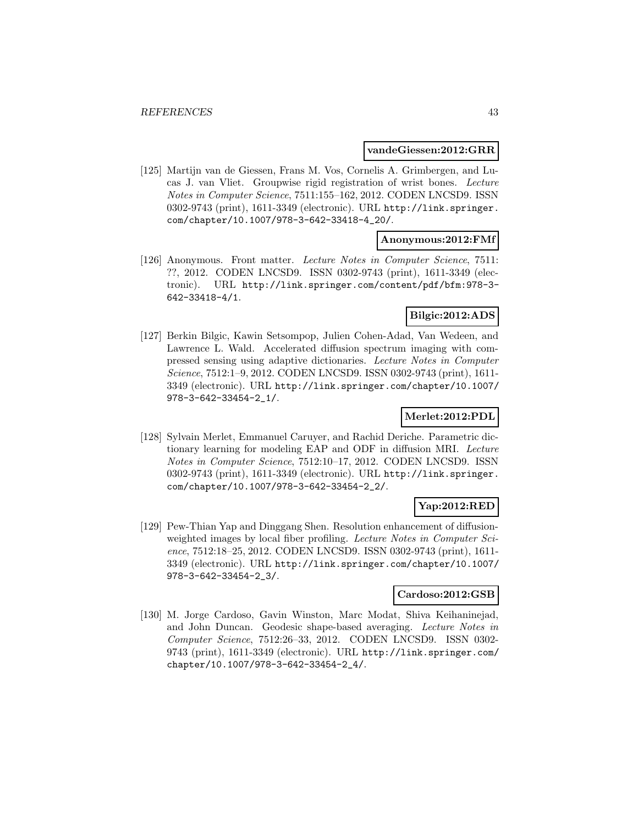#### **vandeGiessen:2012:GRR**

[125] Martijn van de Giessen, Frans M. Vos, Cornelis A. Grimbergen, and Lucas J. van Vliet. Groupwise rigid registration of wrist bones. Lecture Notes in Computer Science, 7511:155–162, 2012. CODEN LNCSD9. ISSN 0302-9743 (print), 1611-3349 (electronic). URL http://link.springer. com/chapter/10.1007/978-3-642-33418-4\_20/.

#### **Anonymous:2012:FMf**

[126] Anonymous. Front matter. Lecture Notes in Computer Science, 7511: ??, 2012. CODEN LNCSD9. ISSN 0302-9743 (print), 1611-3349 (electronic). URL http://link.springer.com/content/pdf/bfm:978-3- 642-33418-4/1.

### **Bilgic:2012:ADS**

[127] Berkin Bilgic, Kawin Setsompop, Julien Cohen-Adad, Van Wedeen, and Lawrence L. Wald. Accelerated diffusion spectrum imaging with compressed sensing using adaptive dictionaries. Lecture Notes in Computer Science, 7512:1–9, 2012. CODEN LNCSD9. ISSN 0302-9743 (print), 1611- 3349 (electronic). URL http://link.springer.com/chapter/10.1007/ 978-3-642-33454-2\_1/.

### **Merlet:2012:PDL**

[128] Sylvain Merlet, Emmanuel Caruyer, and Rachid Deriche. Parametric dictionary learning for modeling EAP and ODF in diffusion MRI. Lecture Notes in Computer Science, 7512:10–17, 2012. CODEN LNCSD9. ISSN 0302-9743 (print), 1611-3349 (electronic). URL http://link.springer. com/chapter/10.1007/978-3-642-33454-2\_2/.

# **Yap:2012:RED**

[129] Pew-Thian Yap and Dinggang Shen. Resolution enhancement of diffusionweighted images by local fiber profiling. Lecture Notes in Computer Science, 7512:18–25, 2012. CODEN LNCSD9. ISSN 0302-9743 (print), 1611- 3349 (electronic). URL http://link.springer.com/chapter/10.1007/ 978-3-642-33454-2\_3/.

#### **Cardoso:2012:GSB**

[130] M. Jorge Cardoso, Gavin Winston, Marc Modat, Shiva Keihaninejad, and John Duncan. Geodesic shape-based averaging. Lecture Notes in Computer Science, 7512:26–33, 2012. CODEN LNCSD9. ISSN 0302- 9743 (print), 1611-3349 (electronic). URL http://link.springer.com/ chapter/10.1007/978-3-642-33454-2\_4/.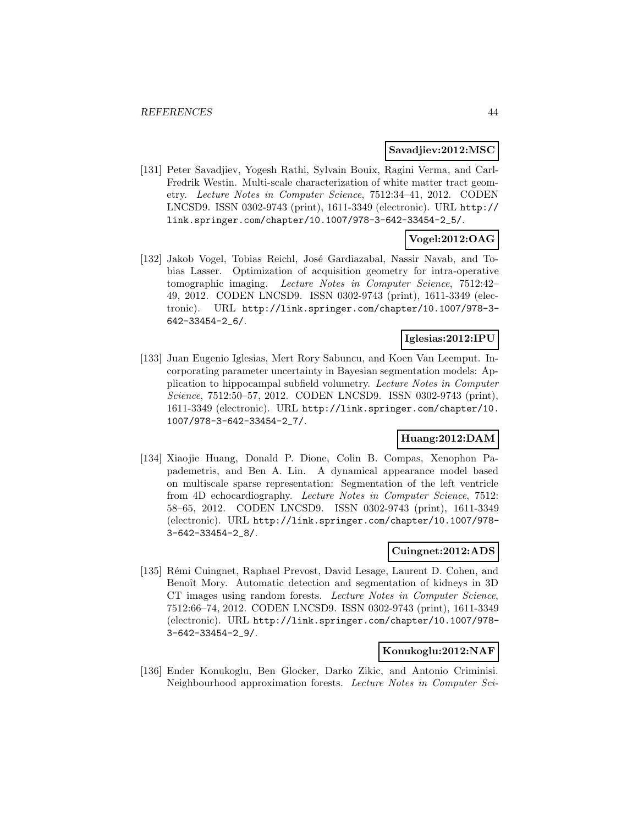#### **Savadjiev:2012:MSC**

[131] Peter Savadjiev, Yogesh Rathi, Sylvain Bouix, Ragini Verma, and Carl-Fredrik Westin. Multi-scale characterization of white matter tract geometry. Lecture Notes in Computer Science, 7512:34–41, 2012. CODEN LNCSD9. ISSN 0302-9743 (print), 1611-3349 (electronic). URL http:// link.springer.com/chapter/10.1007/978-3-642-33454-2\_5/.

# **Vogel:2012:OAG**

[132] Jakob Vogel, Tobias Reichl, José Gardiazabal, Nassir Navab, and Tobias Lasser. Optimization of acquisition geometry for intra-operative tomographic imaging. Lecture Notes in Computer Science, 7512:42– 49, 2012. CODEN LNCSD9. ISSN 0302-9743 (print), 1611-3349 (electronic). URL http://link.springer.com/chapter/10.1007/978-3- 642-33454-2\_6/.

## **Iglesias:2012:IPU**

[133] Juan Eugenio Iglesias, Mert Rory Sabuncu, and Koen Van Leemput. Incorporating parameter uncertainty in Bayesian segmentation models: Application to hippocampal subfield volumetry. Lecture Notes in Computer Science, 7512:50–57, 2012. CODEN LNCSD9. ISSN 0302-9743 (print), 1611-3349 (electronic). URL http://link.springer.com/chapter/10. 1007/978-3-642-33454-2\_7/.

### **Huang:2012:DAM**

[134] Xiaojie Huang, Donald P. Dione, Colin B. Compas, Xenophon Papademetris, and Ben A. Lin. A dynamical appearance model based on multiscale sparse representation: Segmentation of the left ventricle from 4D echocardiography. Lecture Notes in Computer Science, 7512: 58–65, 2012. CODEN LNCSD9. ISSN 0302-9743 (print), 1611-3349 (electronic). URL http://link.springer.com/chapter/10.1007/978- 3-642-33454-2\_8/.

### **Cuingnet:2012:ADS**

[135] Rémi Cuingnet, Raphael Prevost, David Lesage, Laurent D. Cohen, and Benoît Mory. Automatic detection and segmentation of kidneys in 3D CT images using random forests. Lecture Notes in Computer Science, 7512:66–74, 2012. CODEN LNCSD9. ISSN 0302-9743 (print), 1611-3349 (electronic). URL http://link.springer.com/chapter/10.1007/978- 3-642-33454-2\_9/.

#### **Konukoglu:2012:NAF**

[136] Ender Konukoglu, Ben Glocker, Darko Zikic, and Antonio Criminisi. Neighbourhood approximation forests. Lecture Notes in Computer Sci-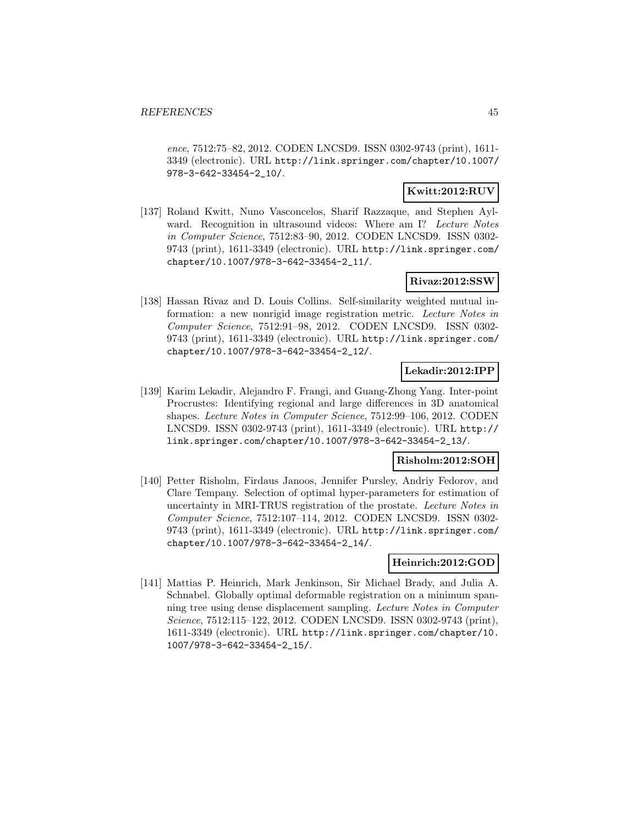ence, 7512:75–82, 2012. CODEN LNCSD9. ISSN 0302-9743 (print), 1611- 3349 (electronic). URL http://link.springer.com/chapter/10.1007/ 978-3-642-33454-2\_10/.

### **Kwitt:2012:RUV**

[137] Roland Kwitt, Nuno Vasconcelos, Sharif Razzaque, and Stephen Aylward. Recognition in ultrasound videos: Where am I? Lecture Notes in Computer Science, 7512:83–90, 2012. CODEN LNCSD9. ISSN 0302- 9743 (print), 1611-3349 (electronic). URL http://link.springer.com/ chapter/10.1007/978-3-642-33454-2\_11/.

### **Rivaz:2012:SSW**

[138] Hassan Rivaz and D. Louis Collins. Self-similarity weighted mutual information: a new nonrigid image registration metric. Lecture Notes in Computer Science, 7512:91–98, 2012. CODEN LNCSD9. ISSN 0302- 9743 (print), 1611-3349 (electronic). URL http://link.springer.com/ chapter/10.1007/978-3-642-33454-2\_12/.

### **Lekadir:2012:IPP**

[139] Karim Lekadir, Alejandro F. Frangi, and Guang-Zhong Yang. Inter-point Procrustes: Identifying regional and large differences in 3D anatomical shapes. Lecture Notes in Computer Science, 7512:99–106, 2012. CODEN LNCSD9. ISSN 0302-9743 (print), 1611-3349 (electronic). URL http:// link.springer.com/chapter/10.1007/978-3-642-33454-2\_13/.

### **Risholm:2012:SOH**

[140] Petter Risholm, Firdaus Janoos, Jennifer Pursley, Andriy Fedorov, and Clare Tempany. Selection of optimal hyper-parameters for estimation of uncertainty in MRI-TRUS registration of the prostate. Lecture Notes in Computer Science, 7512:107–114, 2012. CODEN LNCSD9. ISSN 0302- 9743 (print), 1611-3349 (electronic). URL http://link.springer.com/ chapter/10.1007/978-3-642-33454-2\_14/.

### **Heinrich:2012:GOD**

[141] Mattias P. Heinrich, Mark Jenkinson, Sir Michael Brady, and Julia A. Schnabel. Globally optimal deformable registration on a minimum spanning tree using dense displacement sampling. Lecture Notes in Computer Science, 7512:115–122, 2012. CODEN LNCSD9. ISSN 0302-9743 (print), 1611-3349 (electronic). URL http://link.springer.com/chapter/10. 1007/978-3-642-33454-2\_15/.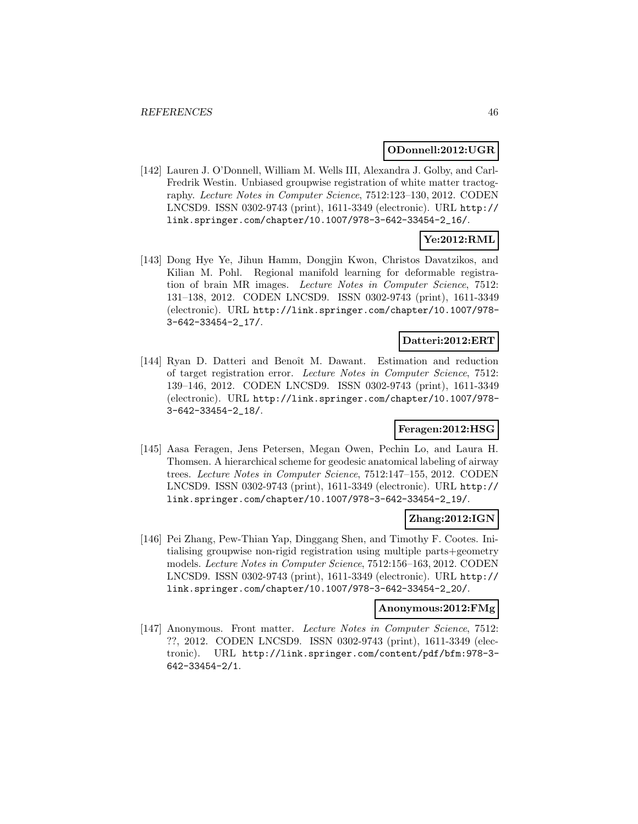#### **ODonnell:2012:UGR**

[142] Lauren J. O'Donnell, William M. Wells III, Alexandra J. Golby, and Carl-Fredrik Westin. Unbiased groupwise registration of white matter tractography. Lecture Notes in Computer Science, 7512:123–130, 2012. CODEN LNCSD9. ISSN 0302-9743 (print), 1611-3349 (electronic). URL http:// link.springer.com/chapter/10.1007/978-3-642-33454-2\_16/.

# **Ye:2012:RML**

[143] Dong Hye Ye, Jihun Hamm, Dongjin Kwon, Christos Davatzikos, and Kilian M. Pohl. Regional manifold learning for deformable registration of brain MR images. Lecture Notes in Computer Science, 7512: 131–138, 2012. CODEN LNCSD9. ISSN 0302-9743 (print), 1611-3349 (electronic). URL http://link.springer.com/chapter/10.1007/978- 3-642-33454-2\_17/.

### **Datteri:2012:ERT**

[144] Ryan D. Datteri and Benoît M. Dawant. Estimation and reduction of target registration error. Lecture Notes in Computer Science, 7512: 139–146, 2012. CODEN LNCSD9. ISSN 0302-9743 (print), 1611-3349 (electronic). URL http://link.springer.com/chapter/10.1007/978- 3-642-33454-2\_18/.

# **Feragen:2012:HSG**

[145] Aasa Feragen, Jens Petersen, Megan Owen, Pechin Lo, and Laura H. Thomsen. A hierarchical scheme for geodesic anatomical labeling of airway trees. Lecture Notes in Computer Science, 7512:147–155, 2012. CODEN LNCSD9. ISSN 0302-9743 (print), 1611-3349 (electronic). URL http:// link.springer.com/chapter/10.1007/978-3-642-33454-2\_19/.

### **Zhang:2012:IGN**

[146] Pei Zhang, Pew-Thian Yap, Dinggang Shen, and Timothy F. Cootes. Initialising groupwise non-rigid registration using multiple parts+geometry models. Lecture Notes in Computer Science, 7512:156–163, 2012. CODEN LNCSD9. ISSN 0302-9743 (print), 1611-3349 (electronic). URL http:// link.springer.com/chapter/10.1007/978-3-642-33454-2\_20/.

### **Anonymous:2012:FMg**

[147] Anonymous. Front matter. Lecture Notes in Computer Science, 7512: ??, 2012. CODEN LNCSD9. ISSN 0302-9743 (print), 1611-3349 (electronic). URL http://link.springer.com/content/pdf/bfm:978-3- 642-33454-2/1.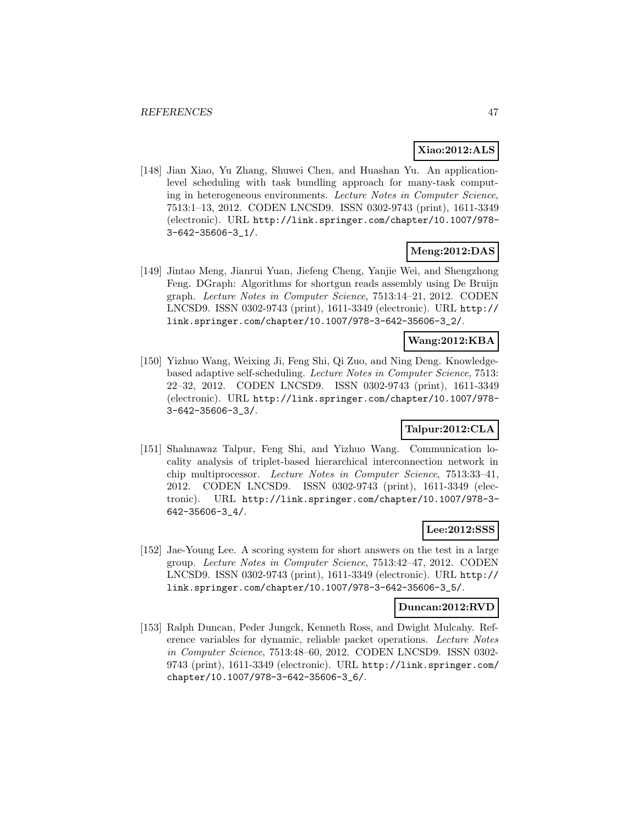### **Xiao:2012:ALS**

[148] Jian Xiao, Yu Zhang, Shuwei Chen, and Huashan Yu. An applicationlevel scheduling with task bundling approach for many-task computing in heterogeneous environments. Lecture Notes in Computer Science, 7513:1–13, 2012. CODEN LNCSD9. ISSN 0302-9743 (print), 1611-3349 (electronic). URL http://link.springer.com/chapter/10.1007/978- 3-642-35606-3\_1/.

# **Meng:2012:DAS**

[149] Jintao Meng, Jianrui Yuan, Jiefeng Cheng, Yanjie Wei, and Shengzhong Feng. DGraph: Algorithms for shortgun reads assembly using De Bruijn graph. Lecture Notes in Computer Science, 7513:14–21, 2012. CODEN LNCSD9. ISSN 0302-9743 (print), 1611-3349 (electronic). URL http:// link.springer.com/chapter/10.1007/978-3-642-35606-3\_2/.

### **Wang:2012:KBA**

[150] Yizhuo Wang, Weixing Ji, Feng Shi, Qi Zuo, and Ning Deng. Knowledgebased adaptive self-scheduling. Lecture Notes in Computer Science, 7513: 22–32, 2012. CODEN LNCSD9. ISSN 0302-9743 (print), 1611-3349 (electronic). URL http://link.springer.com/chapter/10.1007/978- 3-642-35606-3\_3/.

# **Talpur:2012:CLA**

[151] Shahnawaz Talpur, Feng Shi, and Yizhuo Wang. Communication locality analysis of triplet-based hierarchical interconnection network in chip multiprocessor. Lecture Notes in Computer Science, 7513:33–41, 2012. CODEN LNCSD9. ISSN 0302-9743 (print), 1611-3349 (electronic). URL http://link.springer.com/chapter/10.1007/978-3- 642-35606-3\_4/.

### **Lee:2012:SSS**

[152] Jae-Young Lee. A scoring system for short answers on the test in a large group. Lecture Notes in Computer Science, 7513:42–47, 2012. CODEN LNCSD9. ISSN 0302-9743 (print), 1611-3349 (electronic). URL http:// link.springer.com/chapter/10.1007/978-3-642-35606-3\_5/.

#### **Duncan:2012:RVD**

[153] Ralph Duncan, Peder Jungck, Kenneth Ross, and Dwight Mulcahy. Reference variables for dynamic, reliable packet operations. Lecture Notes in Computer Science, 7513:48–60, 2012. CODEN LNCSD9. ISSN 0302- 9743 (print), 1611-3349 (electronic). URL http://link.springer.com/ chapter/10.1007/978-3-642-35606-3\_6/.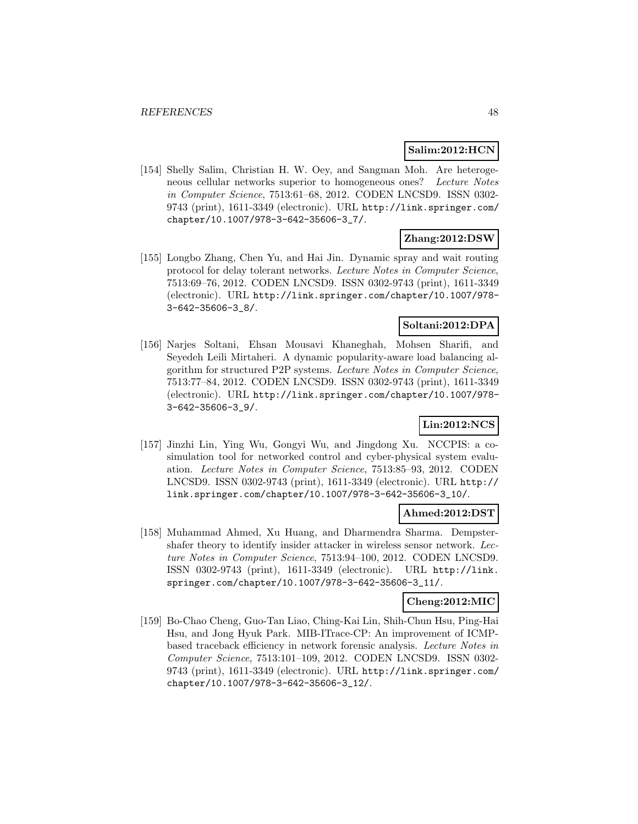### **Salim:2012:HCN**

[154] Shelly Salim, Christian H. W. Oey, and Sangman Moh. Are heterogeneous cellular networks superior to homogeneous ones? Lecture Notes in Computer Science, 7513:61–68, 2012. CODEN LNCSD9. ISSN 0302- 9743 (print), 1611-3349 (electronic). URL http://link.springer.com/ chapter/10.1007/978-3-642-35606-3\_7/.

# **Zhang:2012:DSW**

[155] Longbo Zhang, Chen Yu, and Hai Jin. Dynamic spray and wait routing protocol for delay tolerant networks. Lecture Notes in Computer Science, 7513:69–76, 2012. CODEN LNCSD9. ISSN 0302-9743 (print), 1611-3349 (electronic). URL http://link.springer.com/chapter/10.1007/978- 3-642-35606-3\_8/.

# **Soltani:2012:DPA**

[156] Narjes Soltani, Ehsan Mousavi Khaneghah, Mohsen Sharifi, and Seyedeh Leili Mirtaheri. A dynamic popularity-aware load balancing algorithm for structured P2P systems. Lecture Notes in Computer Science, 7513:77–84, 2012. CODEN LNCSD9. ISSN 0302-9743 (print), 1611-3349 (electronic). URL http://link.springer.com/chapter/10.1007/978- 3-642-35606-3\_9/.

# **Lin:2012:NCS**

[157] Jinzhi Lin, Ying Wu, Gongyi Wu, and Jingdong Xu. NCCPIS: a cosimulation tool for networked control and cyber-physical system evaluation. Lecture Notes in Computer Science, 7513:85–93, 2012. CODEN LNCSD9. ISSN 0302-9743 (print), 1611-3349 (electronic). URL http:// link.springer.com/chapter/10.1007/978-3-642-35606-3\_10/.

# **Ahmed:2012:DST**

[158] Muhammad Ahmed, Xu Huang, and Dharmendra Sharma. Dempstershafer theory to identify insider attacker in wireless sensor network. Lecture Notes in Computer Science, 7513:94–100, 2012. CODEN LNCSD9. ISSN 0302-9743 (print), 1611-3349 (electronic). URL http://link. springer.com/chapter/10.1007/978-3-642-35606-3\_11/.

### **Cheng:2012:MIC**

[159] Bo-Chao Cheng, Guo-Tan Liao, Ching-Kai Lin, Shih-Chun Hsu, Ping-Hai Hsu, and Jong Hyuk Park. MIB-ITrace-CP: An improvement of ICMPbased traceback efficiency in network forensic analysis. Lecture Notes in Computer Science, 7513:101–109, 2012. CODEN LNCSD9. ISSN 0302- 9743 (print), 1611-3349 (electronic). URL http://link.springer.com/ chapter/10.1007/978-3-642-35606-3\_12/.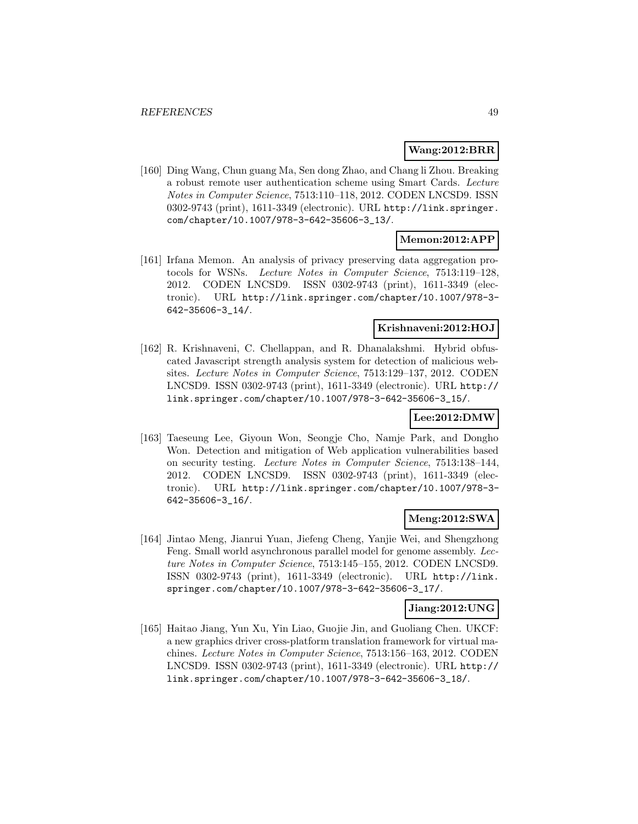### **Wang:2012:BRR**

[160] Ding Wang, Chun guang Ma, Sen dong Zhao, and Chang li Zhou. Breaking a robust remote user authentication scheme using Smart Cards. Lecture Notes in Computer Science, 7513:110–118, 2012. CODEN LNCSD9. ISSN 0302-9743 (print), 1611-3349 (electronic). URL http://link.springer. com/chapter/10.1007/978-3-642-35606-3\_13/.

### **Memon:2012:APP**

[161] Irfana Memon. An analysis of privacy preserving data aggregation protocols for WSNs. Lecture Notes in Computer Science, 7513:119–128, 2012. CODEN LNCSD9. ISSN 0302-9743 (print), 1611-3349 (electronic). URL http://link.springer.com/chapter/10.1007/978-3- 642-35606-3\_14/.

#### **Krishnaveni:2012:HOJ**

[162] R. Krishnaveni, C. Chellappan, and R. Dhanalakshmi. Hybrid obfuscated Javascript strength analysis system for detection of malicious websites. Lecture Notes in Computer Science, 7513:129–137, 2012. CODEN LNCSD9. ISSN 0302-9743 (print), 1611-3349 (electronic). URL http:// link.springer.com/chapter/10.1007/978-3-642-35606-3\_15/.

#### **Lee:2012:DMW**

[163] Taeseung Lee, Giyoun Won, Seongje Cho, Namje Park, and Dongho Won. Detection and mitigation of Web application vulnerabilities based on security testing. Lecture Notes in Computer Science, 7513:138–144, 2012. CODEN LNCSD9. ISSN 0302-9743 (print), 1611-3349 (electronic). URL http://link.springer.com/chapter/10.1007/978-3- 642-35606-3\_16/.

### **Meng:2012:SWA**

[164] Jintao Meng, Jianrui Yuan, Jiefeng Cheng, Yanjie Wei, and Shengzhong Feng. Small world asynchronous parallel model for genome assembly. Lecture Notes in Computer Science, 7513:145–155, 2012. CODEN LNCSD9. ISSN 0302-9743 (print), 1611-3349 (electronic). URL http://link. springer.com/chapter/10.1007/978-3-642-35606-3\_17/.

#### **Jiang:2012:UNG**

[165] Haitao Jiang, Yun Xu, Yin Liao, Guojie Jin, and Guoliang Chen. UKCF: a new graphics driver cross-platform translation framework for virtual machines. Lecture Notes in Computer Science, 7513:156–163, 2012. CODEN LNCSD9. ISSN 0302-9743 (print), 1611-3349 (electronic). URL http:// link.springer.com/chapter/10.1007/978-3-642-35606-3\_18/.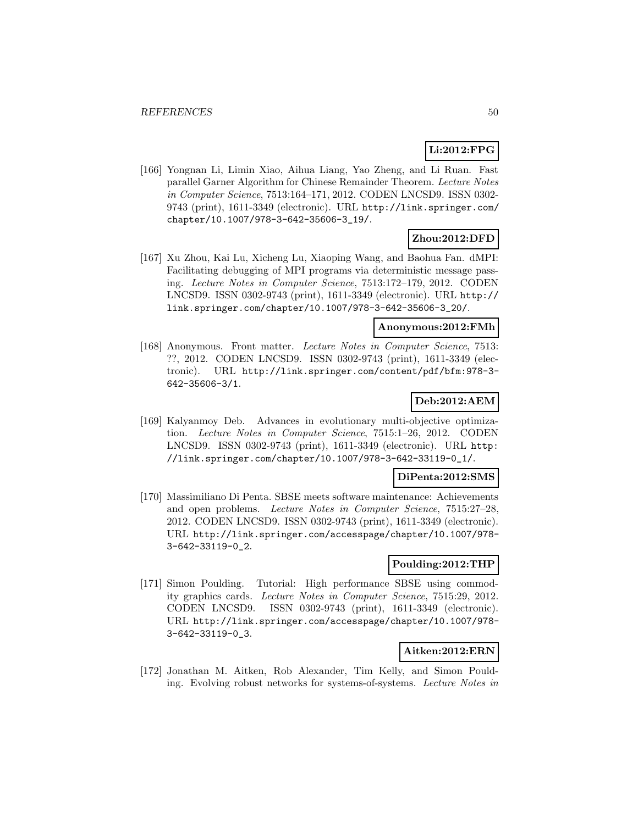# **Li:2012:FPG**

[166] Yongnan Li, Limin Xiao, Aihua Liang, Yao Zheng, and Li Ruan. Fast parallel Garner Algorithm for Chinese Remainder Theorem. Lecture Notes in Computer Science, 7513:164–171, 2012. CODEN LNCSD9. ISSN 0302- 9743 (print), 1611-3349 (electronic). URL http://link.springer.com/ chapter/10.1007/978-3-642-35606-3\_19/.

# **Zhou:2012:DFD**

[167] Xu Zhou, Kai Lu, Xicheng Lu, Xiaoping Wang, and Baohua Fan. dMPI: Facilitating debugging of MPI programs via deterministic message passing. Lecture Notes in Computer Science, 7513:172–179, 2012. CODEN LNCSD9. ISSN 0302-9743 (print), 1611-3349 (electronic). URL http:// link.springer.com/chapter/10.1007/978-3-642-35606-3\_20/.

## **Anonymous:2012:FMh**

[168] Anonymous. Front matter. Lecture Notes in Computer Science, 7513: ??, 2012. CODEN LNCSD9. ISSN 0302-9743 (print), 1611-3349 (electronic). URL http://link.springer.com/content/pdf/bfm:978-3- 642-35606-3/1.

# **Deb:2012:AEM**

[169] Kalyanmoy Deb. Advances in evolutionary multi-objective optimization. Lecture Notes in Computer Science, 7515:1–26, 2012. CODEN LNCSD9. ISSN 0302-9743 (print), 1611-3349 (electronic). URL http: //link.springer.com/chapter/10.1007/978-3-642-33119-0\_1/.

#### **DiPenta:2012:SMS**

[170] Massimiliano Di Penta. SBSE meets software maintenance: Achievements and open problems. Lecture Notes in Computer Science, 7515:27–28, 2012. CODEN LNCSD9. ISSN 0302-9743 (print), 1611-3349 (electronic). URL http://link.springer.com/accesspage/chapter/10.1007/978- 3-642-33119-0\_2.

#### **Poulding:2012:THP**

[171] Simon Poulding. Tutorial: High performance SBSE using commodity graphics cards. Lecture Notes in Computer Science, 7515:29, 2012. CODEN LNCSD9. ISSN 0302-9743 (print), 1611-3349 (electronic). URL http://link.springer.com/accesspage/chapter/10.1007/978- 3-642-33119-0\_3.

# **Aitken:2012:ERN**

[172] Jonathan M. Aitken, Rob Alexander, Tim Kelly, and Simon Poulding. Evolving robust networks for systems-of-systems. Lecture Notes in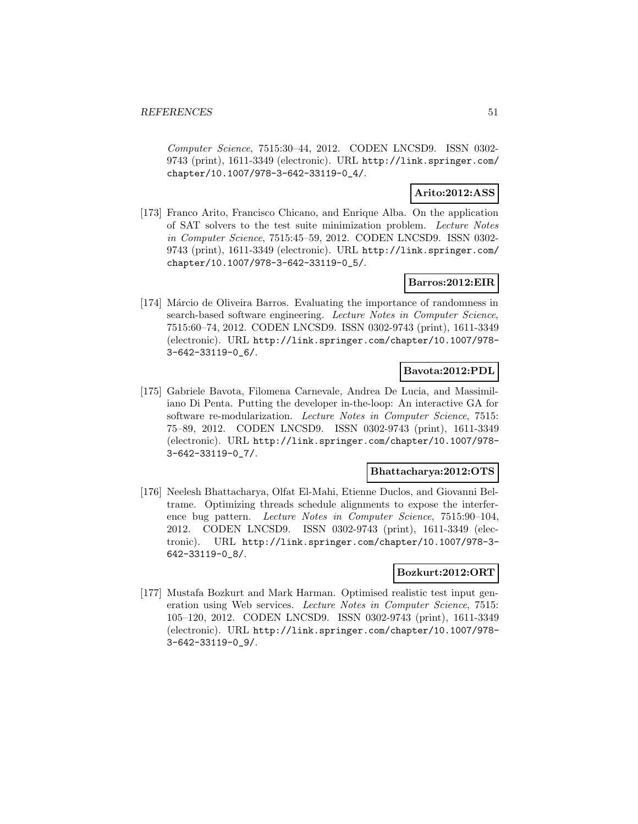Computer Science, 7515:30–44, 2012. CODEN LNCSD9. ISSN 0302- 9743 (print), 1611-3349 (electronic). URL http://link.springer.com/ chapter/10.1007/978-3-642-33119-0\_4/.

### **Arito:2012:ASS**

[173] Franco Arito, Francisco Chicano, and Enrique Alba. On the application of SAT solvers to the test suite minimization problem. Lecture Notes in Computer Science, 7515:45–59, 2012. CODEN LNCSD9. ISSN 0302- 9743 (print), 1611-3349 (electronic). URL http://link.springer.com/ chapter/10.1007/978-3-642-33119-0\_5/.

### **Barros:2012:EIR**

[174] Márcio de Oliveira Barros. Evaluating the importance of randomness in search-based software engineering. Lecture Notes in Computer Science, 7515:60–74, 2012. CODEN LNCSD9. ISSN 0302-9743 (print), 1611-3349 (electronic). URL http://link.springer.com/chapter/10.1007/978- 3-642-33119-0\_6/.

### **Bavota:2012:PDL**

[175] Gabriele Bavota, Filomena Carnevale, Andrea De Lucia, and Massimiliano Di Penta. Putting the developer in-the-loop: An interactive GA for software re-modularization. Lecture Notes in Computer Science, 7515: 75–89, 2012. CODEN LNCSD9. ISSN 0302-9743 (print), 1611-3349 (electronic). URL http://link.springer.com/chapter/10.1007/978- 3-642-33119-0\_7/.

#### **Bhattacharya:2012:OTS**

[176] Neelesh Bhattacharya, Olfat El-Mahi, Etienne Duclos, and Giovanni Beltrame. Optimizing threads schedule alignments to expose the interference bug pattern. Lecture Notes in Computer Science, 7515:90–104, 2012. CODEN LNCSD9. ISSN 0302-9743 (print), 1611-3349 (electronic). URL http://link.springer.com/chapter/10.1007/978-3- 642-33119-0\_8/.

#### **Bozkurt:2012:ORT**

[177] Mustafa Bozkurt and Mark Harman. Optimised realistic test input generation using Web services. Lecture Notes in Computer Science, 7515: 105–120, 2012. CODEN LNCSD9. ISSN 0302-9743 (print), 1611-3349 (electronic). URL http://link.springer.com/chapter/10.1007/978- 3-642-33119-0\_9/.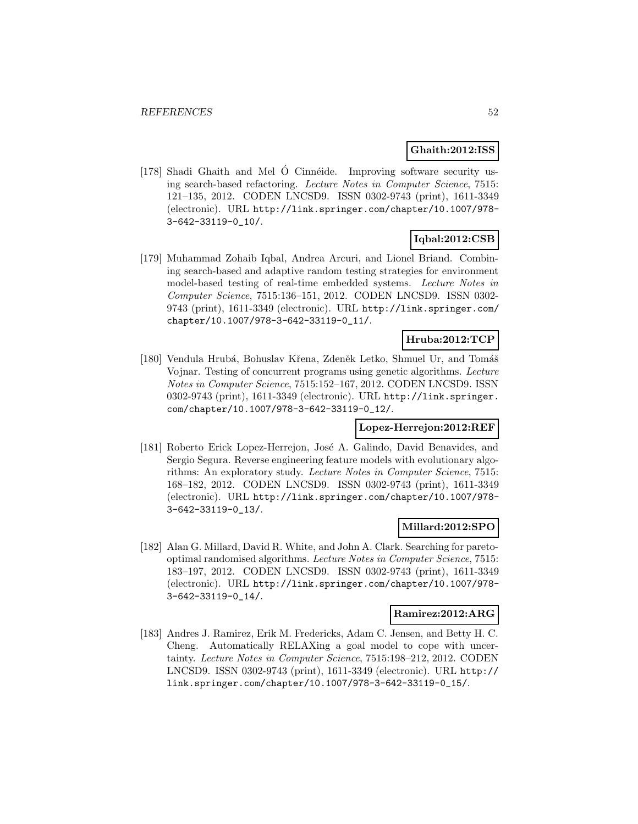### **Ghaith:2012:ISS**

[178] Shadi Ghaith and Mel  $\acute{o}$  Cinnéide. Improving software security using search-based refactoring. Lecture Notes in Computer Science, 7515: 121–135, 2012. CODEN LNCSD9. ISSN 0302-9743 (print), 1611-3349 (electronic). URL http://link.springer.com/chapter/10.1007/978- 3-642-33119-0\_10/.

# **Iqbal:2012:CSB**

[179] Muhammad Zohaib Iqbal, Andrea Arcuri, and Lionel Briand. Combining search-based and adaptive random testing strategies for environment model-based testing of real-time embedded systems. Lecture Notes in Computer Science, 7515:136–151, 2012. CODEN LNCSD9. ISSN 0302- 9743 (print), 1611-3349 (electronic). URL http://link.springer.com/ chapter/10.1007/978-3-642-33119-0\_11/.

### **Hruba:2012:TCP**

[180] Vendula Hrubá, Bohuslav Křena, Zdeněk Letko, Shmuel Ur, and Tomáš Vojnar. Testing of concurrent programs using genetic algorithms. Lecture Notes in Computer Science, 7515:152–167, 2012. CODEN LNCSD9. ISSN 0302-9743 (print), 1611-3349 (electronic). URL http://link.springer. com/chapter/10.1007/978-3-642-33119-0\_12/.

### **Lopez-Herrejon:2012:REF**

[181] Roberto Erick Lopez-Herrejon, José A. Galindo, David Benavides, and Sergio Segura. Reverse engineering feature models with evolutionary algorithms: An exploratory study. Lecture Notes in Computer Science, 7515: 168–182, 2012. CODEN LNCSD9. ISSN 0302-9743 (print), 1611-3349 (electronic). URL http://link.springer.com/chapter/10.1007/978- 3-642-33119-0\_13/.

#### **Millard:2012:SPO**

[182] Alan G. Millard, David R. White, and John A. Clark. Searching for paretooptimal randomised algorithms. Lecture Notes in Computer Science, 7515: 183–197, 2012. CODEN LNCSD9. ISSN 0302-9743 (print), 1611-3349 (electronic). URL http://link.springer.com/chapter/10.1007/978- 3-642-33119-0\_14/.

#### **Ramirez:2012:ARG**

[183] Andres J. Ramirez, Erik M. Fredericks, Adam C. Jensen, and Betty H. C. Cheng. Automatically RELAXing a goal model to cope with uncertainty. Lecture Notes in Computer Science, 7515:198–212, 2012. CODEN LNCSD9. ISSN 0302-9743 (print), 1611-3349 (electronic). URL http:// link.springer.com/chapter/10.1007/978-3-642-33119-0\_15/.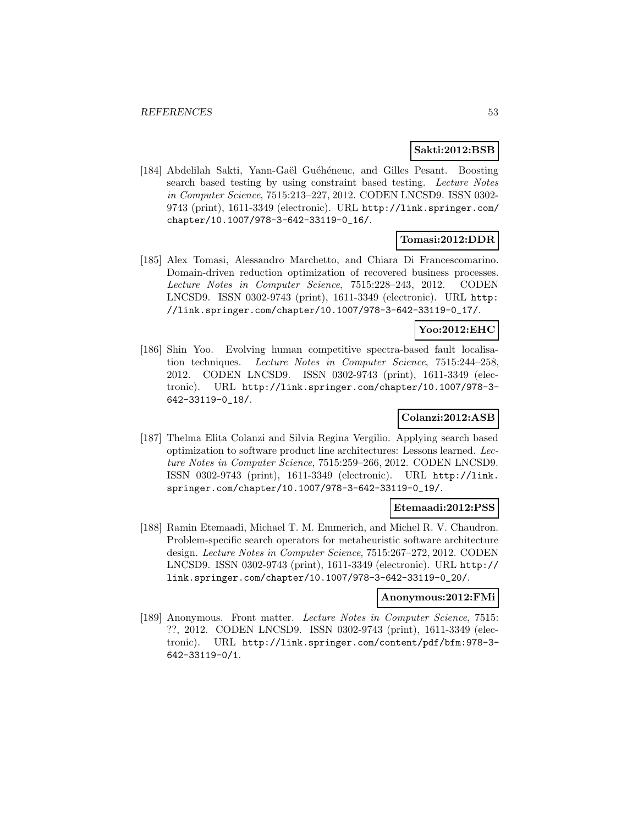#### **Sakti:2012:BSB**

[184] Abdelilah Sakti, Yann-Gaël Guéhéneuc, and Gilles Pesant. Boosting search based testing by using constraint based testing. Lecture Notes in Computer Science, 7515:213–227, 2012. CODEN LNCSD9. ISSN 0302- 9743 (print), 1611-3349 (electronic). URL http://link.springer.com/ chapter/10.1007/978-3-642-33119-0\_16/.

### **Tomasi:2012:DDR**

[185] Alex Tomasi, Alessandro Marchetto, and Chiara Di Francescomarino. Domain-driven reduction optimization of recovered business processes. Lecture Notes in Computer Science, 7515:228–243, 2012. CODEN LNCSD9. ISSN 0302-9743 (print), 1611-3349 (electronic). URL http: //link.springer.com/chapter/10.1007/978-3-642-33119-0\_17/.

#### **Yoo:2012:EHC**

[186] Shin Yoo. Evolving human competitive spectra-based fault localisation techniques. Lecture Notes in Computer Science, 7515:244–258, 2012. CODEN LNCSD9. ISSN 0302-9743 (print), 1611-3349 (electronic). URL http://link.springer.com/chapter/10.1007/978-3- 642-33119-0\_18/.

#### **Colanzi:2012:ASB**

[187] Thelma Elita Colanzi and Silvia Regina Vergilio. Applying search based optimization to software product line architectures: Lessons learned. Lecture Notes in Computer Science, 7515:259–266, 2012. CODEN LNCSD9. ISSN 0302-9743 (print), 1611-3349 (electronic). URL http://link. springer.com/chapter/10.1007/978-3-642-33119-0\_19/.

#### **Etemaadi:2012:PSS**

[188] Ramin Etemaadi, Michael T. M. Emmerich, and Michel R. V. Chaudron. Problem-specific search operators for metaheuristic software architecture design. Lecture Notes in Computer Science, 7515:267–272, 2012. CODEN LNCSD9. ISSN 0302-9743 (print), 1611-3349 (electronic). URL http:// link.springer.com/chapter/10.1007/978-3-642-33119-0\_20/.

#### **Anonymous:2012:FMi**

[189] Anonymous. Front matter. Lecture Notes in Computer Science, 7515: ??, 2012. CODEN LNCSD9. ISSN 0302-9743 (print), 1611-3349 (electronic). URL http://link.springer.com/content/pdf/bfm:978-3- 642-33119-0/1.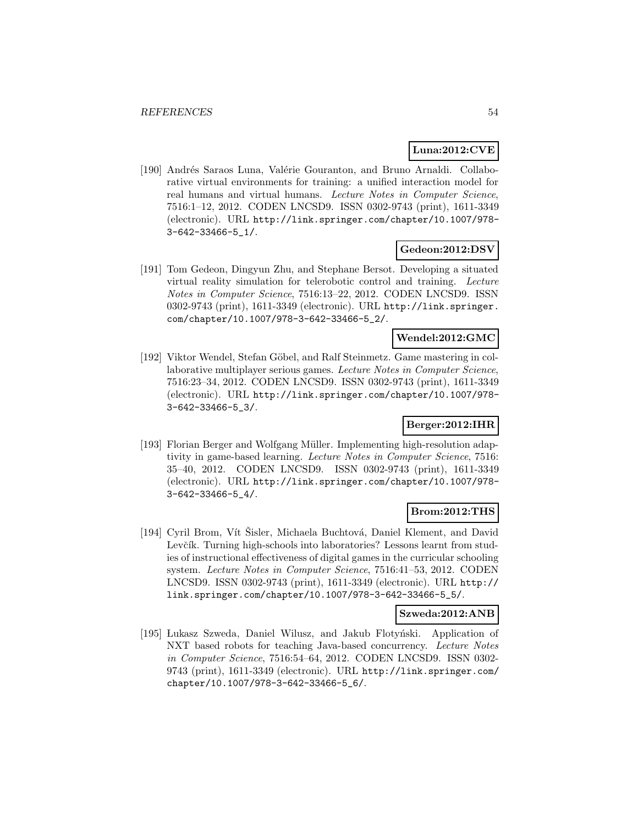### **Luna:2012:CVE**

[190] Andrés Saraos Luna, Valérie Gouranton, and Bruno Arnaldi. Collaborative virtual environments for training: a unified interaction model for real humans and virtual humans. Lecture Notes in Computer Science, 7516:1–12, 2012. CODEN LNCSD9. ISSN 0302-9743 (print), 1611-3349 (electronic). URL http://link.springer.com/chapter/10.1007/978- 3-642-33466-5\_1/.

# **Gedeon:2012:DSV**

[191] Tom Gedeon, Dingyun Zhu, and Stephane Bersot. Developing a situated virtual reality simulation for telerobotic control and training. Lecture Notes in Computer Science, 7516:13–22, 2012. CODEN LNCSD9. ISSN 0302-9743 (print), 1611-3349 (electronic). URL http://link.springer. com/chapter/10.1007/978-3-642-33466-5\_2/.

### **Wendel:2012:GMC**

[192] Viktor Wendel, Stefan Göbel, and Ralf Steinmetz. Game mastering in collaborative multiplayer serious games. Lecture Notes in Computer Science, 7516:23–34, 2012. CODEN LNCSD9. ISSN 0302-9743 (print), 1611-3349 (electronic). URL http://link.springer.com/chapter/10.1007/978- 3-642-33466-5\_3/.

### **Berger:2012:IHR**

[193] Florian Berger and Wolfgang Müller. Implementing high-resolution adaptivity in game-based learning. Lecture Notes in Computer Science, 7516: 35–40, 2012. CODEN LNCSD9. ISSN 0302-9743 (print), 1611-3349 (electronic). URL http://link.springer.com/chapter/10.1007/978- 3-642-33466-5\_4/.

#### **Brom:2012:THS**

[194] Cyril Brom, Vít Šisler, Michaela Buchtová, Daniel Klement, and David Levčík. Turning high-schools into laboratories? Lessons learnt from studies of instructional effectiveness of digital games in the curricular schooling system. Lecture Notes in Computer Science, 7516:41–53, 2012. CODEN LNCSD9. ISSN 0302-9743 (print), 1611-3349 (electronic). URL http:// link.springer.com/chapter/10.1007/978-3-642-33466-5\_5/.

### **Szweda:2012:ANB**

[195] Lukasz Szweda, Daniel Wilusz, and Jakub Flotyński. Application of NXT based robots for teaching Java-based concurrency. Lecture Notes in Computer Science, 7516:54–64, 2012. CODEN LNCSD9. ISSN 0302- 9743 (print), 1611-3349 (electronic). URL http://link.springer.com/ chapter/10.1007/978-3-642-33466-5\_6/.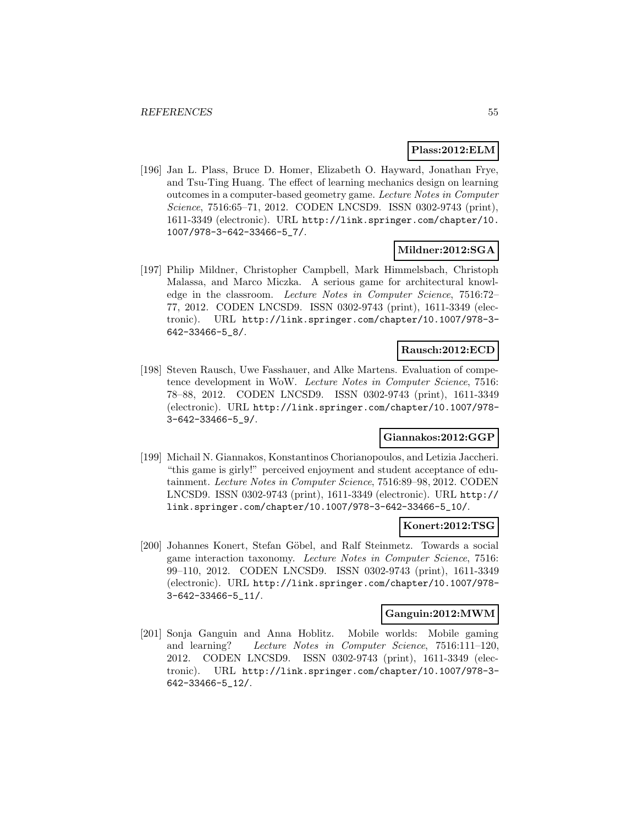#### **Plass:2012:ELM**

[196] Jan L. Plass, Bruce D. Homer, Elizabeth O. Hayward, Jonathan Frye, and Tsu-Ting Huang. The effect of learning mechanics design on learning outcomes in a computer-based geometry game. Lecture Notes in Computer Science, 7516:65–71, 2012. CODEN LNCSD9. ISSN 0302-9743 (print), 1611-3349 (electronic). URL http://link.springer.com/chapter/10. 1007/978-3-642-33466-5\_7/.

### **Mildner:2012:SGA**

[197] Philip Mildner, Christopher Campbell, Mark Himmelsbach, Christoph Malassa, and Marco Miczka. A serious game for architectural knowledge in the classroom. Lecture Notes in Computer Science, 7516:72– 77, 2012. CODEN LNCSD9. ISSN 0302-9743 (print), 1611-3349 (electronic). URL http://link.springer.com/chapter/10.1007/978-3- 642-33466-5\_8/.

### **Rausch:2012:ECD**

[198] Steven Rausch, Uwe Fasshauer, and Alke Martens. Evaluation of competence development in WoW. Lecture Notes in Computer Science, 7516: 78–88, 2012. CODEN LNCSD9. ISSN 0302-9743 (print), 1611-3349 (electronic). URL http://link.springer.com/chapter/10.1007/978- 3-642-33466-5\_9/.

#### **Giannakos:2012:GGP**

[199] Michail N. Giannakos, Konstantinos Chorianopoulos, and Letizia Jaccheri. "this game is girly!" perceived enjoyment and student acceptance of edutainment. Lecture Notes in Computer Science, 7516:89–98, 2012. CODEN LNCSD9. ISSN 0302-9743 (print), 1611-3349 (electronic). URL http:// link.springer.com/chapter/10.1007/978-3-642-33466-5\_10/.

#### **Konert:2012:TSG**

[200] Johannes Konert, Stefan Göbel, and Ralf Steinmetz. Towards a social game interaction taxonomy. Lecture Notes in Computer Science, 7516: 99–110, 2012. CODEN LNCSD9. ISSN 0302-9743 (print), 1611-3349 (electronic). URL http://link.springer.com/chapter/10.1007/978- 3-642-33466-5\_11/.

#### **Ganguin:2012:MWM**

[201] Sonja Ganguin and Anna Hoblitz. Mobile worlds: Mobile gaming and learning? Lecture Notes in Computer Science, 7516:111–120, 2012. CODEN LNCSD9. ISSN 0302-9743 (print), 1611-3349 (electronic). URL http://link.springer.com/chapter/10.1007/978-3- 642-33466-5\_12/.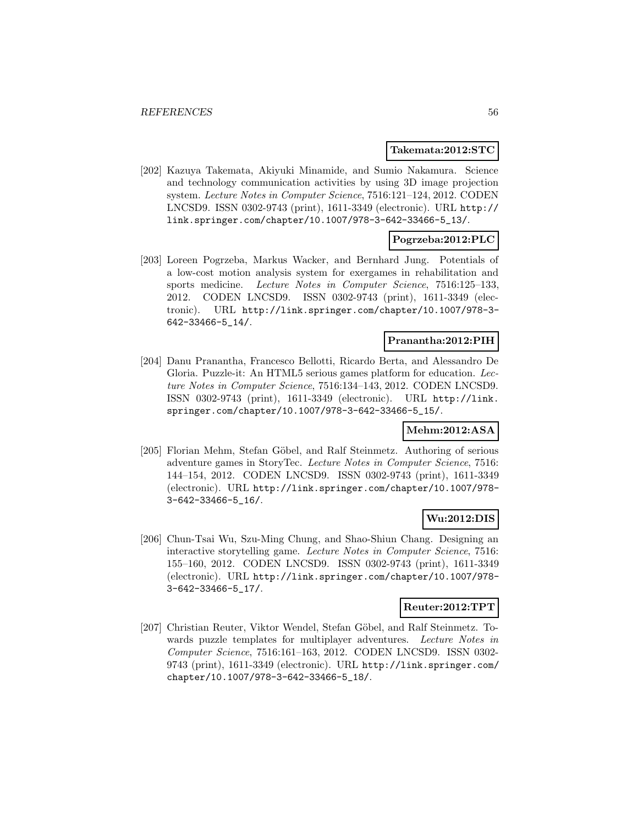#### **Takemata:2012:STC**

[202] Kazuya Takemata, Akiyuki Minamide, and Sumio Nakamura. Science and technology communication activities by using 3D image projection system. Lecture Notes in Computer Science, 7516:121–124, 2012. CODEN LNCSD9. ISSN 0302-9743 (print), 1611-3349 (electronic). URL http:// link.springer.com/chapter/10.1007/978-3-642-33466-5\_13/.

### **Pogrzeba:2012:PLC**

[203] Loreen Pogrzeba, Markus Wacker, and Bernhard Jung. Potentials of a low-cost motion analysis system for exergames in rehabilitation and sports medicine. Lecture Notes in Computer Science, 7516:125–133, 2012. CODEN LNCSD9. ISSN 0302-9743 (print), 1611-3349 (electronic). URL http://link.springer.com/chapter/10.1007/978-3- 642-33466-5\_14/.

### **Pranantha:2012:PIH**

[204] Danu Pranantha, Francesco Bellotti, Ricardo Berta, and Alessandro De Gloria. Puzzle-it: An HTML5 serious games platform for education. Lecture Notes in Computer Science, 7516:134–143, 2012. CODEN LNCSD9. ISSN 0302-9743 (print), 1611-3349 (electronic). URL http://link. springer.com/chapter/10.1007/978-3-642-33466-5\_15/.

#### **Mehm:2012:ASA**

[205] Florian Mehm, Stefan Göbel, and Ralf Steinmetz. Authoring of serious adventure games in StoryTec. Lecture Notes in Computer Science, 7516: 144–154, 2012. CODEN LNCSD9. ISSN 0302-9743 (print), 1611-3349 (electronic). URL http://link.springer.com/chapter/10.1007/978- 3-642-33466-5\_16/.

#### **Wu:2012:DIS**

[206] Chun-Tsai Wu, Szu-Ming Chung, and Shao-Shiun Chang. Designing an interactive storytelling game. Lecture Notes in Computer Science, 7516: 155–160, 2012. CODEN LNCSD9. ISSN 0302-9743 (print), 1611-3349 (electronic). URL http://link.springer.com/chapter/10.1007/978- 3-642-33466-5\_17/.

### **Reuter:2012:TPT**

[207] Christian Reuter, Viktor Wendel, Stefan Göbel, and Ralf Steinmetz. Towards puzzle templates for multiplayer adventures. Lecture Notes in Computer Science, 7516:161–163, 2012. CODEN LNCSD9. ISSN 0302- 9743 (print), 1611-3349 (electronic). URL http://link.springer.com/ chapter/10.1007/978-3-642-33466-5\_18/.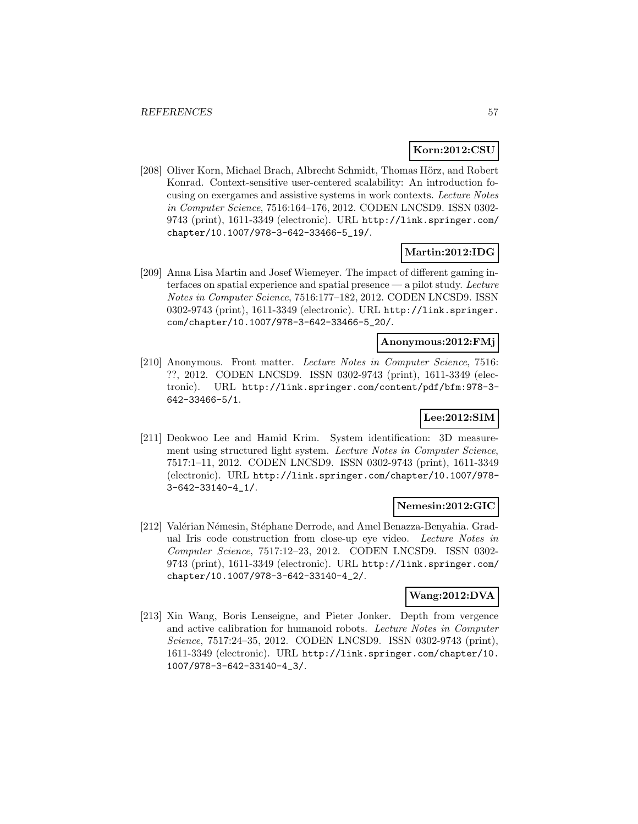#### **Korn:2012:CSU**

[208] Oliver Korn, Michael Brach, Albrecht Schmidt, Thomas Hörz, and Robert Konrad. Context-sensitive user-centered scalability: An introduction focusing on exergames and assistive systems in work contexts. Lecture Notes in Computer Science, 7516:164–176, 2012. CODEN LNCSD9. ISSN 0302- 9743 (print), 1611-3349 (electronic). URL http://link.springer.com/ chapter/10.1007/978-3-642-33466-5\_19/.

### **Martin:2012:IDG**

[209] Anna Lisa Martin and Josef Wiemeyer. The impact of different gaming interfaces on spatial experience and spatial presence — a pilot study. Lecture Notes in Computer Science, 7516:177–182, 2012. CODEN LNCSD9. ISSN 0302-9743 (print), 1611-3349 (electronic). URL http://link.springer. com/chapter/10.1007/978-3-642-33466-5\_20/.

### **Anonymous:2012:FMj**

[210] Anonymous. Front matter. Lecture Notes in Computer Science, 7516: ??, 2012. CODEN LNCSD9. ISSN 0302-9743 (print), 1611-3349 (electronic). URL http://link.springer.com/content/pdf/bfm:978-3- 642-33466-5/1.

# **Lee:2012:SIM**

[211] Deokwoo Lee and Hamid Krim. System identification: 3D measurement using structured light system. Lecture Notes in Computer Science, 7517:1–11, 2012. CODEN LNCSD9. ISSN 0302-9743 (print), 1611-3349 (electronic). URL http://link.springer.com/chapter/10.1007/978- 3-642-33140-4\_1/.

#### **Nemesin:2012:GIC**

[212] Valérian Némesin, Stéphane Derrode, and Amel Benazza-Benyahia. Gradual Iris code construction from close-up eye video. Lecture Notes in Computer Science, 7517:12–23, 2012. CODEN LNCSD9. ISSN 0302- 9743 (print), 1611-3349 (electronic). URL http://link.springer.com/ chapter/10.1007/978-3-642-33140-4\_2/.

### **Wang:2012:DVA**

[213] Xin Wang, Boris Lenseigne, and Pieter Jonker. Depth from vergence and active calibration for humanoid robots. Lecture Notes in Computer Science, 7517:24–35, 2012. CODEN LNCSD9. ISSN 0302-9743 (print), 1611-3349 (electronic). URL http://link.springer.com/chapter/10. 1007/978-3-642-33140-4\_3/.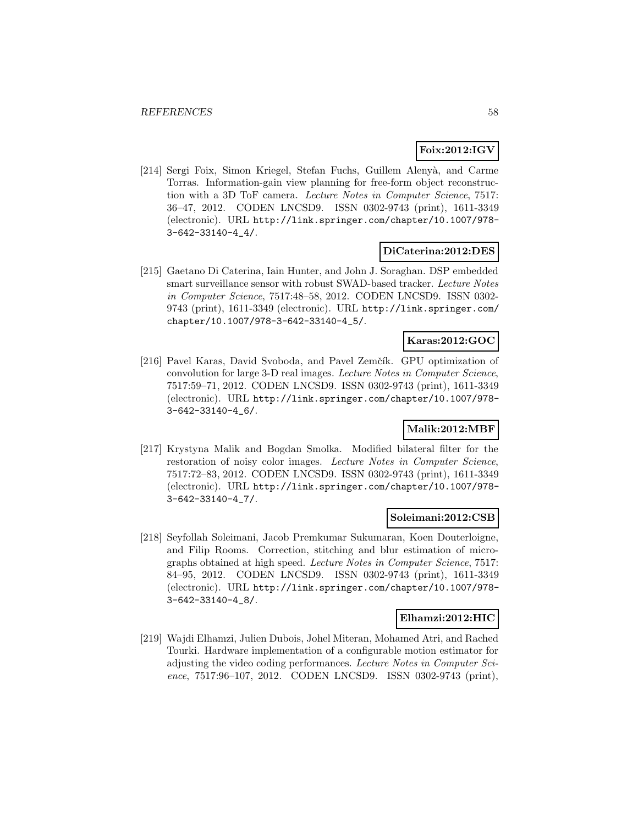### **Foix:2012:IGV**

[214] Sergi Foix, Simon Kriegel, Stefan Fuchs, Guillem Alenyà, and Carme Torras. Information-gain view planning for free-form object reconstruction with a 3D ToF camera. Lecture Notes in Computer Science, 7517: 36–47, 2012. CODEN LNCSD9. ISSN 0302-9743 (print), 1611-3349 (electronic). URL http://link.springer.com/chapter/10.1007/978- 3-642-33140-4\_4/.

### **DiCaterina:2012:DES**

[215] Gaetano Di Caterina, Iain Hunter, and John J. Soraghan. DSP embedded smart surveillance sensor with robust SWAD-based tracker. Lecture Notes in Computer Science, 7517:48–58, 2012. CODEN LNCSD9. ISSN 0302- 9743 (print), 1611-3349 (electronic). URL http://link.springer.com/ chapter/10.1007/978-3-642-33140-4\_5/.

## **Karas:2012:GOC**

[216] Pavel Karas, David Svoboda, and Pavel Zemčík. GPU optimization of convolution for large 3-D real images. Lecture Notes in Computer Science, 7517:59–71, 2012. CODEN LNCSD9. ISSN 0302-9743 (print), 1611-3349 (electronic). URL http://link.springer.com/chapter/10.1007/978- 3-642-33140-4\_6/.

# **Malik:2012:MBF**

[217] Krystyna Malik and Bogdan Smolka. Modified bilateral filter for the restoration of noisy color images. Lecture Notes in Computer Science, 7517:72–83, 2012. CODEN LNCSD9. ISSN 0302-9743 (print), 1611-3349 (electronic). URL http://link.springer.com/chapter/10.1007/978- 3-642-33140-4\_7/.

### **Soleimani:2012:CSB**

[218] Seyfollah Soleimani, Jacob Premkumar Sukumaran, Koen Douterloigne, and Filip Rooms. Correction, stitching and blur estimation of micrographs obtained at high speed. Lecture Notes in Computer Science, 7517: 84–95, 2012. CODEN LNCSD9. ISSN 0302-9743 (print), 1611-3349 (electronic). URL http://link.springer.com/chapter/10.1007/978- 3-642-33140-4\_8/.

### **Elhamzi:2012:HIC**

[219] Wajdi Elhamzi, Julien Dubois, Johel Miteran, Mohamed Atri, and Rached Tourki. Hardware implementation of a configurable motion estimator for adjusting the video coding performances. Lecture Notes in Computer Science, 7517:96-107, 2012. CODEN LNCSD9. ISSN 0302-9743 (print),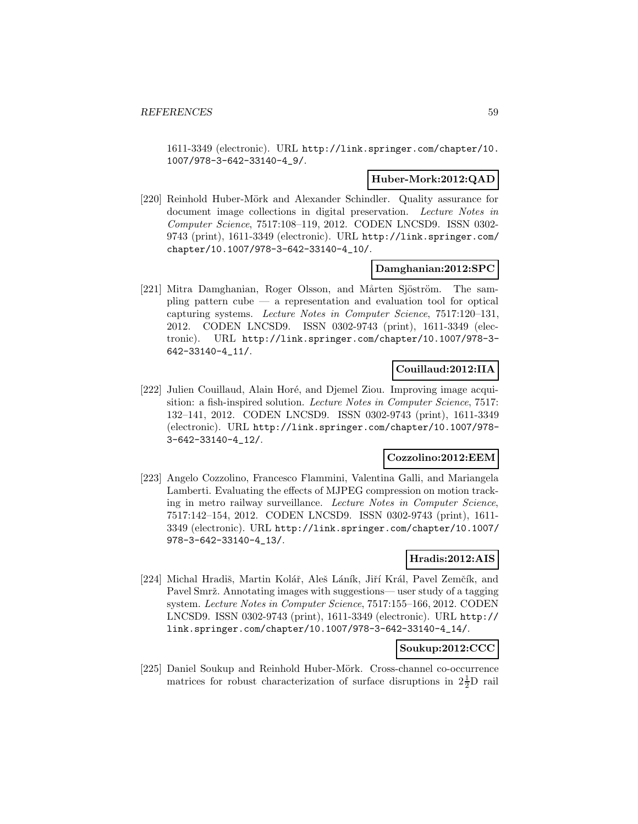1611-3349 (electronic). URL http://link.springer.com/chapter/10. 1007/978-3-642-33140-4\_9/.

#### **Huber-Mork:2012:QAD**

[220] Reinhold Huber-Mörk and Alexander Schindler. Quality assurance for document image collections in digital preservation. Lecture Notes in Computer Science, 7517:108–119, 2012. CODEN LNCSD9. ISSN 0302- 9743 (print), 1611-3349 (electronic). URL http://link.springer.com/ chapter/10.1007/978-3-642-33140-4\_10/.

#### **Damghanian:2012:SPC**

[221] Mitra Damghanian, Roger Olsson, and Mårten Sjöström. The sam- $\nu$  pling pattern cube  $-$  a representation and evaluation tool for optical capturing systems. Lecture Notes in Computer Science, 7517:120–131, 2012. CODEN LNCSD9. ISSN 0302-9743 (print), 1611-3349 (electronic). URL http://link.springer.com/chapter/10.1007/978-3- 642-33140-4\_11/.

### **Couillaud:2012:IIA**

[222] Julien Couillaud, Alain Horé, and Djemel Ziou. Improving image acquisition: a fish-inspired solution. Lecture Notes in Computer Science, 7517: 132–141, 2012. CODEN LNCSD9. ISSN 0302-9743 (print), 1611-3349 (electronic). URL http://link.springer.com/chapter/10.1007/978- 3-642-33140-4\_12/.

#### **Cozzolino:2012:EEM**

[223] Angelo Cozzolino, Francesco Flammini, Valentina Galli, and Mariangela Lamberti. Evaluating the effects of MJPEG compression on motion tracking in metro railway surveillance. Lecture Notes in Computer Science, 7517:142–154, 2012. CODEN LNCSD9. ISSN 0302-9743 (print), 1611- 3349 (electronic). URL http://link.springer.com/chapter/10.1007/ 978-3-642-33140-4\_13/.

#### **Hradis:2012:AIS**

[224] Michal Hradiš, Martin Kolář, Aleš Láník, Jiří Král, Pavel Zemčík, and Pavel Smrž. Annotating images with suggestions— user study of a tagging system. Lecture Notes in Computer Science, 7517:155–166, 2012. CODEN LNCSD9. ISSN 0302-9743 (print), 1611-3349 (electronic). URL http:// link.springer.com/chapter/10.1007/978-3-642-33140-4\_14/.

#### **Soukup:2012:CCC**

[225] Daniel Soukup and Reinhold Huber-Mörk. Cross-channel co-occurrence matrices for robust characterization of surface disruptions in  $2\frac{1}{2}D$  rail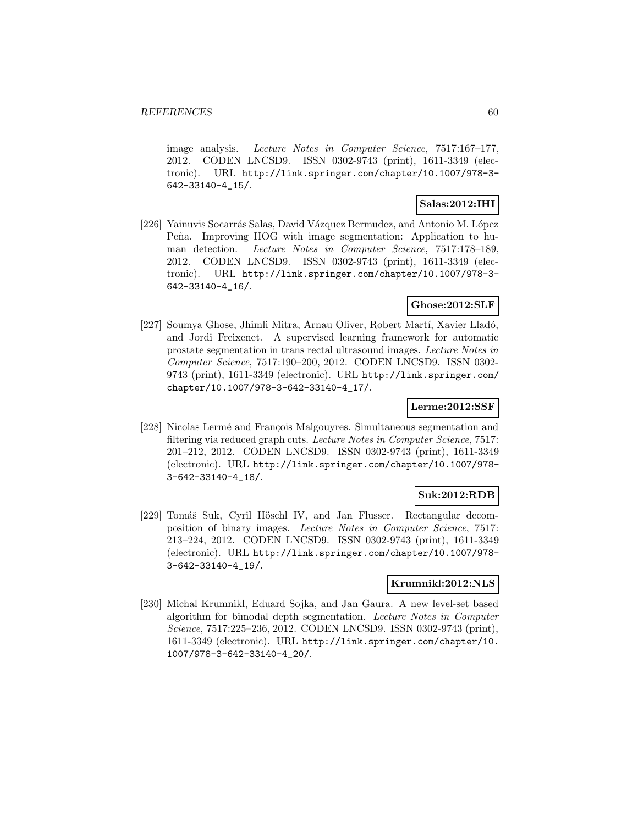image analysis. Lecture Notes in Computer Science, 7517:167–177, 2012. CODEN LNCSD9. ISSN 0302-9743 (print), 1611-3349 (electronic). URL http://link.springer.com/chapter/10.1007/978-3- 642-33140-4\_15/.

# **Salas:2012:IHI**

[226] Yainuvis Socarrás Salas, David Vázquez Bermudez, and Antonio M. López Peña. Improving HOG with image segmentation: Application to human detection. Lecture Notes in Computer Science, 7517:178–189, 2012. CODEN LNCSD9. ISSN 0302-9743 (print), 1611-3349 (electronic). URL http://link.springer.com/chapter/10.1007/978-3- 642-33140-4\_16/.

### **Ghose:2012:SLF**

[227] Soumya Ghose, Jhimli Mitra, Arnau Oliver, Robert Martí, Xavier Lladó, and Jordi Freixenet. A supervised learning framework for automatic prostate segmentation in trans rectal ultrasound images. Lecture Notes in Computer Science, 7517:190–200, 2012. CODEN LNCSD9. ISSN 0302- 9743 (print), 1611-3349 (electronic). URL http://link.springer.com/ chapter/10.1007/978-3-642-33140-4\_17/.

#### **Lerme:2012:SSF**

[228] Nicolas Lermé and François Malgouyres. Simultaneous segmentation and filtering via reduced graph cuts. Lecture Notes in Computer Science, 7517: 201–212, 2012. CODEN LNCSD9. ISSN 0302-9743 (print), 1611-3349 (electronic). URL http://link.springer.com/chapter/10.1007/978- 3-642-33140-4\_18/.

### **Suk:2012:RDB**

[229] Tomáš Suk, Cyril Höschl IV, and Jan Flusser. Rectangular decomposition of binary images. Lecture Notes in Computer Science, 7517: 213–224, 2012. CODEN LNCSD9. ISSN 0302-9743 (print), 1611-3349 (electronic). URL http://link.springer.com/chapter/10.1007/978- 3-642-33140-4\_19/.

### **Krumnikl:2012:NLS**

[230] Michal Krumnikl, Eduard Sojka, and Jan Gaura. A new level-set based algorithm for bimodal depth segmentation. Lecture Notes in Computer Science, 7517:225–236, 2012. CODEN LNCSD9. ISSN 0302-9743 (print), 1611-3349 (electronic). URL http://link.springer.com/chapter/10. 1007/978-3-642-33140-4\_20/.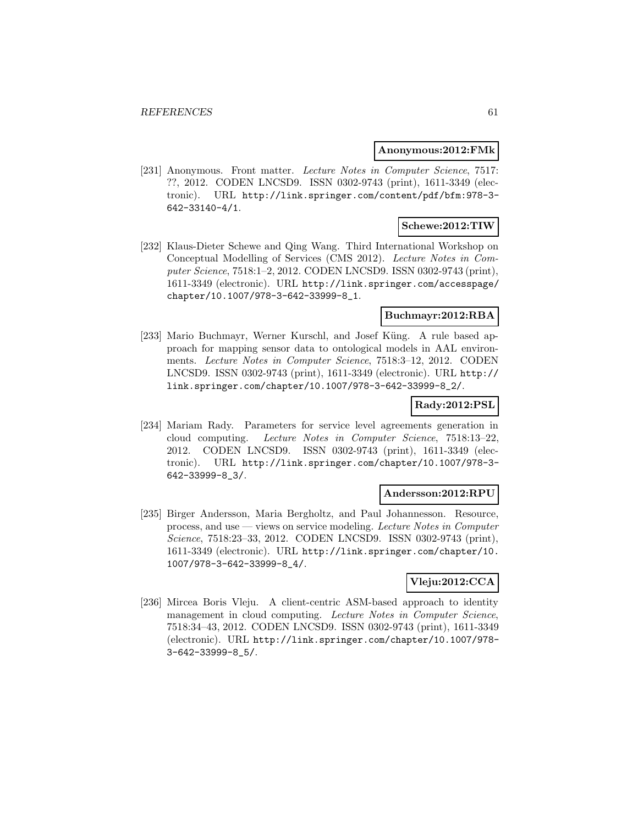#### **Anonymous:2012:FMk**

[231] Anonymous. Front matter. Lecture Notes in Computer Science, 7517: ??, 2012. CODEN LNCSD9. ISSN 0302-9743 (print), 1611-3349 (electronic). URL http://link.springer.com/content/pdf/bfm:978-3- 642-33140-4/1.

# **Schewe:2012:TIW**

[232] Klaus-Dieter Schewe and Qing Wang. Third International Workshop on Conceptual Modelling of Services (CMS 2012). Lecture Notes in Computer Science, 7518:1–2, 2012. CODEN LNCSD9. ISSN 0302-9743 (print), 1611-3349 (electronic). URL http://link.springer.com/accesspage/ chapter/10.1007/978-3-642-33999-8\_1.

### **Buchmayr:2012:RBA**

[233] Mario Buchmayr, Werner Kurschl, and Josef Küng. A rule based approach for mapping sensor data to ontological models in AAL environments. Lecture Notes in Computer Science, 7518:3–12, 2012. CODEN LNCSD9. ISSN 0302-9743 (print), 1611-3349 (electronic). URL http:// link.springer.com/chapter/10.1007/978-3-642-33999-8\_2/.

### **Rady:2012:PSL**

[234] Mariam Rady. Parameters for service level agreements generation in cloud computing. Lecture Notes in Computer Science, 7518:13–22, 2012. CODEN LNCSD9. ISSN 0302-9743 (print), 1611-3349 (electronic). URL http://link.springer.com/chapter/10.1007/978-3- 642-33999-8\_3/.

#### **Andersson:2012:RPU**

[235] Birger Andersson, Maria Bergholtz, and Paul Johannesson. Resource, process, and use — views on service modeling. Lecture Notes in Computer Science, 7518:23–33, 2012. CODEN LNCSD9. ISSN 0302-9743 (print), 1611-3349 (electronic). URL http://link.springer.com/chapter/10. 1007/978-3-642-33999-8\_4/.

### **Vleju:2012:CCA**

[236] Mircea Boris Vleju. A client-centric ASM-based approach to identity management in cloud computing. Lecture Notes in Computer Science, 7518:34–43, 2012. CODEN LNCSD9. ISSN 0302-9743 (print), 1611-3349 (electronic). URL http://link.springer.com/chapter/10.1007/978- 3-642-33999-8\_5/.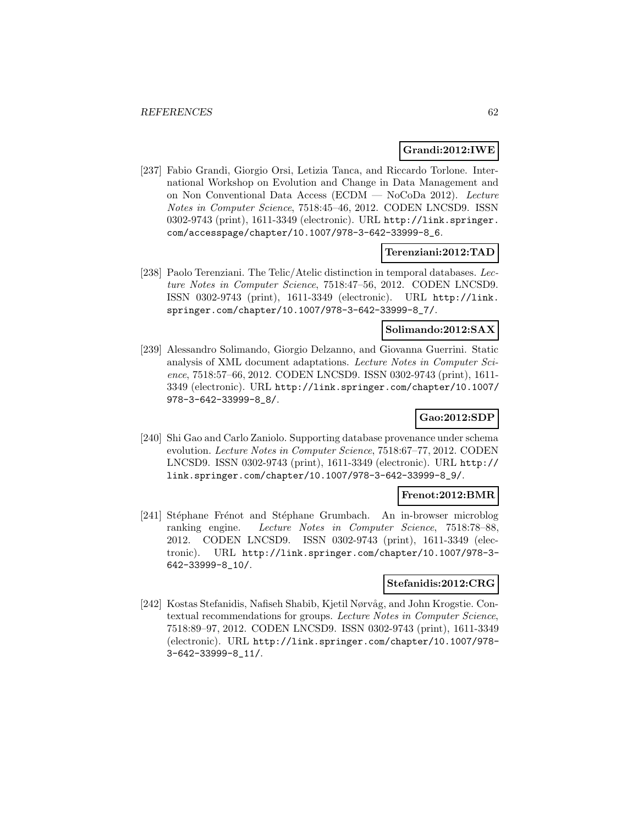### **Grandi:2012:IWE**

[237] Fabio Grandi, Giorgio Orsi, Letizia Tanca, and Riccardo Torlone. International Workshop on Evolution and Change in Data Management and on Non Conventional Data Access (ECDM — NoCoDa 2012). Lecture Notes in Computer Science, 7518:45–46, 2012. CODEN LNCSD9. ISSN 0302-9743 (print), 1611-3349 (electronic). URL http://link.springer. com/accesspage/chapter/10.1007/978-3-642-33999-8\_6.

### **Terenziani:2012:TAD**

[238] Paolo Terenziani. The Telic/Atelic distinction in temporal databases. Lecture Notes in Computer Science, 7518:47–56, 2012. CODEN LNCSD9. ISSN 0302-9743 (print), 1611-3349 (electronic). URL http://link. springer.com/chapter/10.1007/978-3-642-33999-8\_7/.

### **Solimando:2012:SAX**

[239] Alessandro Solimando, Giorgio Delzanno, and Giovanna Guerrini. Static analysis of XML document adaptations. Lecture Notes in Computer Science, 7518:57–66, 2012. CODEN LNCSD9. ISSN 0302-9743 (print), 1611- 3349 (electronic). URL http://link.springer.com/chapter/10.1007/ 978-3-642-33999-8\_8/.

# **Gao:2012:SDP**

[240] Shi Gao and Carlo Zaniolo. Supporting database provenance under schema evolution. Lecture Notes in Computer Science, 7518:67–77, 2012. CODEN LNCSD9. ISSN 0302-9743 (print), 1611-3349 (electronic). URL http:// link.springer.com/chapter/10.1007/978-3-642-33999-8\_9/.

#### **Frenot:2012:BMR**

[241] Stéphane Frénot and Stéphane Grumbach. An in-browser microblog ranking engine. Lecture Notes in Computer Science, 7518:78–88, 2012. CODEN LNCSD9. ISSN 0302-9743 (print), 1611-3349 (electronic). URL http://link.springer.com/chapter/10.1007/978-3- 642-33999-8\_10/.

### **Stefanidis:2012:CRG**

[242] Kostas Stefanidis, Nafiseh Shabib, Kjetil Nørvåg, and John Krogstie. Contextual recommendations for groups. Lecture Notes in Computer Science, 7518:89–97, 2012. CODEN LNCSD9. ISSN 0302-9743 (print), 1611-3349 (electronic). URL http://link.springer.com/chapter/10.1007/978- 3-642-33999-8\_11/.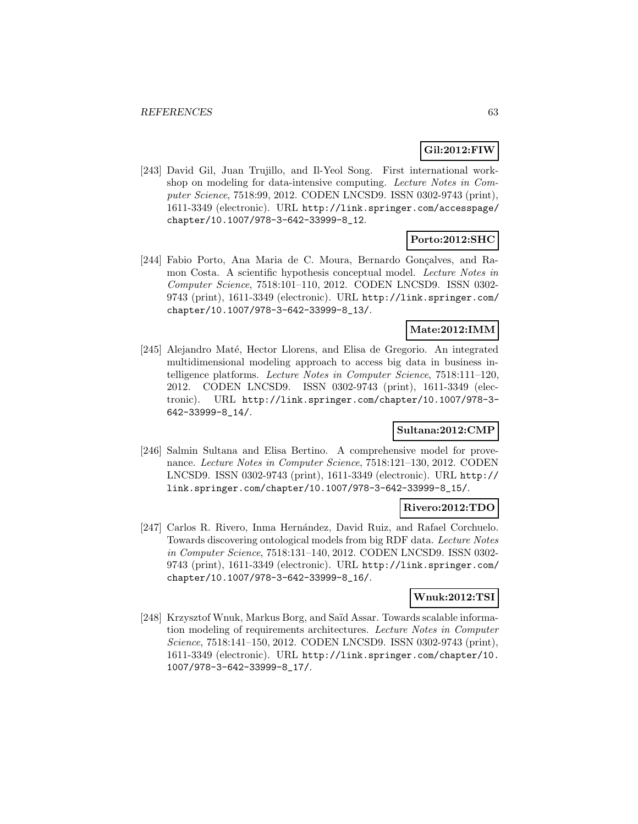## **Gil:2012:FIW**

[243] David Gil, Juan Trujillo, and Il-Yeol Song. First international workshop on modeling for data-intensive computing. Lecture Notes in Computer Science, 7518:99, 2012. CODEN LNCSD9. ISSN 0302-9743 (print), 1611-3349 (electronic). URL http://link.springer.com/accesspage/ chapter/10.1007/978-3-642-33999-8\_12.

# **Porto:2012:SHC**

[244] Fabio Porto, Ana Maria de C. Moura, Bernardo Gonçalves, and Ramon Costa. A scientific hypothesis conceptual model. Lecture Notes in Computer Science, 7518:101–110, 2012. CODEN LNCSD9. ISSN 0302- 9743 (print), 1611-3349 (electronic). URL http://link.springer.com/ chapter/10.1007/978-3-642-33999-8\_13/.

### **Mate:2012:IMM**

[245] Alejandro Maté, Hector Llorens, and Elisa de Gregorio. An integrated multidimensional modeling approach to access big data in business intelligence platforms. Lecture Notes in Computer Science, 7518:111–120, 2012. CODEN LNCSD9. ISSN 0302-9743 (print), 1611-3349 (electronic). URL http://link.springer.com/chapter/10.1007/978-3- 642-33999-8\_14/.

### **Sultana:2012:CMP**

[246] Salmin Sultana and Elisa Bertino. A comprehensive model for provenance. Lecture Notes in Computer Science, 7518:121–130, 2012. CODEN LNCSD9. ISSN 0302-9743 (print), 1611-3349 (electronic). URL http:// link.springer.com/chapter/10.1007/978-3-642-33999-8\_15/.

#### **Rivero:2012:TDO**

[247] Carlos R. Rivero, Inma Hernández, David Ruiz, and Rafael Corchuelo. Towards discovering ontological models from big RDF data. Lecture Notes in Computer Science, 7518:131–140, 2012. CODEN LNCSD9. ISSN 0302- 9743 (print), 1611-3349 (electronic). URL http://link.springer.com/ chapter/10.1007/978-3-642-33999-8\_16/.

#### **Wnuk:2012:TSI**

[248] Krzysztof Wnuk, Markus Borg, and Saïd Assar. Towards scalable information modeling of requirements architectures. Lecture Notes in Computer Science, 7518:141–150, 2012. CODEN LNCSD9. ISSN 0302-9743 (print), 1611-3349 (electronic). URL http://link.springer.com/chapter/10. 1007/978-3-642-33999-8\_17/.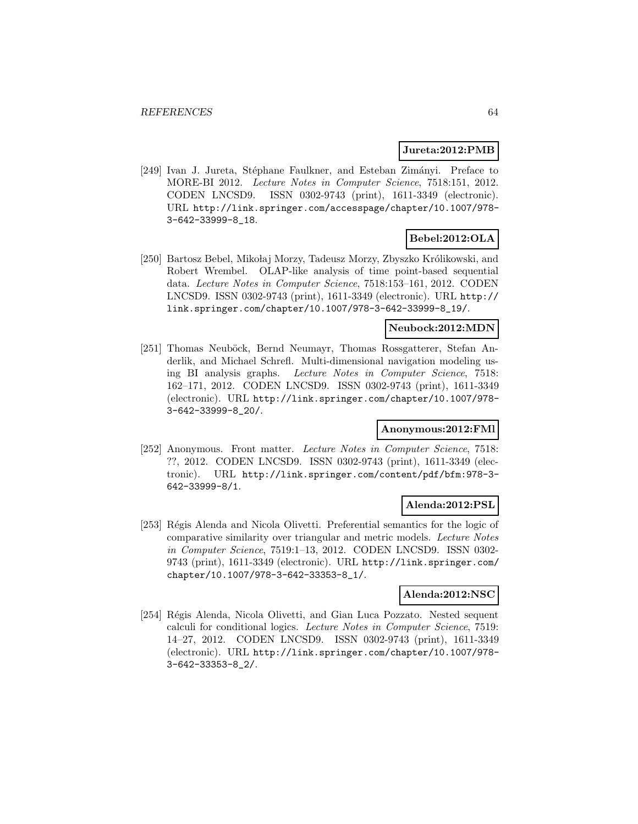#### **Jureta:2012:PMB**

[249] Ivan J. Jureta, Stéphane Faulkner, and Esteban Zimányi. Preface to MORE-BI 2012. Lecture Notes in Computer Science, 7518:151, 2012. CODEN LNCSD9. ISSN 0302-9743 (print), 1611-3349 (electronic). URL http://link.springer.com/accesspage/chapter/10.1007/978- 3-642-33999-8\_18.

# **Bebel:2012:OLA**

[250] Bartosz Bebel, Mikołaj Morzy, Tadeusz Morzy, Zbyszko Królikowski, and Robert Wrembel. OLAP-like analysis of time point-based sequential data. Lecture Notes in Computer Science, 7518:153–161, 2012. CODEN LNCSD9. ISSN 0302-9743 (print), 1611-3349 (electronic). URL http:// link.springer.com/chapter/10.1007/978-3-642-33999-8\_19/.

### **Neubock:2012:MDN**

[251] Thomas Neuböck, Bernd Neumayr, Thomas Rossgatterer, Stefan Anderlik, and Michael Schrefl. Multi-dimensional navigation modeling using BI analysis graphs. Lecture Notes in Computer Science, 7518: 162–171, 2012. CODEN LNCSD9. ISSN 0302-9743 (print), 1611-3349 (electronic). URL http://link.springer.com/chapter/10.1007/978- 3-642-33999-8\_20/.

### **Anonymous:2012:FMl**

[252] Anonymous. Front matter. Lecture Notes in Computer Science, 7518: ??, 2012. CODEN LNCSD9. ISSN 0302-9743 (print), 1611-3349 (electronic). URL http://link.springer.com/content/pdf/bfm:978-3- 642-33999-8/1.

### **Alenda:2012:PSL**

[253] Régis Alenda and Nicola Olivetti. Preferential semantics for the logic of comparative similarity over triangular and metric models. Lecture Notes in Computer Science, 7519:1–13, 2012. CODEN LNCSD9. ISSN 0302- 9743 (print), 1611-3349 (electronic). URL http://link.springer.com/ chapter/10.1007/978-3-642-33353-8\_1/.

### **Alenda:2012:NSC**

[254] Régis Alenda, Nicola Olivetti, and Gian Luca Pozzato. Nested sequent calculi for conditional logics. Lecture Notes in Computer Science, 7519: 14–27, 2012. CODEN LNCSD9. ISSN 0302-9743 (print), 1611-3349 (electronic). URL http://link.springer.com/chapter/10.1007/978- 3-642-33353-8\_2/.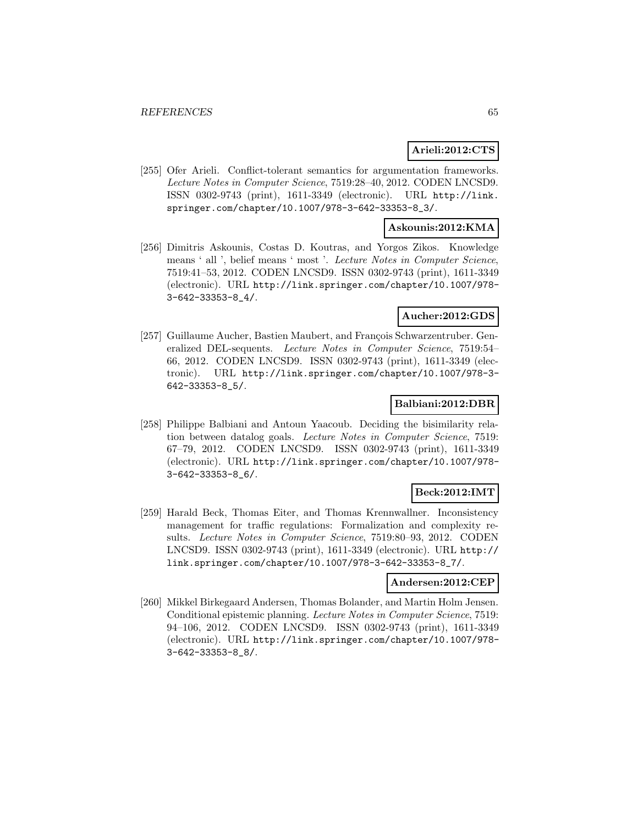#### **Arieli:2012:CTS**

[255] Ofer Arieli. Conflict-tolerant semantics for argumentation frameworks. Lecture Notes in Computer Science, 7519:28–40, 2012. CODEN LNCSD9. ISSN 0302-9743 (print), 1611-3349 (electronic). URL http://link. springer.com/chapter/10.1007/978-3-642-33353-8\_3/.

### **Askounis:2012:KMA**

[256] Dimitris Askounis, Costas D. Koutras, and Yorgos Zikos. Knowledge means ' all ', belief means ' most '. Lecture Notes in Computer Science, 7519:41–53, 2012. CODEN LNCSD9. ISSN 0302-9743 (print), 1611-3349 (electronic). URL http://link.springer.com/chapter/10.1007/978- 3-642-33353-8\_4/.

### **Aucher:2012:GDS**

[257] Guillaume Aucher, Bastien Maubert, and François Schwarzentruber. Generalized DEL-sequents. Lecture Notes in Computer Science, 7519:54– 66, 2012. CODEN LNCSD9. ISSN 0302-9743 (print), 1611-3349 (electronic). URL http://link.springer.com/chapter/10.1007/978-3- 642-33353-8\_5/.

#### **Balbiani:2012:DBR**

[258] Philippe Balbiani and Antoun Yaacoub. Deciding the bisimilarity relation between datalog goals. Lecture Notes in Computer Science, 7519: 67–79, 2012. CODEN LNCSD9. ISSN 0302-9743 (print), 1611-3349 (electronic). URL http://link.springer.com/chapter/10.1007/978- 3-642-33353-8\_6/.

### **Beck:2012:IMT**

[259] Harald Beck, Thomas Eiter, and Thomas Krennwallner. Inconsistency management for traffic regulations: Formalization and complexity results. Lecture Notes in Computer Science, 7519:80–93, 2012. CODEN LNCSD9. ISSN 0302-9743 (print), 1611-3349 (electronic). URL http:// link.springer.com/chapter/10.1007/978-3-642-33353-8\_7/.

### **Andersen:2012:CEP**

[260] Mikkel Birkegaard Andersen, Thomas Bolander, and Martin Holm Jensen. Conditional epistemic planning. Lecture Notes in Computer Science, 7519: 94–106, 2012. CODEN LNCSD9. ISSN 0302-9743 (print), 1611-3349 (electronic). URL http://link.springer.com/chapter/10.1007/978- 3-642-33353-8\_8/.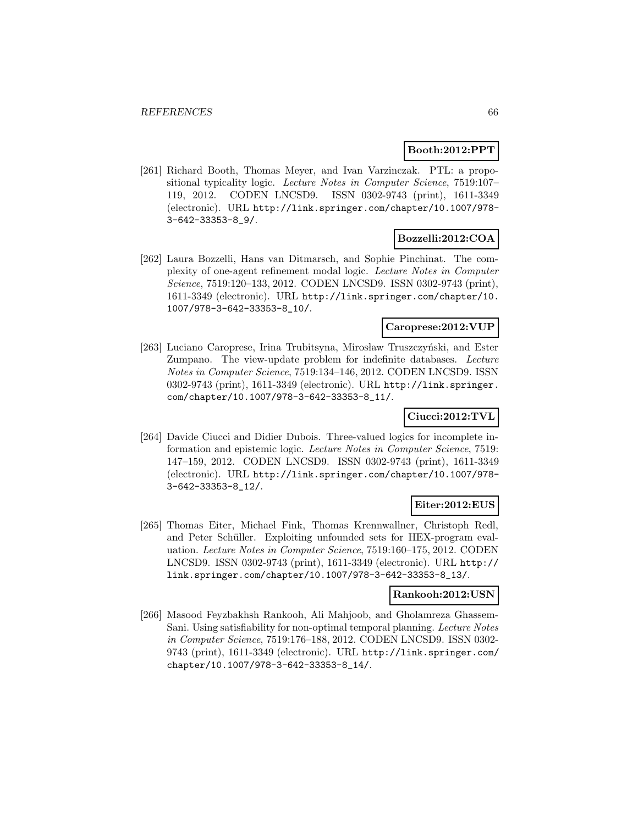### **Booth:2012:PPT**

[261] Richard Booth, Thomas Meyer, and Ivan Varzinczak. PTL: a propositional typicality logic. Lecture Notes in Computer Science, 7519:107– 119, 2012. CODEN LNCSD9. ISSN 0302-9743 (print), 1611-3349 (electronic). URL http://link.springer.com/chapter/10.1007/978- 3-642-33353-8\_9/.

### **Bozzelli:2012:COA**

[262] Laura Bozzelli, Hans van Ditmarsch, and Sophie Pinchinat. The complexity of one-agent refinement modal logic. Lecture Notes in Computer Science, 7519:120–133, 2012. CODEN LNCSD9. ISSN 0302-9743 (print), 1611-3349 (electronic). URL http://link.springer.com/chapter/10. 1007/978-3-642-33353-8\_10/.

### **Caroprese:2012:VUP**

[263] Luciano Caroprese, Irina Trubitsyna, Mirosław Truszczyński, and Ester Zumpano. The view-update problem for indefinite databases. Lecture Notes in Computer Science, 7519:134–146, 2012. CODEN LNCSD9. ISSN 0302-9743 (print), 1611-3349 (electronic). URL http://link.springer. com/chapter/10.1007/978-3-642-33353-8\_11/.

### **Ciucci:2012:TVL**

[264] Davide Ciucci and Didier Dubois. Three-valued logics for incomplete information and epistemic logic. Lecture Notes in Computer Science, 7519: 147–159, 2012. CODEN LNCSD9. ISSN 0302-9743 (print), 1611-3349 (electronic). URL http://link.springer.com/chapter/10.1007/978- 3-642-33353-8\_12/.

#### **Eiter:2012:EUS**

[265] Thomas Eiter, Michael Fink, Thomas Krennwallner, Christoph Redl, and Peter Schüller. Exploiting unfounded sets for HEX-program evaluation. Lecture Notes in Computer Science, 7519:160–175, 2012. CODEN LNCSD9. ISSN 0302-9743 (print), 1611-3349 (electronic). URL http:// link.springer.com/chapter/10.1007/978-3-642-33353-8\_13/.

#### **Rankooh:2012:USN**

[266] Masood Feyzbakhsh Rankooh, Ali Mahjoob, and Gholamreza Ghassem-Sani. Using satisfiability for non-optimal temporal planning. Lecture Notes in Computer Science, 7519:176–188, 2012. CODEN LNCSD9. ISSN 0302- 9743 (print), 1611-3349 (electronic). URL http://link.springer.com/ chapter/10.1007/978-3-642-33353-8\_14/.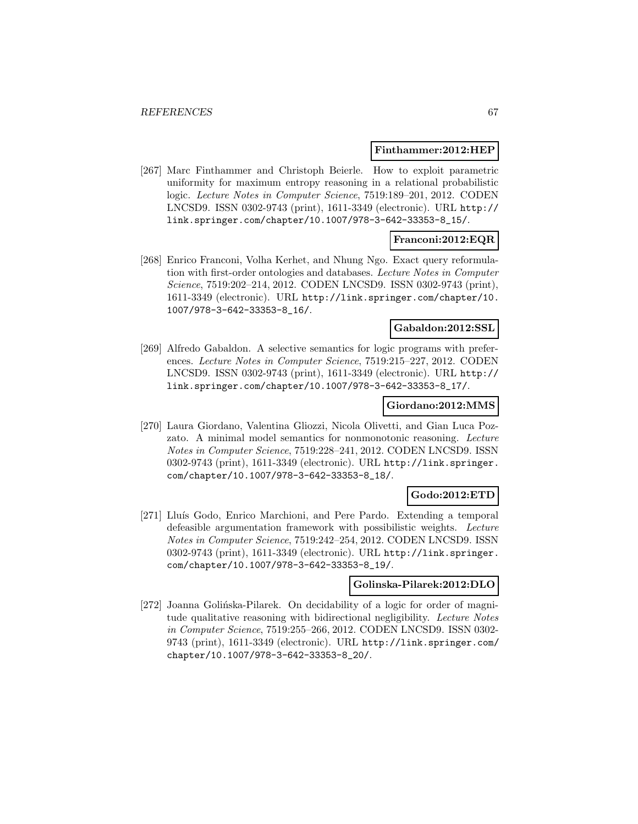#### **Finthammer:2012:HEP**

[267] Marc Finthammer and Christoph Beierle. How to exploit parametric uniformity for maximum entropy reasoning in a relational probabilistic logic. Lecture Notes in Computer Science, 7519:189–201, 2012. CODEN LNCSD9. ISSN 0302-9743 (print), 1611-3349 (electronic). URL http:// link.springer.com/chapter/10.1007/978-3-642-33353-8\_15/.

### **Franconi:2012:EQR**

[268] Enrico Franconi, Volha Kerhet, and Nhung Ngo. Exact query reformulation with first-order ontologies and databases. Lecture Notes in Computer Science, 7519:202–214, 2012. CODEN LNCSD9. ISSN 0302-9743 (print), 1611-3349 (electronic). URL http://link.springer.com/chapter/10. 1007/978-3-642-33353-8\_16/.

#### **Gabaldon:2012:SSL**

[269] Alfredo Gabaldon. A selective semantics for logic programs with preferences. Lecture Notes in Computer Science, 7519:215–227, 2012. CODEN LNCSD9. ISSN 0302-9743 (print), 1611-3349 (electronic). URL http:// link.springer.com/chapter/10.1007/978-3-642-33353-8\_17/.

#### **Giordano:2012:MMS**

[270] Laura Giordano, Valentina Gliozzi, Nicola Olivetti, and Gian Luca Pozzato. A minimal model semantics for nonmonotonic reasoning. Lecture Notes in Computer Science, 7519:228–241, 2012. CODEN LNCSD9. ISSN 0302-9743 (print), 1611-3349 (electronic). URL http://link.springer. com/chapter/10.1007/978-3-642-33353-8\_18/.

### **Godo:2012:ETD**

[271] Lluís Godo, Enrico Marchioni, and Pere Pardo. Extending a temporal defeasible argumentation framework with possibilistic weights. Lecture Notes in Computer Science, 7519:242–254, 2012. CODEN LNCSD9. ISSN 0302-9743 (print), 1611-3349 (electronic). URL http://link.springer. com/chapter/10.1007/978-3-642-33353-8\_19/.

#### **Golinska-Pilarek:2012:DLO**

[272] Joanna Golińska-Pilarek. On decidability of a logic for order of magnitude qualitative reasoning with bidirectional negligibility. Lecture Notes in Computer Science, 7519:255–266, 2012. CODEN LNCSD9. ISSN 0302- 9743 (print), 1611-3349 (electronic). URL http://link.springer.com/ chapter/10.1007/978-3-642-33353-8\_20/.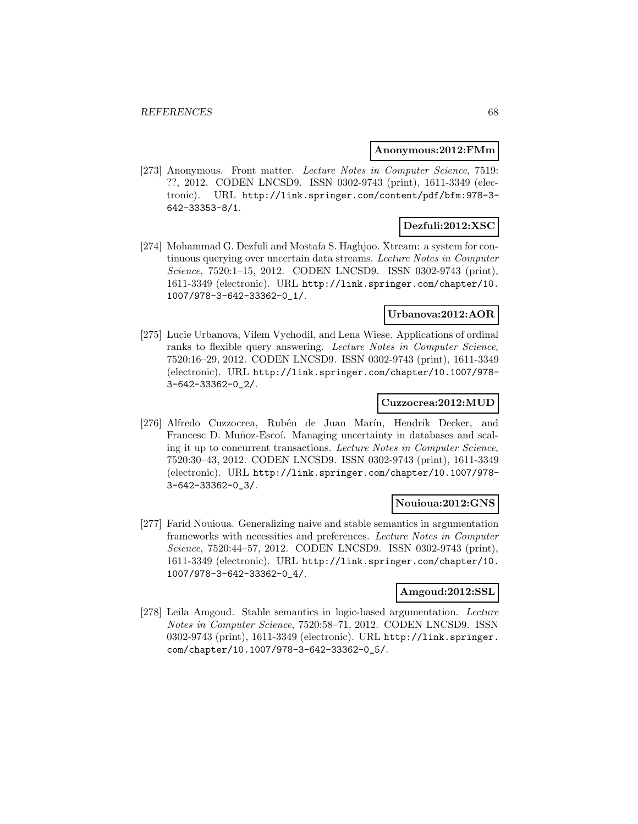#### **Anonymous:2012:FMm**

[273] Anonymous. Front matter. Lecture Notes in Computer Science, 7519: ??, 2012. CODEN LNCSD9. ISSN 0302-9743 (print), 1611-3349 (electronic). URL http://link.springer.com/content/pdf/bfm:978-3- 642-33353-8/1.

# **Dezfuli:2012:XSC**

[274] Mohammad G. Dezfuli and Mostafa S. Haghjoo. Xtream: a system for continuous querying over uncertain data streams. Lecture Notes in Computer Science, 7520:1–15, 2012. CODEN LNCSD9. ISSN 0302-9743 (print), 1611-3349 (electronic). URL http://link.springer.com/chapter/10. 1007/978-3-642-33362-0\_1/.

### **Urbanova:2012:AOR**

[275] Lucie Urbanova, Vilem Vychodil, and Lena Wiese. Applications of ordinal ranks to flexible query answering. Lecture Notes in Computer Science, 7520:16–29, 2012. CODEN LNCSD9. ISSN 0302-9743 (print), 1611-3349 (electronic). URL http://link.springer.com/chapter/10.1007/978- 3-642-33362-0\_2/.

#### **Cuzzocrea:2012:MUD**

[276] Alfredo Cuzzocrea, Rubén de Juan Marín, Hendrik Decker, and Francesc D. Muñoz-Escoí. Managing uncertainty in databases and scaling it up to concurrent transactions. Lecture Notes in Computer Science, 7520:30–43, 2012. CODEN LNCSD9. ISSN 0302-9743 (print), 1611-3349 (electronic). URL http://link.springer.com/chapter/10.1007/978- 3-642-33362-0\_3/.

### **Nouioua:2012:GNS**

[277] Farid Nouioua. Generalizing naive and stable semantics in argumentation frameworks with necessities and preferences. Lecture Notes in Computer Science, 7520:44-57, 2012. CODEN LNCSD9. ISSN 0302-9743 (print), 1611-3349 (electronic). URL http://link.springer.com/chapter/10. 1007/978-3-642-33362-0\_4/.

#### **Amgoud:2012:SSL**

[278] Leila Amgoud. Stable semantics in logic-based argumentation. Lecture Notes in Computer Science, 7520:58–71, 2012. CODEN LNCSD9. ISSN 0302-9743 (print), 1611-3349 (electronic). URL http://link.springer. com/chapter/10.1007/978-3-642-33362-0\_5/.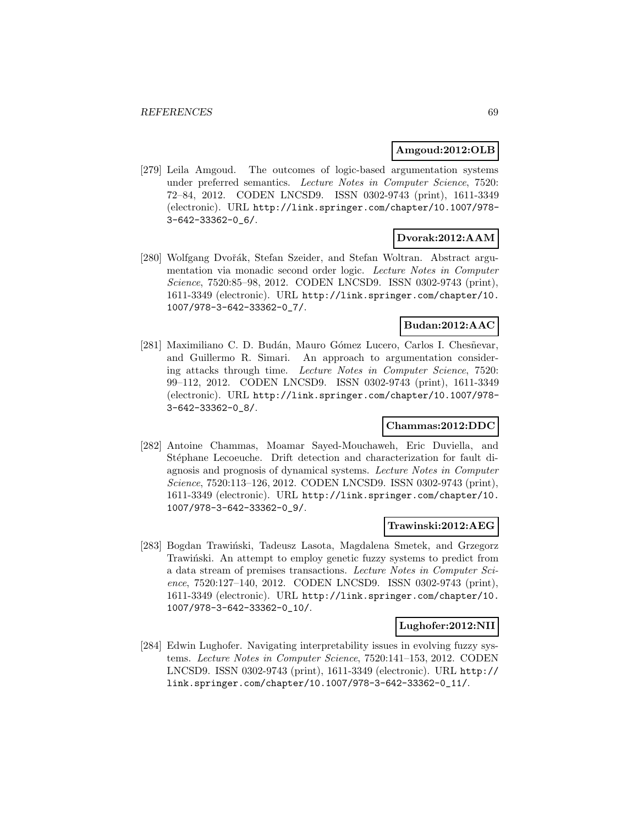#### **Amgoud:2012:OLB**

[279] Leila Amgoud. The outcomes of logic-based argumentation systems under preferred semantics. Lecture Notes in Computer Science, 7520: 72–84, 2012. CODEN LNCSD9. ISSN 0302-9743 (print), 1611-3349 (electronic). URL http://link.springer.com/chapter/10.1007/978- 3-642-33362-0\_6/.

### **Dvorak:2012:AAM**

[280] Wolfgang Dvořák, Stefan Szeider, and Stefan Woltran. Abstract argumentation via monadic second order logic. Lecture Notes in Computer Science, 7520:85–98, 2012. CODEN LNCSD9. ISSN 0302-9743 (print), 1611-3349 (electronic). URL http://link.springer.com/chapter/10. 1007/978-3-642-33362-0\_7/.

### **Budan:2012:AAC**

[281] Maximiliano C. D. Budán, Mauro Gómez Lucero, Carlos I. Chesñevar, and Guillermo R. Simari. An approach to argumentation considering attacks through time. Lecture Notes in Computer Science, 7520: 99–112, 2012. CODEN LNCSD9. ISSN 0302-9743 (print), 1611-3349 (electronic). URL http://link.springer.com/chapter/10.1007/978- 3-642-33362-0\_8/.

#### **Chammas:2012:DDC**

[282] Antoine Chammas, Moamar Sayed-Mouchaweh, Eric Duviella, and Stéphane Lecoeuche. Drift detection and characterization for fault diagnosis and prognosis of dynamical systems. Lecture Notes in Computer Science, 7520:113–126, 2012. CODEN LNCSD9. ISSN 0302-9743 (print), 1611-3349 (electronic). URL http://link.springer.com/chapter/10. 1007/978-3-642-33362-0\_9/.

#### **Trawinski:2012:AEG**

[283] Bogdan Trawiński, Tadeusz Lasota, Magdalena Smetek, and Grzegorz Trawiński. An attempt to employ genetic fuzzy systems to predict from a data stream of premises transactions. Lecture Notes in Computer Science, 7520:127–140, 2012. CODEN LNCSD9. ISSN 0302-9743 (print), 1611-3349 (electronic). URL http://link.springer.com/chapter/10. 1007/978-3-642-33362-0\_10/.

#### **Lughofer:2012:NII**

[284] Edwin Lughofer. Navigating interpretability issues in evolving fuzzy systems. Lecture Notes in Computer Science, 7520:141–153, 2012. CODEN LNCSD9. ISSN 0302-9743 (print), 1611-3349 (electronic). URL http:// link.springer.com/chapter/10.1007/978-3-642-33362-0\_11/.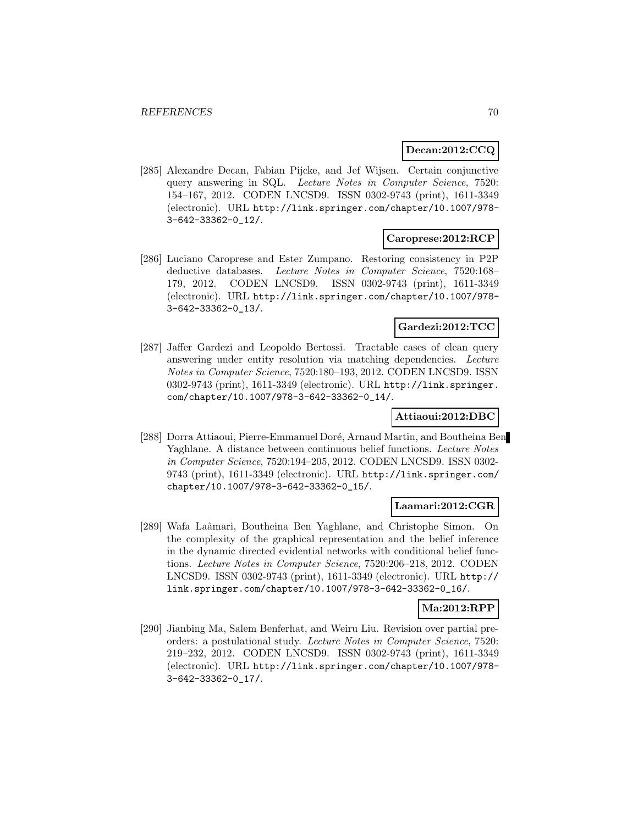#### **Decan:2012:CCQ**

[285] Alexandre Decan, Fabian Pijcke, and Jef Wijsen. Certain conjunctive query answering in SQL. Lecture Notes in Computer Science, 7520: 154–167, 2012. CODEN LNCSD9. ISSN 0302-9743 (print), 1611-3349 (electronic). URL http://link.springer.com/chapter/10.1007/978- 3-642-33362-0\_12/.

### **Caroprese:2012:RCP**

[286] Luciano Caroprese and Ester Zumpano. Restoring consistency in P2P deductive databases. Lecture Notes in Computer Science, 7520:168– 179, 2012. CODEN LNCSD9. ISSN 0302-9743 (print), 1611-3349 (electronic). URL http://link.springer.com/chapter/10.1007/978- 3-642-33362-0\_13/.

### **Gardezi:2012:TCC**

[287] Jaffer Gardezi and Leopoldo Bertossi. Tractable cases of clean query answering under entity resolution via matching dependencies. Lecture Notes in Computer Science, 7520:180–193, 2012. CODEN LNCSD9. ISSN 0302-9743 (print), 1611-3349 (electronic). URL http://link.springer. com/chapter/10.1007/978-3-642-33362-0\_14/.

### **Attiaoui:2012:DBC**

[288] Dorra Attiaoui, Pierre-Emmanuel Doré, Arnaud Martin, and Boutheina Ben Yaghlane. A distance between continuous belief functions. Lecture Notes in Computer Science, 7520:194–205, 2012. CODEN LNCSD9. ISSN 0302- 9743 (print), 1611-3349 (electronic). URL http://link.springer.com/ chapter/10.1007/978-3-642-33362-0\_15/.

#### **Laamari:2012:CGR**

[289] Wafa Laâmari, Boutheina Ben Yaghlane, and Christophe Simon. On the complexity of the graphical representation and the belief inference in the dynamic directed evidential networks with conditional belief functions. Lecture Notes in Computer Science, 7520:206–218, 2012. CODEN LNCSD9. ISSN 0302-9743 (print), 1611-3349 (electronic). URL http:// link.springer.com/chapter/10.1007/978-3-642-33362-0\_16/.

#### **Ma:2012:RPP**

[290] Jianbing Ma, Salem Benferhat, and Weiru Liu. Revision over partial preorders: a postulational study. Lecture Notes in Computer Science, 7520: 219–232, 2012. CODEN LNCSD9. ISSN 0302-9743 (print), 1611-3349 (electronic). URL http://link.springer.com/chapter/10.1007/978- 3-642-33362-0\_17/.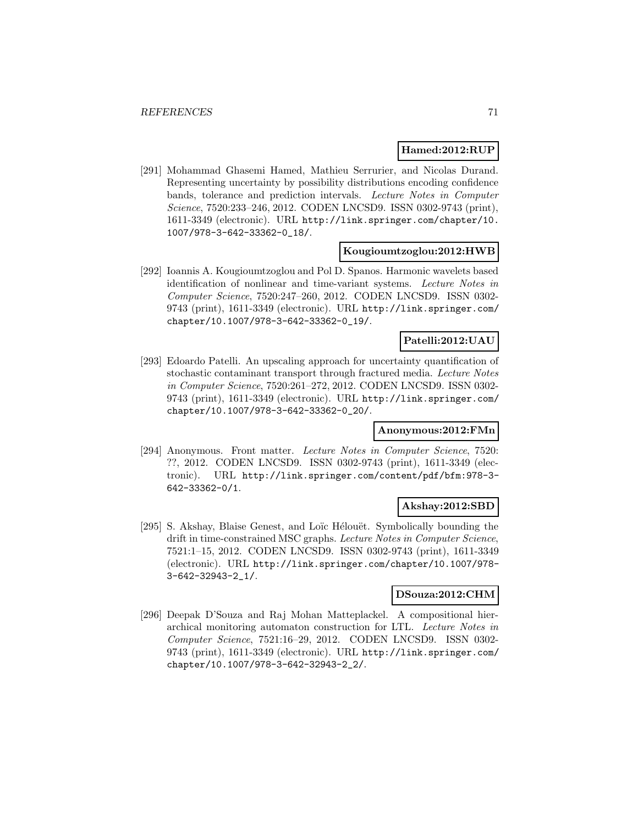#### **Hamed:2012:RUP**

[291] Mohammad Ghasemi Hamed, Mathieu Serrurier, and Nicolas Durand. Representing uncertainty by possibility distributions encoding confidence bands, tolerance and prediction intervals. Lecture Notes in Computer Science, 7520:233–246, 2012. CODEN LNCSD9. ISSN 0302-9743 (print), 1611-3349 (electronic). URL http://link.springer.com/chapter/10. 1007/978-3-642-33362-0\_18/.

#### **Kougioumtzoglou:2012:HWB**

[292] Ioannis A. Kougioumtzoglou and Pol D. Spanos. Harmonic wavelets based identification of nonlinear and time-variant systems. Lecture Notes in Computer Science, 7520:247–260, 2012. CODEN LNCSD9. ISSN 0302- 9743 (print), 1611-3349 (electronic). URL http://link.springer.com/ chapter/10.1007/978-3-642-33362-0\_19/.

### **Patelli:2012:UAU**

[293] Edoardo Patelli. An upscaling approach for uncertainty quantification of stochastic contaminant transport through fractured media. Lecture Notes in Computer Science, 7520:261–272, 2012. CODEN LNCSD9. ISSN 0302- 9743 (print), 1611-3349 (electronic). URL http://link.springer.com/ chapter/10.1007/978-3-642-33362-0\_20/.

#### **Anonymous:2012:FMn**

[294] Anonymous. Front matter. Lecture Notes in Computer Science, 7520: ??, 2012. CODEN LNCSD9. ISSN 0302-9743 (print), 1611-3349 (electronic). URL http://link.springer.com/content/pdf/bfm:978-3- 642-33362-0/1.

### **Akshay:2012:SBD**

[295] S. Akshay, Blaise Genest, and Loïc Hélouët. Symbolically bounding the drift in time-constrained MSC graphs. Lecture Notes in Computer Science, 7521:1–15, 2012. CODEN LNCSD9. ISSN 0302-9743 (print), 1611-3349 (electronic). URL http://link.springer.com/chapter/10.1007/978- 3-642-32943-2\_1/.

#### **DSouza:2012:CHM**

[296] Deepak D'Souza and Raj Mohan Matteplackel. A compositional hierarchical monitoring automaton construction for LTL. Lecture Notes in Computer Science, 7521:16–29, 2012. CODEN LNCSD9. ISSN 0302- 9743 (print), 1611-3349 (electronic). URL http://link.springer.com/ chapter/10.1007/978-3-642-32943-2\_2/.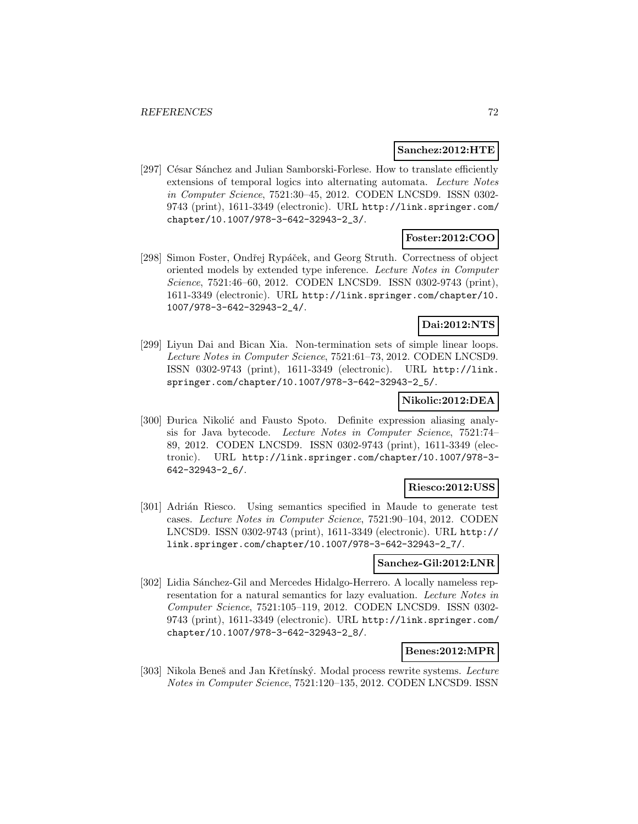#### **Sanchez:2012:HTE**

[297] César Sánchez and Julian Samborski-Forlese. How to translate efficiently extensions of temporal logics into alternating automata. Lecture Notes in Computer Science, 7521:30–45, 2012. CODEN LNCSD9. ISSN 0302- 9743 (print), 1611-3349 (electronic). URL http://link.springer.com/ chapter/10.1007/978-3-642-32943-2\_3/.

### **Foster:2012:COO**

[298] Simon Foster, Ondřej Rypáček, and Georg Struth. Correctness of object oriented models by extended type inference. Lecture Notes in Computer Science, 7521:46–60, 2012. CODEN LNCSD9. ISSN 0302-9743 (print), 1611-3349 (electronic). URL http://link.springer.com/chapter/10. 1007/978-3-642-32943-2\_4/.

# **Dai:2012:NTS**

[299] Liyun Dai and Bican Xia. Non-termination sets of simple linear loops. Lecture Notes in Computer Science, 7521:61–73, 2012. CODEN LNCSD9. ISSN 0302-9743 (print), 1611-3349 (electronic). URL http://link. springer.com/chapter/10.1007/978-3-642-32943-2\_5/.

### **Nikolic:2012:DEA**

[300] Đurica Nikolić and Fausto Spoto. Definite expression aliasing analysis for Java bytecode. Lecture Notes in Computer Science, 7521:74– 89, 2012. CODEN LNCSD9. ISSN 0302-9743 (print), 1611-3349 (electronic). URL http://link.springer.com/chapter/10.1007/978-3- 642-32943-2\_6/.

#### **Riesco:2012:USS**

[301] Adrián Riesco. Using semantics specified in Maude to generate test cases. Lecture Notes in Computer Science, 7521:90–104, 2012. CODEN LNCSD9. ISSN 0302-9743 (print), 1611-3349 (electronic). URL http:// link.springer.com/chapter/10.1007/978-3-642-32943-2\_7/.

#### **Sanchez-Gil:2012:LNR**

[302] Lidia Sánchez-Gil and Mercedes Hidalgo-Herrero. A locally nameless representation for a natural semantics for lazy evaluation. Lecture Notes in Computer Science, 7521:105–119, 2012. CODEN LNCSD9. ISSN 0302- 9743 (print), 1611-3349 (electronic). URL http://link.springer.com/ chapter/10.1007/978-3-642-32943-2\_8/.

#### **Benes:2012:MPR**

[303] Nikola Beneš and Jan Křetínský. Modal process rewrite systems. Lecture Notes in Computer Science, 7521:120–135, 2012. CODEN LNCSD9. ISSN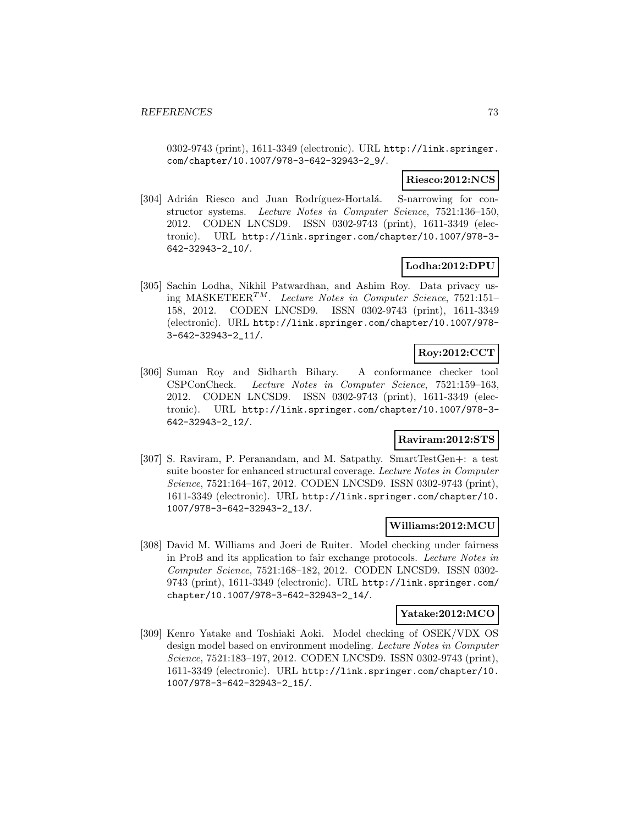0302-9743 (print), 1611-3349 (electronic). URL http://link.springer. com/chapter/10.1007/978-3-642-32943-2\_9/.

#### **Riesco:2012:NCS**

[304] Adrián Riesco and Juan Rodríguez-Hortalá. S-narrowing for constructor systems. Lecture Notes in Computer Science, 7521:136–150, 2012. CODEN LNCSD9. ISSN 0302-9743 (print), 1611-3349 (electronic). URL http://link.springer.com/chapter/10.1007/978-3- 642-32943-2\_10/.

### **Lodha:2012:DPU**

[305] Sachin Lodha, Nikhil Patwardhan, and Ashim Roy. Data privacy using MASKETEER<sup>TM</sup>. Lecture Notes in Computer Science, 7521:151-158, 2012. CODEN LNCSD9. ISSN 0302-9743 (print), 1611-3349 (electronic). URL http://link.springer.com/chapter/10.1007/978- 3-642-32943-2\_11/.

# **Roy:2012:CCT**

[306] Suman Roy and Sidharth Bihary. A conformance checker tool CSPConCheck. Lecture Notes in Computer Science, 7521:159–163, 2012. CODEN LNCSD9. ISSN 0302-9743 (print), 1611-3349 (electronic). URL http://link.springer.com/chapter/10.1007/978-3- 642-32943-2\_12/.

#### **Raviram:2012:STS**

[307] S. Raviram, P. Peranandam, and M. Satpathy. SmartTestGen+: a test suite booster for enhanced structural coverage. Lecture Notes in Computer Science, 7521:164–167, 2012. CODEN LNCSD9. ISSN 0302-9743 (print), 1611-3349 (electronic). URL http://link.springer.com/chapter/10. 1007/978-3-642-32943-2\_13/.

### **Williams:2012:MCU**

[308] David M. Williams and Joeri de Ruiter. Model checking under fairness in ProB and its application to fair exchange protocols. Lecture Notes in Computer Science, 7521:168–182, 2012. CODEN LNCSD9. ISSN 0302- 9743 (print), 1611-3349 (electronic). URL http://link.springer.com/ chapter/10.1007/978-3-642-32943-2\_14/.

#### **Yatake:2012:MCO**

[309] Kenro Yatake and Toshiaki Aoki. Model checking of OSEK/VDX OS design model based on environment modeling. Lecture Notes in Computer Science, 7521:183–197, 2012. CODEN LNCSD9. ISSN 0302-9743 (print), 1611-3349 (electronic). URL http://link.springer.com/chapter/10. 1007/978-3-642-32943-2\_15/.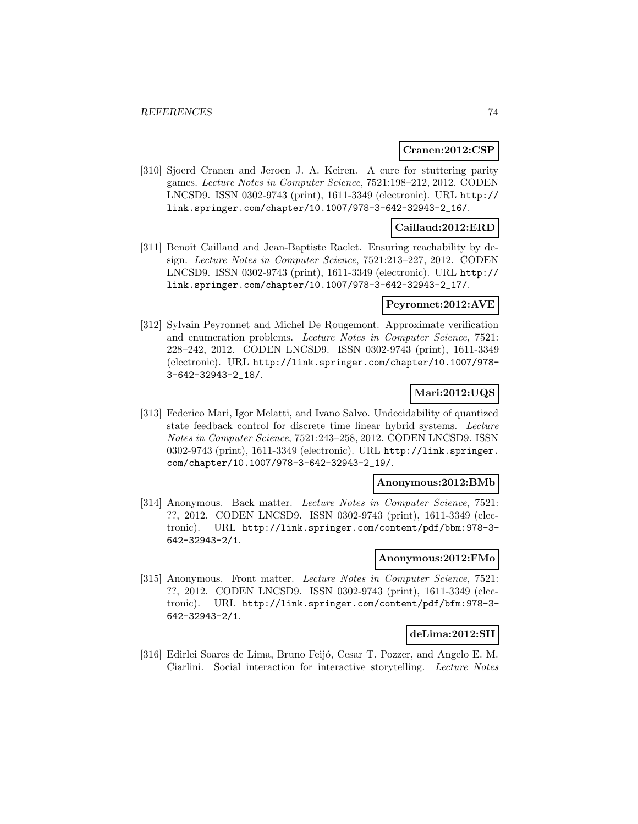#### **Cranen:2012:CSP**

[310] Sjoerd Cranen and Jeroen J. A. Keiren. A cure for stuttering parity games. Lecture Notes in Computer Science, 7521:198–212, 2012. CODEN LNCSD9. ISSN 0302-9743 (print), 1611-3349 (electronic). URL http:// link.springer.com/chapter/10.1007/978-3-642-32943-2\_16/.

### **Caillaud:2012:ERD**

[311] Benoît Caillaud and Jean-Baptiste Raclet. Ensuring reachability by design. Lecture Notes in Computer Science, 7521:213–227, 2012. CODEN LNCSD9. ISSN 0302-9743 (print), 1611-3349 (electronic). URL http:// link.springer.com/chapter/10.1007/978-3-642-32943-2\_17/.

#### **Peyronnet:2012:AVE**

[312] Sylvain Peyronnet and Michel De Rougemont. Approximate verification and enumeration problems. Lecture Notes in Computer Science, 7521: 228–242, 2012. CODEN LNCSD9. ISSN 0302-9743 (print), 1611-3349 (electronic). URL http://link.springer.com/chapter/10.1007/978- 3-642-32943-2\_18/.

## **Mari:2012:UQS**

[313] Federico Mari, Igor Melatti, and Ivano Salvo. Undecidability of quantized state feedback control for discrete time linear hybrid systems. Lecture Notes in Computer Science, 7521:243–258, 2012. CODEN LNCSD9. ISSN 0302-9743 (print), 1611-3349 (electronic). URL http://link.springer. com/chapter/10.1007/978-3-642-32943-2\_19/.

#### **Anonymous:2012:BMb**

[314] Anonymous. Back matter. Lecture Notes in Computer Science, 7521: ??, 2012. CODEN LNCSD9. ISSN 0302-9743 (print), 1611-3349 (electronic). URL http://link.springer.com/content/pdf/bbm:978-3- 642-32943-2/1.

#### **Anonymous:2012:FMo**

[315] Anonymous. Front matter. Lecture Notes in Computer Science, 7521: ??, 2012. CODEN LNCSD9. ISSN 0302-9743 (print), 1611-3349 (electronic). URL http://link.springer.com/content/pdf/bfm:978-3- 642-32943-2/1.

### **deLima:2012:SII**

[316] Edirlei Soares de Lima, Bruno Feijó, Cesar T. Pozzer, and Angelo E. M. Ciarlini. Social interaction for interactive storytelling. Lecture Notes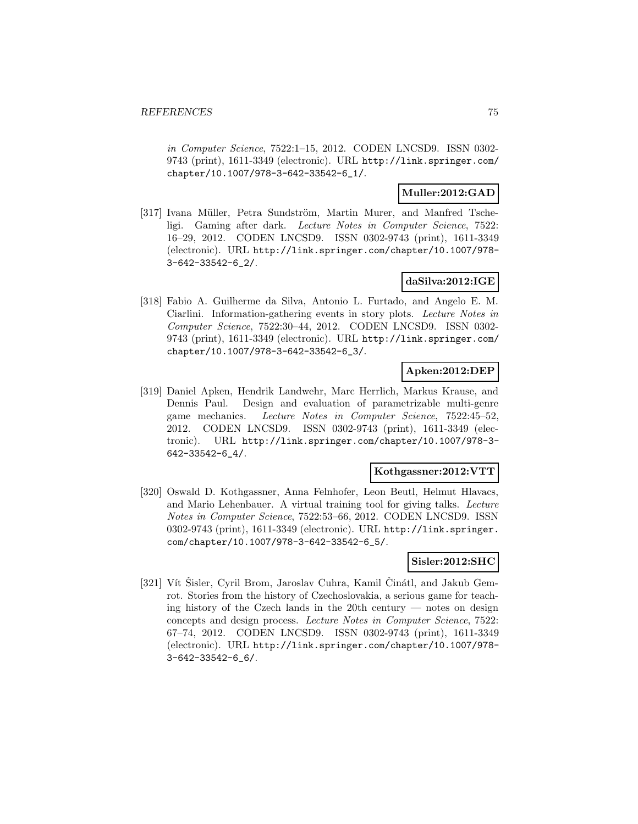in Computer Science, 7522:1–15, 2012. CODEN LNCSD9. ISSN 0302- 9743 (print), 1611-3349 (electronic). URL http://link.springer.com/ chapter/10.1007/978-3-642-33542-6\_1/.

### **Muller:2012:GAD**

[317] Ivana Müller, Petra Sundström, Martin Murer, and Manfred Tscheligi. Gaming after dark. Lecture Notes in Computer Science, 7522: 16–29, 2012. CODEN LNCSD9. ISSN 0302-9743 (print), 1611-3349 (electronic). URL http://link.springer.com/chapter/10.1007/978- 3-642-33542-6\_2/.

# **daSilva:2012:IGE**

[318] Fabio A. Guilherme da Silva, Antonio L. Furtado, and Angelo E. M. Ciarlini. Information-gathering events in story plots. Lecture Notes in Computer Science, 7522:30–44, 2012. CODEN LNCSD9. ISSN 0302- 9743 (print), 1611-3349 (electronic). URL http://link.springer.com/ chapter/10.1007/978-3-642-33542-6\_3/.

# **Apken:2012:DEP**

[319] Daniel Apken, Hendrik Landwehr, Marc Herrlich, Markus Krause, and Dennis Paul. Design and evaluation of parametrizable multi-genre game mechanics. Lecture Notes in Computer Science, 7522:45–52, 2012. CODEN LNCSD9. ISSN 0302-9743 (print), 1611-3349 (electronic). URL http://link.springer.com/chapter/10.1007/978-3- 642-33542-6\_4/.

#### **Kothgassner:2012:VTT**

[320] Oswald D. Kothgassner, Anna Felnhofer, Leon Beutl, Helmut Hlavacs, and Mario Lehenbauer. A virtual training tool for giving talks. Lecture Notes in Computer Science, 7522:53–66, 2012. CODEN LNCSD9. ISSN 0302-9743 (print), 1611-3349 (electronic). URL http://link.springer. com/chapter/10.1007/978-3-642-33542-6\_5/.

## **Sisler:2012:SHC**

[321] Vít Šisler, Cyril Brom, Jaroslav Cuhra, Kamil Činátl, and Jakub Gemrot. Stories from the history of Czechoslovakia, a serious game for teaching history of the Czech lands in the 20th century — notes on design concepts and design process. Lecture Notes in Computer Science, 7522: 67–74, 2012. CODEN LNCSD9. ISSN 0302-9743 (print), 1611-3349 (electronic). URL http://link.springer.com/chapter/10.1007/978- 3-642-33542-6\_6/.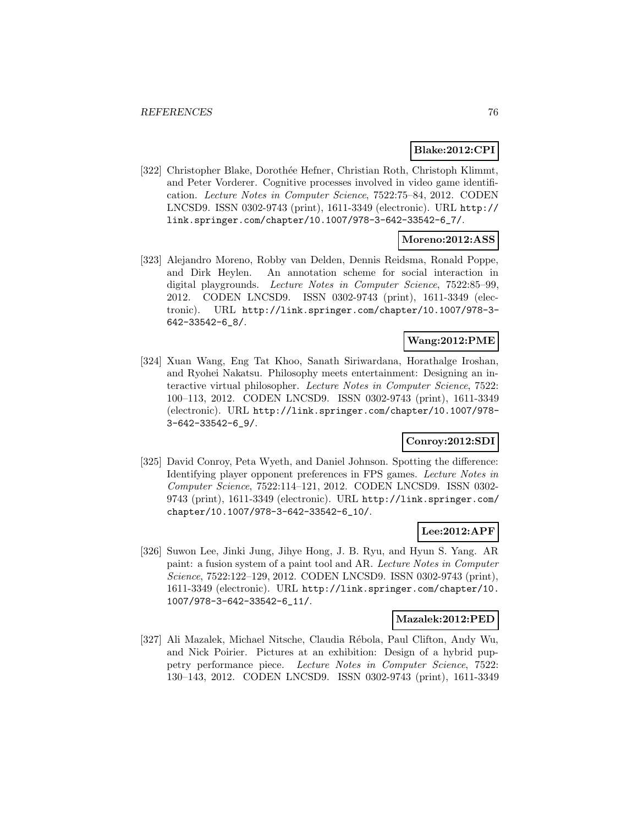#### **Blake:2012:CPI**

[322] Christopher Blake, Dorothée Hefner, Christian Roth, Christoph Klimmt, and Peter Vorderer. Cognitive processes involved in video game identification. Lecture Notes in Computer Science, 7522:75–84, 2012. CODEN LNCSD9. ISSN 0302-9743 (print), 1611-3349 (electronic). URL http:// link.springer.com/chapter/10.1007/978-3-642-33542-6\_7/.

### **Moreno:2012:ASS**

[323] Alejandro Moreno, Robby van Delden, Dennis Reidsma, Ronald Poppe, and Dirk Heylen. An annotation scheme for social interaction in digital playgrounds. Lecture Notes in Computer Science, 7522:85-99, 2012. CODEN LNCSD9. ISSN 0302-9743 (print), 1611-3349 (electronic). URL http://link.springer.com/chapter/10.1007/978-3- 642-33542-6\_8/.

### **Wang:2012:PME**

[324] Xuan Wang, Eng Tat Khoo, Sanath Siriwardana, Horathalge Iroshan, and Ryohei Nakatsu. Philosophy meets entertainment: Designing an interactive virtual philosopher. Lecture Notes in Computer Science, 7522: 100–113, 2012. CODEN LNCSD9. ISSN 0302-9743 (print), 1611-3349 (electronic). URL http://link.springer.com/chapter/10.1007/978- 3-642-33542-6\_9/.

#### **Conroy:2012:SDI**

[325] David Conroy, Peta Wyeth, and Daniel Johnson. Spotting the difference: Identifying player opponent preferences in FPS games. Lecture Notes in Computer Science, 7522:114–121, 2012. CODEN LNCSD9. ISSN 0302- 9743 (print), 1611-3349 (electronic). URL http://link.springer.com/ chapter/10.1007/978-3-642-33542-6\_10/.

# **Lee:2012:APF**

[326] Suwon Lee, Jinki Jung, Jihye Hong, J. B. Ryu, and Hyun S. Yang. AR paint: a fusion system of a paint tool and AR. Lecture Notes in Computer Science, 7522:122–129, 2012. CODEN LNCSD9. ISSN 0302-9743 (print), 1611-3349 (electronic). URL http://link.springer.com/chapter/10. 1007/978-3-642-33542-6\_11/.

### **Mazalek:2012:PED**

[327] Ali Mazalek, Michael Nitsche, Claudia Rébola, Paul Clifton, Andy Wu, and Nick Poirier. Pictures at an exhibition: Design of a hybrid puppetry performance piece. Lecture Notes in Computer Science, 7522: 130–143, 2012. CODEN LNCSD9. ISSN 0302-9743 (print), 1611-3349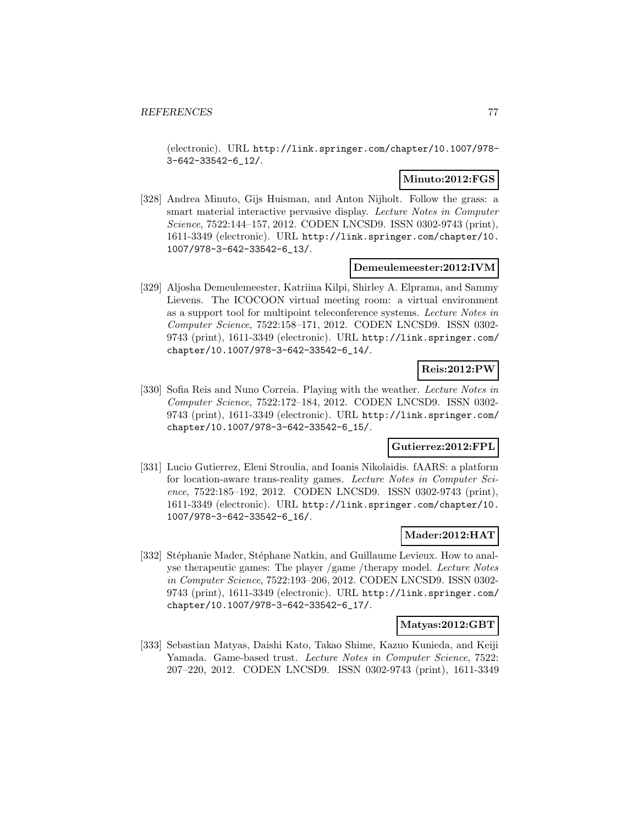(electronic). URL http://link.springer.com/chapter/10.1007/978- 3-642-33542-6\_12/.

#### **Minuto:2012:FGS**

[328] Andrea Minuto, Gijs Huisman, and Anton Nijholt. Follow the grass: a smart material interactive pervasive display. Lecture Notes in Computer Science, 7522:144–157, 2012. CODEN LNCSD9. ISSN 0302-9743 (print), 1611-3349 (electronic). URL http://link.springer.com/chapter/10. 1007/978-3-642-33542-6\_13/.

#### **Demeulemeester:2012:IVM**

[329] Aljosha Demeulemeester, Katriina Kilpi, Shirley A. Elprama, and Sammy Lievens. The ICOCOON virtual meeting room: a virtual environment as a support tool for multipoint teleconference systems. Lecture Notes in Computer Science, 7522:158–171, 2012. CODEN LNCSD9. ISSN 0302- 9743 (print), 1611-3349 (electronic). URL http://link.springer.com/ chapter/10.1007/978-3-642-33542-6\_14/.

# **Reis:2012:PW**

[330] Sofia Reis and Nuno Correia. Playing with the weather. Lecture Notes in Computer Science, 7522:172–184, 2012. CODEN LNCSD9. ISSN 0302- 9743 (print), 1611-3349 (electronic). URL http://link.springer.com/ chapter/10.1007/978-3-642-33542-6\_15/.

### **Gutierrez:2012:FPL**

[331] Lucio Gutierrez, Eleni Stroulia, and Ioanis Nikolaidis. fAARS: a platform for location-aware trans-reality games. Lecture Notes in Computer Science, 7522:185–192, 2012. CODEN LNCSD9. ISSN 0302-9743 (print), 1611-3349 (electronic). URL http://link.springer.com/chapter/10. 1007/978-3-642-33542-6\_16/.

#### **Mader:2012:HAT**

[332] Stéphanie Mader, Stéphane Natkin, and Guillaume Levieux. How to analyse therapeutic games: The player /game /therapy model. Lecture Notes in Computer Science, 7522:193–206, 2012. CODEN LNCSD9. ISSN 0302- 9743 (print), 1611-3349 (electronic). URL http://link.springer.com/ chapter/10.1007/978-3-642-33542-6\_17/.

#### **Matyas:2012:GBT**

[333] Sebastian Matyas, Daishi Kato, Takao Shime, Kazuo Kunieda, and Keiji Yamada. Game-based trust. Lecture Notes in Computer Science, 7522: 207–220, 2012. CODEN LNCSD9. ISSN 0302-9743 (print), 1611-3349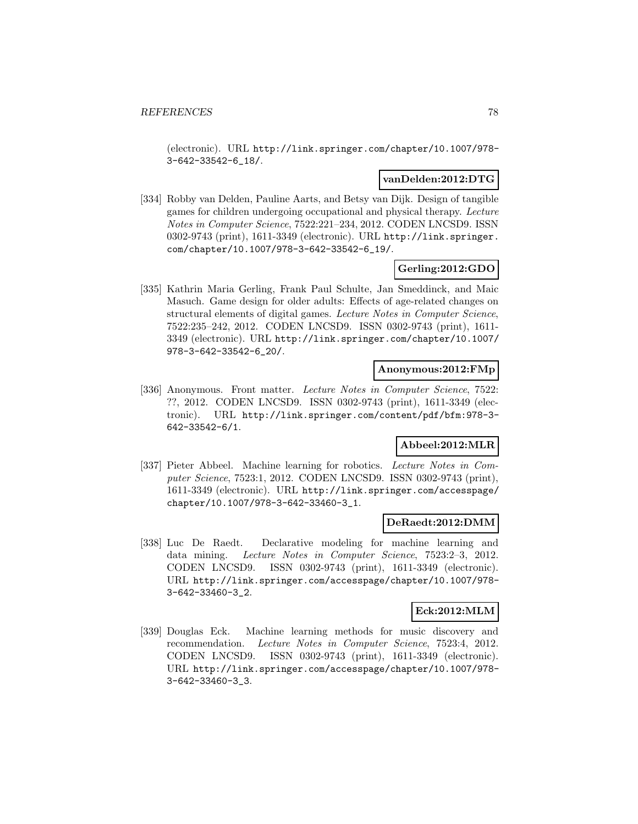(electronic). URL http://link.springer.com/chapter/10.1007/978- 3-642-33542-6\_18/.

### **vanDelden:2012:DTG**

[334] Robby van Delden, Pauline Aarts, and Betsy van Dijk. Design of tangible games for children undergoing occupational and physical therapy. Lecture Notes in Computer Science, 7522:221–234, 2012. CODEN LNCSD9. ISSN 0302-9743 (print), 1611-3349 (electronic). URL http://link.springer. com/chapter/10.1007/978-3-642-33542-6\_19/.

### **Gerling:2012:GDO**

[335] Kathrin Maria Gerling, Frank Paul Schulte, Jan Smeddinck, and Maic Masuch. Game design for older adults: Effects of age-related changes on structural elements of digital games. Lecture Notes in Computer Science, 7522:235–242, 2012. CODEN LNCSD9. ISSN 0302-9743 (print), 1611- 3349 (electronic). URL http://link.springer.com/chapter/10.1007/ 978-3-642-33542-6\_20/.

#### **Anonymous:2012:FMp**

[336] Anonymous. Front matter. Lecture Notes in Computer Science, 7522: ??, 2012. CODEN LNCSD9. ISSN 0302-9743 (print), 1611-3349 (electronic). URL http://link.springer.com/content/pdf/bfm:978-3- 642-33542-6/1.

# **Abbeel:2012:MLR**

[337] Pieter Abbeel. Machine learning for robotics. Lecture Notes in Computer Science, 7523:1, 2012. CODEN LNCSD9. ISSN 0302-9743 (print), 1611-3349 (electronic). URL http://link.springer.com/accesspage/ chapter/10.1007/978-3-642-33460-3\_1.

#### **DeRaedt:2012:DMM**

[338] Luc De Raedt. Declarative modeling for machine learning and data mining. Lecture Notes in Computer Science, 7523:2–3, 2012. CODEN LNCSD9. ISSN 0302-9743 (print), 1611-3349 (electronic). URL http://link.springer.com/accesspage/chapter/10.1007/978- 3-642-33460-3\_2.

#### **Eck:2012:MLM**

[339] Douglas Eck. Machine learning methods for music discovery and recommendation. Lecture Notes in Computer Science, 7523:4, 2012. CODEN LNCSD9. ISSN 0302-9743 (print), 1611-3349 (electronic). URL http://link.springer.com/accesspage/chapter/10.1007/978- 3-642-33460-3\_3.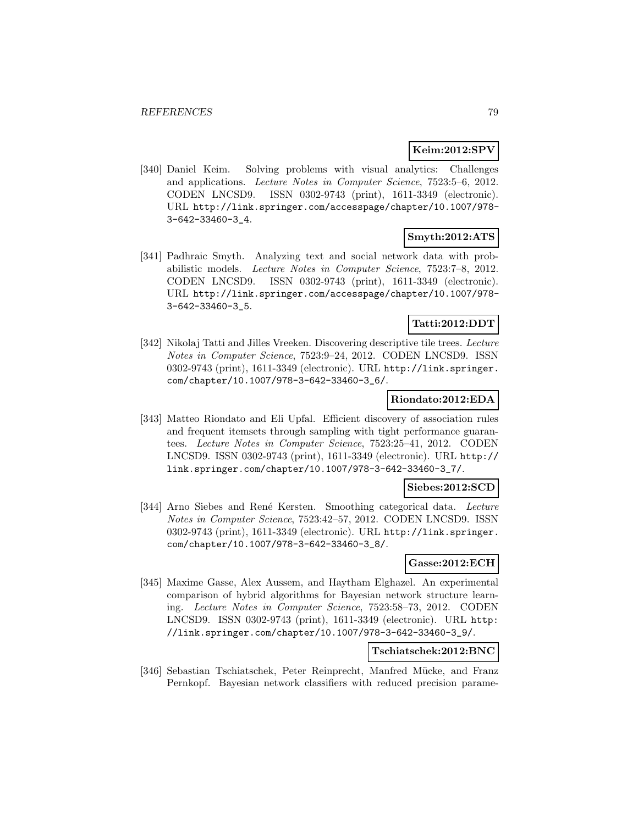#### **Keim:2012:SPV**

[340] Daniel Keim. Solving problems with visual analytics: Challenges and applications. Lecture Notes in Computer Science, 7523:5–6, 2012. CODEN LNCSD9. ISSN 0302-9743 (print), 1611-3349 (electronic). URL http://link.springer.com/accesspage/chapter/10.1007/978- 3-642-33460-3\_4.

### **Smyth:2012:ATS**

[341] Padhraic Smyth. Analyzing text and social network data with probabilistic models. Lecture Notes in Computer Science, 7523:7–8, 2012. CODEN LNCSD9. ISSN 0302-9743 (print), 1611-3349 (electronic). URL http://link.springer.com/accesspage/chapter/10.1007/978- 3-642-33460-3\_5.

### **Tatti:2012:DDT**

[342] Nikolaj Tatti and Jilles Vreeken. Discovering descriptive tile trees. Lecture Notes in Computer Science, 7523:9–24, 2012. CODEN LNCSD9. ISSN 0302-9743 (print), 1611-3349 (electronic). URL http://link.springer. com/chapter/10.1007/978-3-642-33460-3\_6/.

### **Riondato:2012:EDA**

[343] Matteo Riondato and Eli Upfal. Efficient discovery of association rules and frequent itemsets through sampling with tight performance guarantees. Lecture Notes in Computer Science, 7523:25–41, 2012. CODEN LNCSD9. ISSN 0302-9743 (print), 1611-3349 (electronic). URL http:// link.springer.com/chapter/10.1007/978-3-642-33460-3\_7/.

## **Siebes:2012:SCD**

[344] Arno Siebes and René Kersten. Smoothing categorical data. Lecture Notes in Computer Science, 7523:42–57, 2012. CODEN LNCSD9. ISSN 0302-9743 (print), 1611-3349 (electronic). URL http://link.springer. com/chapter/10.1007/978-3-642-33460-3\_8/.

#### **Gasse:2012:ECH**

[345] Maxime Gasse, Alex Aussem, and Haytham Elghazel. An experimental comparison of hybrid algorithms for Bayesian network structure learning. Lecture Notes in Computer Science, 7523:58–73, 2012. CODEN LNCSD9. ISSN 0302-9743 (print), 1611-3349 (electronic). URL http: //link.springer.com/chapter/10.1007/978-3-642-33460-3\_9/.

## **Tschiatschek:2012:BNC**

[346] Sebastian Tschiatschek, Peter Reinprecht, Manfred Mücke, and Franz Pernkopf. Bayesian network classifiers with reduced precision parame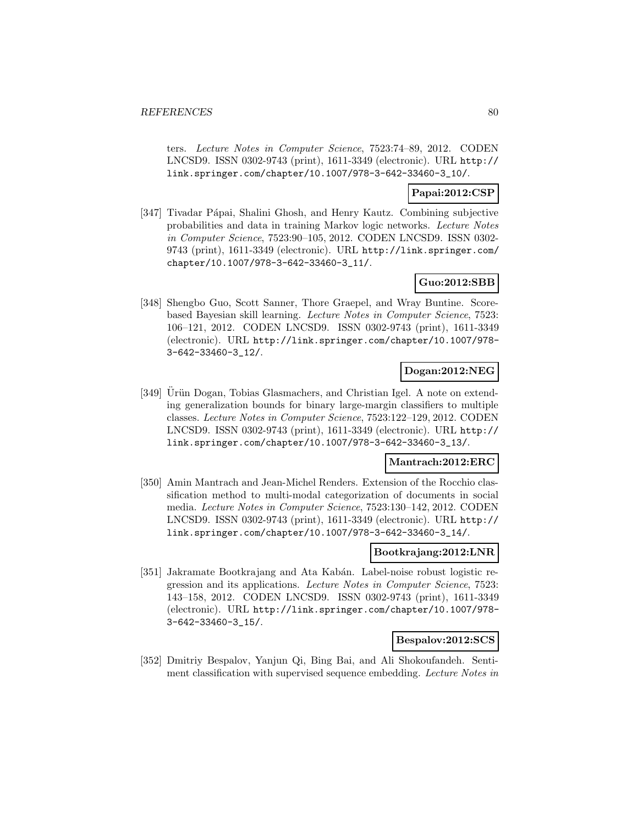ters. Lecture Notes in Computer Science, 7523:74–89, 2012. CODEN LNCSD9. ISSN 0302-9743 (print), 1611-3349 (electronic). URL http:// link.springer.com/chapter/10.1007/978-3-642-33460-3\_10/.

### **Papai:2012:CSP**

[347] Tivadar Pápai, Shalini Ghosh, and Henry Kautz. Combining subjective probabilities and data in training Markov logic networks. Lecture Notes in Computer Science, 7523:90–105, 2012. CODEN LNCSD9. ISSN 0302- 9743 (print), 1611-3349 (electronic). URL http://link.springer.com/ chapter/10.1007/978-3-642-33460-3\_11/.

### **Guo:2012:SBB**

[348] Shengbo Guo, Scott Sanner, Thore Graepel, and Wray Buntine. Scorebased Bayesian skill learning. Lecture Notes in Computer Science, 7523: 106–121, 2012. CODEN LNCSD9. ISSN 0302-9743 (print), 1611-3349 (electronic). URL http://link.springer.com/chapter/10.1007/978- 3-642-33460-3\_12/.

# **Dogan:2012:NEG**

[349] Urün Dogan, Tobias Glasmachers, and Christian Igel. A note on extending generalization bounds for binary large-margin classifiers to multiple classes. Lecture Notes in Computer Science, 7523:122–129, 2012. CODEN LNCSD9. ISSN 0302-9743 (print), 1611-3349 (electronic). URL http:// link.springer.com/chapter/10.1007/978-3-642-33460-3\_13/.

## **Mantrach:2012:ERC**

[350] Amin Mantrach and Jean-Michel Renders. Extension of the Rocchio classification method to multi-modal categorization of documents in social media. Lecture Notes in Computer Science, 7523:130–142, 2012. CODEN LNCSD9. ISSN 0302-9743 (print), 1611-3349 (electronic). URL http:// link.springer.com/chapter/10.1007/978-3-642-33460-3\_14/.

### **Bootkrajang:2012:LNR**

[351] Jakramate Bootkrajang and Ata Kabán. Label-noise robust logistic regression and its applications. Lecture Notes in Computer Science, 7523: 143–158, 2012. CODEN LNCSD9. ISSN 0302-9743 (print), 1611-3349 (electronic). URL http://link.springer.com/chapter/10.1007/978- 3-642-33460-3\_15/.

# **Bespalov:2012:SCS**

[352] Dmitriy Bespalov, Yanjun Qi, Bing Bai, and Ali Shokoufandeh. Sentiment classification with supervised sequence embedding. Lecture Notes in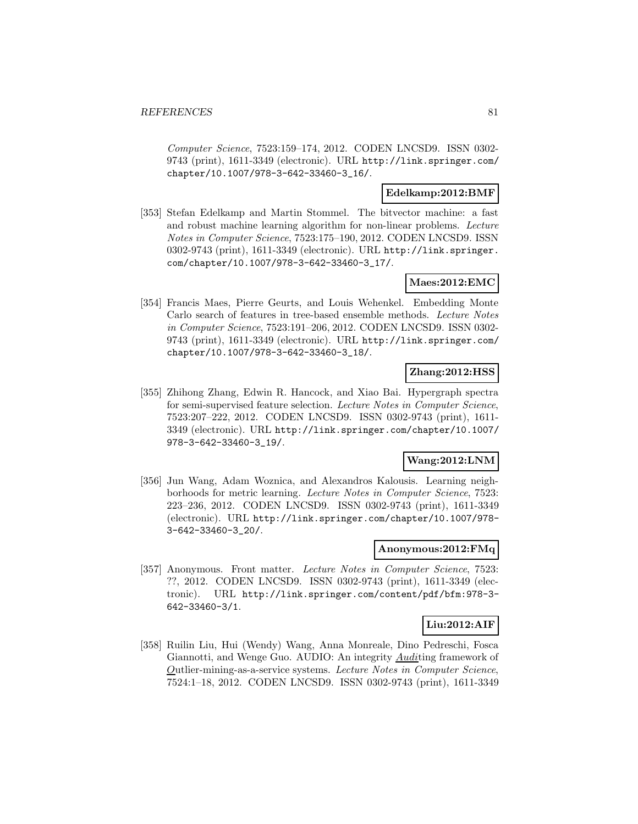Computer Science, 7523:159–174, 2012. CODEN LNCSD9. ISSN 0302- 9743 (print), 1611-3349 (electronic). URL http://link.springer.com/ chapter/10.1007/978-3-642-33460-3\_16/.

### **Edelkamp:2012:BMF**

[353] Stefan Edelkamp and Martin Stommel. The bitvector machine: a fast and robust machine learning algorithm for non-linear problems. Lecture Notes in Computer Science, 7523:175–190, 2012. CODEN LNCSD9. ISSN 0302-9743 (print), 1611-3349 (electronic). URL http://link.springer. com/chapter/10.1007/978-3-642-33460-3\_17/.

### **Maes:2012:EMC**

[354] Francis Maes, Pierre Geurts, and Louis Wehenkel. Embedding Monte Carlo search of features in tree-based ensemble methods. Lecture Notes in Computer Science, 7523:191–206, 2012. CODEN LNCSD9. ISSN 0302- 9743 (print), 1611-3349 (electronic). URL http://link.springer.com/ chapter/10.1007/978-3-642-33460-3\_18/.

### **Zhang:2012:HSS**

[355] Zhihong Zhang, Edwin R. Hancock, and Xiao Bai. Hypergraph spectra for semi-supervised feature selection. Lecture Notes in Computer Science, 7523:207–222, 2012. CODEN LNCSD9. ISSN 0302-9743 (print), 1611- 3349 (electronic). URL http://link.springer.com/chapter/10.1007/ 978-3-642-33460-3\_19/.

### **Wang:2012:LNM**

[356] Jun Wang, Adam Woznica, and Alexandros Kalousis. Learning neighborhoods for metric learning. Lecture Notes in Computer Science, 7523: 223–236, 2012. CODEN LNCSD9. ISSN 0302-9743 (print), 1611-3349 (electronic). URL http://link.springer.com/chapter/10.1007/978- 3-642-33460-3\_20/.

### **Anonymous:2012:FMq**

[357] Anonymous. Front matter. Lecture Notes in Computer Science, 7523: ??, 2012. CODEN LNCSD9. ISSN 0302-9743 (print), 1611-3349 (electronic). URL http://link.springer.com/content/pdf/bfm:978-3- 642-33460-3/1.

## **Liu:2012:AIF**

[358] Ruilin Liu, Hui (Wendy) Wang, Anna Monreale, Dino Pedreschi, Fosca Giannotti, and Wenge Guo. AUDIO: An integrity **Auditing framework** of Outlier-mining-as-a-service systems. Lecture Notes in Computer Science, 7524:1–18, 2012. CODEN LNCSD9. ISSN 0302-9743 (print), 1611-3349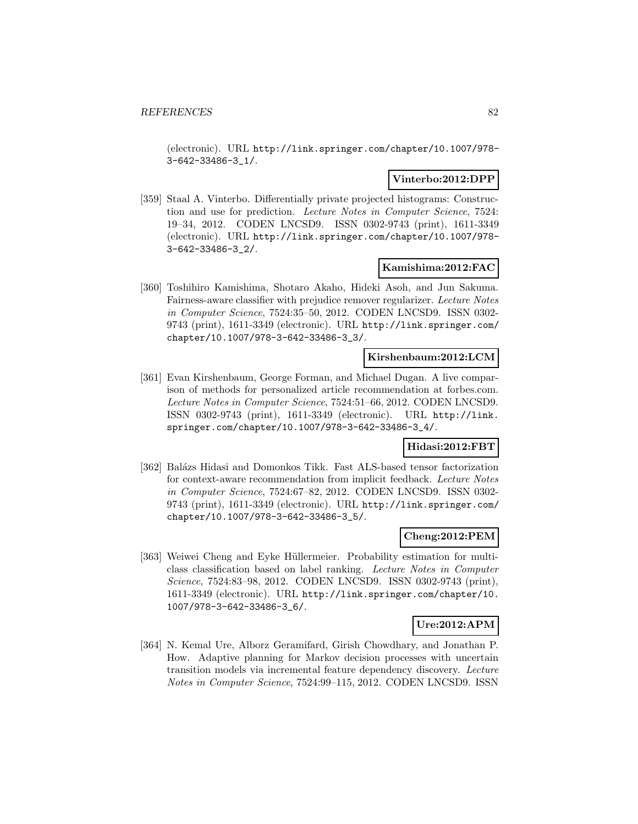(electronic). URL http://link.springer.com/chapter/10.1007/978- 3-642-33486-3\_1/.

## **Vinterbo:2012:DPP**

[359] Staal A. Vinterbo. Differentially private projected histograms: Construction and use for prediction. Lecture Notes in Computer Science, 7524: 19–34, 2012. CODEN LNCSD9. ISSN 0302-9743 (print), 1611-3349 (electronic). URL http://link.springer.com/chapter/10.1007/978- 3-642-33486-3\_2/.

### **Kamishima:2012:FAC**

[360] Toshihiro Kamishima, Shotaro Akaho, Hideki Asoh, and Jun Sakuma. Fairness-aware classifier with prejudice remover regularizer. Lecture Notes in Computer Science, 7524:35–50, 2012. CODEN LNCSD9. ISSN 0302- 9743 (print), 1611-3349 (electronic). URL http://link.springer.com/ chapter/10.1007/978-3-642-33486-3\_3/.

### **Kirshenbaum:2012:LCM**

[361] Evan Kirshenbaum, George Forman, and Michael Dugan. A live comparison of methods for personalized article recommendation at forbes.com. Lecture Notes in Computer Science, 7524:51–66, 2012. CODEN LNCSD9. ISSN 0302-9743 (print), 1611-3349 (electronic). URL http://link. springer.com/chapter/10.1007/978-3-642-33486-3\_4/.

## **Hidasi:2012:FBT**

[362] Balázs Hidasi and Domonkos Tikk. Fast ALS-based tensor factorization for context-aware recommendation from implicit feedback. Lecture Notes in Computer Science, 7524:67–82, 2012. CODEN LNCSD9. ISSN 0302- 9743 (print), 1611-3349 (electronic). URL http://link.springer.com/ chapter/10.1007/978-3-642-33486-3\_5/.

### **Cheng:2012:PEM**

[363] Weiwei Cheng and Eyke Hüllermeier. Probability estimation for multiclass classification based on label ranking. Lecture Notes in Computer Science, 7524:83–98, 2012. CODEN LNCSD9. ISSN 0302-9743 (print), 1611-3349 (electronic). URL http://link.springer.com/chapter/10. 1007/978-3-642-33486-3\_6/.

## **Ure:2012:APM**

[364] N. Kemal Ure, Alborz Geramifard, Girish Chowdhary, and Jonathan P. How. Adaptive planning for Markov decision processes with uncertain transition models via incremental feature dependency discovery. Lecture Notes in Computer Science, 7524:99–115, 2012. CODEN LNCSD9. ISSN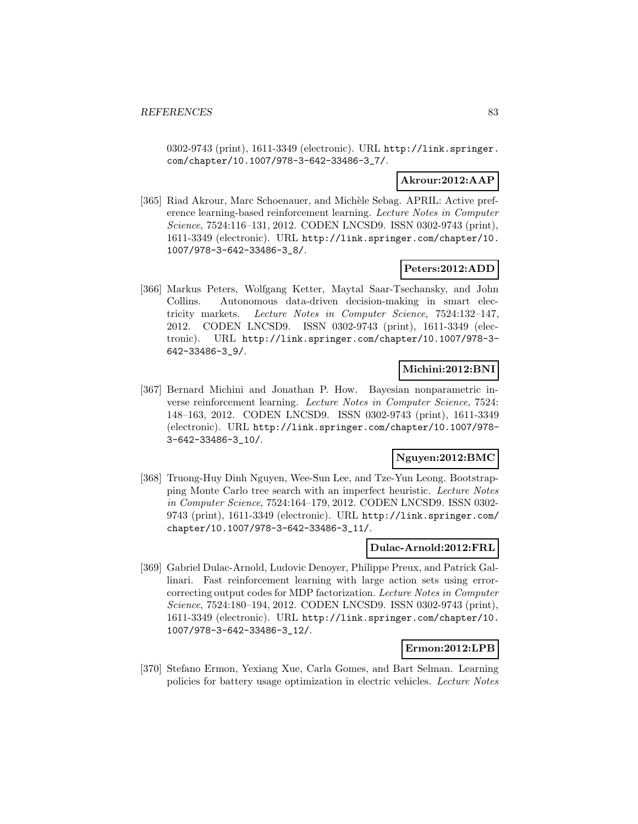0302-9743 (print), 1611-3349 (electronic). URL http://link.springer. com/chapter/10.1007/978-3-642-33486-3\_7/.

### **Akrour:2012:AAP**

[365] Riad Akrour, Marc Schoenauer, and Michèle Sebag. APRIL: Active preference learning-based reinforcement learning. Lecture Notes in Computer Science, 7524:116–131, 2012. CODEN LNCSD9. ISSN 0302-9743 (print), 1611-3349 (electronic). URL http://link.springer.com/chapter/10. 1007/978-3-642-33486-3\_8/.

### **Peters:2012:ADD**

[366] Markus Peters, Wolfgang Ketter, Maytal Saar-Tsechansky, and John Collins. Autonomous data-driven decision-making in smart electricity markets. Lecture Notes in Computer Science, 7524:132–147, 2012. CODEN LNCSD9. ISSN 0302-9743 (print), 1611-3349 (electronic). URL http://link.springer.com/chapter/10.1007/978-3- 642-33486-3\_9/.

# **Michini:2012:BNI**

[367] Bernard Michini and Jonathan P. How. Bayesian nonparametric inverse reinforcement learning. Lecture Notes in Computer Science, 7524: 148–163, 2012. CODEN LNCSD9. ISSN 0302-9743 (print), 1611-3349 (electronic). URL http://link.springer.com/chapter/10.1007/978- 3-642-33486-3\_10/.

#### **Nguyen:2012:BMC**

[368] Truong-Huy Dinh Nguyen, Wee-Sun Lee, and Tze-Yun Leong. Bootstrapping Monte Carlo tree search with an imperfect heuristic. Lecture Notes in Computer Science, 7524:164–179, 2012. CODEN LNCSD9. ISSN 0302- 9743 (print), 1611-3349 (electronic). URL http://link.springer.com/ chapter/10.1007/978-3-642-33486-3\_11/.

### **Dulac-Arnold:2012:FRL**

[369] Gabriel Dulac-Arnold, Ludovic Denoyer, Philippe Preux, and Patrick Gallinari. Fast reinforcement learning with large action sets using errorcorrecting output codes for MDP factorization. Lecture Notes in Computer Science, 7524:180–194, 2012. CODEN LNCSD9. ISSN 0302-9743 (print), 1611-3349 (electronic). URL http://link.springer.com/chapter/10. 1007/978-3-642-33486-3\_12/.

#### **Ermon:2012:LPB**

[370] Stefano Ermon, Yexiang Xue, Carla Gomes, and Bart Selman. Learning policies for battery usage optimization in electric vehicles. Lecture Notes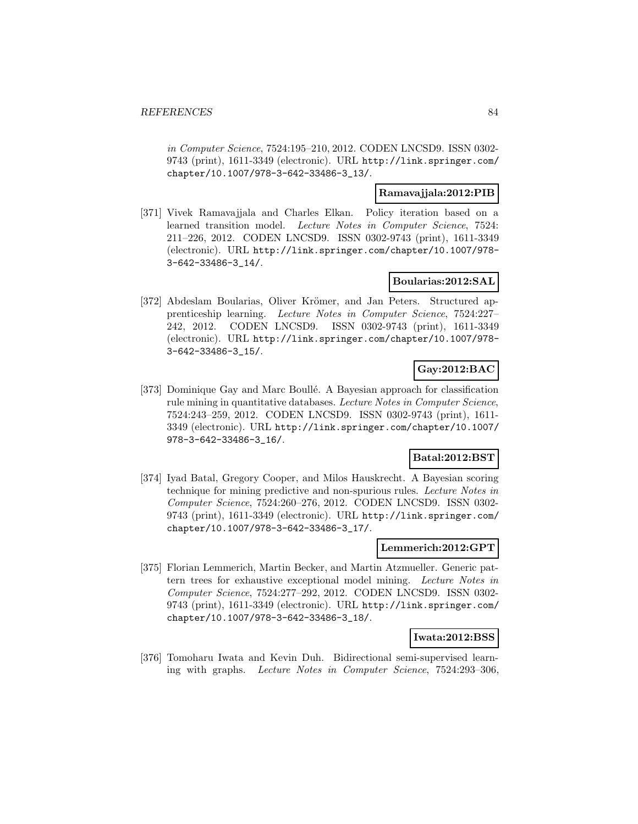in Computer Science, 7524:195–210, 2012. CODEN LNCSD9. ISSN 0302- 9743 (print), 1611-3349 (electronic). URL http://link.springer.com/ chapter/10.1007/978-3-642-33486-3\_13/.

### **Ramavajjala:2012:PIB**

[371] Vivek Ramavajjala and Charles Elkan. Policy iteration based on a learned transition model. Lecture Notes in Computer Science, 7524: 211–226, 2012. CODEN LNCSD9. ISSN 0302-9743 (print), 1611-3349 (electronic). URL http://link.springer.com/chapter/10.1007/978- 3-642-33486-3\_14/.

### **Boularias:2012:SAL**

[372] Abdeslam Boularias, Oliver Krömer, and Jan Peters. Structured apprenticeship learning. Lecture Notes in Computer Science, 7524:227– 242, 2012. CODEN LNCSD9. ISSN 0302-9743 (print), 1611-3349 (electronic). URL http://link.springer.com/chapter/10.1007/978- 3-642-33486-3\_15/.

# **Gay:2012:BAC**

[373] Dominique Gay and Marc Boullé. A Bayesian approach for classification rule mining in quantitative databases. Lecture Notes in Computer Science, 7524:243–259, 2012. CODEN LNCSD9. ISSN 0302-9743 (print), 1611- 3349 (electronic). URL http://link.springer.com/chapter/10.1007/ 978-3-642-33486-3\_16/.

### **Batal:2012:BST**

[374] Iyad Batal, Gregory Cooper, and Milos Hauskrecht. A Bayesian scoring technique for mining predictive and non-spurious rules. Lecture Notes in Computer Science, 7524:260–276, 2012. CODEN LNCSD9. ISSN 0302- 9743 (print), 1611-3349 (electronic). URL http://link.springer.com/ chapter/10.1007/978-3-642-33486-3\_17/.

## **Lemmerich:2012:GPT**

[375] Florian Lemmerich, Martin Becker, and Martin Atzmueller. Generic pattern trees for exhaustive exceptional model mining. Lecture Notes in Computer Science, 7524:277–292, 2012. CODEN LNCSD9. ISSN 0302- 9743 (print), 1611-3349 (electronic). URL http://link.springer.com/ chapter/10.1007/978-3-642-33486-3\_18/.

#### **Iwata:2012:BSS**

[376] Tomoharu Iwata and Kevin Duh. Bidirectional semi-supervised learning with graphs. Lecture Notes in Computer Science, 7524:293–306,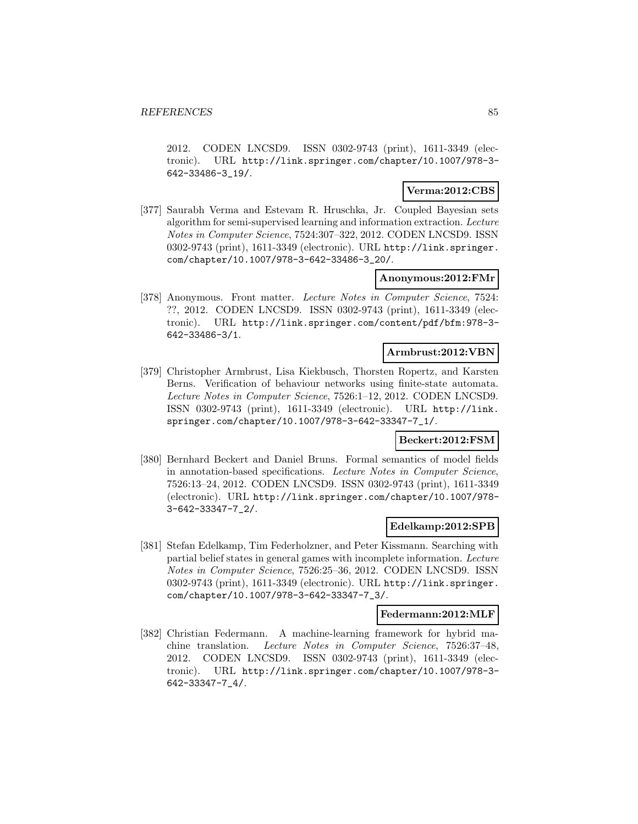2012. CODEN LNCSD9. ISSN 0302-9743 (print), 1611-3349 (electronic). URL http://link.springer.com/chapter/10.1007/978-3- 642-33486-3\_19/.

## **Verma:2012:CBS**

[377] Saurabh Verma and Estevam R. Hruschka, Jr. Coupled Bayesian sets algorithm for semi-supervised learning and information extraction. Lecture Notes in Computer Science, 7524:307–322, 2012. CODEN LNCSD9. ISSN 0302-9743 (print), 1611-3349 (electronic). URL http://link.springer. com/chapter/10.1007/978-3-642-33486-3\_20/.

### **Anonymous:2012:FMr**

[378] Anonymous. Front matter. Lecture Notes in Computer Science, 7524: ??, 2012. CODEN LNCSD9. ISSN 0302-9743 (print), 1611-3349 (electronic). URL http://link.springer.com/content/pdf/bfm:978-3- 642-33486-3/1.

#### **Armbrust:2012:VBN**

[379] Christopher Armbrust, Lisa Kiekbusch, Thorsten Ropertz, and Karsten Berns. Verification of behaviour networks using finite-state automata. Lecture Notes in Computer Science, 7526:1–12, 2012. CODEN LNCSD9. ISSN 0302-9743 (print), 1611-3349 (electronic). URL http://link. springer.com/chapter/10.1007/978-3-642-33347-7\_1/.

#### **Beckert:2012:FSM**

[380] Bernhard Beckert and Daniel Bruns. Formal semantics of model fields in annotation-based specifications. Lecture Notes in Computer Science, 7526:13–24, 2012. CODEN LNCSD9. ISSN 0302-9743 (print), 1611-3349 (electronic). URL http://link.springer.com/chapter/10.1007/978- 3-642-33347-7\_2/.

#### **Edelkamp:2012:SPB**

[381] Stefan Edelkamp, Tim Federholzner, and Peter Kissmann. Searching with partial belief states in general games with incomplete information. Lecture Notes in Computer Science, 7526:25–36, 2012. CODEN LNCSD9. ISSN 0302-9743 (print), 1611-3349 (electronic). URL http://link.springer. com/chapter/10.1007/978-3-642-33347-7\_3/.

#### **Federmann:2012:MLF**

[382] Christian Federmann. A machine-learning framework for hybrid machine translation. Lecture Notes in Computer Science, 7526:37–48, 2012. CODEN LNCSD9. ISSN 0302-9743 (print), 1611-3349 (electronic). URL http://link.springer.com/chapter/10.1007/978-3- 642-33347-7\_4/.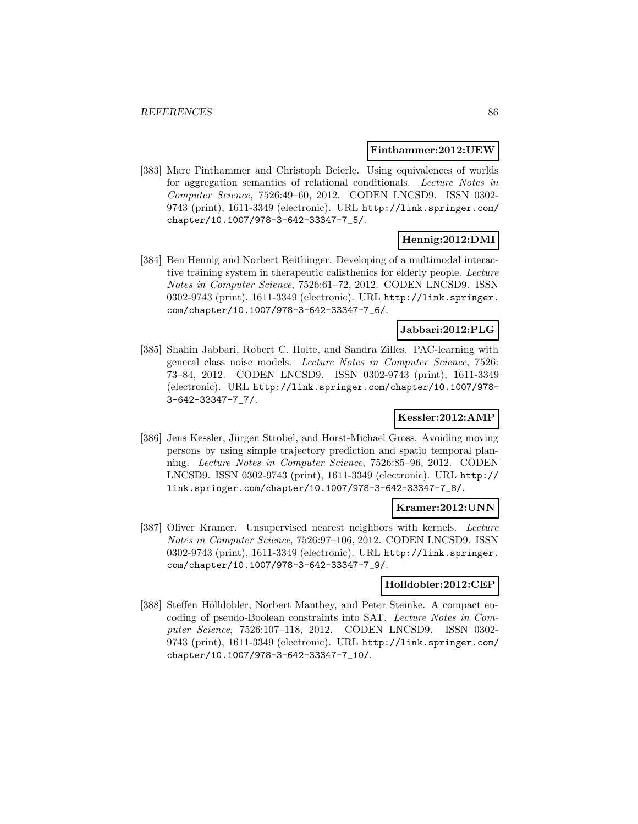#### **Finthammer:2012:UEW**

[383] Marc Finthammer and Christoph Beierle. Using equivalences of worlds for aggregation semantics of relational conditionals. Lecture Notes in Computer Science, 7526:49–60, 2012. CODEN LNCSD9. ISSN 0302- 9743 (print), 1611-3349 (electronic). URL http://link.springer.com/ chapter/10.1007/978-3-642-33347-7\_5/.

### **Hennig:2012:DMI**

[384] Ben Hennig and Norbert Reithinger. Developing of a multimodal interactive training system in therapeutic calisthenics for elderly people. Lecture Notes in Computer Science, 7526:61–72, 2012. CODEN LNCSD9. ISSN 0302-9743 (print), 1611-3349 (electronic). URL http://link.springer. com/chapter/10.1007/978-3-642-33347-7\_6/.

## **Jabbari:2012:PLG**

[385] Shahin Jabbari, Robert C. Holte, and Sandra Zilles. PAC-learning with general class noise models. Lecture Notes in Computer Science, 7526: 73–84, 2012. CODEN LNCSD9. ISSN 0302-9743 (print), 1611-3349 (electronic). URL http://link.springer.com/chapter/10.1007/978- 3-642-33347-7\_7/.

### **Kessler:2012:AMP**

[386] Jens Kessler, Jürgen Strobel, and Horst-Michael Gross. Avoiding moving persons by using simple trajectory prediction and spatio temporal planning. Lecture Notes in Computer Science, 7526:85–96, 2012. CODEN LNCSD9. ISSN 0302-9743 (print), 1611-3349 (electronic). URL http:// link.springer.com/chapter/10.1007/978-3-642-33347-7\_8/.

#### **Kramer:2012:UNN**

[387] Oliver Kramer. Unsupervised nearest neighbors with kernels. Lecture Notes in Computer Science, 7526:97–106, 2012. CODEN LNCSD9. ISSN 0302-9743 (print), 1611-3349 (electronic). URL http://link.springer. com/chapter/10.1007/978-3-642-33347-7\_9/.

### **Holldobler:2012:CEP**

[388] Steffen Hölldobler, Norbert Manthey, and Peter Steinke. A compact encoding of pseudo-Boolean constraints into SAT. Lecture Notes in Computer Science, 7526:107–118, 2012. CODEN LNCSD9. ISSN 0302- 9743 (print), 1611-3349 (electronic). URL http://link.springer.com/ chapter/10.1007/978-3-642-33347-7\_10/.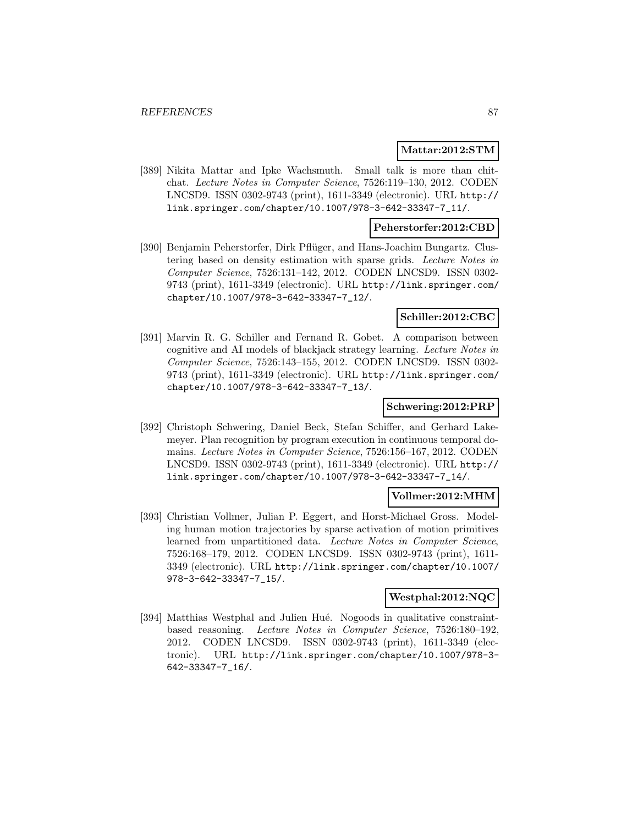#### **Mattar:2012:STM**

[389] Nikita Mattar and Ipke Wachsmuth. Small talk is more than chitchat. Lecture Notes in Computer Science, 7526:119–130, 2012. CODEN LNCSD9. ISSN 0302-9743 (print), 1611-3349 (electronic). URL http:// link.springer.com/chapter/10.1007/978-3-642-33347-7\_11/.

### **Peherstorfer:2012:CBD**

[390] Benjamin Peherstorfer, Dirk Pflüger, and Hans-Joachim Bungartz. Clustering based on density estimation with sparse grids. Lecture Notes in Computer Science, 7526:131–142, 2012. CODEN LNCSD9. ISSN 0302- 9743 (print), 1611-3349 (electronic). URL http://link.springer.com/ chapter/10.1007/978-3-642-33347-7\_12/.

#### **Schiller:2012:CBC**

[391] Marvin R. G. Schiller and Fernand R. Gobet. A comparison between cognitive and AI models of blackjack strategy learning. Lecture Notes in Computer Science, 7526:143–155, 2012. CODEN LNCSD9. ISSN 0302- 9743 (print), 1611-3349 (electronic). URL http://link.springer.com/ chapter/10.1007/978-3-642-33347-7\_13/.

#### **Schwering:2012:PRP**

[392] Christoph Schwering, Daniel Beck, Stefan Schiffer, and Gerhard Lakemeyer. Plan recognition by program execution in continuous temporal domains. Lecture Notes in Computer Science, 7526:156–167, 2012. CODEN LNCSD9. ISSN 0302-9743 (print), 1611-3349 (electronic). URL http:// link.springer.com/chapter/10.1007/978-3-642-33347-7\_14/.

#### **Vollmer:2012:MHM**

[393] Christian Vollmer, Julian P. Eggert, and Horst-Michael Gross. Modeling human motion trajectories by sparse activation of motion primitives learned from unpartitioned data. Lecture Notes in Computer Science, 7526:168–179, 2012. CODEN LNCSD9. ISSN 0302-9743 (print), 1611- 3349 (electronic). URL http://link.springer.com/chapter/10.1007/ 978-3-642-33347-7\_15/.

#### **Westphal:2012:NQC**

[394] Matthias Westphal and Julien Hué. Nogoods in qualitative constraintbased reasoning. Lecture Notes in Computer Science, 7526:180–192, 2012. CODEN LNCSD9. ISSN 0302-9743 (print), 1611-3349 (electronic). URL http://link.springer.com/chapter/10.1007/978-3- 642-33347-7\_16/.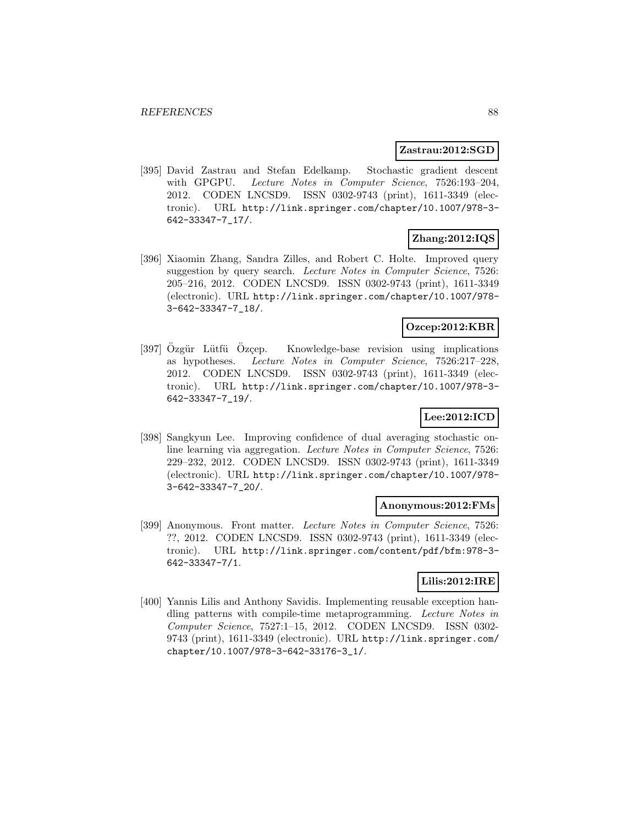#### **Zastrau:2012:SGD**

[395] David Zastrau and Stefan Edelkamp. Stochastic gradient descent with GPGPU. Lecture Notes in Computer Science, 7526:193–204, 2012. CODEN LNCSD9. ISSN 0302-9743 (print), 1611-3349 (electronic). URL http://link.springer.com/chapter/10.1007/978-3- 642-33347-7\_17/.

# **Zhang:2012:IQS**

[396] Xiaomin Zhang, Sandra Zilles, and Robert C. Holte. Improved query suggestion by query search. Lecture Notes in Computer Science, 7526: 205–216, 2012. CODEN LNCSD9. ISSN 0302-9743 (print), 1611-3349 (electronic). URL http://link.springer.com/chapter/10.1007/978- 3-642-33347-7\_18/.

## **Ozcep:2012:KBR**

[397] Ozgür Lütfü Ozcep. Knowledge-base revision using implications as hypotheses. Lecture Notes in Computer Science, 7526:217–228, 2012. CODEN LNCSD9. ISSN 0302-9743 (print), 1611-3349 (electronic). URL http://link.springer.com/chapter/10.1007/978-3- 642-33347-7\_19/.

# **Lee:2012:ICD**

[398] Sangkyun Lee. Improving confidence of dual averaging stochastic online learning via aggregation. Lecture Notes in Computer Science, 7526: 229–232, 2012. CODEN LNCSD9. ISSN 0302-9743 (print), 1611-3349 (electronic). URL http://link.springer.com/chapter/10.1007/978- 3-642-33347-7\_20/.

#### **Anonymous:2012:FMs**

[399] Anonymous. Front matter. Lecture Notes in Computer Science, 7526: ??, 2012. CODEN LNCSD9. ISSN 0302-9743 (print), 1611-3349 (electronic). URL http://link.springer.com/content/pdf/bfm:978-3- 642-33347-7/1.

# **Lilis:2012:IRE**

[400] Yannis Lilis and Anthony Savidis. Implementing reusable exception handling patterns with compile-time metaprogramming. Lecture Notes in Computer Science, 7527:1–15, 2012. CODEN LNCSD9. ISSN 0302- 9743 (print), 1611-3349 (electronic). URL http://link.springer.com/ chapter/10.1007/978-3-642-33176-3\_1/.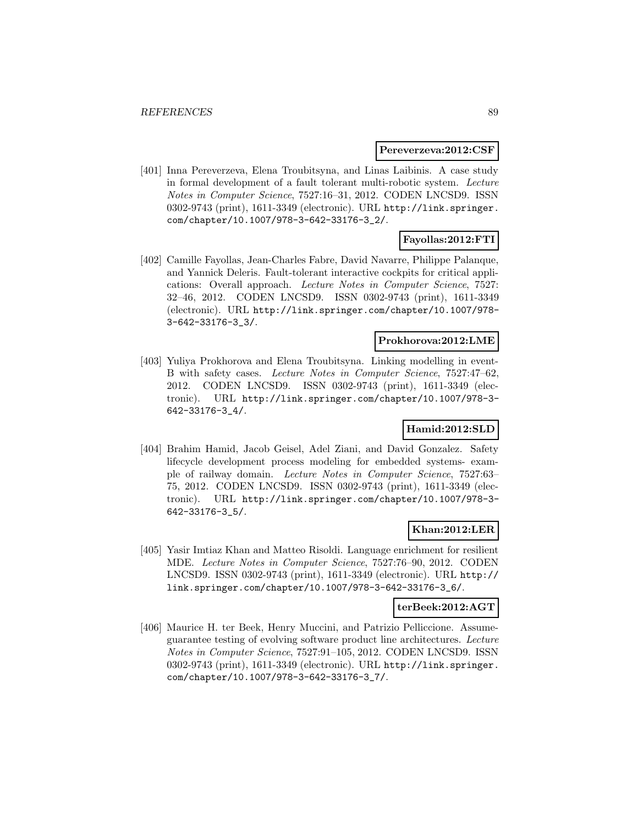#### **Pereverzeva:2012:CSF**

[401] Inna Pereverzeva, Elena Troubitsyna, and Linas Laibinis. A case study in formal development of a fault tolerant multi-robotic system. Lecture Notes in Computer Science, 7527:16–31, 2012. CODEN LNCSD9. ISSN 0302-9743 (print), 1611-3349 (electronic). URL http://link.springer. com/chapter/10.1007/978-3-642-33176-3\_2/.

# **Fayollas:2012:FTI**

[402] Camille Fayollas, Jean-Charles Fabre, David Navarre, Philippe Palanque, and Yannick Deleris. Fault-tolerant interactive cockpits for critical applications: Overall approach. Lecture Notes in Computer Science, 7527: 32–46, 2012. CODEN LNCSD9. ISSN 0302-9743 (print), 1611-3349 (electronic). URL http://link.springer.com/chapter/10.1007/978- 3-642-33176-3\_3/.

### **Prokhorova:2012:LME**

[403] Yuliya Prokhorova and Elena Troubitsyna. Linking modelling in event-B with safety cases. Lecture Notes in Computer Science, 7527:47–62, 2012. CODEN LNCSD9. ISSN 0302-9743 (print), 1611-3349 (electronic). URL http://link.springer.com/chapter/10.1007/978-3- 642-33176-3\_4/.

# **Hamid:2012:SLD**

[404] Brahim Hamid, Jacob Geisel, Adel Ziani, and David Gonzalez. Safety lifecycle development process modeling for embedded systems- example of railway domain. Lecture Notes in Computer Science, 7527:63– 75, 2012. CODEN LNCSD9. ISSN 0302-9743 (print), 1611-3349 (electronic). URL http://link.springer.com/chapter/10.1007/978-3- 642-33176-3\_5/.

### **Khan:2012:LER**

[405] Yasir Imtiaz Khan and Matteo Risoldi. Language enrichment for resilient MDE. Lecture Notes in Computer Science, 7527:76–90, 2012. CODEN LNCSD9. ISSN 0302-9743 (print), 1611-3349 (electronic). URL http:// link.springer.com/chapter/10.1007/978-3-642-33176-3\_6/.

#### **terBeek:2012:AGT**

[406] Maurice H. ter Beek, Henry Muccini, and Patrizio Pelliccione. Assumeguarantee testing of evolving software product line architectures. Lecture Notes in Computer Science, 7527:91–105, 2012. CODEN LNCSD9. ISSN 0302-9743 (print), 1611-3349 (electronic). URL http://link.springer. com/chapter/10.1007/978-3-642-33176-3\_7/.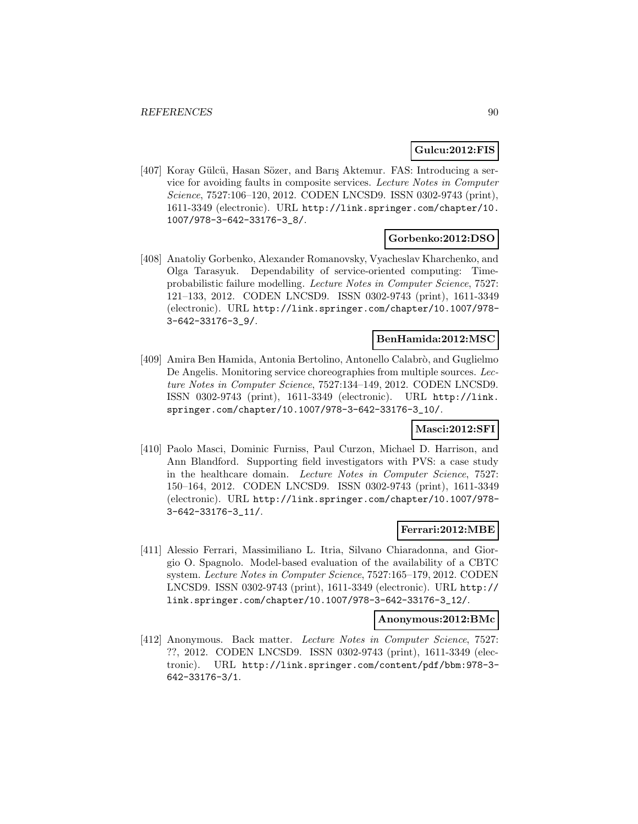### **Gulcu:2012:FIS**

[407] Koray Gülcü, Hasan Sözer, and Barış Aktemur. FAS: Introducing a service for avoiding faults in composite services. Lecture Notes in Computer Science, 7527:106–120, 2012. CODEN LNCSD9. ISSN 0302-9743 (print), 1611-3349 (electronic). URL http://link.springer.com/chapter/10. 1007/978-3-642-33176-3\_8/.

### **Gorbenko:2012:DSO**

[408] Anatoliy Gorbenko, Alexander Romanovsky, Vyacheslav Kharchenko, and Olga Tarasyuk. Dependability of service-oriented computing: Timeprobabilistic failure modelling. Lecture Notes in Computer Science, 7527: 121–133, 2012. CODEN LNCSD9. ISSN 0302-9743 (print), 1611-3349 (electronic). URL http://link.springer.com/chapter/10.1007/978- 3-642-33176-3\_9/.

#### **BenHamida:2012:MSC**

[409] Amira Ben Hamida, Antonia Bertolino, Antonello Calabrò, and Guglielmo De Angelis. Monitoring service choreographies from multiple sources. Lecture Notes in Computer Science, 7527:134–149, 2012. CODEN LNCSD9. ISSN 0302-9743 (print), 1611-3349 (electronic). URL http://link. springer.com/chapter/10.1007/978-3-642-33176-3\_10/.

# **Masci:2012:SFI**

[410] Paolo Masci, Dominic Furniss, Paul Curzon, Michael D. Harrison, and Ann Blandford. Supporting field investigators with PVS: a case study in the healthcare domain. Lecture Notes in Computer Science, 7527: 150–164, 2012. CODEN LNCSD9. ISSN 0302-9743 (print), 1611-3349 (electronic). URL http://link.springer.com/chapter/10.1007/978- 3-642-33176-3\_11/.

#### **Ferrari:2012:MBE**

[411] Alessio Ferrari, Massimiliano L. Itria, Silvano Chiaradonna, and Giorgio O. Spagnolo. Model-based evaluation of the availability of a CBTC system. Lecture Notes in Computer Science, 7527:165–179, 2012. CODEN LNCSD9. ISSN 0302-9743 (print), 1611-3349 (electronic). URL http:// link.springer.com/chapter/10.1007/978-3-642-33176-3\_12/.

#### **Anonymous:2012:BMc**

[412] Anonymous. Back matter. Lecture Notes in Computer Science, 7527: ??, 2012. CODEN LNCSD9. ISSN 0302-9743 (print), 1611-3349 (electronic). URL http://link.springer.com/content/pdf/bbm:978-3- 642-33176-3/1.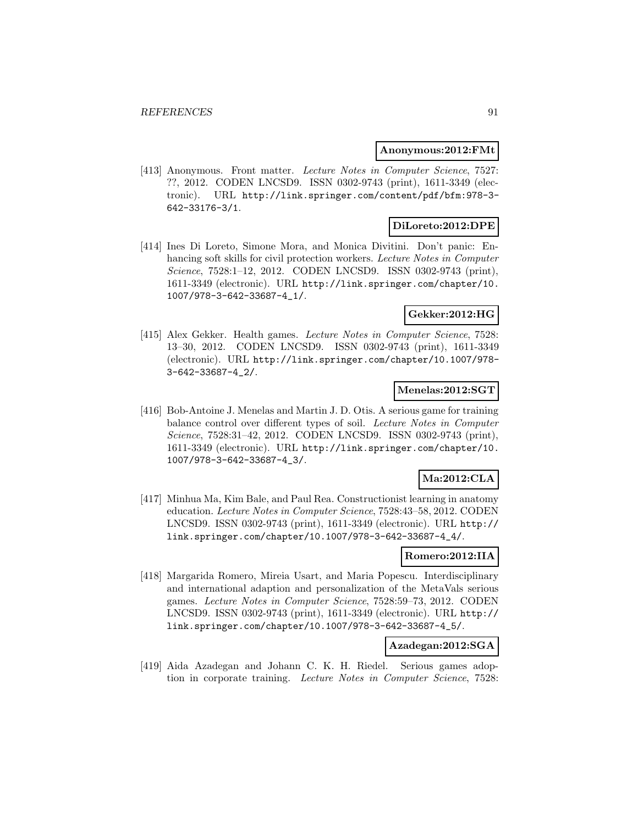#### **Anonymous:2012:FMt**

[413] Anonymous. Front matter. Lecture Notes in Computer Science, 7527: ??, 2012. CODEN LNCSD9. ISSN 0302-9743 (print), 1611-3349 (electronic). URL http://link.springer.com/content/pdf/bfm:978-3- 642-33176-3/1.

# **DiLoreto:2012:DPE**

[414] Ines Di Loreto, Simone Mora, and Monica Divitini. Don't panic: Enhancing soft skills for civil protection workers. Lecture Notes in Computer Science, 7528:1–12, 2012. CODEN LNCSD9. ISSN 0302-9743 (print), 1611-3349 (electronic). URL http://link.springer.com/chapter/10. 1007/978-3-642-33687-4\_1/.

# **Gekker:2012:HG**

[415] Alex Gekker. Health games. Lecture Notes in Computer Science, 7528: 13–30, 2012. CODEN LNCSD9. ISSN 0302-9743 (print), 1611-3349 (electronic). URL http://link.springer.com/chapter/10.1007/978- 3-642-33687-4\_2/.

### **Menelas:2012:SGT**

[416] Bob-Antoine J. Menelas and Martin J. D. Otis. A serious game for training balance control over different types of soil. Lecture Notes in Computer Science, 7528:31–42, 2012. CODEN LNCSD9. ISSN 0302-9743 (print), 1611-3349 (electronic). URL http://link.springer.com/chapter/10. 1007/978-3-642-33687-4\_3/.

# **Ma:2012:CLA**

[417] Minhua Ma, Kim Bale, and Paul Rea. Constructionist learning in anatomy education. Lecture Notes in Computer Science, 7528:43–58, 2012. CODEN LNCSD9. ISSN 0302-9743 (print), 1611-3349 (electronic). URL http:// link.springer.com/chapter/10.1007/978-3-642-33687-4\_4/.

### **Romero:2012:IIA**

[418] Margarida Romero, Mireia Usart, and Maria Popescu. Interdisciplinary and international adaption and personalization of the MetaVals serious games. Lecture Notes in Computer Science, 7528:59–73, 2012. CODEN LNCSD9. ISSN 0302-9743 (print), 1611-3349 (electronic). URL http:// link.springer.com/chapter/10.1007/978-3-642-33687-4\_5/.

#### **Azadegan:2012:SGA**

[419] Aida Azadegan and Johann C. K. H. Riedel. Serious games adoption in corporate training. Lecture Notes in Computer Science, 7528: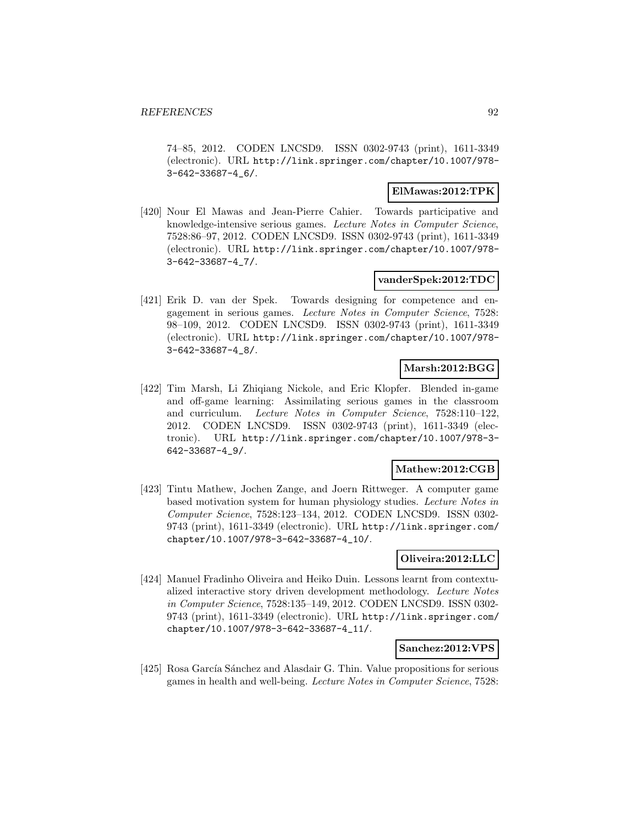74–85, 2012. CODEN LNCSD9. ISSN 0302-9743 (print), 1611-3349 (electronic). URL http://link.springer.com/chapter/10.1007/978- 3-642-33687-4\_6/.

### **ElMawas:2012:TPK**

[420] Nour El Mawas and Jean-Pierre Cahier. Towards participative and knowledge-intensive serious games. Lecture Notes in Computer Science, 7528:86–97, 2012. CODEN LNCSD9. ISSN 0302-9743 (print), 1611-3349 (electronic). URL http://link.springer.com/chapter/10.1007/978- 3-642-33687-4\_7/.

### **vanderSpek:2012:TDC**

[421] Erik D. van der Spek. Towards designing for competence and engagement in serious games. Lecture Notes in Computer Science, 7528: 98–109, 2012. CODEN LNCSD9. ISSN 0302-9743 (print), 1611-3349 (electronic). URL http://link.springer.com/chapter/10.1007/978- 3-642-33687-4\_8/.

### **Marsh:2012:BGG**

[422] Tim Marsh, Li Zhiqiang Nickole, and Eric Klopfer. Blended in-game and off-game learning: Assimilating serious games in the classroom and curriculum. Lecture Notes in Computer Science, 7528:110–122, 2012. CODEN LNCSD9. ISSN 0302-9743 (print), 1611-3349 (electronic). URL http://link.springer.com/chapter/10.1007/978-3- 642-33687-4\_9/.

### **Mathew:2012:CGB**

[423] Tintu Mathew, Jochen Zange, and Joern Rittweger. A computer game based motivation system for human physiology studies. Lecture Notes in Computer Science, 7528:123–134, 2012. CODEN LNCSD9. ISSN 0302- 9743 (print), 1611-3349 (electronic). URL http://link.springer.com/ chapter/10.1007/978-3-642-33687-4\_10/.

#### **Oliveira:2012:LLC**

[424] Manuel Fradinho Oliveira and Heiko Duin. Lessons learnt from contextualized interactive story driven development methodology. Lecture Notes in Computer Science, 7528:135–149, 2012. CODEN LNCSD9. ISSN 0302- 9743 (print), 1611-3349 (electronic). URL http://link.springer.com/ chapter/10.1007/978-3-642-33687-4\_11/.

#### **Sanchez:2012:VPS**

[425] Rosa García Sánchez and Alasdair G. Thin. Value propositions for serious games in health and well-being. Lecture Notes in Computer Science, 7528: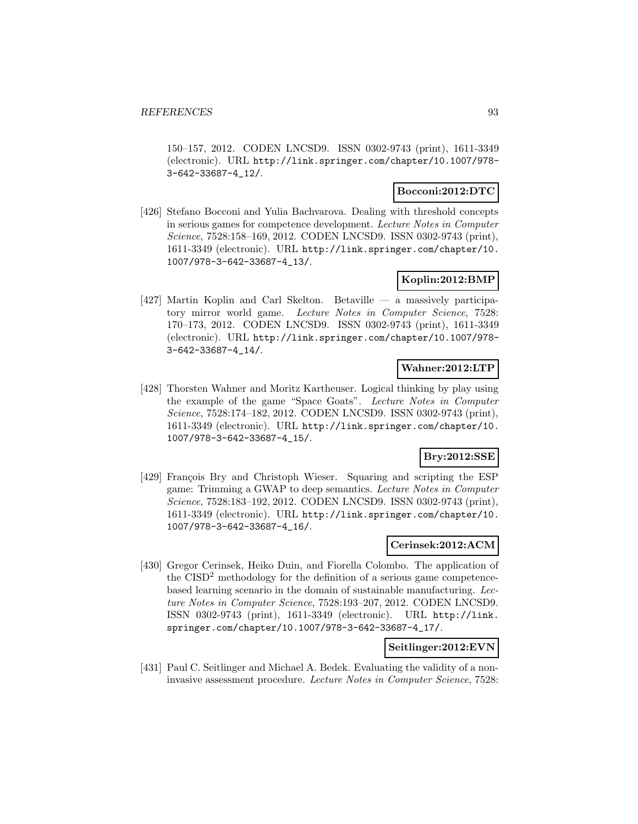150–157, 2012. CODEN LNCSD9. ISSN 0302-9743 (print), 1611-3349 (electronic). URL http://link.springer.com/chapter/10.1007/978- 3-642-33687-4\_12/.

### **Bocconi:2012:DTC**

[426] Stefano Bocconi and Yulia Bachvarova. Dealing with threshold concepts in serious games for competence development. Lecture Notes in Computer Science, 7528:158–169, 2012. CODEN LNCSD9. ISSN 0302-9743 (print), 1611-3349 (electronic). URL http://link.springer.com/chapter/10. 1007/978-3-642-33687-4\_13/.

# **Koplin:2012:BMP**

[427] Martin Koplin and Carl Skelton. Betaville — a massively participatory mirror world game. Lecture Notes in Computer Science, 7528: 170–173, 2012. CODEN LNCSD9. ISSN 0302-9743 (print), 1611-3349 (electronic). URL http://link.springer.com/chapter/10.1007/978- 3-642-33687-4\_14/.

### **Wahner:2012:LTP**

[428] Thorsten Wahner and Moritz Kartheuser. Logical thinking by play using the example of the game "Space Goats". Lecture Notes in Computer Science, 7528:174–182, 2012. CODEN LNCSD9. ISSN 0302-9743 (print), 1611-3349 (electronic). URL http://link.springer.com/chapter/10. 1007/978-3-642-33687-4\_15/.

# **Bry:2012:SSE**

[429] François Bry and Christoph Wieser. Squaring and scripting the ESP game: Trimming a GWAP to deep semantics. Lecture Notes in Computer Science, 7528:183–192, 2012. CODEN LNCSD9. ISSN 0302-9743 (print), 1611-3349 (electronic). URL http://link.springer.com/chapter/10. 1007/978-3-642-33687-4\_16/.

### **Cerinsek:2012:ACM**

[430] Gregor Cerinsek, Heiko Duin, and Fiorella Colombo. The application of the CISD<sup>2</sup> methodology for the definition of a serious game competencebased learning scenario in the domain of sustainable manufacturing. Lecture Notes in Computer Science, 7528:193–207, 2012. CODEN LNCSD9. ISSN 0302-9743 (print), 1611-3349 (electronic). URL http://link. springer.com/chapter/10.1007/978-3-642-33687-4\_17/.

### **Seitlinger:2012:EVN**

[431] Paul C. Seitlinger and Michael A. Bedek. Evaluating the validity of a noninvasive assessment procedure. Lecture Notes in Computer Science, 7528: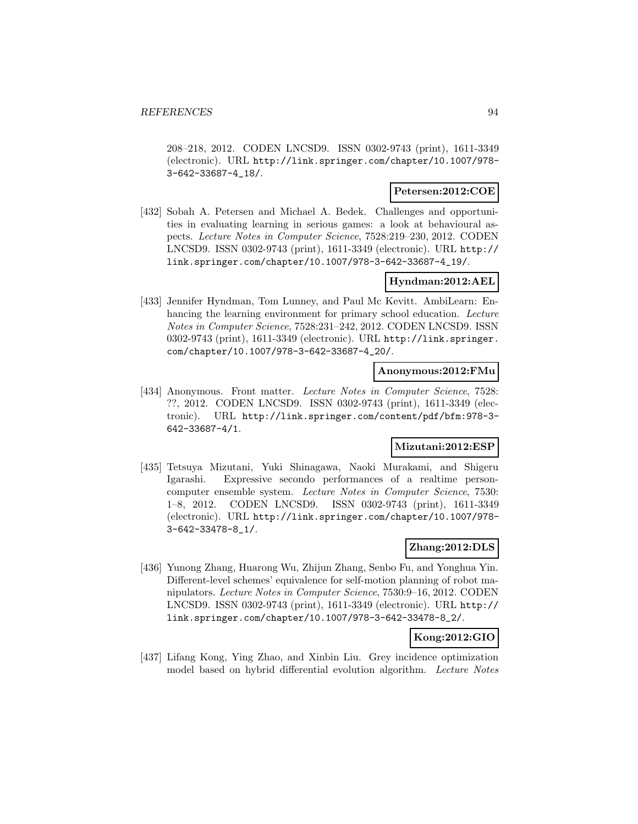208–218, 2012. CODEN LNCSD9. ISSN 0302-9743 (print), 1611-3349 (electronic). URL http://link.springer.com/chapter/10.1007/978- 3-642-33687-4\_18/.

### **Petersen:2012:COE**

[432] Sobah A. Petersen and Michael A. Bedek. Challenges and opportunities in evaluating learning in serious games: a look at behavioural aspects. Lecture Notes in Computer Science, 7528:219–230, 2012. CODEN LNCSD9. ISSN 0302-9743 (print), 1611-3349 (electronic). URL http:// link.springer.com/chapter/10.1007/978-3-642-33687-4\_19/.

### **Hyndman:2012:AEL**

[433] Jennifer Hyndman, Tom Lunney, and Paul Mc Kevitt. AmbiLearn: Enhancing the learning environment for primary school education. Lecture Notes in Computer Science, 7528:231–242, 2012. CODEN LNCSD9. ISSN 0302-9743 (print), 1611-3349 (electronic). URL http://link.springer. com/chapter/10.1007/978-3-642-33687-4\_20/.

#### **Anonymous:2012:FMu**

[434] Anonymous. Front matter. Lecture Notes in Computer Science, 7528: ??, 2012. CODEN LNCSD9. ISSN 0302-9743 (print), 1611-3349 (electronic). URL http://link.springer.com/content/pdf/bfm:978-3- 642-33687-4/1.

# **Mizutani:2012:ESP**

[435] Tetsuya Mizutani, Yuki Shinagawa, Naoki Murakami, and Shigeru Igarashi. Expressive secondo performances of a realtime personcomputer ensemble system. Lecture Notes in Computer Science, 7530: 1–8, 2012. CODEN LNCSD9. ISSN 0302-9743 (print), 1611-3349 (electronic). URL http://link.springer.com/chapter/10.1007/978- 3-642-33478-8\_1/.

## **Zhang:2012:DLS**

[436] Yunong Zhang, Huarong Wu, Zhijun Zhang, Senbo Fu, and Yonghua Yin. Different-level schemes' equivalence for self-motion planning of robot manipulators. Lecture Notes in Computer Science, 7530:9–16, 2012. CODEN LNCSD9. ISSN 0302-9743 (print), 1611-3349 (electronic). URL http:// link.springer.com/chapter/10.1007/978-3-642-33478-8\_2/.

### **Kong:2012:GIO**

[437] Lifang Kong, Ying Zhao, and Xinbin Liu. Grey incidence optimization model based on hybrid differential evolution algorithm. Lecture Notes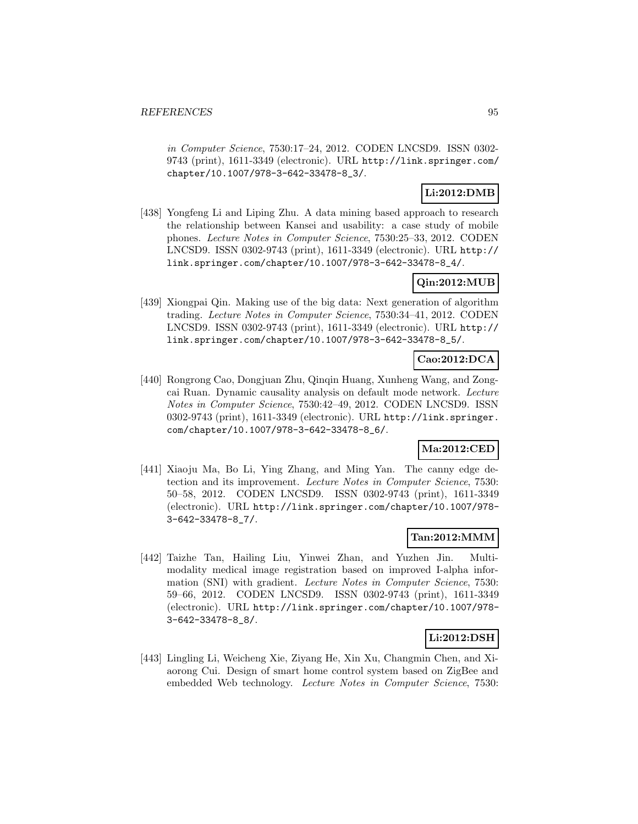in Computer Science, 7530:17–24, 2012. CODEN LNCSD9. ISSN 0302- 9743 (print), 1611-3349 (electronic). URL http://link.springer.com/ chapter/10.1007/978-3-642-33478-8\_3/.

# **Li:2012:DMB**

[438] Yongfeng Li and Liping Zhu. A data mining based approach to research the relationship between Kansei and usability: a case study of mobile phones. Lecture Notes in Computer Science, 7530:25–33, 2012. CODEN LNCSD9. ISSN 0302-9743 (print), 1611-3349 (electronic). URL http:// link.springer.com/chapter/10.1007/978-3-642-33478-8\_4/.

# **Qin:2012:MUB**

[439] Xiongpai Qin. Making use of the big data: Next generation of algorithm trading. Lecture Notes in Computer Science, 7530:34–41, 2012. CODEN LNCSD9. ISSN 0302-9743 (print), 1611-3349 (electronic). URL http:// link.springer.com/chapter/10.1007/978-3-642-33478-8\_5/.

# **Cao:2012:DCA**

[440] Rongrong Cao, Dongjuan Zhu, Qinqin Huang, Xunheng Wang, and Zongcai Ruan. Dynamic causality analysis on default mode network. Lecture Notes in Computer Science, 7530:42–49, 2012. CODEN LNCSD9. ISSN 0302-9743 (print), 1611-3349 (electronic). URL http://link.springer. com/chapter/10.1007/978-3-642-33478-8\_6/.

## **Ma:2012:CED**

[441] Xiaoju Ma, Bo Li, Ying Zhang, and Ming Yan. The canny edge detection and its improvement. Lecture Notes in Computer Science, 7530: 50–58, 2012. CODEN LNCSD9. ISSN 0302-9743 (print), 1611-3349 (electronic). URL http://link.springer.com/chapter/10.1007/978- 3-642-33478-8\_7/.

## **Tan:2012:MMM**

[442] Taizhe Tan, Hailing Liu, Yinwei Zhan, and Yuzhen Jin. Multimodality medical image registration based on improved I-alpha information (SNI) with gradient. Lecture Notes in Computer Science, 7530: 59–66, 2012. CODEN LNCSD9. ISSN 0302-9743 (print), 1611-3349 (electronic). URL http://link.springer.com/chapter/10.1007/978- 3-642-33478-8\_8/.

### **Li:2012:DSH**

[443] Lingling Li, Weicheng Xie, Ziyang He, Xin Xu, Changmin Chen, and Xiaorong Cui. Design of smart home control system based on ZigBee and embedded Web technology. Lecture Notes in Computer Science, 7530: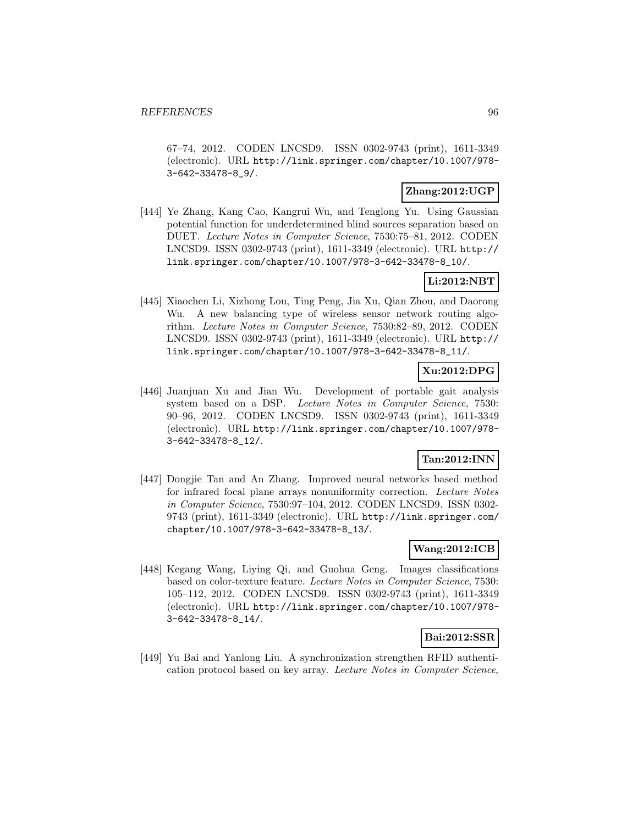67–74, 2012. CODEN LNCSD9. ISSN 0302-9743 (print), 1611-3349 (electronic). URL http://link.springer.com/chapter/10.1007/978- 3-642-33478-8\_9/.

### **Zhang:2012:UGP**

[444] Ye Zhang, Kang Cao, Kangrui Wu, and Tenglong Yu. Using Gaussian potential function for underdetermined blind sources separation based on DUET. Lecture Notes in Computer Science, 7530:75–81, 2012. CODEN LNCSD9. ISSN 0302-9743 (print), 1611-3349 (electronic). URL http:// link.springer.com/chapter/10.1007/978-3-642-33478-8\_10/.

### **Li:2012:NBT**

[445] Xiaochen Li, Xizhong Lou, Ting Peng, Jia Xu, Qian Zhou, and Daorong Wu. A new balancing type of wireless sensor network routing algorithm. Lecture Notes in Computer Science, 7530:82–89, 2012. CODEN LNCSD9. ISSN 0302-9743 (print), 1611-3349 (electronic). URL http:// link.springer.com/chapter/10.1007/978-3-642-33478-8\_11/.

# **Xu:2012:DPG**

[446] Juanjuan Xu and Jian Wu. Development of portable gait analysis system based on a DSP. Lecture Notes in Computer Science, 7530: 90–96, 2012. CODEN LNCSD9. ISSN 0302-9743 (print), 1611-3349 (electronic). URL http://link.springer.com/chapter/10.1007/978- 3-642-33478-8\_12/.

# **Tan:2012:INN**

[447] Dongjie Tan and An Zhang. Improved neural networks based method for infrared focal plane arrays nonuniformity correction. Lecture Notes in Computer Science, 7530:97–104, 2012. CODEN LNCSD9. ISSN 0302- 9743 (print), 1611-3349 (electronic). URL http://link.springer.com/ chapter/10.1007/978-3-642-33478-8\_13/.

### **Wang:2012:ICB**

[448] Kegang Wang, Liying Qi, and Guohua Geng. Images classifications based on color-texture feature. Lecture Notes in Computer Science, 7530: 105–112, 2012. CODEN LNCSD9. ISSN 0302-9743 (print), 1611-3349 (electronic). URL http://link.springer.com/chapter/10.1007/978- 3-642-33478-8\_14/.

### **Bai:2012:SSR**

[449] Yu Bai and Yanlong Liu. A synchronization strengthen RFID authentication protocol based on key array. Lecture Notes in Computer Science,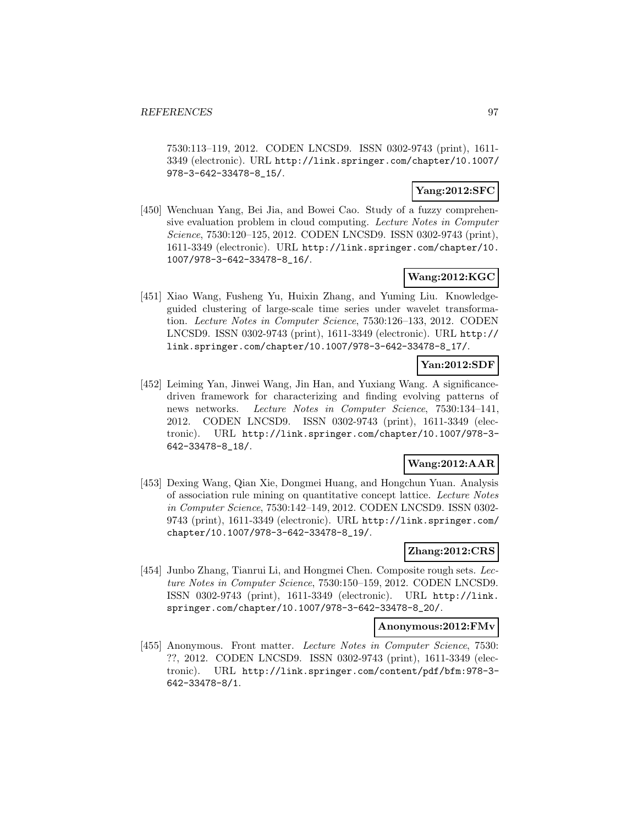7530:113–119, 2012. CODEN LNCSD9. ISSN 0302-9743 (print), 1611- 3349 (electronic). URL http://link.springer.com/chapter/10.1007/ 978-3-642-33478-8\_15/.

## **Yang:2012:SFC**

[450] Wenchuan Yang, Bei Jia, and Bowei Cao. Study of a fuzzy comprehensive evaluation problem in cloud computing. Lecture Notes in Computer Science, 7530:120–125, 2012. CODEN LNCSD9. ISSN 0302-9743 (print), 1611-3349 (electronic). URL http://link.springer.com/chapter/10. 1007/978-3-642-33478-8\_16/.

# **Wang:2012:KGC**

[451] Xiao Wang, Fusheng Yu, Huixin Zhang, and Yuming Liu. Knowledgeguided clustering of large-scale time series under wavelet transformation. Lecture Notes in Computer Science, 7530:126–133, 2012. CODEN LNCSD9. ISSN 0302-9743 (print), 1611-3349 (electronic). URL http:// link.springer.com/chapter/10.1007/978-3-642-33478-8\_17/.

### **Yan:2012:SDF**

[452] Leiming Yan, Jinwei Wang, Jin Han, and Yuxiang Wang. A significancedriven framework for characterizing and finding evolving patterns of news networks. Lecture Notes in Computer Science, 7530:134–141, 2012. CODEN LNCSD9. ISSN 0302-9743 (print), 1611-3349 (electronic). URL http://link.springer.com/chapter/10.1007/978-3- 642-33478-8\_18/.

## **Wang:2012:AAR**

[453] Dexing Wang, Qian Xie, Dongmei Huang, and Hongchun Yuan. Analysis of association rule mining on quantitative concept lattice. Lecture Notes in Computer Science, 7530:142–149, 2012. CODEN LNCSD9. ISSN 0302- 9743 (print), 1611-3349 (electronic). URL http://link.springer.com/ chapter/10.1007/978-3-642-33478-8\_19/.

### **Zhang:2012:CRS**

[454] Junbo Zhang, Tianrui Li, and Hongmei Chen. Composite rough sets. Lecture Notes in Computer Science, 7530:150–159, 2012. CODEN LNCSD9. ISSN 0302-9743 (print), 1611-3349 (electronic). URL http://link. springer.com/chapter/10.1007/978-3-642-33478-8\_20/.

#### **Anonymous:2012:FMv**

[455] Anonymous. Front matter. Lecture Notes in Computer Science, 7530: ??, 2012. CODEN LNCSD9. ISSN 0302-9743 (print), 1611-3349 (electronic). URL http://link.springer.com/content/pdf/bfm:978-3- 642-33478-8/1.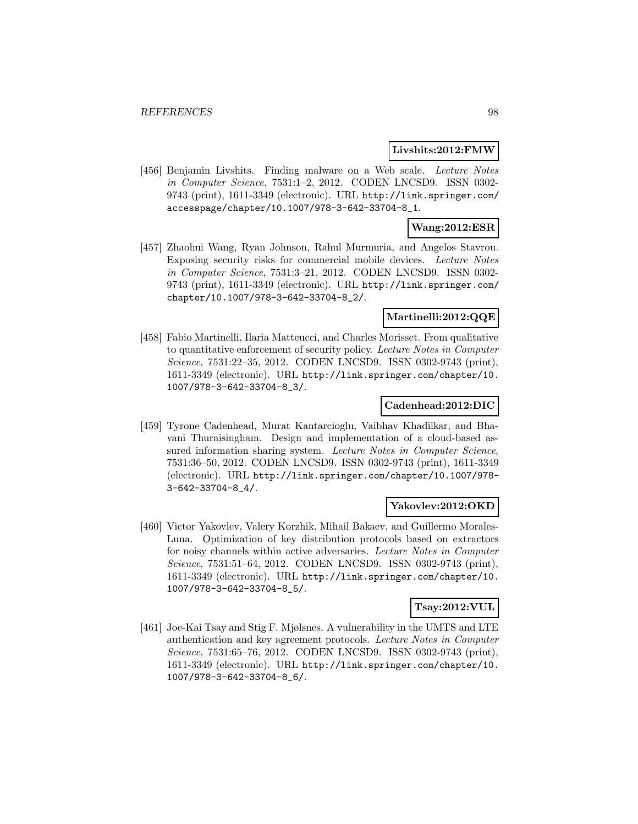#### **Livshits:2012:FMW**

[456] Benjamin Livshits. Finding malware on a Web scale. Lecture Notes in Computer Science, 7531:1–2, 2012. CODEN LNCSD9. ISSN 0302- 9743 (print), 1611-3349 (electronic). URL http://link.springer.com/ accesspage/chapter/10.1007/978-3-642-33704-8\_1.

### **Wang:2012:ESR**

[457] Zhaohui Wang, Ryan Johnson, Rahul Murmuria, and Angelos Stavrou. Exposing security risks for commercial mobile devices. Lecture Notes in Computer Science, 7531:3–21, 2012. CODEN LNCSD9. ISSN 0302- 9743 (print), 1611-3349 (electronic). URL http://link.springer.com/ chapter/10.1007/978-3-642-33704-8\_2/.

### **Martinelli:2012:QQE**

[458] Fabio Martinelli, Ilaria Matteucci, and Charles Morisset. From qualitative to quantitative enforcement of security policy. Lecture Notes in Computer Science, 7531:22–35, 2012. CODEN LNCSD9. ISSN 0302-9743 (print), 1611-3349 (electronic). URL http://link.springer.com/chapter/10. 1007/978-3-642-33704-8\_3/.

#### **Cadenhead:2012:DIC**

[459] Tyrone Cadenhead, Murat Kantarcioglu, Vaibhav Khadilkar, and Bhavani Thuraisingham. Design and implementation of a cloud-based assured information sharing system. Lecture Notes in Computer Science, 7531:36–50, 2012. CODEN LNCSD9. ISSN 0302-9743 (print), 1611-3349 (electronic). URL http://link.springer.com/chapter/10.1007/978- 3-642-33704-8\_4/.

#### **Yakovlev:2012:OKD**

[460] Victor Yakovlev, Valery Korzhik, Mihail Bakaev, and Guillermo Morales-Luna. Optimization of key distribution protocols based on extractors for noisy channels within active adversaries. Lecture Notes in Computer Science, 7531:51–64, 2012. CODEN LNCSD9. ISSN 0302-9743 (print), 1611-3349 (electronic). URL http://link.springer.com/chapter/10. 1007/978-3-642-33704-8\_5/.

#### **Tsay:2012:VUL**

[461] Joe-Kai Tsay and Stig F. Mjølsnes. A vulnerability in the UMTS and LTE authentication and key agreement protocols. Lecture Notes in Computer Science, 7531:65–76, 2012. CODEN LNCSD9. ISSN 0302-9743 (print), 1611-3349 (electronic). URL http://link.springer.com/chapter/10. 1007/978-3-642-33704-8\_6/.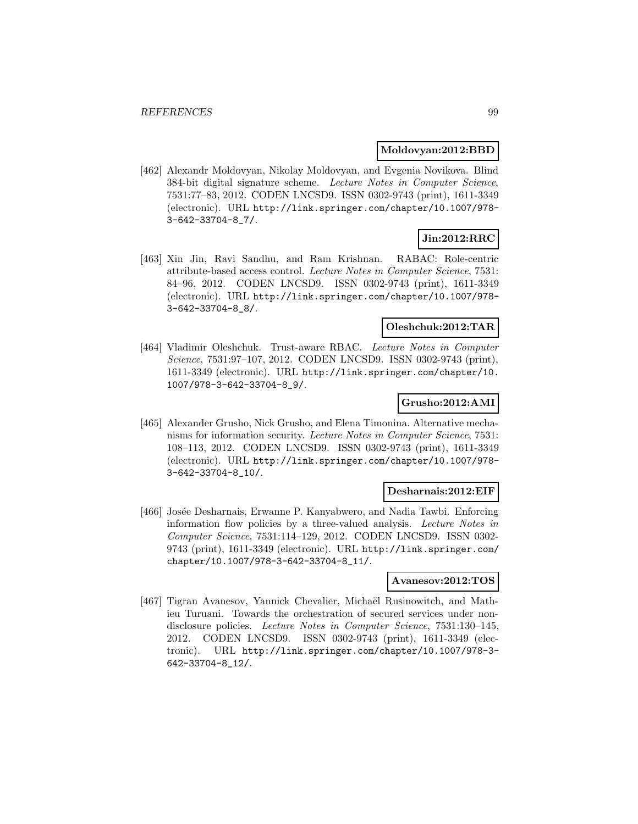#### **Moldovyan:2012:BBD**

[462] Alexandr Moldovyan, Nikolay Moldovyan, and Evgenia Novikova. Blind 384-bit digital signature scheme. Lecture Notes in Computer Science, 7531:77–83, 2012. CODEN LNCSD9. ISSN 0302-9743 (print), 1611-3349 (electronic). URL http://link.springer.com/chapter/10.1007/978- 3-642-33704-8\_7/.

# **Jin:2012:RRC**

[463] Xin Jin, Ravi Sandhu, and Ram Krishnan. RABAC: Role-centric attribute-based access control. Lecture Notes in Computer Science, 7531: 84–96, 2012. CODEN LNCSD9. ISSN 0302-9743 (print), 1611-3349 (electronic). URL http://link.springer.com/chapter/10.1007/978- 3-642-33704-8\_8/.

### **Oleshchuk:2012:TAR**

[464] Vladimir Oleshchuk. Trust-aware RBAC. Lecture Notes in Computer Science, 7531:97–107, 2012. CODEN LNCSD9. ISSN 0302-9743 (print), 1611-3349 (electronic). URL http://link.springer.com/chapter/10. 1007/978-3-642-33704-8\_9/.

#### **Grusho:2012:AMI**

[465] Alexander Grusho, Nick Grusho, and Elena Timonina. Alternative mechanisms for information security. Lecture Notes in Computer Science, 7531: 108–113, 2012. CODEN LNCSD9. ISSN 0302-9743 (print), 1611-3349 (electronic). URL http://link.springer.com/chapter/10.1007/978- 3-642-33704-8\_10/.

#### **Desharnais:2012:EIF**

[466] Josée Desharnais, Erwanne P. Kanyabwero, and Nadia Tawbi. Enforcing information flow policies by a three-valued analysis. Lecture Notes in Computer Science, 7531:114–129, 2012. CODEN LNCSD9. ISSN 0302- 9743 (print), 1611-3349 (electronic). URL http://link.springer.com/ chapter/10.1007/978-3-642-33704-8\_11/.

#### **Avanesov:2012:TOS**

[467] Tigran Avanesov, Yannick Chevalier, Michaël Rusinowitch, and Mathieu Turuani. Towards the orchestration of secured services under nondisclosure policies. Lecture Notes in Computer Science, 7531:130–145, 2012. CODEN LNCSD9. ISSN 0302-9743 (print), 1611-3349 (electronic). URL http://link.springer.com/chapter/10.1007/978-3- 642-33704-8\_12/.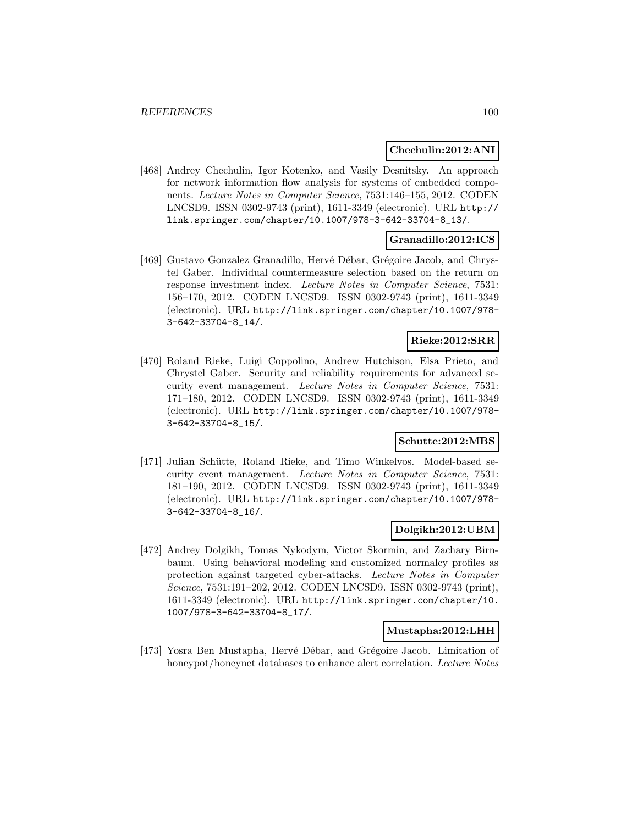#### **Chechulin:2012:ANI**

[468] Andrey Chechulin, Igor Kotenko, and Vasily Desnitsky. An approach for network information flow analysis for systems of embedded components. Lecture Notes in Computer Science, 7531:146–155, 2012. CODEN LNCSD9. ISSN 0302-9743 (print), 1611-3349 (electronic). URL http:// link.springer.com/chapter/10.1007/978-3-642-33704-8\_13/.

### **Granadillo:2012:ICS**

[469] Gustavo Gonzalez Granadillo, Hervé Débar, Grégoire Jacob, and Chrystel Gaber. Individual countermeasure selection based on the return on response investment index. Lecture Notes in Computer Science, 7531: 156–170, 2012. CODEN LNCSD9. ISSN 0302-9743 (print), 1611-3349 (electronic). URL http://link.springer.com/chapter/10.1007/978- 3-642-33704-8\_14/.

### **Rieke:2012:SRR**

[470] Roland Rieke, Luigi Coppolino, Andrew Hutchison, Elsa Prieto, and Chrystel Gaber. Security and reliability requirements for advanced security event management. Lecture Notes in Computer Science, 7531: 171–180, 2012. CODEN LNCSD9. ISSN 0302-9743 (print), 1611-3349 (electronic). URL http://link.springer.com/chapter/10.1007/978- 3-642-33704-8\_15/.

#### **Schutte:2012:MBS**

[471] Julian Schütte, Roland Rieke, and Timo Winkelvos. Model-based security event management. Lecture Notes in Computer Science, 7531: 181–190, 2012. CODEN LNCSD9. ISSN 0302-9743 (print), 1611-3349 (electronic). URL http://link.springer.com/chapter/10.1007/978- 3-642-33704-8\_16/.

#### **Dolgikh:2012:UBM**

[472] Andrey Dolgikh, Tomas Nykodym, Victor Skormin, and Zachary Birnbaum. Using behavioral modeling and customized normalcy profiles as protection against targeted cyber-attacks. Lecture Notes in Computer Science, 7531:191–202, 2012. CODEN LNCSD9. ISSN 0302-9743 (print), 1611-3349 (electronic). URL http://link.springer.com/chapter/10. 1007/978-3-642-33704-8\_17/.

#### **Mustapha:2012:LHH**

[473] Yosra Ben Mustapha, Hervé Débar, and Grégoire Jacob. Limitation of honeypot/honeynet databases to enhance alert correlation. Lecture Notes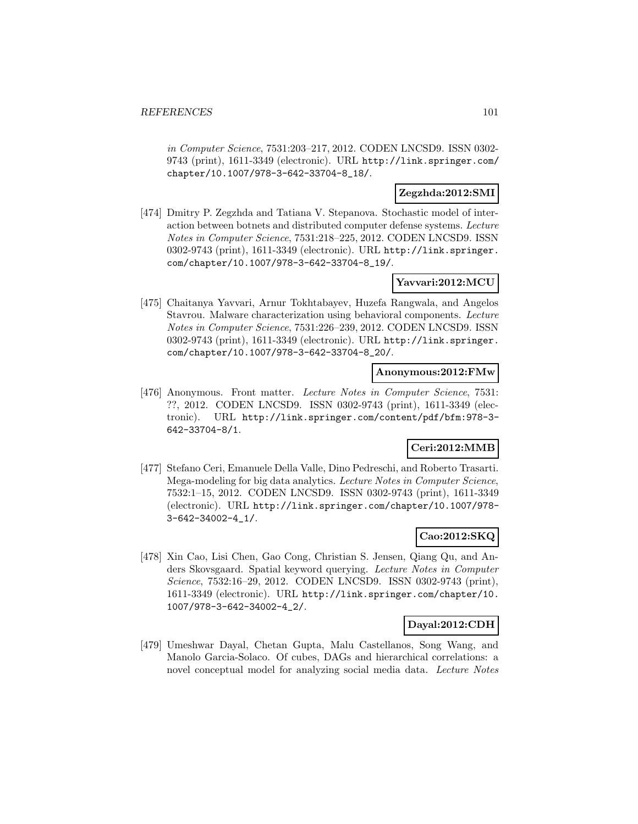in Computer Science, 7531:203–217, 2012. CODEN LNCSD9. ISSN 0302- 9743 (print), 1611-3349 (electronic). URL http://link.springer.com/ chapter/10.1007/978-3-642-33704-8\_18/.

### **Zegzhda:2012:SMI**

[474] Dmitry P. Zegzhda and Tatiana V. Stepanova. Stochastic model of interaction between botnets and distributed computer defense systems. Lecture Notes in Computer Science, 7531:218–225, 2012. CODEN LNCSD9. ISSN 0302-9743 (print), 1611-3349 (electronic). URL http://link.springer. com/chapter/10.1007/978-3-642-33704-8\_19/.

### **Yavvari:2012:MCU**

[475] Chaitanya Yavvari, Arnur Tokhtabayev, Huzefa Rangwala, and Angelos Stavrou. Malware characterization using behavioral components. Lecture Notes in Computer Science, 7531:226–239, 2012. CODEN LNCSD9. ISSN 0302-9743 (print), 1611-3349 (electronic). URL http://link.springer. com/chapter/10.1007/978-3-642-33704-8\_20/.

#### **Anonymous:2012:FMw**

[476] Anonymous. Front matter. Lecture Notes in Computer Science, 7531: ??, 2012. CODEN LNCSD9. ISSN 0302-9743 (print), 1611-3349 (electronic). URL http://link.springer.com/content/pdf/bfm:978-3- 642-33704-8/1.

# **Ceri:2012:MMB**

[477] Stefano Ceri, Emanuele Della Valle, Dino Pedreschi, and Roberto Trasarti. Mega-modeling for big data analytics. Lecture Notes in Computer Science, 7532:1–15, 2012. CODEN LNCSD9. ISSN 0302-9743 (print), 1611-3349 (electronic). URL http://link.springer.com/chapter/10.1007/978- 3-642-34002-4\_1/.

### **Cao:2012:SKQ**

[478] Xin Cao, Lisi Chen, Gao Cong, Christian S. Jensen, Qiang Qu, and Anders Skovsgaard. Spatial keyword querying. Lecture Notes in Computer Science, 7532:16–29, 2012. CODEN LNCSD9. ISSN 0302-9743 (print), 1611-3349 (electronic). URL http://link.springer.com/chapter/10. 1007/978-3-642-34002-4\_2/.

# **Dayal:2012:CDH**

[479] Umeshwar Dayal, Chetan Gupta, Malu Castellanos, Song Wang, and Manolo Garcia-Solaco. Of cubes, DAGs and hierarchical correlations: a novel conceptual model for analyzing social media data. Lecture Notes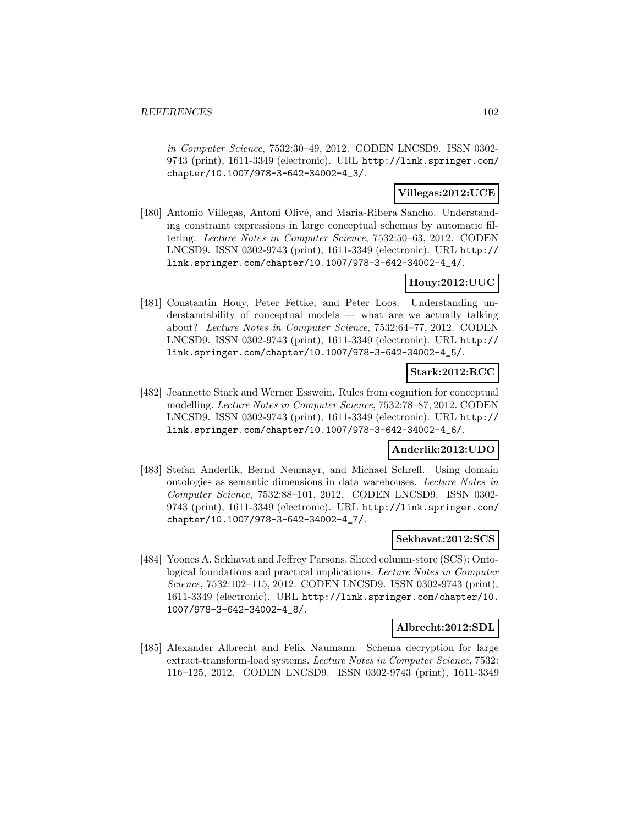in Computer Science, 7532:30–49, 2012. CODEN LNCSD9. ISSN 0302- 9743 (print), 1611-3349 (electronic). URL http://link.springer.com/ chapter/10.1007/978-3-642-34002-4\_3/.

## **Villegas:2012:UCE**

[480] Antonio Villegas, Antoni Olivé, and Maria-Ribera Sancho. Understanding constraint expressions in large conceptual schemas by automatic filtering. Lecture Notes in Computer Science, 7532:50–63, 2012. CODEN LNCSD9. ISSN 0302-9743 (print), 1611-3349 (electronic). URL http:// link.springer.com/chapter/10.1007/978-3-642-34002-4\_4/.

### **Houy:2012:UUC**

[481] Constantin Houy, Peter Fettke, and Peter Loos. Understanding understandability of conceptual models — what are we actually talking about? Lecture Notes in Computer Science, 7532:64–77, 2012. CODEN LNCSD9. ISSN 0302-9743 (print), 1611-3349 (electronic). URL http:// link.springer.com/chapter/10.1007/978-3-642-34002-4\_5/.

### **Stark:2012:RCC**

[482] Jeannette Stark and Werner Esswein. Rules from cognition for conceptual modelling. Lecture Notes in Computer Science, 7532:78–87, 2012. CODEN LNCSD9. ISSN 0302-9743 (print), 1611-3349 (electronic). URL http:// link.springer.com/chapter/10.1007/978-3-642-34002-4\_6/.

### **Anderlik:2012:UDO**

[483] Stefan Anderlik, Bernd Neumayr, and Michael Schrefl. Using domain ontologies as semantic dimensions in data warehouses. Lecture Notes in Computer Science, 7532:88–101, 2012. CODEN LNCSD9. ISSN 0302- 9743 (print), 1611-3349 (electronic). URL http://link.springer.com/ chapter/10.1007/978-3-642-34002-4\_7/.

### **Sekhavat:2012:SCS**

[484] Yoones A. Sekhavat and Jeffrey Parsons. Sliced column-store (SCS): Ontological foundations and practical implications. Lecture Notes in Computer Science, 7532:102–115, 2012. CODEN LNCSD9. ISSN 0302-9743 (print), 1611-3349 (electronic). URL http://link.springer.com/chapter/10. 1007/978-3-642-34002-4\_8/.

### **Albrecht:2012:SDL**

[485] Alexander Albrecht and Felix Naumann. Schema decryption for large extract-transform-load systems. Lecture Notes in Computer Science, 7532: 116–125, 2012. CODEN LNCSD9. ISSN 0302-9743 (print), 1611-3349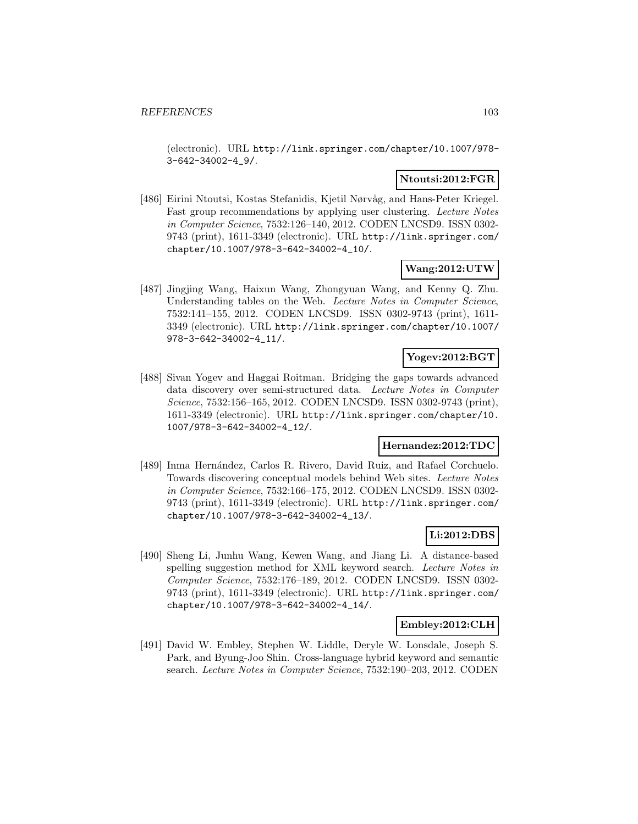(electronic). URL http://link.springer.com/chapter/10.1007/978- 3-642-34002-4\_9/.

### **Ntoutsi:2012:FGR**

[486] Eirini Ntoutsi, Kostas Stefanidis, Kjetil Nørvåg, and Hans-Peter Kriegel. Fast group recommendations by applying user clustering. Lecture Notes in Computer Science, 7532:126–140, 2012. CODEN LNCSD9. ISSN 0302- 9743 (print), 1611-3349 (electronic). URL http://link.springer.com/ chapter/10.1007/978-3-642-34002-4\_10/.

### **Wang:2012:UTW**

[487] Jingjing Wang, Haixun Wang, Zhongyuan Wang, and Kenny Q. Zhu. Understanding tables on the Web. Lecture Notes in Computer Science, 7532:141–155, 2012. CODEN LNCSD9. ISSN 0302-9743 (print), 1611- 3349 (electronic). URL http://link.springer.com/chapter/10.1007/ 978-3-642-34002-4\_11/.

# **Yogev:2012:BGT**

[488] Sivan Yogev and Haggai Roitman. Bridging the gaps towards advanced data discovery over semi-structured data. Lecture Notes in Computer Science, 7532:156–165, 2012. CODEN LNCSD9. ISSN 0302-9743 (print), 1611-3349 (electronic). URL http://link.springer.com/chapter/10. 1007/978-3-642-34002-4\_12/.

# **Hernandez:2012:TDC**

[489] Inma Hernández, Carlos R. Rivero, David Ruiz, and Rafael Corchuelo. Towards discovering conceptual models behind Web sites. Lecture Notes in Computer Science, 7532:166–175, 2012. CODEN LNCSD9. ISSN 0302- 9743 (print), 1611-3349 (electronic). URL http://link.springer.com/ chapter/10.1007/978-3-642-34002-4\_13/.

#### **Li:2012:DBS**

[490] Sheng Li, Junhu Wang, Kewen Wang, and Jiang Li. A distance-based spelling suggestion method for XML keyword search. Lecture Notes in Computer Science, 7532:176–189, 2012. CODEN LNCSD9. ISSN 0302- 9743 (print), 1611-3349 (electronic). URL http://link.springer.com/ chapter/10.1007/978-3-642-34002-4\_14/.

#### **Embley:2012:CLH**

[491] David W. Embley, Stephen W. Liddle, Deryle W. Lonsdale, Joseph S. Park, and Byung-Joo Shin. Cross-language hybrid keyword and semantic search. Lecture Notes in Computer Science, 7532:190–203, 2012. CODEN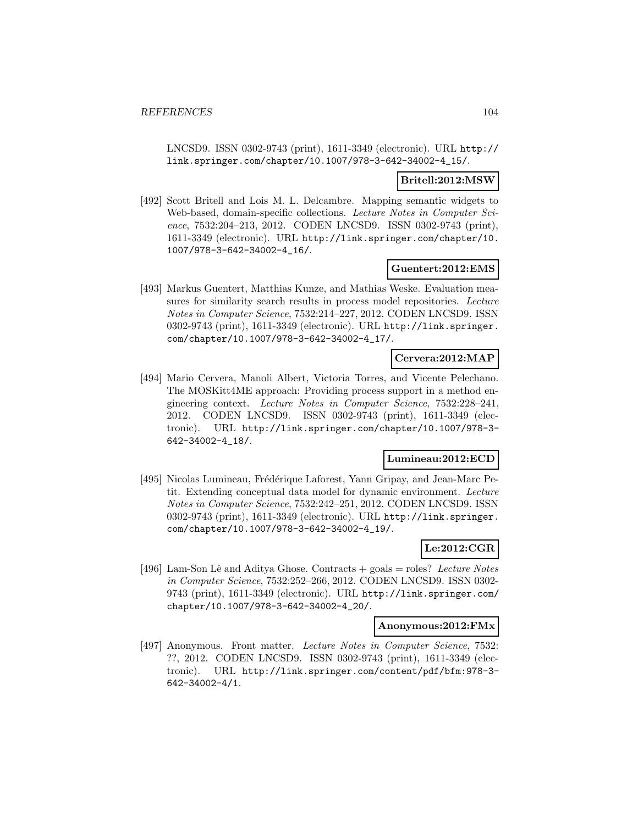LNCSD9. ISSN 0302-9743 (print), 1611-3349 (electronic). URL http:// link.springer.com/chapter/10.1007/978-3-642-34002-4\_15/.

#### **Britell:2012:MSW**

[492] Scott Britell and Lois M. L. Delcambre. Mapping semantic widgets to Web-based, domain-specific collections. Lecture Notes in Computer Science, 7532:204–213, 2012. CODEN LNCSD9. ISSN 0302-9743 (print), 1611-3349 (electronic). URL http://link.springer.com/chapter/10. 1007/978-3-642-34002-4\_16/.

#### **Guentert:2012:EMS**

[493] Markus Guentert, Matthias Kunze, and Mathias Weske. Evaluation measures for similarity search results in process model repositories. Lecture Notes in Computer Science, 7532:214–227, 2012. CODEN LNCSD9. ISSN 0302-9743 (print), 1611-3349 (electronic). URL http://link.springer. com/chapter/10.1007/978-3-642-34002-4\_17/.

# **Cervera:2012:MAP**

[494] Mario Cervera, Manoli Albert, Victoria Torres, and Vicente Pelechano. The MOSKitt4ME approach: Providing process support in a method engineering context. Lecture Notes in Computer Science, 7532:228–241, 2012. CODEN LNCSD9. ISSN 0302-9743 (print), 1611-3349 (electronic). URL http://link.springer.com/chapter/10.1007/978-3- 642-34002-4\_18/.

## **Lumineau:2012:ECD**

[495] Nicolas Lumineau, Frédérique Laforest, Yann Gripay, and Jean-Marc Petit. Extending conceptual data model for dynamic environment. Lecture Notes in Computer Science, 7532:242–251, 2012. CODEN LNCSD9. ISSN 0302-9743 (print), 1611-3349 (electronic). URL http://link.springer. com/chapter/10.1007/978-3-642-34002-4\_19/.

## **Le:2012:CGR**

[496] Lam-Son Lê and Aditya Ghose. Contracts  $+$  goals  $=$  roles? Lecture Notes in Computer Science, 7532:252–266, 2012. CODEN LNCSD9. ISSN 0302- 9743 (print), 1611-3349 (electronic). URL http://link.springer.com/ chapter/10.1007/978-3-642-34002-4\_20/.

#### **Anonymous:2012:FMx**

[497] Anonymous. Front matter. Lecture Notes in Computer Science, 7532: ??, 2012. CODEN LNCSD9. ISSN 0302-9743 (print), 1611-3349 (electronic). URL http://link.springer.com/content/pdf/bfm:978-3- 642-34002-4/1.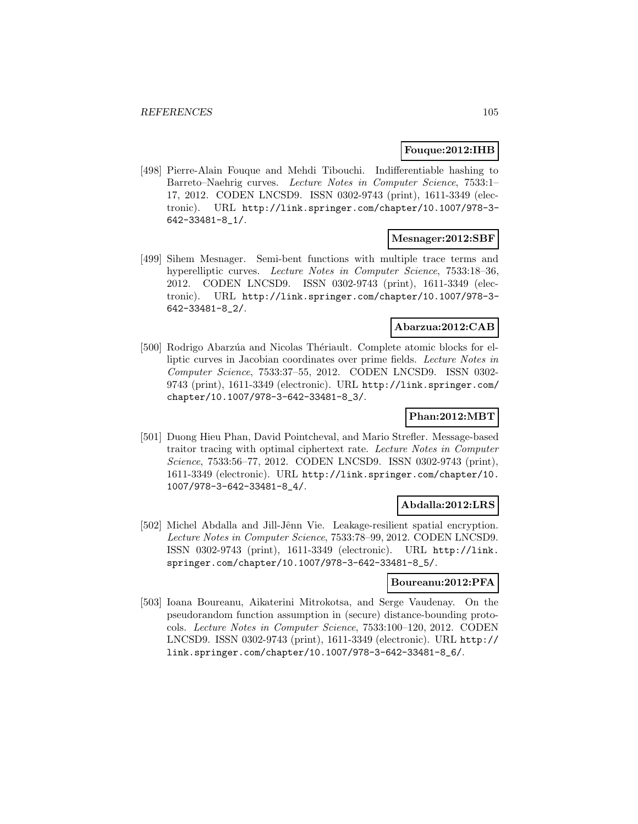#### **Fouque:2012:IHB**

[498] Pierre-Alain Fouque and Mehdi Tibouchi. Indifferentiable hashing to Barreto–Naehrig curves. Lecture Notes in Computer Science, 7533:1– 17, 2012. CODEN LNCSD9. ISSN 0302-9743 (print), 1611-3349 (electronic). URL http://link.springer.com/chapter/10.1007/978-3- 642-33481-8\_1/.

### **Mesnager:2012:SBF**

[499] Sihem Mesnager. Semi-bent functions with multiple trace terms and hyperelliptic curves. Lecture Notes in Computer Science, 7533:18-36, 2012. CODEN LNCSD9. ISSN 0302-9743 (print), 1611-3349 (electronic). URL http://link.springer.com/chapter/10.1007/978-3- 642-33481-8\_2/.

# **Abarzua:2012:CAB**

[500] Rodrigo Abarzúa and Nicolas Thériault. Complete atomic blocks for elliptic curves in Jacobian coordinates over prime fields. Lecture Notes in Computer Science, 7533:37–55, 2012. CODEN LNCSD9. ISSN 0302- 9743 (print), 1611-3349 (electronic). URL http://link.springer.com/ chapter/10.1007/978-3-642-33481-8\_3/.

### **Phan:2012:MBT**

[501] Duong Hieu Phan, David Pointcheval, and Mario Strefler. Message-based traitor tracing with optimal ciphertext rate. Lecture Notes in Computer Science, 7533:56–77, 2012. CODEN LNCSD9. ISSN 0302-9743 (print), 1611-3349 (electronic). URL http://link.springer.com/chapter/10. 1007/978-3-642-33481-8\_4/.

#### **Abdalla:2012:LRS**

[502] Michel Abdalla and Jill-Jênn Vie. Leakage-resilient spatial encryption. Lecture Notes in Computer Science, 7533:78–99, 2012. CODEN LNCSD9. ISSN 0302-9743 (print), 1611-3349 (electronic). URL http://link. springer.com/chapter/10.1007/978-3-642-33481-8\_5/.

# **Boureanu:2012:PFA**

[503] Ioana Boureanu, Aikaterini Mitrokotsa, and Serge Vaudenay. On the pseudorandom function assumption in (secure) distance-bounding protocols. Lecture Notes in Computer Science, 7533:100–120, 2012. CODEN LNCSD9. ISSN 0302-9743 (print), 1611-3349 (electronic). URL http:// link.springer.com/chapter/10.1007/978-3-642-33481-8\_6/.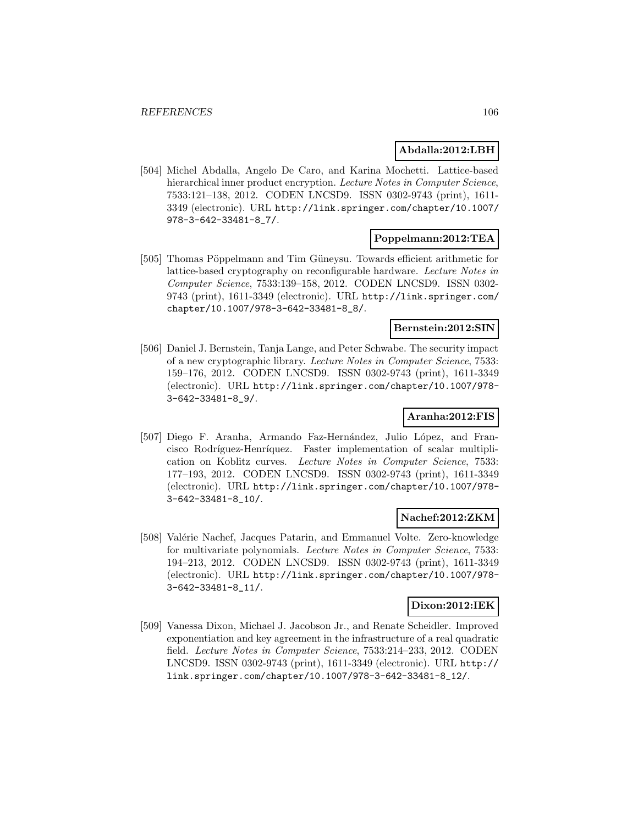### **Abdalla:2012:LBH**

[504] Michel Abdalla, Angelo De Caro, and Karina Mochetti. Lattice-based hierarchical inner product encryption. Lecture Notes in Computer Science, 7533:121–138, 2012. CODEN LNCSD9. ISSN 0302-9743 (print), 1611- 3349 (electronic). URL http://link.springer.com/chapter/10.1007/ 978-3-642-33481-8\_7/.

### **Poppelmann:2012:TEA**

[505] Thomas Pöppelmann and Tim Güneysu. Towards efficient arithmetic for lattice-based cryptography on reconfigurable hardware. Lecture Notes in Computer Science, 7533:139–158, 2012. CODEN LNCSD9. ISSN 0302- 9743 (print), 1611-3349 (electronic). URL http://link.springer.com/ chapter/10.1007/978-3-642-33481-8\_8/.

#### **Bernstein:2012:SIN**

[506] Daniel J. Bernstein, Tanja Lange, and Peter Schwabe. The security impact of a new cryptographic library. Lecture Notes in Computer Science, 7533: 159–176, 2012. CODEN LNCSD9. ISSN 0302-9743 (print), 1611-3349 (electronic). URL http://link.springer.com/chapter/10.1007/978- 3-642-33481-8\_9/.

### **Aranha:2012:FIS**

[507] Diego F. Aranha, Armando Faz-Hernández, Julio López, and Francisco Rodríguez-Henríquez. Faster implementation of scalar multiplication on Koblitz curves. Lecture Notes in Computer Science, 7533: 177–193, 2012. CODEN LNCSD9. ISSN 0302-9743 (print), 1611-3349 (electronic). URL http://link.springer.com/chapter/10.1007/978- 3-642-33481-8\_10/.

# **Nachef:2012:ZKM**

[508] Valérie Nachef, Jacques Patarin, and Emmanuel Volte. Zero-knowledge for multivariate polynomials. Lecture Notes in Computer Science, 7533: 194–213, 2012. CODEN LNCSD9. ISSN 0302-9743 (print), 1611-3349 (electronic). URL http://link.springer.com/chapter/10.1007/978- 3-642-33481-8\_11/.

# **Dixon:2012:IEK**

[509] Vanessa Dixon, Michael J. Jacobson Jr., and Renate Scheidler. Improved exponentiation and key agreement in the infrastructure of a real quadratic field. Lecture Notes in Computer Science, 7533:214–233, 2012. CODEN LNCSD9. ISSN 0302-9743 (print), 1611-3349 (electronic). URL http:// link.springer.com/chapter/10.1007/978-3-642-33481-8\_12/.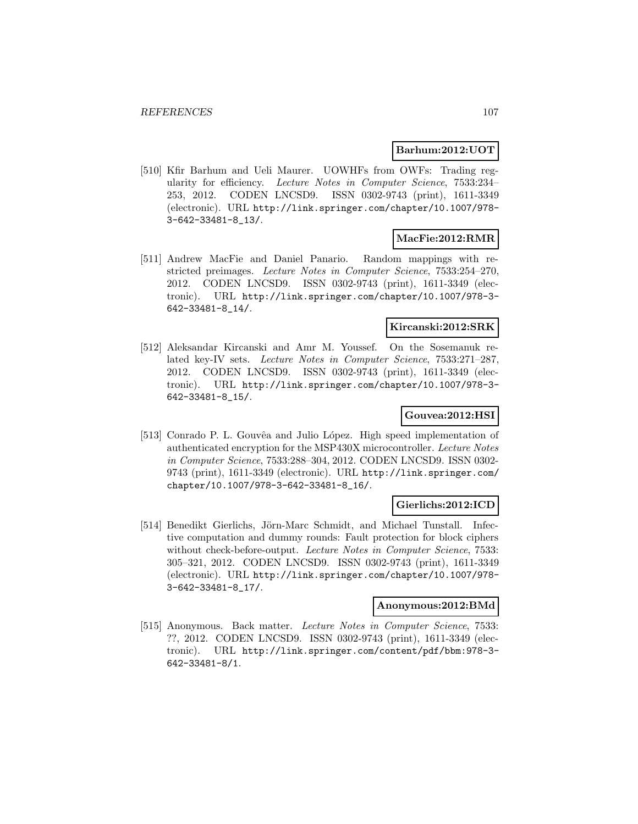### **Barhum:2012:UOT**

[510] Kfir Barhum and Ueli Maurer. UOWHFs from OWFs: Trading regularity for efficiency. Lecture Notes in Computer Science, 7533:234– 253, 2012. CODEN LNCSD9. ISSN 0302-9743 (print), 1611-3349 (electronic). URL http://link.springer.com/chapter/10.1007/978- 3-642-33481-8\_13/.

# **MacFie:2012:RMR**

[511] Andrew MacFie and Daniel Panario. Random mappings with restricted preimages. Lecture Notes in Computer Science, 7533:254–270, 2012. CODEN LNCSD9. ISSN 0302-9743 (print), 1611-3349 (electronic). URL http://link.springer.com/chapter/10.1007/978-3- 642-33481-8\_14/.

## **Kircanski:2012:SRK**

[512] Aleksandar Kircanski and Amr M. Youssef. On the Sosemanuk related key-IV sets. Lecture Notes in Computer Science, 7533:271–287, 2012. CODEN LNCSD9. ISSN 0302-9743 (print), 1611-3349 (electronic). URL http://link.springer.com/chapter/10.1007/978-3- 642-33481-8\_15/.

### **Gouvea:2012:HSI**

[513] Conrado P. L. Gouvêa and Julio López. High speed implementation of authenticated encryption for the MSP430X microcontroller. Lecture Notes in Computer Science, 7533:288–304, 2012. CODEN LNCSD9. ISSN 0302- 9743 (print), 1611-3349 (electronic). URL http://link.springer.com/ chapter/10.1007/978-3-642-33481-8\_16/.

#### **Gierlichs:2012:ICD**

[514] Benedikt Gierlichs, Jörn-Marc Schmidt, and Michael Tunstall. Infective computation and dummy rounds: Fault protection for block ciphers without check-before-output. Lecture Notes in Computer Science, 7533: 305–321, 2012. CODEN LNCSD9. ISSN 0302-9743 (print), 1611-3349 (electronic). URL http://link.springer.com/chapter/10.1007/978- 3-642-33481-8\_17/.

#### **Anonymous:2012:BMd**

[515] Anonymous. Back matter. Lecture Notes in Computer Science, 7533: ??, 2012. CODEN LNCSD9. ISSN 0302-9743 (print), 1611-3349 (electronic). URL http://link.springer.com/content/pdf/bbm:978-3- 642-33481-8/1.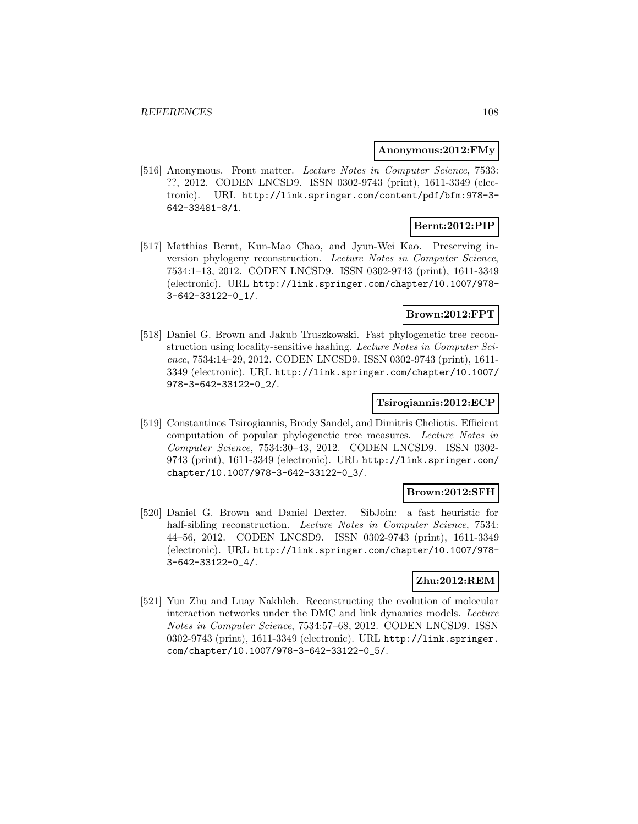#### **Anonymous:2012:FMy**

[516] Anonymous. Front matter. Lecture Notes in Computer Science, 7533: ??, 2012. CODEN LNCSD9. ISSN 0302-9743 (print), 1611-3349 (electronic). URL http://link.springer.com/content/pdf/bfm:978-3- 642-33481-8/1.

# **Bernt:2012:PIP**

[517] Matthias Bernt, Kun-Mao Chao, and Jyun-Wei Kao. Preserving inversion phylogeny reconstruction. Lecture Notes in Computer Science, 7534:1–13, 2012. CODEN LNCSD9. ISSN 0302-9743 (print), 1611-3349 (electronic). URL http://link.springer.com/chapter/10.1007/978- 3-642-33122-0\_1/.

### **Brown:2012:FPT**

[518] Daniel G. Brown and Jakub Truszkowski. Fast phylogenetic tree reconstruction using locality-sensitive hashing. Lecture Notes in Computer Science, 7534:14–29, 2012. CODEN LNCSD9. ISSN 0302-9743 (print), 1611- 3349 (electronic). URL http://link.springer.com/chapter/10.1007/ 978-3-642-33122-0\_2/.

#### **Tsirogiannis:2012:ECP**

[519] Constantinos Tsirogiannis, Brody Sandel, and Dimitris Cheliotis. Efficient computation of popular phylogenetic tree measures. Lecture Notes in Computer Science, 7534:30–43, 2012. CODEN LNCSD9. ISSN 0302- 9743 (print), 1611-3349 (electronic). URL http://link.springer.com/ chapter/10.1007/978-3-642-33122-0\_3/.

### **Brown:2012:SFH**

[520] Daniel G. Brown and Daniel Dexter. SibJoin: a fast heuristic for half-sibling reconstruction. Lecture Notes in Computer Science, 7534: 44–56, 2012. CODEN LNCSD9. ISSN 0302-9743 (print), 1611-3349 (electronic). URL http://link.springer.com/chapter/10.1007/978- 3-642-33122-0\_4/.

### **Zhu:2012:REM**

[521] Yun Zhu and Luay Nakhleh. Reconstructing the evolution of molecular interaction networks under the DMC and link dynamics models. Lecture Notes in Computer Science, 7534:57–68, 2012. CODEN LNCSD9. ISSN 0302-9743 (print), 1611-3349 (electronic). URL http://link.springer. com/chapter/10.1007/978-3-642-33122-0\_5/.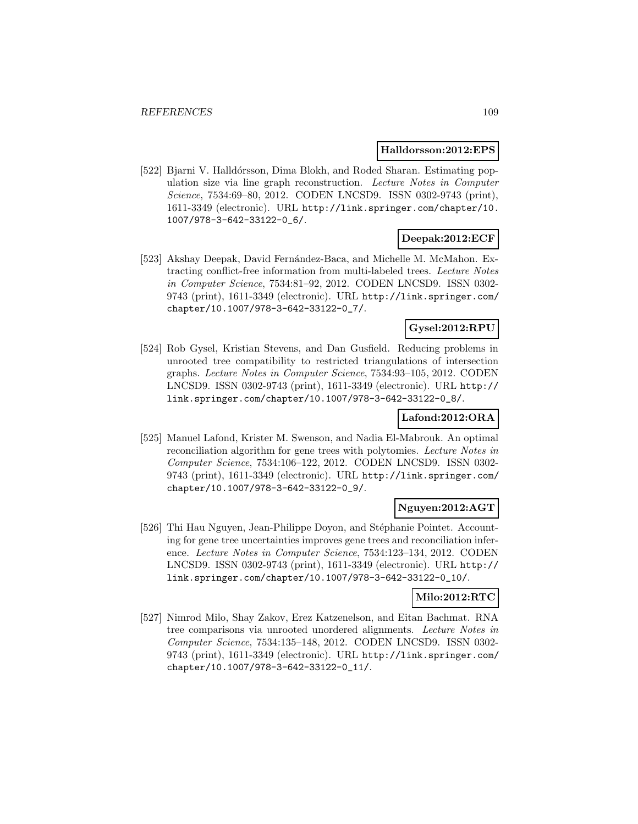#### **Halldorsson:2012:EPS**

[522] Bjarni V. Halldórsson, Dima Blokh, and Roded Sharan. Estimating population size via line graph reconstruction. Lecture Notes in Computer Science, 7534:69–80, 2012. CODEN LNCSD9. ISSN 0302-9743 (print), 1611-3349 (electronic). URL http://link.springer.com/chapter/10. 1007/978-3-642-33122-0\_6/.

## **Deepak:2012:ECF**

[523] Akshay Deepak, David Fernández-Baca, and Michelle M. McMahon. Extracting conflict-free information from multi-labeled trees. Lecture Notes in Computer Science, 7534:81–92, 2012. CODEN LNCSD9. ISSN 0302- 9743 (print), 1611-3349 (electronic). URL http://link.springer.com/ chapter/10.1007/978-3-642-33122-0\_7/.

## **Gysel:2012:RPU**

[524] Rob Gysel, Kristian Stevens, and Dan Gusfield. Reducing problems in unrooted tree compatibility to restricted triangulations of intersection graphs. Lecture Notes in Computer Science, 7534:93–105, 2012. CODEN LNCSD9. ISSN 0302-9743 (print), 1611-3349 (electronic). URL http:// link.springer.com/chapter/10.1007/978-3-642-33122-0\_8/.

## **Lafond:2012:ORA**

[525] Manuel Lafond, Krister M. Swenson, and Nadia El-Mabrouk. An optimal reconciliation algorithm for gene trees with polytomies. Lecture Notes in Computer Science, 7534:106–122, 2012. CODEN LNCSD9. ISSN 0302- 9743 (print), 1611-3349 (electronic). URL http://link.springer.com/ chapter/10.1007/978-3-642-33122-0\_9/.

## **Nguyen:2012:AGT**

[526] Thi Hau Nguyen, Jean-Philippe Doyon, and Stéphanie Pointet. Accounting for gene tree uncertainties improves gene trees and reconciliation inference. Lecture Notes in Computer Science, 7534:123–134, 2012. CODEN LNCSD9. ISSN 0302-9743 (print), 1611-3349 (electronic). URL http:// link.springer.com/chapter/10.1007/978-3-642-33122-0\_10/.

### **Milo:2012:RTC**

[527] Nimrod Milo, Shay Zakov, Erez Katzenelson, and Eitan Bachmat. RNA tree comparisons via unrooted unordered alignments. Lecture Notes in Computer Science, 7534:135–148, 2012. CODEN LNCSD9. ISSN 0302- 9743 (print), 1611-3349 (electronic). URL http://link.springer.com/ chapter/10.1007/978-3-642-33122-0\_11/.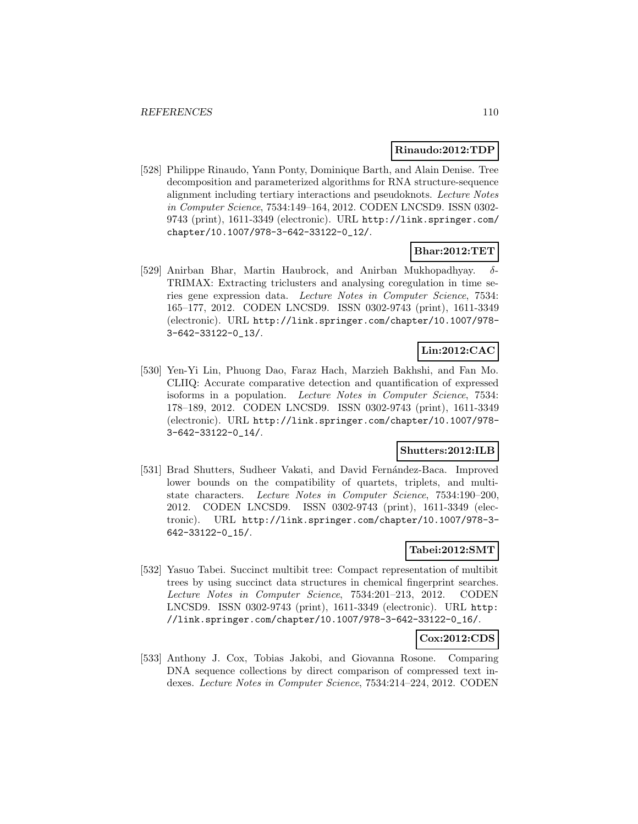### **Rinaudo:2012:TDP**

[528] Philippe Rinaudo, Yann Ponty, Dominique Barth, and Alain Denise. Tree decomposition and parameterized algorithms for RNA structure-sequence alignment including tertiary interactions and pseudoknots. Lecture Notes in Computer Science, 7534:149–164, 2012. CODEN LNCSD9. ISSN 0302- 9743 (print), 1611-3349 (electronic). URL http://link.springer.com/ chapter/10.1007/978-3-642-33122-0\_12/.

## **Bhar:2012:TET**

[529] Anirban Bhar, Martin Haubrock, and Anirban Mukhopadhyay. δ-TRIMAX: Extracting triclusters and analysing coregulation in time series gene expression data. Lecture Notes in Computer Science, 7534: 165–177, 2012. CODEN LNCSD9. ISSN 0302-9743 (print), 1611-3349 (electronic). URL http://link.springer.com/chapter/10.1007/978- 3-642-33122-0\_13/.

## **Lin:2012:CAC**

[530] Yen-Yi Lin, Phuong Dao, Faraz Hach, Marzieh Bakhshi, and Fan Mo. CLIIQ: Accurate comparative detection and quantification of expressed isoforms in a population. Lecture Notes in Computer Science, 7534: 178–189, 2012. CODEN LNCSD9. ISSN 0302-9743 (print), 1611-3349 (electronic). URL http://link.springer.com/chapter/10.1007/978- 3-642-33122-0\_14/.

## **Shutters:2012:ILB**

[531] Brad Shutters, Sudheer Vakati, and David Fernández-Baca. Improved lower bounds on the compatibility of quartets, triplets, and multistate characters. Lecture Notes in Computer Science, 7534:190–200, 2012. CODEN LNCSD9. ISSN 0302-9743 (print), 1611-3349 (electronic). URL http://link.springer.com/chapter/10.1007/978-3- 642-33122-0\_15/.

## **Tabei:2012:SMT**

[532] Yasuo Tabei. Succinct multibit tree: Compact representation of multibit trees by using succinct data structures in chemical fingerprint searches. Lecture Notes in Computer Science, 7534:201–213, 2012. CODEN LNCSD9. ISSN 0302-9743 (print), 1611-3349 (electronic). URL http: //link.springer.com/chapter/10.1007/978-3-642-33122-0\_16/.

### **Cox:2012:CDS**

[533] Anthony J. Cox, Tobias Jakobi, and Giovanna Rosone. Comparing DNA sequence collections by direct comparison of compressed text indexes. Lecture Notes in Computer Science, 7534:214–224, 2012. CODEN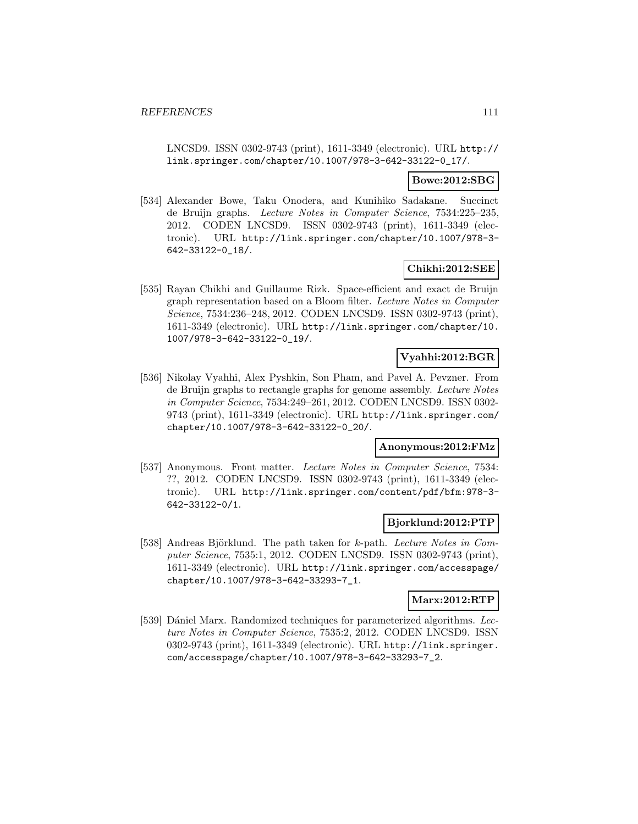LNCSD9. ISSN 0302-9743 (print), 1611-3349 (electronic). URL http:// link.springer.com/chapter/10.1007/978-3-642-33122-0\_17/.

### **Bowe:2012:SBG**

[534] Alexander Bowe, Taku Onodera, and Kunihiko Sadakane. Succinct de Bruijn graphs. Lecture Notes in Computer Science, 7534:225–235, 2012. CODEN LNCSD9. ISSN 0302-9743 (print), 1611-3349 (electronic). URL http://link.springer.com/chapter/10.1007/978-3- 642-33122-0\_18/.

### **Chikhi:2012:SEE**

[535] Rayan Chikhi and Guillaume Rizk. Space-efficient and exact de Bruijn graph representation based on a Bloom filter. Lecture Notes in Computer Science, 7534:236–248, 2012. CODEN LNCSD9. ISSN 0302-9743 (print), 1611-3349 (electronic). URL http://link.springer.com/chapter/10. 1007/978-3-642-33122-0\_19/.

### **Vyahhi:2012:BGR**

[536] Nikolay Vyahhi, Alex Pyshkin, Son Pham, and Pavel A. Pevzner. From de Bruijn graphs to rectangle graphs for genome assembly. Lecture Notes in Computer Science, 7534:249–261, 2012. CODEN LNCSD9. ISSN 0302- 9743 (print), 1611-3349 (electronic). URL http://link.springer.com/ chapter/10.1007/978-3-642-33122-0\_20/.

### **Anonymous:2012:FMz**

[537] Anonymous. Front matter. Lecture Notes in Computer Science, 7534: ??, 2012. CODEN LNCSD9. ISSN 0302-9743 (print), 1611-3349 (electronic). URL http://link.springer.com/content/pdf/bfm:978-3- 642-33122-0/1.

### **Bjorklund:2012:PTP**

[538] Andreas Björklund. The path taken for k-path. Lecture Notes in Computer Science, 7535:1, 2012. CODEN LNCSD9. ISSN 0302-9743 (print), 1611-3349 (electronic). URL http://link.springer.com/accesspage/ chapter/10.1007/978-3-642-33293-7\_1.

## **Marx:2012:RTP**

[539] Dániel Marx. Randomized techniques for parameterized algorithms. Lecture Notes in Computer Science, 7535:2, 2012. CODEN LNCSD9. ISSN 0302-9743 (print), 1611-3349 (electronic). URL http://link.springer. com/accesspage/chapter/10.1007/978-3-642-33293-7\_2.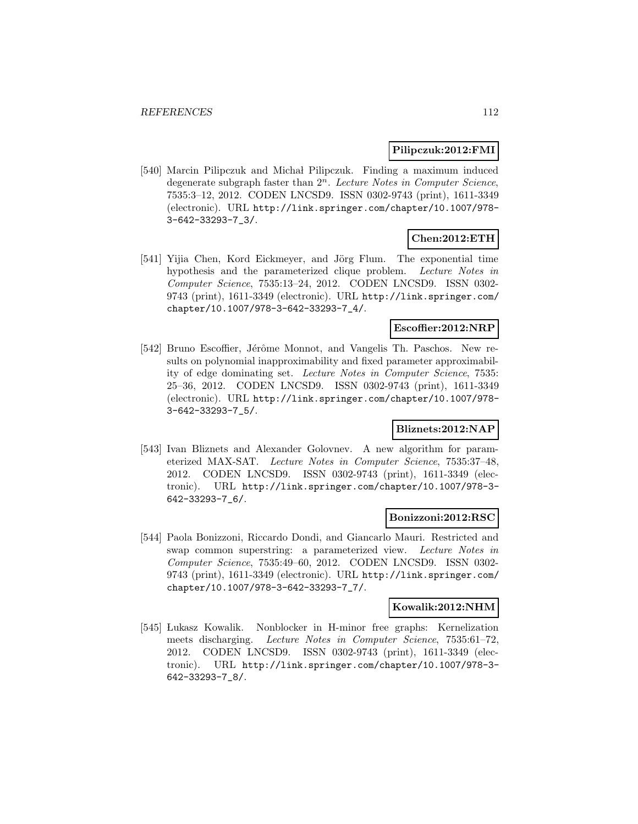### **Pilipczuk:2012:FMI**

[540] Marcin Pilipczuk and Michał Pilipczuk. Finding a maximum induced degenerate subgraph faster than  $2^n$ . Lecture Notes in Computer Science, 7535:3–12, 2012. CODEN LNCSD9. ISSN 0302-9743 (print), 1611-3349 (electronic). URL http://link.springer.com/chapter/10.1007/978- 3-642-33293-7\_3/.

## **Chen:2012:ETH**

[541] Yijia Chen, Kord Eickmeyer, and Jörg Flum. The exponential time hypothesis and the parameterized clique problem. Lecture Notes in Computer Science, 7535:13–24, 2012. CODEN LNCSD9. ISSN 0302- 9743 (print), 1611-3349 (electronic). URL http://link.springer.com/ chapter/10.1007/978-3-642-33293-7\_4/.

### **Escoffier:2012:NRP**

[542] Bruno Escoffier, Jérôme Monnot, and Vangelis Th. Paschos. New results on polynomial inapproximability and fixed parameter approximability of edge dominating set. Lecture Notes in Computer Science, 7535: 25–36, 2012. CODEN LNCSD9. ISSN 0302-9743 (print), 1611-3349 (electronic). URL http://link.springer.com/chapter/10.1007/978- 3-642-33293-7\_5/.

## **Bliznets:2012:NAP**

[543] Ivan Bliznets and Alexander Golovnev. A new algorithm for parameterized MAX-SAT. Lecture Notes in Computer Science, 7535:37–48, 2012. CODEN LNCSD9. ISSN 0302-9743 (print), 1611-3349 (electronic). URL http://link.springer.com/chapter/10.1007/978-3- 642-33293-7\_6/.

### **Bonizzoni:2012:RSC**

[544] Paola Bonizzoni, Riccardo Dondi, and Giancarlo Mauri. Restricted and swap common superstring: a parameterized view. Lecture Notes in Computer Science, 7535:49–60, 2012. CODEN LNCSD9. ISSN 0302- 9743 (print), 1611-3349 (electronic). URL http://link.springer.com/ chapter/10.1007/978-3-642-33293-7\_7/.

### **Kowalik:2012:NHM**

[545] Lukasz Kowalik. Nonblocker in H-minor free graphs: Kernelization meets discharging. Lecture Notes in Computer Science, 7535:61–72, 2012. CODEN LNCSD9. ISSN 0302-9743 (print), 1611-3349 (electronic). URL http://link.springer.com/chapter/10.1007/978-3- 642-33293-7\_8/.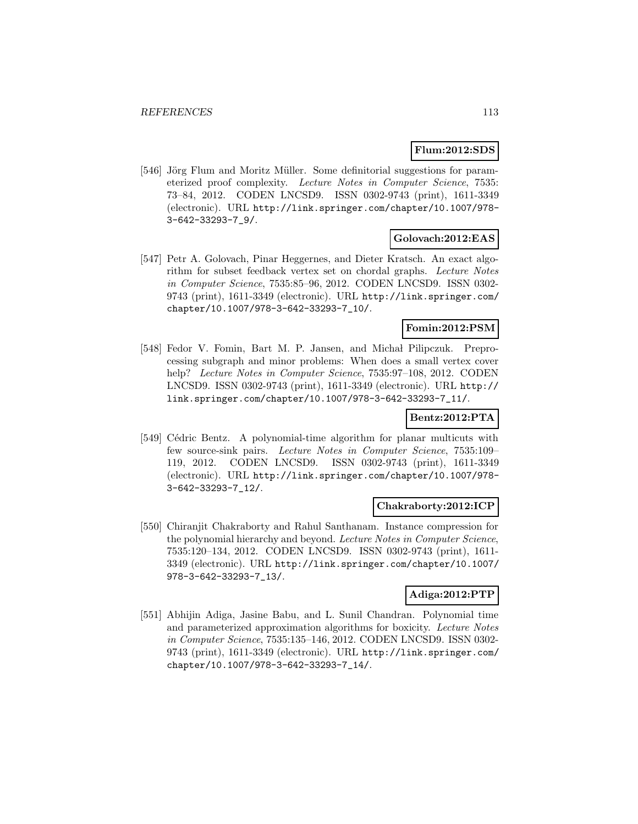#### **Flum:2012:SDS**

[546] Jörg Flum and Moritz Müller. Some definitorial suggestions for parameterized proof complexity. Lecture Notes in Computer Science, 7535: 73–84, 2012. CODEN LNCSD9. ISSN 0302-9743 (print), 1611-3349 (electronic). URL http://link.springer.com/chapter/10.1007/978- 3-642-33293-7\_9/.

### **Golovach:2012:EAS**

[547] Petr A. Golovach, Pinar Heggernes, and Dieter Kratsch. An exact algorithm for subset feedback vertex set on chordal graphs. Lecture Notes in Computer Science, 7535:85–96, 2012. CODEN LNCSD9. ISSN 0302- 9743 (print), 1611-3349 (electronic). URL http://link.springer.com/ chapter/10.1007/978-3-642-33293-7\_10/.

### **Fomin:2012:PSM**

[548] Fedor V. Fomin, Bart M. P. Jansen, and Michał Pilipczuk. Preprocessing subgraph and minor problems: When does a small vertex cover help? Lecture Notes in Computer Science, 7535:97-108, 2012. CODEN LNCSD9. ISSN 0302-9743 (print), 1611-3349 (electronic). URL http:// link.springer.com/chapter/10.1007/978-3-642-33293-7\_11/.

### **Bentz:2012:PTA**

[549] Cédric Bentz. A polynomial-time algorithm for planar multicuts with few source-sink pairs. Lecture Notes in Computer Science, 7535:109– 119, 2012. CODEN LNCSD9. ISSN 0302-9743 (print), 1611-3349 (electronic). URL http://link.springer.com/chapter/10.1007/978- 3-642-33293-7\_12/.

### **Chakraborty:2012:ICP**

[550] Chiranjit Chakraborty and Rahul Santhanam. Instance compression for the polynomial hierarchy and beyond. Lecture Notes in Computer Science, 7535:120–134, 2012. CODEN LNCSD9. ISSN 0302-9743 (print), 1611- 3349 (electronic). URL http://link.springer.com/chapter/10.1007/ 978-3-642-33293-7\_13/.

## **Adiga:2012:PTP**

[551] Abhijin Adiga, Jasine Babu, and L. Sunil Chandran. Polynomial time and parameterized approximation algorithms for boxicity. Lecture Notes in Computer Science, 7535:135–146, 2012. CODEN LNCSD9. ISSN 0302- 9743 (print), 1611-3349 (electronic). URL http://link.springer.com/ chapter/10.1007/978-3-642-33293-7\_14/.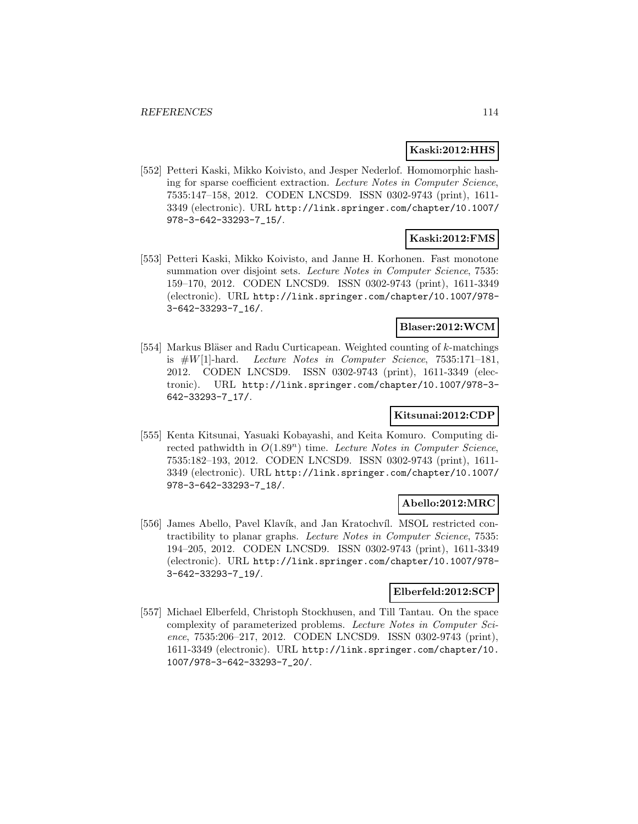## **Kaski:2012:HHS**

[552] Petteri Kaski, Mikko Koivisto, and Jesper Nederlof. Homomorphic hashing for sparse coefficient extraction. Lecture Notes in Computer Science, 7535:147–158, 2012. CODEN LNCSD9. ISSN 0302-9743 (print), 1611- 3349 (electronic). URL http://link.springer.com/chapter/10.1007/ 978-3-642-33293-7\_15/.

## **Kaski:2012:FMS**

[553] Petteri Kaski, Mikko Koivisto, and Janne H. Korhonen. Fast monotone summation over disjoint sets. Lecture Notes in Computer Science, 7535: 159–170, 2012. CODEN LNCSD9. ISSN 0302-9743 (print), 1611-3349 (electronic). URL http://link.springer.com/chapter/10.1007/978- 3-642-33293-7\_16/.

## **Blaser:2012:WCM**

[554] Markus Bläser and Radu Curticapean. Weighted counting of  $k$ -matchings is  $#W[1]$ -hard. Lecture Notes in Computer Science, 7535:171-181, 2012. CODEN LNCSD9. ISSN 0302-9743 (print), 1611-3349 (electronic). URL http://link.springer.com/chapter/10.1007/978-3- 642-33293-7\_17/.

## **Kitsunai:2012:CDP**

[555] Kenta Kitsunai, Yasuaki Kobayashi, and Keita Komuro. Computing directed pathwidth in  $O(1.89^n)$  time. Lecture Notes in Computer Science, 7535:182–193, 2012. CODEN LNCSD9. ISSN 0302-9743 (print), 1611- 3349 (electronic). URL http://link.springer.com/chapter/10.1007/ 978-3-642-33293-7\_18/.

## **Abello:2012:MRC**

[556] James Abello, Pavel Klavík, and Jan Kratochvíl. MSOL restricted contractibility to planar graphs. Lecture Notes in Computer Science, 7535: 194–205, 2012. CODEN LNCSD9. ISSN 0302-9743 (print), 1611-3349 (electronic). URL http://link.springer.com/chapter/10.1007/978- 3-642-33293-7\_19/.

### **Elberfeld:2012:SCP**

[557] Michael Elberfeld, Christoph Stockhusen, and Till Tantau. On the space complexity of parameterized problems. Lecture Notes in Computer Science, 7535:206–217, 2012. CODEN LNCSD9. ISSN 0302-9743 (print), 1611-3349 (electronic). URL http://link.springer.com/chapter/10. 1007/978-3-642-33293-7\_20/.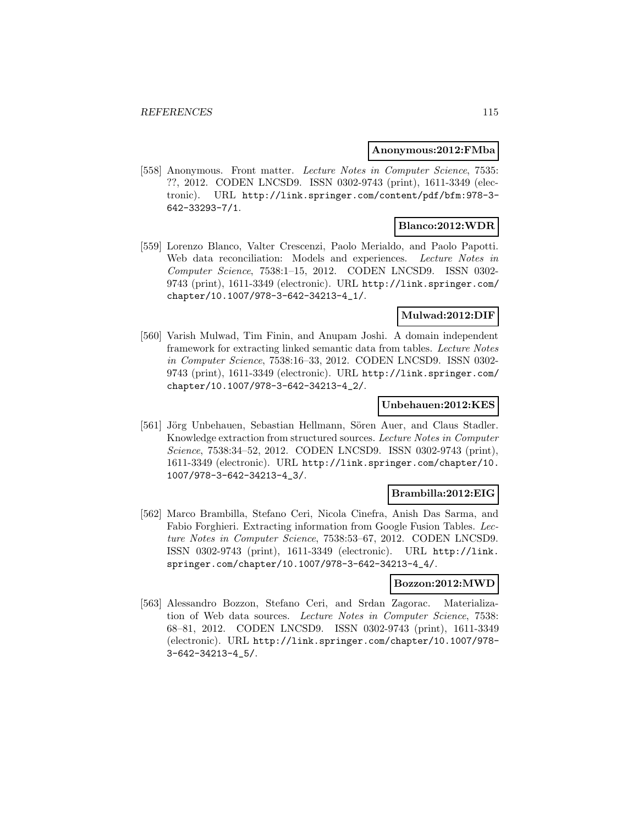#### **Anonymous:2012:FMba**

[558] Anonymous. Front matter. Lecture Notes in Computer Science, 7535: ??, 2012. CODEN LNCSD9. ISSN 0302-9743 (print), 1611-3349 (electronic). URL http://link.springer.com/content/pdf/bfm:978-3- 642-33293-7/1.

## **Blanco:2012:WDR**

[559] Lorenzo Blanco, Valter Crescenzi, Paolo Merialdo, and Paolo Papotti. Web data reconciliation: Models and experiences. Lecture Notes in Computer Science, 7538:1–15, 2012. CODEN LNCSD9. ISSN 0302- 9743 (print), 1611-3349 (electronic). URL http://link.springer.com/ chapter/10.1007/978-3-642-34213-4\_1/.

### **Mulwad:2012:DIF**

[560] Varish Mulwad, Tim Finin, and Anupam Joshi. A domain independent framework for extracting linked semantic data from tables. Lecture Notes in Computer Science, 7538:16–33, 2012. CODEN LNCSD9. ISSN 0302- 9743 (print), 1611-3349 (electronic). URL http://link.springer.com/ chapter/10.1007/978-3-642-34213-4\_2/.

### **Unbehauen:2012:KES**

[561] Jörg Unbehauen, Sebastian Hellmann, Sören Auer, and Claus Stadler. Knowledge extraction from structured sources. Lecture Notes in Computer Science, 7538:34–52, 2012. CODEN LNCSD9. ISSN 0302-9743 (print), 1611-3349 (electronic). URL http://link.springer.com/chapter/10. 1007/978-3-642-34213-4\_3/.

### **Brambilla:2012:EIG**

[562] Marco Brambilla, Stefano Ceri, Nicola Cinefra, Anish Das Sarma, and Fabio Forghieri. Extracting information from Google Fusion Tables. Lecture Notes in Computer Science, 7538:53–67, 2012. CODEN LNCSD9. ISSN 0302-9743 (print), 1611-3349 (electronic). URL http://link. springer.com/chapter/10.1007/978-3-642-34213-4\_4/.

## **Bozzon:2012:MWD**

[563] Alessandro Bozzon, Stefano Ceri, and Srdan Zagorac. Materialization of Web data sources. Lecture Notes in Computer Science, 7538: 68–81, 2012. CODEN LNCSD9. ISSN 0302-9743 (print), 1611-3349 (electronic). URL http://link.springer.com/chapter/10.1007/978- 3-642-34213-4\_5/.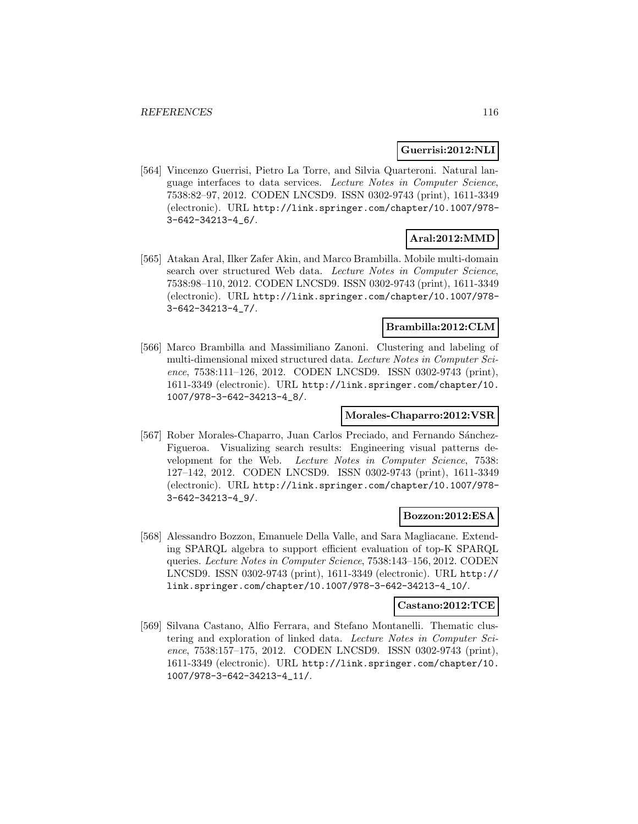### **Guerrisi:2012:NLI**

[564] Vincenzo Guerrisi, Pietro La Torre, and Silvia Quarteroni. Natural language interfaces to data services. Lecture Notes in Computer Science, 7538:82–97, 2012. CODEN LNCSD9. ISSN 0302-9743 (print), 1611-3349 (electronic). URL http://link.springer.com/chapter/10.1007/978- 3-642-34213-4\_6/.

# **Aral:2012:MMD**

[565] Atakan Aral, Ilker Zafer Akin, and Marco Brambilla. Mobile multi-domain search over structured Web data. Lecture Notes in Computer Science, 7538:98–110, 2012. CODEN LNCSD9. ISSN 0302-9743 (print), 1611-3349 (electronic). URL http://link.springer.com/chapter/10.1007/978- 3-642-34213-4\_7/.

## **Brambilla:2012:CLM**

[566] Marco Brambilla and Massimiliano Zanoni. Clustering and labeling of multi-dimensional mixed structured data. Lecture Notes in Computer Science, 7538:111–126, 2012. CODEN LNCSD9. ISSN 0302-9743 (print), 1611-3349 (electronic). URL http://link.springer.com/chapter/10. 1007/978-3-642-34213-4\_8/.

### **Morales-Chaparro:2012:VSR**

[567] Rober Morales-Chaparro, Juan Carlos Preciado, and Fernando Sánchez-Figueroa. Visualizing search results: Engineering visual patterns development for the Web. Lecture Notes in Computer Science, 7538: 127–142, 2012. CODEN LNCSD9. ISSN 0302-9743 (print), 1611-3349 (electronic). URL http://link.springer.com/chapter/10.1007/978- 3-642-34213-4\_9/.

## **Bozzon:2012:ESA**

[568] Alessandro Bozzon, Emanuele Della Valle, and Sara Magliacane. Extending SPARQL algebra to support efficient evaluation of top-K SPARQL queries. Lecture Notes in Computer Science, 7538:143–156, 2012. CODEN LNCSD9. ISSN 0302-9743 (print), 1611-3349 (electronic). URL http:// link.springer.com/chapter/10.1007/978-3-642-34213-4\_10/.

#### **Castano:2012:TCE**

[569] Silvana Castano, Alfio Ferrara, and Stefano Montanelli. Thematic clustering and exploration of linked data. Lecture Notes in Computer Science, 7538:157–175, 2012. CODEN LNCSD9. ISSN 0302-9743 (print), 1611-3349 (electronic). URL http://link.springer.com/chapter/10. 1007/978-3-642-34213-4\_11/.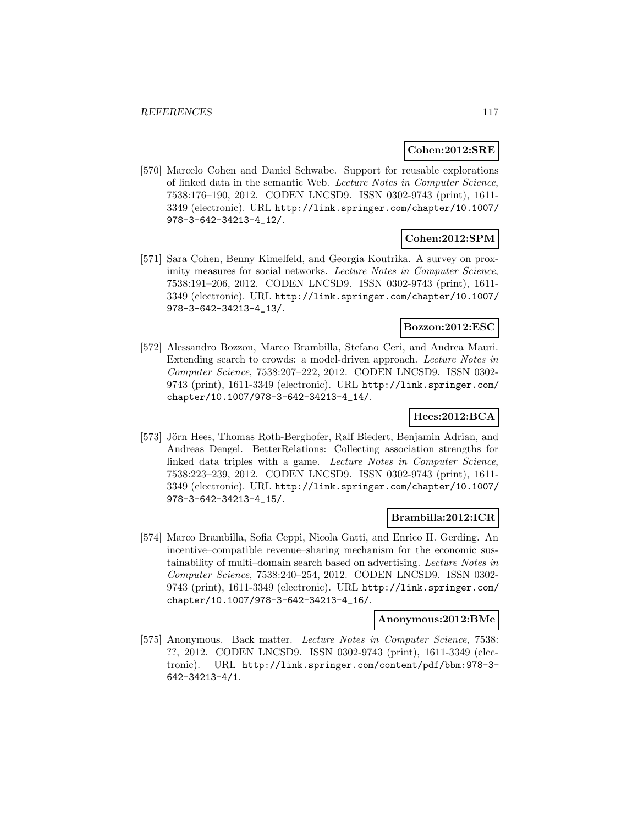#### **Cohen:2012:SRE**

[570] Marcelo Cohen and Daniel Schwabe. Support for reusable explorations of linked data in the semantic Web. Lecture Notes in Computer Science, 7538:176–190, 2012. CODEN LNCSD9. ISSN 0302-9743 (print), 1611- 3349 (electronic). URL http://link.springer.com/chapter/10.1007/ 978-3-642-34213-4\_12/.

## **Cohen:2012:SPM**

[571] Sara Cohen, Benny Kimelfeld, and Georgia Koutrika. A survey on proximity measures for social networks. Lecture Notes in Computer Science, 7538:191–206, 2012. CODEN LNCSD9. ISSN 0302-9743 (print), 1611- 3349 (electronic). URL http://link.springer.com/chapter/10.1007/ 978-3-642-34213-4\_13/.

## **Bozzon:2012:ESC**

[572] Alessandro Bozzon, Marco Brambilla, Stefano Ceri, and Andrea Mauri. Extending search to crowds: a model-driven approach. Lecture Notes in Computer Science, 7538:207–222, 2012. CODEN LNCSD9. ISSN 0302- 9743 (print), 1611-3349 (electronic). URL http://link.springer.com/ chapter/10.1007/978-3-642-34213-4\_14/.

## **Hees:2012:BCA**

[573] Jörn Hees, Thomas Roth-Berghofer, Ralf Biedert, Benjamin Adrian, and Andreas Dengel. BetterRelations: Collecting association strengths for linked data triples with a game. Lecture Notes in Computer Science, 7538:223–239, 2012. CODEN LNCSD9. ISSN 0302-9743 (print), 1611- 3349 (electronic). URL http://link.springer.com/chapter/10.1007/ 978-3-642-34213-4\_15/.

### **Brambilla:2012:ICR**

[574] Marco Brambilla, Sofia Ceppi, Nicola Gatti, and Enrico H. Gerding. An incentive–compatible revenue–sharing mechanism for the economic sustainability of multi–domain search based on advertising. Lecture Notes in Computer Science, 7538:240–254, 2012. CODEN LNCSD9. ISSN 0302- 9743 (print), 1611-3349 (electronic). URL http://link.springer.com/ chapter/10.1007/978-3-642-34213-4\_16/.

### **Anonymous:2012:BMe**

[575] Anonymous. Back matter. Lecture Notes in Computer Science, 7538: ??, 2012. CODEN LNCSD9. ISSN 0302-9743 (print), 1611-3349 (electronic). URL http://link.springer.com/content/pdf/bbm:978-3- 642-34213-4/1.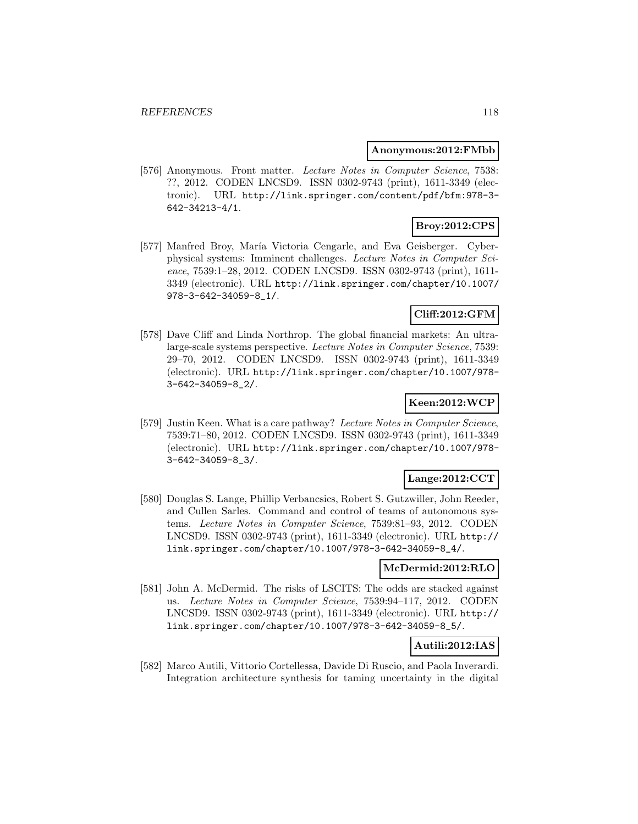#### **Anonymous:2012:FMbb**

[576] Anonymous. Front matter. Lecture Notes in Computer Science, 7538: ??, 2012. CODEN LNCSD9. ISSN 0302-9743 (print), 1611-3349 (electronic). URL http://link.springer.com/content/pdf/bfm:978-3- 642-34213-4/1.

# **Broy:2012:CPS**

[577] Manfred Broy, María Victoria Cengarle, and Eva Geisberger. Cyberphysical systems: Imminent challenges. Lecture Notes in Computer Science, 7539:1–28, 2012. CODEN LNCSD9. ISSN 0302-9743 (print), 1611- 3349 (electronic). URL http://link.springer.com/chapter/10.1007/ 978-3-642-34059-8\_1/.

## **Cliff:2012:GFM**

[578] Dave Cliff and Linda Northrop. The global financial markets: An ultralarge-scale systems perspective. Lecture Notes in Computer Science, 7539: 29–70, 2012. CODEN LNCSD9. ISSN 0302-9743 (print), 1611-3349 (electronic). URL http://link.springer.com/chapter/10.1007/978- 3-642-34059-8\_2/.

## **Keen:2012:WCP**

[579] Justin Keen. What is a care pathway? Lecture Notes in Computer Science, 7539:71–80, 2012. CODEN LNCSD9. ISSN 0302-9743 (print), 1611-3349 (electronic). URL http://link.springer.com/chapter/10.1007/978- 3-642-34059-8\_3/.

## **Lange:2012:CCT**

[580] Douglas S. Lange, Phillip Verbancsics, Robert S. Gutzwiller, John Reeder, and Cullen Sarles. Command and control of teams of autonomous systems. Lecture Notes in Computer Science, 7539:81–93, 2012. CODEN LNCSD9. ISSN 0302-9743 (print), 1611-3349 (electronic). URL http:// link.springer.com/chapter/10.1007/978-3-642-34059-8\_4/.

## **McDermid:2012:RLO**

[581] John A. McDermid. The risks of LSCITS: The odds are stacked against us. Lecture Notes in Computer Science, 7539:94–117, 2012. CODEN LNCSD9. ISSN 0302-9743 (print), 1611-3349 (electronic). URL http:// link.springer.com/chapter/10.1007/978-3-642-34059-8\_5/.

## **Autili:2012:IAS**

[582] Marco Autili, Vittorio Cortellessa, Davide Di Ruscio, and Paola Inverardi. Integration architecture synthesis for taming uncertainty in the digital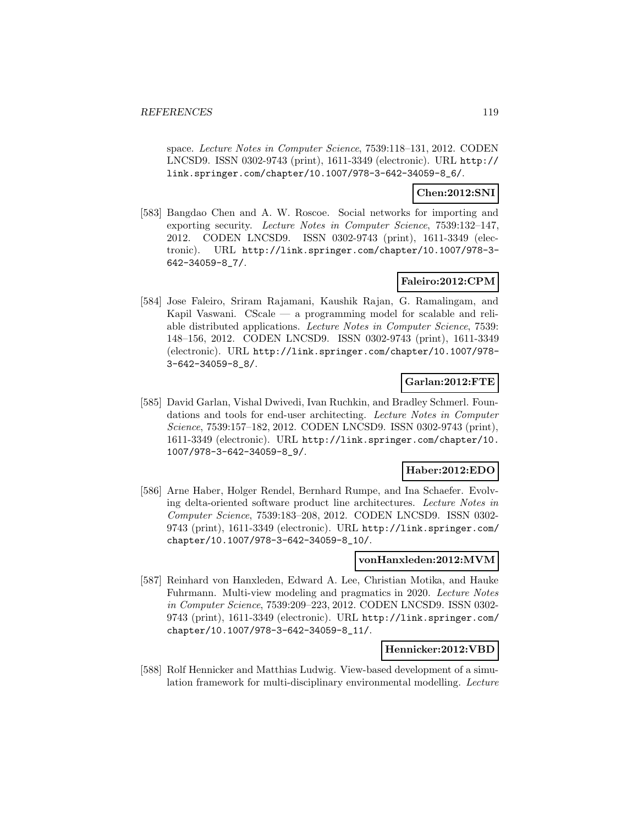space. Lecture Notes in Computer Science, 7539:118–131, 2012. CODEN LNCSD9. ISSN 0302-9743 (print), 1611-3349 (electronic). URL http:// link.springer.com/chapter/10.1007/978-3-642-34059-8\_6/.

### **Chen:2012:SNI**

[583] Bangdao Chen and A. W. Roscoe. Social networks for importing and exporting security. Lecture Notes in Computer Science, 7539:132–147, 2012. CODEN LNCSD9. ISSN 0302-9743 (print), 1611-3349 (electronic). URL http://link.springer.com/chapter/10.1007/978-3- 642-34059-8\_7/.

## **Faleiro:2012:CPM**

[584] Jose Faleiro, Sriram Rajamani, Kaushik Rajan, G. Ramalingam, and Kapil Vaswani. CScale — a programming model for scalable and reliable distributed applications. Lecture Notes in Computer Science, 7539: 148–156, 2012. CODEN LNCSD9. ISSN 0302-9743 (print), 1611-3349 (electronic). URL http://link.springer.com/chapter/10.1007/978- 3-642-34059-8\_8/.

## **Garlan:2012:FTE**

[585] David Garlan, Vishal Dwivedi, Ivan Ruchkin, and Bradley Schmerl. Foundations and tools for end-user architecting. Lecture Notes in Computer Science, 7539:157–182, 2012. CODEN LNCSD9. ISSN 0302-9743 (print), 1611-3349 (electronic). URL http://link.springer.com/chapter/10. 1007/978-3-642-34059-8\_9/.

### **Haber:2012:EDO**

[586] Arne Haber, Holger Rendel, Bernhard Rumpe, and Ina Schaefer. Evolving delta-oriented software product line architectures. Lecture Notes in Computer Science, 7539:183–208, 2012. CODEN LNCSD9. ISSN 0302- 9743 (print), 1611-3349 (electronic). URL http://link.springer.com/ chapter/10.1007/978-3-642-34059-8\_10/.

#### **vonHanxleden:2012:MVM**

[587] Reinhard von Hanxleden, Edward A. Lee, Christian Motika, and Hauke Fuhrmann. Multi-view modeling and pragmatics in 2020. Lecture Notes in Computer Science, 7539:209–223, 2012. CODEN LNCSD9. ISSN 0302- 9743 (print), 1611-3349 (electronic). URL http://link.springer.com/ chapter/10.1007/978-3-642-34059-8\_11/.

### **Hennicker:2012:VBD**

[588] Rolf Hennicker and Matthias Ludwig. View-based development of a simulation framework for multi-disciplinary environmental modelling. Lecture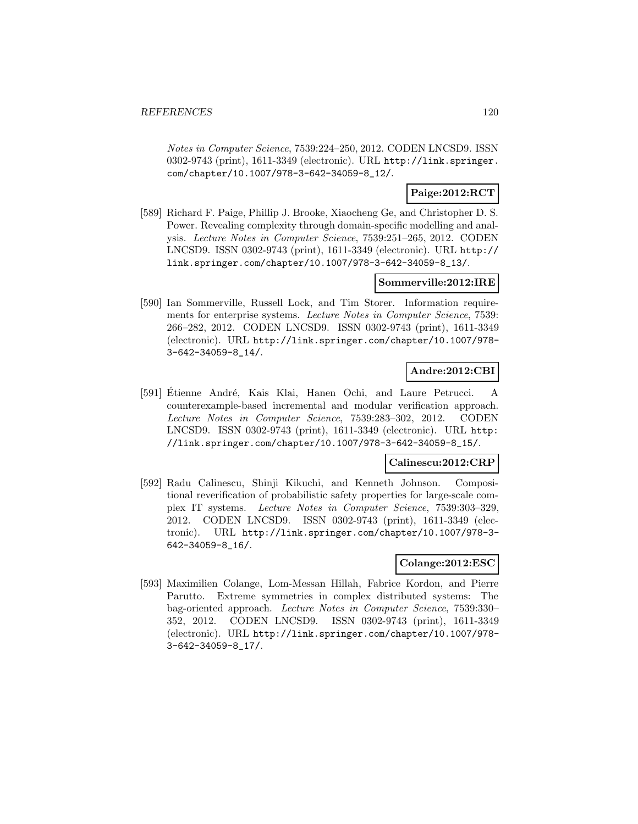Notes in Computer Science, 7539:224–250, 2012. CODEN LNCSD9. ISSN 0302-9743 (print), 1611-3349 (electronic). URL http://link.springer. com/chapter/10.1007/978-3-642-34059-8\_12/.

## **Paige:2012:RCT**

[589] Richard F. Paige, Phillip J. Brooke, Xiaocheng Ge, and Christopher D. S. Power. Revealing complexity through domain-specific modelling and analysis. Lecture Notes in Computer Science, 7539:251–265, 2012. CODEN LNCSD9. ISSN 0302-9743 (print), 1611-3349 (electronic). URL http:// link.springer.com/chapter/10.1007/978-3-642-34059-8\_13/.

### **Sommerville:2012:IRE**

[590] Ian Sommerville, Russell Lock, and Tim Storer. Information requirements for enterprise systems. Lecture Notes in Computer Science, 7539: 266–282, 2012. CODEN LNCSD9. ISSN 0302-9743 (print), 1611-3349 (electronic). URL http://link.springer.com/chapter/10.1007/978- 3-642-34059-8\_14/.

## **Andre:2012:CBI**

[591] Étienne André, Kais Klai, Hanen Ochi, and Laure Petrucci. A counterexample-based incremental and modular verification approach. Lecture Notes in Computer Science, 7539:283–302, 2012. CODEN LNCSD9. ISSN 0302-9743 (print), 1611-3349 (electronic). URL http: //link.springer.com/chapter/10.1007/978-3-642-34059-8\_15/.

## **Calinescu:2012:CRP**

[592] Radu Calinescu, Shinji Kikuchi, and Kenneth Johnson. Compositional reverification of probabilistic safety properties for large-scale complex IT systems. Lecture Notes in Computer Science, 7539:303–329, 2012. CODEN LNCSD9. ISSN 0302-9743 (print), 1611-3349 (electronic). URL http://link.springer.com/chapter/10.1007/978-3- 642-34059-8\_16/.

#### **Colange:2012:ESC**

[593] Maximilien Colange, Lom-Messan Hillah, Fabrice Kordon, and Pierre Parutto. Extreme symmetries in complex distributed systems: The bag-oriented approach. Lecture Notes in Computer Science, 7539:330– 352, 2012. CODEN LNCSD9. ISSN 0302-9743 (print), 1611-3349 (electronic). URL http://link.springer.com/chapter/10.1007/978- 3-642-34059-8\_17/.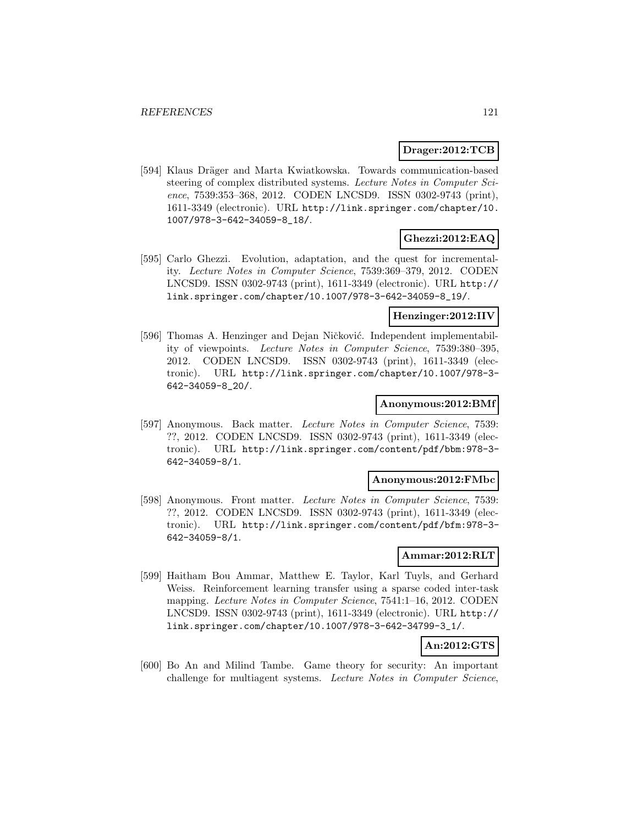### **Drager:2012:TCB**

[594] Klaus Dräger and Marta Kwiatkowska. Towards communication-based steering of complex distributed systems. Lecture Notes in Computer Science, 7539:353–368, 2012. CODEN LNCSD9. ISSN 0302-9743 (print), 1611-3349 (electronic). URL http://link.springer.com/chapter/10. 1007/978-3-642-34059-8\_18/.

## **Ghezzi:2012:EAQ**

[595] Carlo Ghezzi. Evolution, adaptation, and the quest for incrementality. Lecture Notes in Computer Science, 7539:369–379, 2012. CODEN LNCSD9. ISSN 0302-9743 (print), 1611-3349 (electronic). URL http:// link.springer.com/chapter/10.1007/978-3-642-34059-8\_19/.

### **Henzinger:2012:IIV**

[596] Thomas A. Henzinger and Dejan Ničković. Independent implementability of viewpoints. Lecture Notes in Computer Science, 7539:380–395, 2012. CODEN LNCSD9. ISSN 0302-9743 (print), 1611-3349 (electronic). URL http://link.springer.com/chapter/10.1007/978-3- 642-34059-8\_20/.

#### **Anonymous:2012:BMf**

[597] Anonymous. Back matter. Lecture Notes in Computer Science, 7539: ??, 2012. CODEN LNCSD9. ISSN 0302-9743 (print), 1611-3349 (electronic). URL http://link.springer.com/content/pdf/bbm:978-3- 642-34059-8/1.

## **Anonymous:2012:FMbc**

[598] Anonymous. Front matter. Lecture Notes in Computer Science, 7539: ??, 2012. CODEN LNCSD9. ISSN 0302-9743 (print), 1611-3349 (electronic). URL http://link.springer.com/content/pdf/bfm:978-3- 642-34059-8/1.

#### **Ammar:2012:RLT**

[599] Haitham Bou Ammar, Matthew E. Taylor, Karl Tuyls, and Gerhard Weiss. Reinforcement learning transfer using a sparse coded inter-task mapping. Lecture Notes in Computer Science, 7541:1–16, 2012. CODEN LNCSD9. ISSN 0302-9743 (print), 1611-3349 (electronic). URL http:// link.springer.com/chapter/10.1007/978-3-642-34799-3\_1/.

## **An:2012:GTS**

[600] Bo An and Milind Tambe. Game theory for security: An important challenge for multiagent systems. Lecture Notes in Computer Science,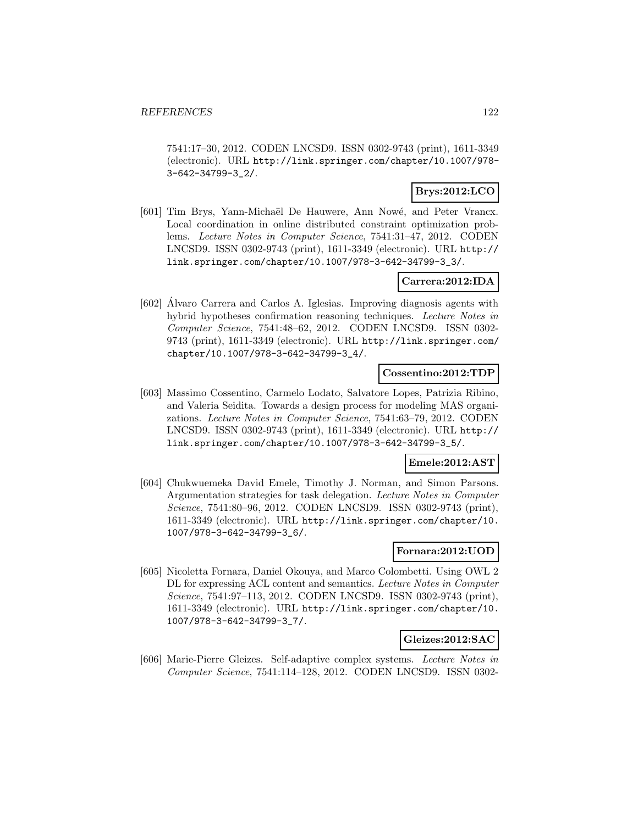7541:17–30, 2012. CODEN LNCSD9. ISSN 0302-9743 (print), 1611-3349 (electronic). URL http://link.springer.com/chapter/10.1007/978- 3-642-34799-3\_2/.

# **Brys:2012:LCO**

[601] Tim Brys, Yann-Michaël De Hauwere, Ann Nowé, and Peter Vrancx. Local coordination in online distributed constraint optimization problems. Lecture Notes in Computer Science, 7541:31–47, 2012. CODEN LNCSD9. ISSN 0302-9743 (print), 1611-3349 (electronic). URL http:// link.springer.com/chapter/10.1007/978-3-642-34799-3\_3/.

### **Carrera:2012:IDA**

[602] Alvaro Carrera and Carlos A. Iglesias. Improving diagnosis agents with ´ hybrid hypotheses confirmation reasoning techniques. Lecture Notes in Computer Science, 7541:48–62, 2012. CODEN LNCSD9. ISSN 0302- 9743 (print), 1611-3349 (electronic). URL http://link.springer.com/ chapter/10.1007/978-3-642-34799-3\_4/.

#### **Cossentino:2012:TDP**

[603] Massimo Cossentino, Carmelo Lodato, Salvatore Lopes, Patrizia Ribino, and Valeria Seidita. Towards a design process for modeling MAS organizations. Lecture Notes in Computer Science, 7541:63–79, 2012. CODEN LNCSD9. ISSN 0302-9743 (print), 1611-3349 (electronic). URL http:// link.springer.com/chapter/10.1007/978-3-642-34799-3\_5/.

# **Emele:2012:AST**

[604] Chukwuemeka David Emele, Timothy J. Norman, and Simon Parsons. Argumentation strategies for task delegation. Lecture Notes in Computer Science, 7541:80–96, 2012. CODEN LNCSD9. ISSN 0302-9743 (print), 1611-3349 (electronic). URL http://link.springer.com/chapter/10. 1007/978-3-642-34799-3\_6/.

## **Fornara:2012:UOD**

[605] Nicoletta Fornara, Daniel Okouya, and Marco Colombetti. Using OWL 2 DL for expressing ACL content and semantics. Lecture Notes in Computer Science, 7541:97–113, 2012. CODEN LNCSD9. ISSN 0302-9743 (print), 1611-3349 (electronic). URL http://link.springer.com/chapter/10. 1007/978-3-642-34799-3\_7/.

### **Gleizes:2012:SAC**

[606] Marie-Pierre Gleizes. Self-adaptive complex systems. Lecture Notes in Computer Science, 7541:114–128, 2012. CODEN LNCSD9. ISSN 0302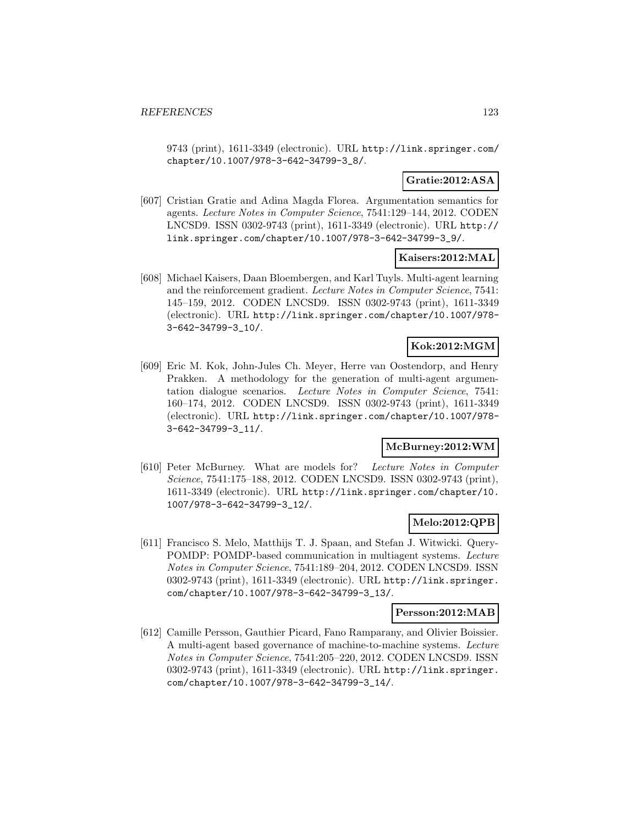9743 (print), 1611-3349 (electronic). URL http://link.springer.com/ chapter/10.1007/978-3-642-34799-3\_8/.

## **Gratie:2012:ASA**

[607] Cristian Gratie and Adina Magda Florea. Argumentation semantics for agents. Lecture Notes in Computer Science, 7541:129–144, 2012. CODEN LNCSD9. ISSN 0302-9743 (print), 1611-3349 (electronic). URL http:// link.springer.com/chapter/10.1007/978-3-642-34799-3\_9/.

### **Kaisers:2012:MAL**

[608] Michael Kaisers, Daan Bloembergen, and Karl Tuyls. Multi-agent learning and the reinforcement gradient. Lecture Notes in Computer Science, 7541: 145–159, 2012. CODEN LNCSD9. ISSN 0302-9743 (print), 1611-3349 (electronic). URL http://link.springer.com/chapter/10.1007/978- 3-642-34799-3\_10/.

## **Kok:2012:MGM**

[609] Eric M. Kok, John-Jules Ch. Meyer, Herre van Oostendorp, and Henry Prakken. A methodology for the generation of multi-agent argumentation dialogue scenarios. Lecture Notes in Computer Science, 7541: 160–174, 2012. CODEN LNCSD9. ISSN 0302-9743 (print), 1611-3349 (electronic). URL http://link.springer.com/chapter/10.1007/978- 3-642-34799-3\_11/.

## **McBurney:2012:WM**

[610] Peter McBurney. What are models for? Lecture Notes in Computer Science, 7541:175–188, 2012. CODEN LNCSD9. ISSN 0302-9743 (print), 1611-3349 (electronic). URL http://link.springer.com/chapter/10. 1007/978-3-642-34799-3\_12/.

## **Melo:2012:QPB**

[611] Francisco S. Melo, Matthijs T. J. Spaan, and Stefan J. Witwicki. Query-POMDP: POMDP-based communication in multiagent systems. Lecture Notes in Computer Science, 7541:189–204, 2012. CODEN LNCSD9. ISSN 0302-9743 (print), 1611-3349 (electronic). URL http://link.springer. com/chapter/10.1007/978-3-642-34799-3\_13/.

### **Persson:2012:MAB**

[612] Camille Persson, Gauthier Picard, Fano Ramparany, and Olivier Boissier. A multi-agent based governance of machine-to-machine systems. Lecture Notes in Computer Science, 7541:205–220, 2012. CODEN LNCSD9. ISSN 0302-9743 (print), 1611-3349 (electronic). URL http://link.springer. com/chapter/10.1007/978-3-642-34799-3\_14/.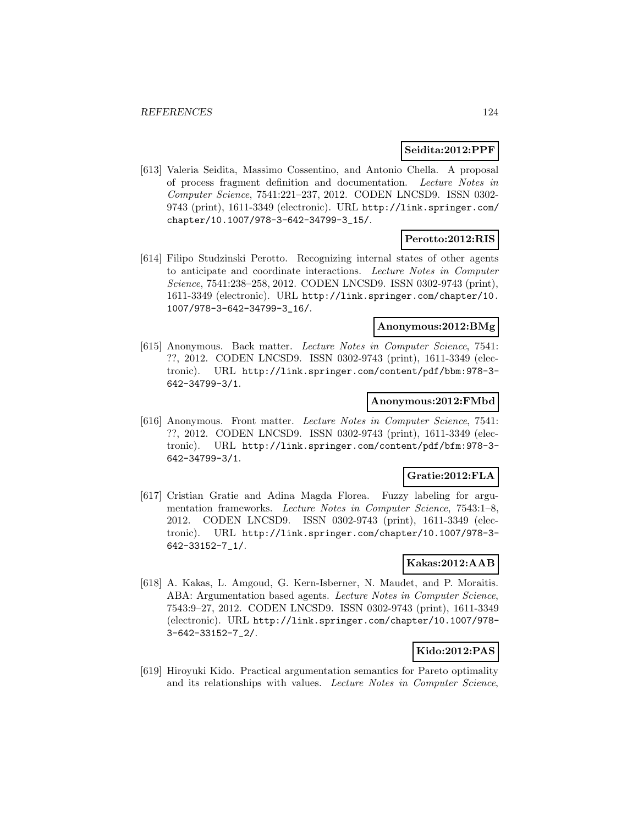### **Seidita:2012:PPF**

[613] Valeria Seidita, Massimo Cossentino, and Antonio Chella. A proposal of process fragment definition and documentation. Lecture Notes in Computer Science, 7541:221–237, 2012. CODEN LNCSD9. ISSN 0302- 9743 (print), 1611-3349 (electronic). URL http://link.springer.com/ chapter/10.1007/978-3-642-34799-3\_15/.

## **Perotto:2012:RIS**

[614] Filipo Studzinski Perotto. Recognizing internal states of other agents to anticipate and coordinate interactions. Lecture Notes in Computer Science, 7541:238–258, 2012. CODEN LNCSD9. ISSN 0302-9743 (print), 1611-3349 (electronic). URL http://link.springer.com/chapter/10. 1007/978-3-642-34799-3\_16/.

## **Anonymous:2012:BMg**

[615] Anonymous. Back matter. Lecture Notes in Computer Science, 7541: ??, 2012. CODEN LNCSD9. ISSN 0302-9743 (print), 1611-3349 (electronic). URL http://link.springer.com/content/pdf/bbm:978-3- 642-34799-3/1.

### **Anonymous:2012:FMbd**

[616] Anonymous. Front matter. Lecture Notes in Computer Science, 7541: ??, 2012. CODEN LNCSD9. ISSN 0302-9743 (print), 1611-3349 (electronic). URL http://link.springer.com/content/pdf/bfm:978-3- 642-34799-3/1.

## **Gratie:2012:FLA**

[617] Cristian Gratie and Adina Magda Florea. Fuzzy labeling for argumentation frameworks. Lecture Notes in Computer Science, 7543:1–8, 2012. CODEN LNCSD9. ISSN 0302-9743 (print), 1611-3349 (electronic). URL http://link.springer.com/chapter/10.1007/978-3- 642-33152-7\_1/.

#### **Kakas:2012:AAB**

[618] A. Kakas, L. Amgoud, G. Kern-Isberner, N. Maudet, and P. Moraitis. ABA: Argumentation based agents. Lecture Notes in Computer Science, 7543:9–27, 2012. CODEN LNCSD9. ISSN 0302-9743 (print), 1611-3349 (electronic). URL http://link.springer.com/chapter/10.1007/978- 3-642-33152-7\_2/.

## **Kido:2012:PAS**

[619] Hiroyuki Kido. Practical argumentation semantics for Pareto optimality and its relationships with values. Lecture Notes in Computer Science,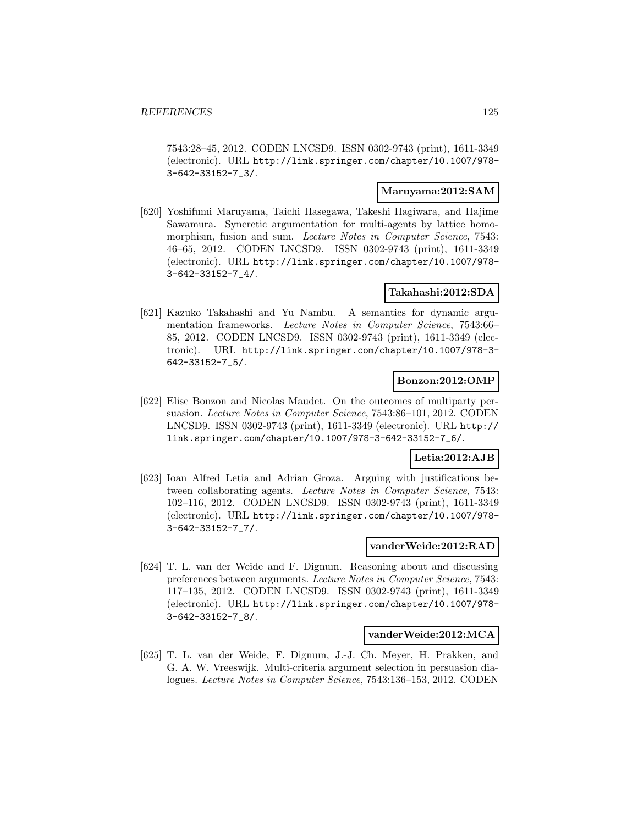7543:28–45, 2012. CODEN LNCSD9. ISSN 0302-9743 (print), 1611-3349 (electronic). URL http://link.springer.com/chapter/10.1007/978- 3-642-33152-7\_3/.

### **Maruyama:2012:SAM**

[620] Yoshifumi Maruyama, Taichi Hasegawa, Takeshi Hagiwara, and Hajime Sawamura. Syncretic argumentation for multi-agents by lattice homomorphism, fusion and sum. Lecture Notes in Computer Science, 7543: 46–65, 2012. CODEN LNCSD9. ISSN 0302-9743 (print), 1611-3349 (electronic). URL http://link.springer.com/chapter/10.1007/978- 3-642-33152-7\_4/.

### **Takahashi:2012:SDA**

[621] Kazuko Takahashi and Yu Nambu. A semantics for dynamic argumentation frameworks. Lecture Notes in Computer Science, 7543:66– 85, 2012. CODEN LNCSD9. ISSN 0302-9743 (print), 1611-3349 (electronic). URL http://link.springer.com/chapter/10.1007/978-3- 642-33152-7\_5/.

### **Bonzon:2012:OMP**

[622] Elise Bonzon and Nicolas Maudet. On the outcomes of multiparty persuasion. Lecture Notes in Computer Science, 7543:86–101, 2012. CODEN LNCSD9. ISSN 0302-9743 (print), 1611-3349 (electronic). URL http:// link.springer.com/chapter/10.1007/978-3-642-33152-7\_6/.

### **Letia:2012:AJB**

[623] Ioan Alfred Letia and Adrian Groza. Arguing with justifications between collaborating agents. Lecture Notes in Computer Science, 7543: 102–116, 2012. CODEN LNCSD9. ISSN 0302-9743 (print), 1611-3349 (electronic). URL http://link.springer.com/chapter/10.1007/978- 3-642-33152-7\_7/.

### **vanderWeide:2012:RAD**

[624] T. L. van der Weide and F. Dignum. Reasoning about and discussing preferences between arguments. Lecture Notes in Computer Science, 7543: 117–135, 2012. CODEN LNCSD9. ISSN 0302-9743 (print), 1611-3349 (electronic). URL http://link.springer.com/chapter/10.1007/978- 3-642-33152-7\_8/.

### **vanderWeide:2012:MCA**

[625] T. L. van der Weide, F. Dignum, J.-J. Ch. Meyer, H. Prakken, and G. A. W. Vreeswijk. Multi-criteria argument selection in persuasion dialogues. Lecture Notes in Computer Science, 7543:136–153, 2012. CODEN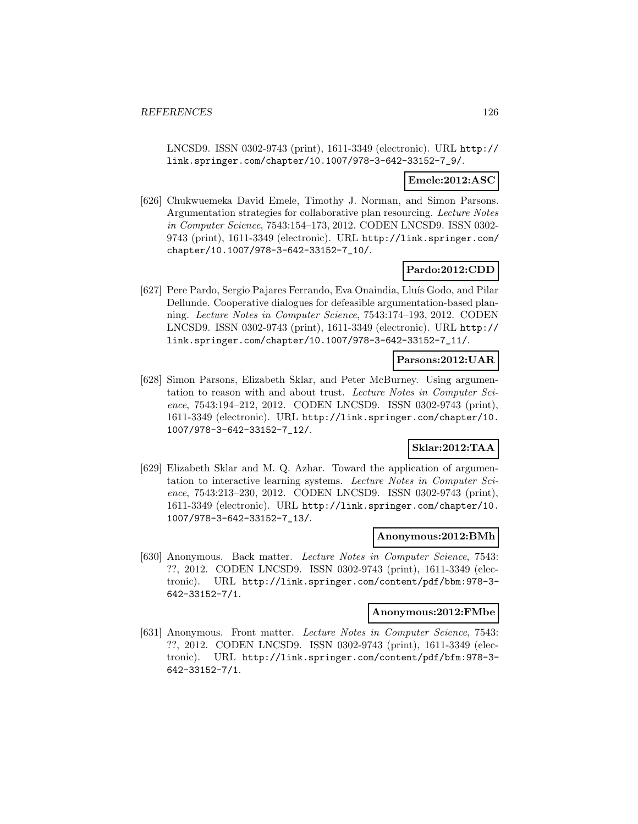LNCSD9. ISSN 0302-9743 (print), 1611-3349 (electronic). URL http:// link.springer.com/chapter/10.1007/978-3-642-33152-7\_9/.

### **Emele:2012:ASC**

[626] Chukwuemeka David Emele, Timothy J. Norman, and Simon Parsons. Argumentation strategies for collaborative plan resourcing. Lecture Notes in Computer Science, 7543:154–173, 2012. CODEN LNCSD9. ISSN 0302- 9743 (print), 1611-3349 (electronic). URL http://link.springer.com/ chapter/10.1007/978-3-642-33152-7\_10/.

### **Pardo:2012:CDD**

[627] Pere Pardo, Sergio Pajares Ferrando, Eva Onaindia, Lluís Godo, and Pilar Dellunde. Cooperative dialogues for defeasible argumentation-based planning. Lecture Notes in Computer Science, 7543:174–193, 2012. CODEN LNCSD9. ISSN 0302-9743 (print), 1611-3349 (electronic). URL http:// link.springer.com/chapter/10.1007/978-3-642-33152-7\_11/.

## **Parsons:2012:UAR**

[628] Simon Parsons, Elizabeth Sklar, and Peter McBurney. Using argumentation to reason with and about trust. Lecture Notes in Computer Science, 7543:194–212, 2012. CODEN LNCSD9. ISSN 0302-9743 (print), 1611-3349 (electronic). URL http://link.springer.com/chapter/10. 1007/978-3-642-33152-7\_12/.

### **Sklar:2012:TAA**

[629] Elizabeth Sklar and M. Q. Azhar. Toward the application of argumentation to interactive learning systems. Lecture Notes in Computer Science, 7543:213–230, 2012. CODEN LNCSD9. ISSN 0302-9743 (print), 1611-3349 (electronic). URL http://link.springer.com/chapter/10. 1007/978-3-642-33152-7\_13/.

#### **Anonymous:2012:BMh**

[630] Anonymous. Back matter. Lecture Notes in Computer Science, 7543: ??, 2012. CODEN LNCSD9. ISSN 0302-9743 (print), 1611-3349 (electronic). URL http://link.springer.com/content/pdf/bbm:978-3- 642-33152-7/1.

#### **Anonymous:2012:FMbe**

[631] Anonymous. Front matter. Lecture Notes in Computer Science, 7543: ??, 2012. CODEN LNCSD9. ISSN 0302-9743 (print), 1611-3349 (electronic). URL http://link.springer.com/content/pdf/bfm:978-3- 642-33152-7/1.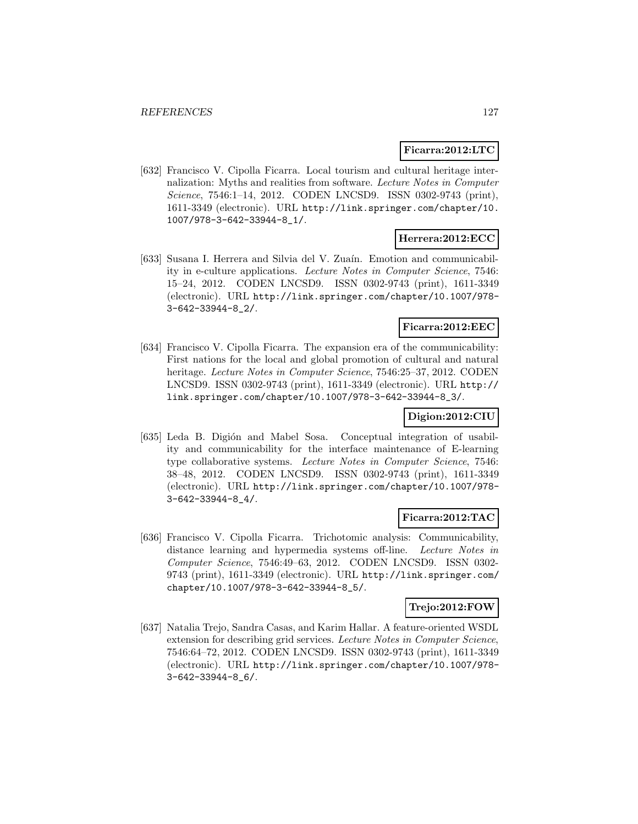### **Ficarra:2012:LTC**

[632] Francisco V. Cipolla Ficarra. Local tourism and cultural heritage internalization: Myths and realities from software. Lecture Notes in Computer Science, 7546:1-14, 2012. CODEN LNCSD9. ISSN 0302-9743 (print), 1611-3349 (electronic). URL http://link.springer.com/chapter/10. 1007/978-3-642-33944-8\_1/.

## **Herrera:2012:ECC**

[633] Susana I. Herrera and Silvia del V. Zuaín. Emotion and communicability in e-culture applications. Lecture Notes in Computer Science, 7546: 15–24, 2012. CODEN LNCSD9. ISSN 0302-9743 (print), 1611-3349 (electronic). URL http://link.springer.com/chapter/10.1007/978- 3-642-33944-8\_2/.

## **Ficarra:2012:EEC**

[634] Francisco V. Cipolla Ficarra. The expansion era of the communicability: First nations for the local and global promotion of cultural and natural heritage. Lecture Notes in Computer Science, 7546:25–37, 2012. CODEN LNCSD9. ISSN 0302-9743 (print), 1611-3349 (electronic). URL http:// link.springer.com/chapter/10.1007/978-3-642-33944-8\_3/.

## **Digion:2012:CIU**

[635] Leda B. Digión and Mabel Sosa. Conceptual integration of usability and communicability for the interface maintenance of E-learning type collaborative systems. Lecture Notes in Computer Science, 7546: 38–48, 2012. CODEN LNCSD9. ISSN 0302-9743 (print), 1611-3349 (electronic). URL http://link.springer.com/chapter/10.1007/978- 3-642-33944-8\_4/.

### **Ficarra:2012:TAC**

[636] Francisco V. Cipolla Ficarra. Trichotomic analysis: Communicability, distance learning and hypermedia systems off-line. Lecture Notes in Computer Science, 7546:49–63, 2012. CODEN LNCSD9. ISSN 0302- 9743 (print), 1611-3349 (electronic). URL http://link.springer.com/ chapter/10.1007/978-3-642-33944-8\_5/.

### **Trejo:2012:FOW**

[637] Natalia Trejo, Sandra Casas, and Karim Hallar. A feature-oriented WSDL extension for describing grid services. Lecture Notes in Computer Science, 7546:64–72, 2012. CODEN LNCSD9. ISSN 0302-9743 (print), 1611-3349 (electronic). URL http://link.springer.com/chapter/10.1007/978- 3-642-33944-8\_6/.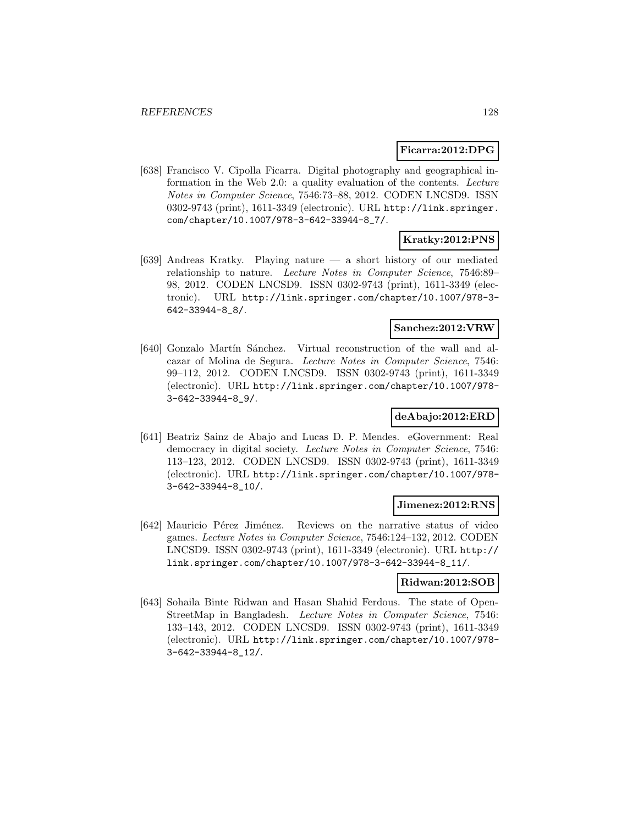### **Ficarra:2012:DPG**

[638] Francisco V. Cipolla Ficarra. Digital photography and geographical information in the Web 2.0: a quality evaluation of the contents. Lecture Notes in Computer Science, 7546:73–88, 2012. CODEN LNCSD9. ISSN 0302-9743 (print), 1611-3349 (electronic). URL http://link.springer. com/chapter/10.1007/978-3-642-33944-8\_7/.

# **Kratky:2012:PNS**

[639] Andreas Kratky. Playing nature — a short history of our mediated relationship to nature. Lecture Notes in Computer Science, 7546:89– 98, 2012. CODEN LNCSD9. ISSN 0302-9743 (print), 1611-3349 (electronic). URL http://link.springer.com/chapter/10.1007/978-3- 642-33944-8\_8/.

### **Sanchez:2012:VRW**

[640] Gonzalo Martín Sánchez. Virtual reconstruction of the wall and alcazar of Molina de Segura. Lecture Notes in Computer Science, 7546: 99–112, 2012. CODEN LNCSD9. ISSN 0302-9743 (print), 1611-3349 (electronic). URL http://link.springer.com/chapter/10.1007/978- 3-642-33944-8\_9/.

## **deAbajo:2012:ERD**

[641] Beatriz Sainz de Abajo and Lucas D. P. Mendes. eGovernment: Real democracy in digital society. Lecture Notes in Computer Science, 7546: 113–123, 2012. CODEN LNCSD9. ISSN 0302-9743 (print), 1611-3349 (electronic). URL http://link.springer.com/chapter/10.1007/978- 3-642-33944-8\_10/.

### **Jimenez:2012:RNS**

[642] Mauricio Pérez Jiménez. Reviews on the narrative status of video games. Lecture Notes in Computer Science, 7546:124–132, 2012. CODEN LNCSD9. ISSN 0302-9743 (print), 1611-3349 (electronic). URL http:// link.springer.com/chapter/10.1007/978-3-642-33944-8\_11/.

## **Ridwan:2012:SOB**

[643] Sohaila Binte Ridwan and Hasan Shahid Ferdous. The state of Open-StreetMap in Bangladesh. Lecture Notes in Computer Science, 7546: 133–143, 2012. CODEN LNCSD9. ISSN 0302-9743 (print), 1611-3349 (electronic). URL http://link.springer.com/chapter/10.1007/978- 3-642-33944-8\_12/.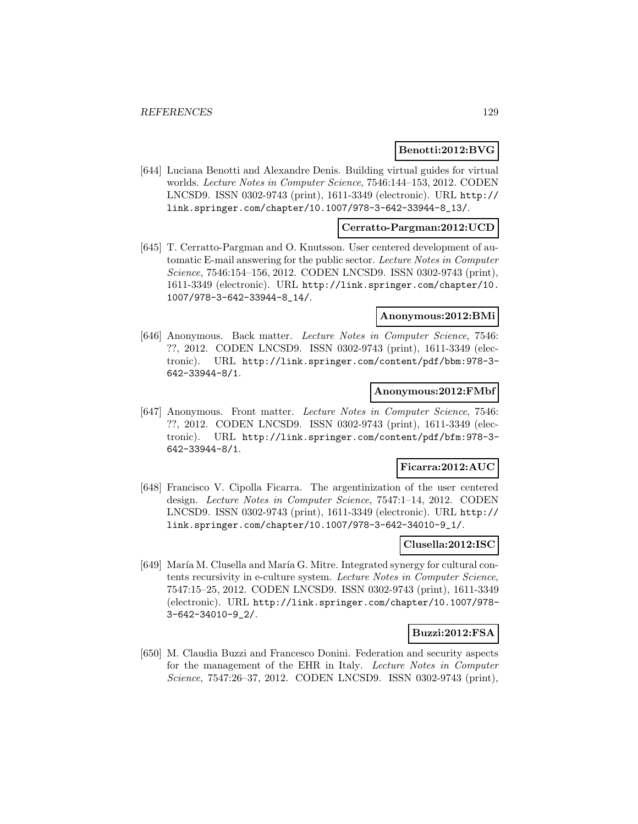### **Benotti:2012:BVG**

[644] Luciana Benotti and Alexandre Denis. Building virtual guides for virtual worlds. Lecture Notes in Computer Science, 7546:144–153, 2012. CODEN LNCSD9. ISSN 0302-9743 (print), 1611-3349 (electronic). URL http:// link.springer.com/chapter/10.1007/978-3-642-33944-8\_13/.

### **Cerratto-Pargman:2012:UCD**

[645] T. Cerratto-Pargman and O. Knutsson. User centered development of automatic E-mail answering for the public sector. Lecture Notes in Computer Science, 7546:154–156, 2012. CODEN LNCSD9. ISSN 0302-9743 (print), 1611-3349 (electronic). URL http://link.springer.com/chapter/10. 1007/978-3-642-33944-8\_14/.

### **Anonymous:2012:BMi**

[646] Anonymous. Back matter. Lecture Notes in Computer Science, 7546: ??, 2012. CODEN LNCSD9. ISSN 0302-9743 (print), 1611-3349 (electronic). URL http://link.springer.com/content/pdf/bbm:978-3- 642-33944-8/1.

#### **Anonymous:2012:FMbf**

[647] Anonymous. Front matter. Lecture Notes in Computer Science, 7546: ??, 2012. CODEN LNCSD9. ISSN 0302-9743 (print), 1611-3349 (electronic). URL http://link.springer.com/content/pdf/bfm:978-3- 642-33944-8/1.

## **Ficarra:2012:AUC**

[648] Francisco V. Cipolla Ficarra. The argentinization of the user centered design. Lecture Notes in Computer Science, 7547:1–14, 2012. CODEN LNCSD9. ISSN 0302-9743 (print), 1611-3349 (electronic). URL http:// link.springer.com/chapter/10.1007/978-3-642-34010-9\_1/.

### **Clusella:2012:ISC**

[649] María M. Clusella and María G. Mitre. Integrated synergy for cultural contents recursivity in e-culture system. Lecture Notes in Computer Science, 7547:15–25, 2012. CODEN LNCSD9. ISSN 0302-9743 (print), 1611-3349 (electronic). URL http://link.springer.com/chapter/10.1007/978- 3-642-34010-9\_2/.

### **Buzzi:2012:FSA**

[650] M. Claudia Buzzi and Francesco Donini. Federation and security aspects for the management of the EHR in Italy. Lecture Notes in Computer Science, 7547:26–37, 2012. CODEN LNCSD9. ISSN 0302-9743 (print),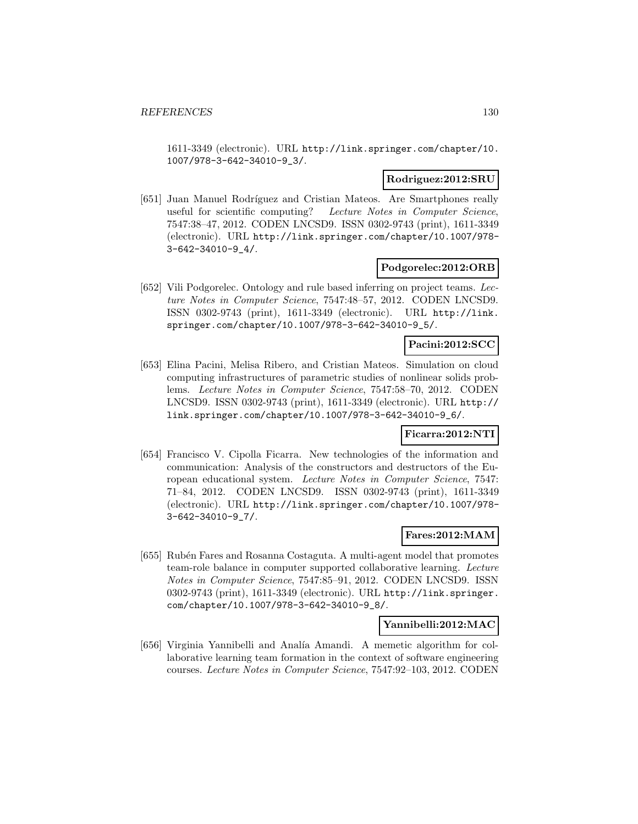1611-3349 (electronic). URL http://link.springer.com/chapter/10. 1007/978-3-642-34010-9\_3/.

#### **Rodriguez:2012:SRU**

[651] Juan Manuel Rodríguez and Cristian Mateos. Are Smartphones really useful for scientific computing? Lecture Notes in Computer Science, 7547:38–47, 2012. CODEN LNCSD9. ISSN 0302-9743 (print), 1611-3349 (electronic). URL http://link.springer.com/chapter/10.1007/978- 3-642-34010-9\_4/.

### **Podgorelec:2012:ORB**

[652] Vili Podgorelec. Ontology and rule based inferring on project teams. Lecture Notes in Computer Science, 7547:48–57, 2012. CODEN LNCSD9. ISSN 0302-9743 (print), 1611-3349 (electronic). URL http://link. springer.com/chapter/10.1007/978-3-642-34010-9\_5/.

## **Pacini:2012:SCC**

[653] Elina Pacini, Melisa Ribero, and Cristian Mateos. Simulation on cloud computing infrastructures of parametric studies of nonlinear solids problems. Lecture Notes in Computer Science, 7547:58–70, 2012. CODEN LNCSD9. ISSN 0302-9743 (print), 1611-3349 (electronic). URL http:// link.springer.com/chapter/10.1007/978-3-642-34010-9\_6/.

#### **Ficarra:2012:NTI**

[654] Francisco V. Cipolla Ficarra. New technologies of the information and communication: Analysis of the constructors and destructors of the European educational system. Lecture Notes in Computer Science, 7547: 71–84, 2012. CODEN LNCSD9. ISSN 0302-9743 (print), 1611-3349 (electronic). URL http://link.springer.com/chapter/10.1007/978- 3-642-34010-9\_7/.

#### **Fares:2012:MAM**

[655] Rubén Fares and Rosanna Costaguta. A multi-agent model that promotes team-role balance in computer supported collaborative learning. Lecture Notes in Computer Science, 7547:85–91, 2012. CODEN LNCSD9. ISSN 0302-9743 (print), 1611-3349 (electronic). URL http://link.springer. com/chapter/10.1007/978-3-642-34010-9\_8/.

### **Yannibelli:2012:MAC**

[656] Virginia Yannibelli and Analía Amandi. A memetic algorithm for collaborative learning team formation in the context of software engineering courses. Lecture Notes in Computer Science, 7547:92–103, 2012. CODEN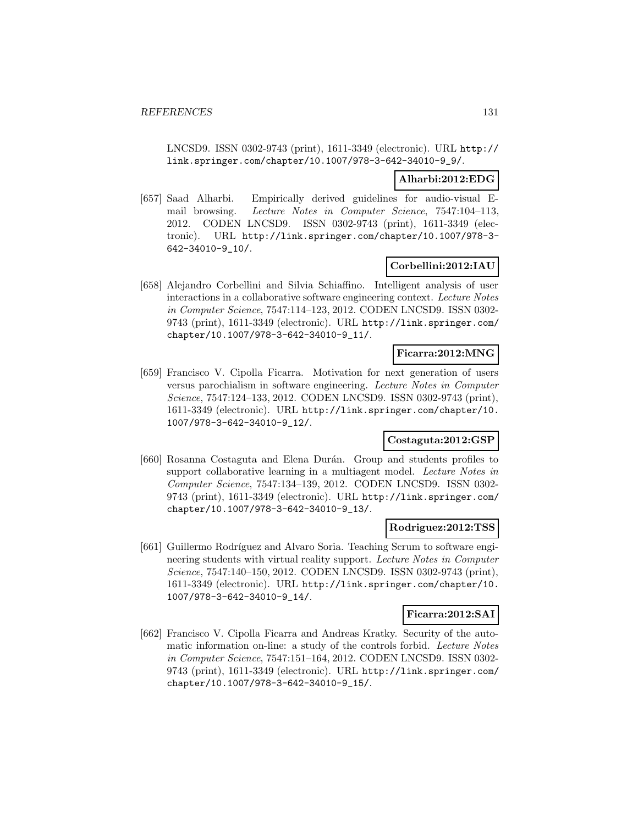LNCSD9. ISSN 0302-9743 (print), 1611-3349 (electronic). URL http:// link.springer.com/chapter/10.1007/978-3-642-34010-9\_9/.

### **Alharbi:2012:EDG**

[657] Saad Alharbi. Empirically derived guidelines for audio-visual Email browsing. Lecture Notes in Computer Science, 7547:104–113, 2012. CODEN LNCSD9. ISSN 0302-9743 (print), 1611-3349 (electronic). URL http://link.springer.com/chapter/10.1007/978-3- 642-34010-9\_10/.

### **Corbellini:2012:IAU**

[658] Alejandro Corbellini and Silvia Schiaffino. Intelligent analysis of user interactions in a collaborative software engineering context. Lecture Notes in Computer Science, 7547:114–123, 2012. CODEN LNCSD9. ISSN 0302- 9743 (print), 1611-3349 (electronic). URL http://link.springer.com/ chapter/10.1007/978-3-642-34010-9\_11/.

#### **Ficarra:2012:MNG**

[659] Francisco V. Cipolla Ficarra. Motivation for next generation of users versus parochialism in software engineering. Lecture Notes in Computer Science, 7547:124–133, 2012. CODEN LNCSD9. ISSN 0302-9743 (print), 1611-3349 (electronic). URL http://link.springer.com/chapter/10. 1007/978-3-642-34010-9\_12/.

### **Costaguta:2012:GSP**

[660] Rosanna Costaguta and Elena Durán. Group and students profiles to support collaborative learning in a multiagent model. Lecture Notes in Computer Science, 7547:134–139, 2012. CODEN LNCSD9. ISSN 0302- 9743 (print), 1611-3349 (electronic). URL http://link.springer.com/ chapter/10.1007/978-3-642-34010-9\_13/.

#### **Rodriguez:2012:TSS**

[661] Guillermo Rodríguez and Alvaro Soria. Teaching Scrum to software engineering students with virtual reality support. Lecture Notes in Computer Science, 7547:140–150, 2012. CODEN LNCSD9. ISSN 0302-9743 (print), 1611-3349 (electronic). URL http://link.springer.com/chapter/10. 1007/978-3-642-34010-9\_14/.

### **Ficarra:2012:SAI**

[662] Francisco V. Cipolla Ficarra and Andreas Kratky. Security of the automatic information on-line: a study of the controls forbid. Lecture Notes in Computer Science, 7547:151–164, 2012. CODEN LNCSD9. ISSN 0302- 9743 (print), 1611-3349 (electronic). URL http://link.springer.com/ chapter/10.1007/978-3-642-34010-9\_15/.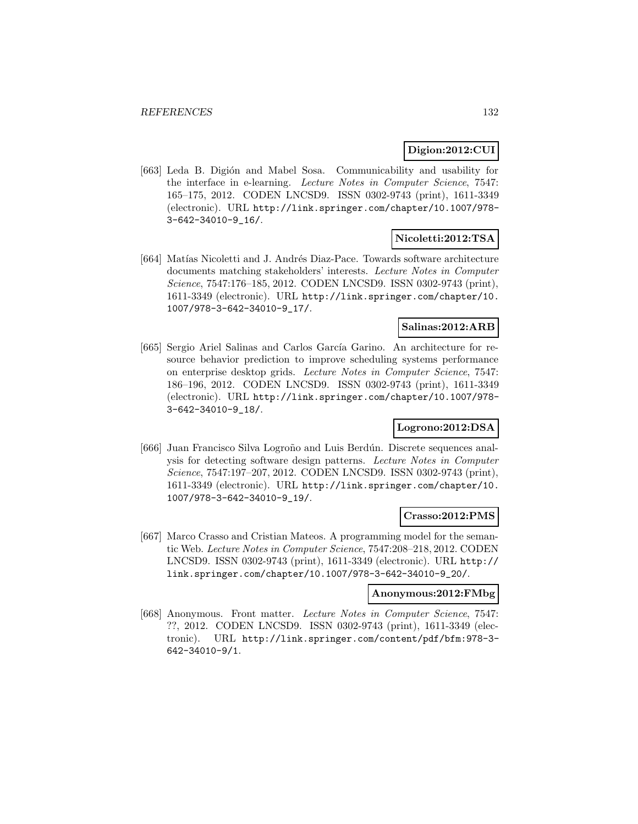### **Digion:2012:CUI**

[663] Leda B. Digión and Mabel Sosa. Communicability and usability for the interface in e-learning. Lecture Notes in Computer Science, 7547: 165–175, 2012. CODEN LNCSD9. ISSN 0302-9743 (print), 1611-3349 (electronic). URL http://link.springer.com/chapter/10.1007/978- 3-642-34010-9\_16/.

## **Nicoletti:2012:TSA**

[664] Matías Nicoletti and J. Andrés Diaz-Pace. Towards software architecture documents matching stakeholders' interests. Lecture Notes in Computer Science, 7547:176–185, 2012. CODEN LNCSD9. ISSN 0302-9743 (print), 1611-3349 (electronic). URL http://link.springer.com/chapter/10. 1007/978-3-642-34010-9\_17/.

### **Salinas:2012:ARB**

[665] Sergio Ariel Salinas and Carlos García Garino. An architecture for resource behavior prediction to improve scheduling systems performance on enterprise desktop grids. Lecture Notes in Computer Science, 7547: 186–196, 2012. CODEN LNCSD9. ISSN 0302-9743 (print), 1611-3349 (electronic). URL http://link.springer.com/chapter/10.1007/978- 3-642-34010-9\_18/.

## **Logrono:2012:DSA**

[666] Juan Francisco Silva Logroño and Luis Berdún. Discrete sequences analysis for detecting software design patterns. Lecture Notes in Computer Science, 7547:197–207, 2012. CODEN LNCSD9. ISSN 0302-9743 (print), 1611-3349 (electronic). URL http://link.springer.com/chapter/10. 1007/978-3-642-34010-9\_19/.

### **Crasso:2012:PMS**

[667] Marco Crasso and Cristian Mateos. A programming model for the semantic Web. Lecture Notes in Computer Science, 7547:208–218, 2012. CODEN LNCSD9. ISSN 0302-9743 (print), 1611-3349 (electronic). URL http:// link.springer.com/chapter/10.1007/978-3-642-34010-9\_20/.

#### **Anonymous:2012:FMbg**

[668] Anonymous. Front matter. Lecture Notes in Computer Science, 7547: ??, 2012. CODEN LNCSD9. ISSN 0302-9743 (print), 1611-3349 (electronic). URL http://link.springer.com/content/pdf/bfm:978-3- 642-34010-9/1.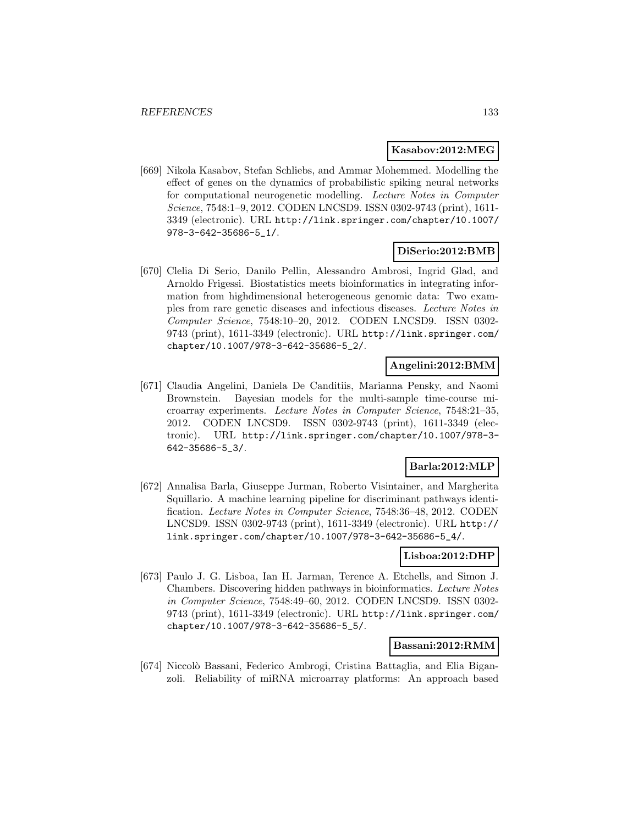### **Kasabov:2012:MEG**

[669] Nikola Kasabov, Stefan Schliebs, and Ammar Mohemmed. Modelling the effect of genes on the dynamics of probabilistic spiking neural networks for computational neurogenetic modelling. Lecture Notes in Computer Science, 7548:1–9, 2012. CODEN LNCSD9. ISSN 0302-9743 (print), 1611- 3349 (electronic). URL http://link.springer.com/chapter/10.1007/ 978-3-642-35686-5\_1/.

## **DiSerio:2012:BMB**

[670] Clelia Di Serio, Danilo Pellin, Alessandro Ambrosi, Ingrid Glad, and Arnoldo Frigessi. Biostatistics meets bioinformatics in integrating information from highdimensional heterogeneous genomic data: Two examples from rare genetic diseases and infectious diseases. Lecture Notes in Computer Science, 7548:10–20, 2012. CODEN LNCSD9. ISSN 0302- 9743 (print), 1611-3349 (electronic). URL http://link.springer.com/ chapter/10.1007/978-3-642-35686-5\_2/.

### **Angelini:2012:BMM**

[671] Claudia Angelini, Daniela De Canditiis, Marianna Pensky, and Naomi Brownstein. Bayesian models for the multi-sample time-course microarray experiments. Lecture Notes in Computer Science, 7548:21–35, 2012. CODEN LNCSD9. ISSN 0302-9743 (print), 1611-3349 (electronic). URL http://link.springer.com/chapter/10.1007/978-3- 642-35686-5\_3/.

## **Barla:2012:MLP**

[672] Annalisa Barla, Giuseppe Jurman, Roberto Visintainer, and Margherita Squillario. A machine learning pipeline for discriminant pathways identification. Lecture Notes in Computer Science, 7548:36–48, 2012. CODEN LNCSD9. ISSN 0302-9743 (print), 1611-3349 (electronic). URL http:// link.springer.com/chapter/10.1007/978-3-642-35686-5\_4/.

### **Lisboa:2012:DHP**

[673] Paulo J. G. Lisboa, Ian H. Jarman, Terence A. Etchells, and Simon J. Chambers. Discovering hidden pathways in bioinformatics. Lecture Notes in Computer Science, 7548:49–60, 2012. CODEN LNCSD9. ISSN 0302- 9743 (print), 1611-3349 (electronic). URL http://link.springer.com/ chapter/10.1007/978-3-642-35686-5\_5/.

### **Bassani:2012:RMM**

[674] Niccolò Bassani, Federico Ambrogi, Cristina Battaglia, and Elia Biganzoli. Reliability of miRNA microarray platforms: An approach based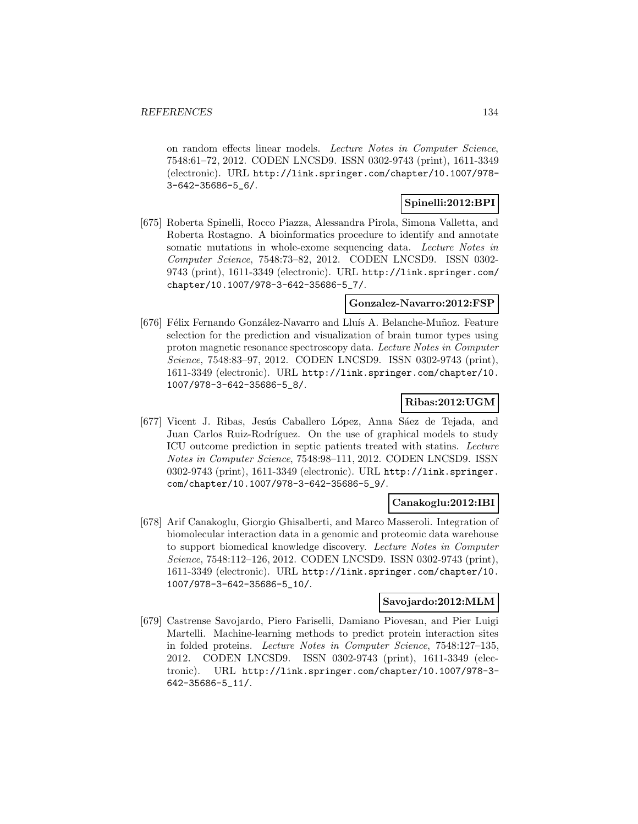on random effects linear models. Lecture Notes in Computer Science, 7548:61–72, 2012. CODEN LNCSD9. ISSN 0302-9743 (print), 1611-3349 (electronic). URL http://link.springer.com/chapter/10.1007/978- 3-642-35686-5\_6/.

## **Spinelli:2012:BPI**

[675] Roberta Spinelli, Rocco Piazza, Alessandra Pirola, Simona Valletta, and Roberta Rostagno. A bioinformatics procedure to identify and annotate somatic mutations in whole-exome sequencing data. Lecture Notes in Computer Science, 7548:73–82, 2012. CODEN LNCSD9. ISSN 0302- 9743 (print), 1611-3349 (electronic). URL http://link.springer.com/ chapter/10.1007/978-3-642-35686-5\_7/.

### **Gonzalez-Navarro:2012:FSP**

[676] Félix Fernando González-Navarro and Lluís A. Belanche-Muñoz. Feature selection for the prediction and visualization of brain tumor types using proton magnetic resonance spectroscopy data. Lecture Notes in Computer Science, 7548:83–97, 2012. CODEN LNCSD9. ISSN 0302-9743 (print), 1611-3349 (electronic). URL http://link.springer.com/chapter/10. 1007/978-3-642-35686-5\_8/.

## **Ribas:2012:UGM**

[677] Vicent J. Ribas, Jesús Caballero López, Anna Sáez de Tejada, and Juan Carlos Ruiz-Rodríguez. On the use of graphical models to study ICU outcome prediction in septic patients treated with statins. Lecture Notes in Computer Science, 7548:98–111, 2012. CODEN LNCSD9. ISSN 0302-9743 (print), 1611-3349 (electronic). URL http://link.springer. com/chapter/10.1007/978-3-642-35686-5\_9/.

## **Canakoglu:2012:IBI**

[678] Arif Canakoglu, Giorgio Ghisalberti, and Marco Masseroli. Integration of biomolecular interaction data in a genomic and proteomic data warehouse to support biomedical knowledge discovery. Lecture Notes in Computer Science, 7548:112–126, 2012. CODEN LNCSD9. ISSN 0302-9743 (print), 1611-3349 (electronic). URL http://link.springer.com/chapter/10. 1007/978-3-642-35686-5\_10/.

## **Savojardo:2012:MLM**

[679] Castrense Savojardo, Piero Fariselli, Damiano Piovesan, and Pier Luigi Martelli. Machine-learning methods to predict protein interaction sites in folded proteins. Lecture Notes in Computer Science, 7548:127–135, 2012. CODEN LNCSD9. ISSN 0302-9743 (print), 1611-3349 (electronic). URL http://link.springer.com/chapter/10.1007/978-3- 642-35686-5\_11/.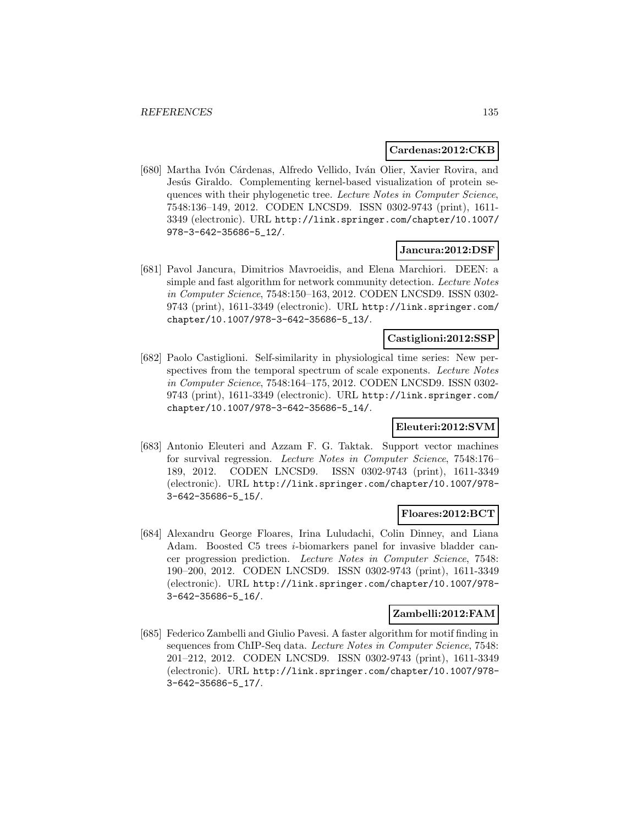#### **Cardenas:2012:CKB**

[680] Martha Ivón Cárdenas, Alfredo Vellido, Iván Olier, Xavier Rovira, and Jesús Giraldo. Complementing kernel-based visualization of protein sequences with their phylogenetic tree. Lecture Notes in Computer Science, 7548:136–149, 2012. CODEN LNCSD9. ISSN 0302-9743 (print), 1611- 3349 (electronic). URL http://link.springer.com/chapter/10.1007/ 978-3-642-35686-5\_12/.

### **Jancura:2012:DSF**

[681] Pavol Jancura, Dimitrios Mavroeidis, and Elena Marchiori. DEEN: a simple and fast algorithm for network community detection. Lecture Notes in Computer Science, 7548:150–163, 2012. CODEN LNCSD9. ISSN 0302- 9743 (print), 1611-3349 (electronic). URL http://link.springer.com/ chapter/10.1007/978-3-642-35686-5\_13/.

### **Castiglioni:2012:SSP**

[682] Paolo Castiglioni. Self-similarity in physiological time series: New perspectives from the temporal spectrum of scale exponents. Lecture Notes in Computer Science, 7548:164–175, 2012. CODEN LNCSD9. ISSN 0302- 9743 (print), 1611-3349 (electronic). URL http://link.springer.com/ chapter/10.1007/978-3-642-35686-5\_14/.

### **Eleuteri:2012:SVM**

[683] Antonio Eleuteri and Azzam F. G. Taktak. Support vector machines for survival regression. Lecture Notes in Computer Science, 7548:176– 189, 2012. CODEN LNCSD9. ISSN 0302-9743 (print), 1611-3349 (electronic). URL http://link.springer.com/chapter/10.1007/978- 3-642-35686-5\_15/.

### **Floares:2012:BCT**

[684] Alexandru George Floares, Irina Luludachi, Colin Dinney, and Liana Adam. Boosted C5 trees i-biomarkers panel for invasive bladder cancer progression prediction. Lecture Notes in Computer Science, 7548: 190–200, 2012. CODEN LNCSD9. ISSN 0302-9743 (print), 1611-3349 (electronic). URL http://link.springer.com/chapter/10.1007/978- 3-642-35686-5\_16/.

### **Zambelli:2012:FAM**

[685] Federico Zambelli and Giulio Pavesi. A faster algorithm for motif finding in sequences from ChIP-Seq data. Lecture Notes in Computer Science, 7548: 201–212, 2012. CODEN LNCSD9. ISSN 0302-9743 (print), 1611-3349 (electronic). URL http://link.springer.com/chapter/10.1007/978- 3-642-35686-5\_17/.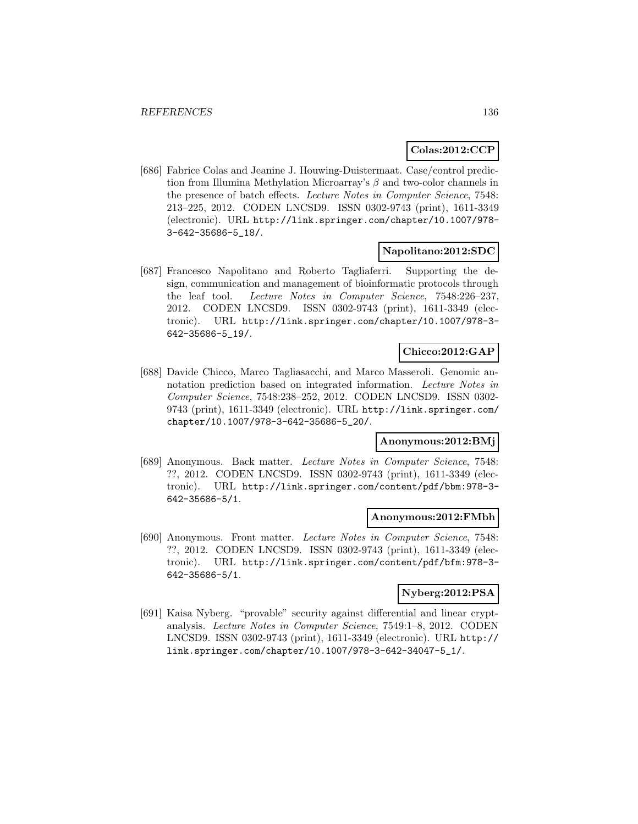## **Colas:2012:CCP**

[686] Fabrice Colas and Jeanine J. Houwing-Duistermaat. Case/control prediction from Illumina Methylation Microarray's  $\beta$  and two-color channels in the presence of batch effects. Lecture Notes in Computer Science, 7548: 213–225, 2012. CODEN LNCSD9. ISSN 0302-9743 (print), 1611-3349 (electronic). URL http://link.springer.com/chapter/10.1007/978- 3-642-35686-5\_18/.

### **Napolitano:2012:SDC**

[687] Francesco Napolitano and Roberto Tagliaferri. Supporting the design, communication and management of bioinformatic protocols through the leaf tool. Lecture Notes in Computer Science, 7548:226–237, 2012. CODEN LNCSD9. ISSN 0302-9743 (print), 1611-3349 (electronic). URL http://link.springer.com/chapter/10.1007/978-3- 642-35686-5\_19/.

### **Chicco:2012:GAP**

[688] Davide Chicco, Marco Tagliasacchi, and Marco Masseroli. Genomic annotation prediction based on integrated information. Lecture Notes in Computer Science, 7548:238–252, 2012. CODEN LNCSD9. ISSN 0302- 9743 (print), 1611-3349 (electronic). URL http://link.springer.com/ chapter/10.1007/978-3-642-35686-5\_20/.

### **Anonymous:2012:BMj**

[689] Anonymous. Back matter. Lecture Notes in Computer Science, 7548: ??, 2012. CODEN LNCSD9. ISSN 0302-9743 (print), 1611-3349 (electronic). URL http://link.springer.com/content/pdf/bbm:978-3- 642-35686-5/1.

### **Anonymous:2012:FMbh**

[690] Anonymous. Front matter. Lecture Notes in Computer Science, 7548: ??, 2012. CODEN LNCSD9. ISSN 0302-9743 (print), 1611-3349 (electronic). URL http://link.springer.com/content/pdf/bfm:978-3- 642-35686-5/1.

### **Nyberg:2012:PSA**

[691] Kaisa Nyberg. "provable" security against differential and linear cryptanalysis. Lecture Notes in Computer Science, 7549:1–8, 2012. CODEN LNCSD9. ISSN 0302-9743 (print), 1611-3349 (electronic). URL http:// link.springer.com/chapter/10.1007/978-3-642-34047-5\_1/.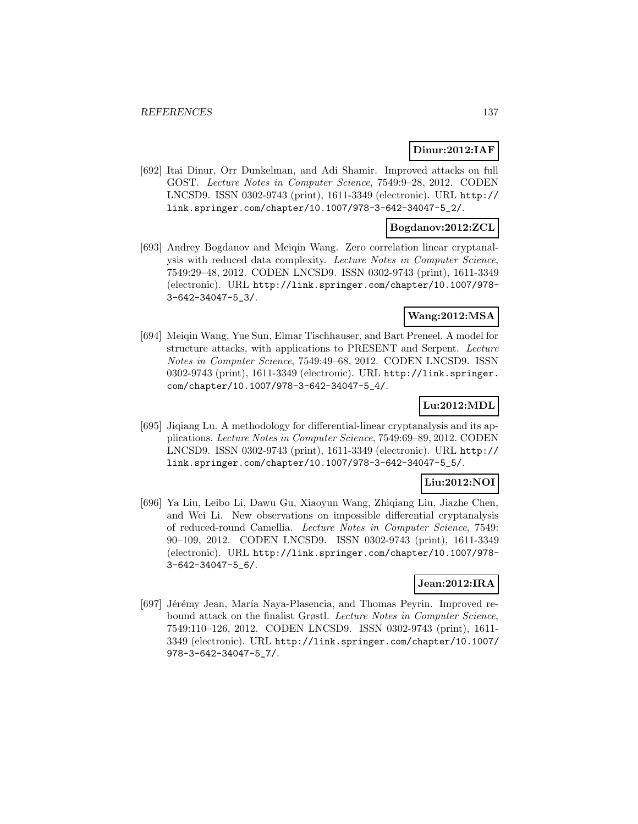### **Dinur:2012:IAF**

[692] Itai Dinur, Orr Dunkelman, and Adi Shamir. Improved attacks on full GOST. Lecture Notes in Computer Science, 7549:9–28, 2012. CODEN LNCSD9. ISSN 0302-9743 (print), 1611-3349 (electronic). URL http:// link.springer.com/chapter/10.1007/978-3-642-34047-5\_2/.

### **Bogdanov:2012:ZCL**

[693] Andrey Bogdanov and Meiqin Wang. Zero correlation linear cryptanalysis with reduced data complexity. Lecture Notes in Computer Science, 7549:29–48, 2012. CODEN LNCSD9. ISSN 0302-9743 (print), 1611-3349 (electronic). URL http://link.springer.com/chapter/10.1007/978- 3-642-34047-5\_3/.

### **Wang:2012:MSA**

[694] Meiqin Wang, Yue Sun, Elmar Tischhauser, and Bart Preneel. A model for structure attacks, with applications to PRESENT and Serpent. Lecture Notes in Computer Science, 7549:49–68, 2012. CODEN LNCSD9. ISSN 0302-9743 (print), 1611-3349 (electronic). URL http://link.springer. com/chapter/10.1007/978-3-642-34047-5\_4/.

## **Lu:2012:MDL**

[695] Jiqiang Lu. A methodology for differential-linear cryptanalysis and its applications. Lecture Notes in Computer Science, 7549:69–89, 2012. CODEN LNCSD9. ISSN 0302-9743 (print), 1611-3349 (electronic). URL http:// link.springer.com/chapter/10.1007/978-3-642-34047-5\_5/.

## **Liu:2012:NOI**

[696] Ya Liu, Leibo Li, Dawu Gu, Xiaoyun Wang, Zhiqiang Liu, Jiazhe Chen, and Wei Li. New observations on impossible differential cryptanalysis of reduced-round Camellia. Lecture Notes in Computer Science, 7549: 90–109, 2012. CODEN LNCSD9. ISSN 0302-9743 (print), 1611-3349 (electronic). URL http://link.springer.com/chapter/10.1007/978- 3-642-34047-5\_6/.

## **Jean:2012:IRA**

[697] Jérémy Jean, María Naya-Plasencia, and Thomas Peyrin. Improved rebound attack on the finalist Grøstl. Lecture Notes in Computer Science, 7549:110–126, 2012. CODEN LNCSD9. ISSN 0302-9743 (print), 1611- 3349 (electronic). URL http://link.springer.com/chapter/10.1007/ 978-3-642-34047-5\_7/.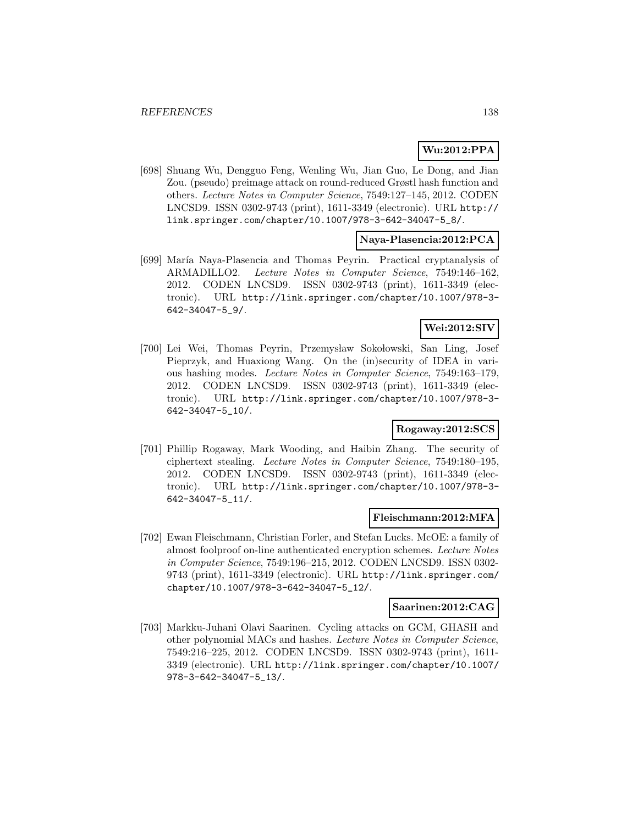# **Wu:2012:PPA**

[698] Shuang Wu, Dengguo Feng, Wenling Wu, Jian Guo, Le Dong, and Jian Zou. (pseudo) preimage attack on round-reduced Grøstl hash function and others. Lecture Notes in Computer Science, 7549:127–145, 2012. CODEN LNCSD9. ISSN 0302-9743 (print), 1611-3349 (electronic). URL http:// link.springer.com/chapter/10.1007/978-3-642-34047-5\_8/.

### **Naya-Plasencia:2012:PCA**

[699] Mar´ıa Naya-Plasencia and Thomas Peyrin. Practical cryptanalysis of ARMADILLO2. Lecture Notes in Computer Science, 7549:146–162, 2012. CODEN LNCSD9. ISSN 0302-9743 (print), 1611-3349 (electronic). URL http://link.springer.com/chapter/10.1007/978-3- 642-34047-5\_9/.

### **Wei:2012:SIV**

[700] Lei Wei, Thomas Peyrin, Przemysław Sokołowski, San Ling, Josef Pieprzyk, and Huaxiong Wang. On the (in)security of IDEA in various hashing modes. Lecture Notes in Computer Science, 7549:163–179, 2012. CODEN LNCSD9. ISSN 0302-9743 (print), 1611-3349 (electronic). URL http://link.springer.com/chapter/10.1007/978-3- 642-34047-5\_10/.

# **Rogaway:2012:SCS**

[701] Phillip Rogaway, Mark Wooding, and Haibin Zhang. The security of ciphertext stealing. Lecture Notes in Computer Science, 7549:180–195, 2012. CODEN LNCSD9. ISSN 0302-9743 (print), 1611-3349 (electronic). URL http://link.springer.com/chapter/10.1007/978-3- 642-34047-5\_11/.

### **Fleischmann:2012:MFA**

[702] Ewan Fleischmann, Christian Forler, and Stefan Lucks. McOE: a family of almost foolproof on-line authenticated encryption schemes. Lecture Notes in Computer Science, 7549:196–215, 2012. CODEN LNCSD9. ISSN 0302- 9743 (print), 1611-3349 (electronic). URL http://link.springer.com/ chapter/10.1007/978-3-642-34047-5\_12/.

### **Saarinen:2012:CAG**

[703] Markku-Juhani Olavi Saarinen. Cycling attacks on GCM, GHASH and other polynomial MACs and hashes. Lecture Notes in Computer Science, 7549:216–225, 2012. CODEN LNCSD9. ISSN 0302-9743 (print), 1611- 3349 (electronic). URL http://link.springer.com/chapter/10.1007/ 978-3-642-34047-5\_13/.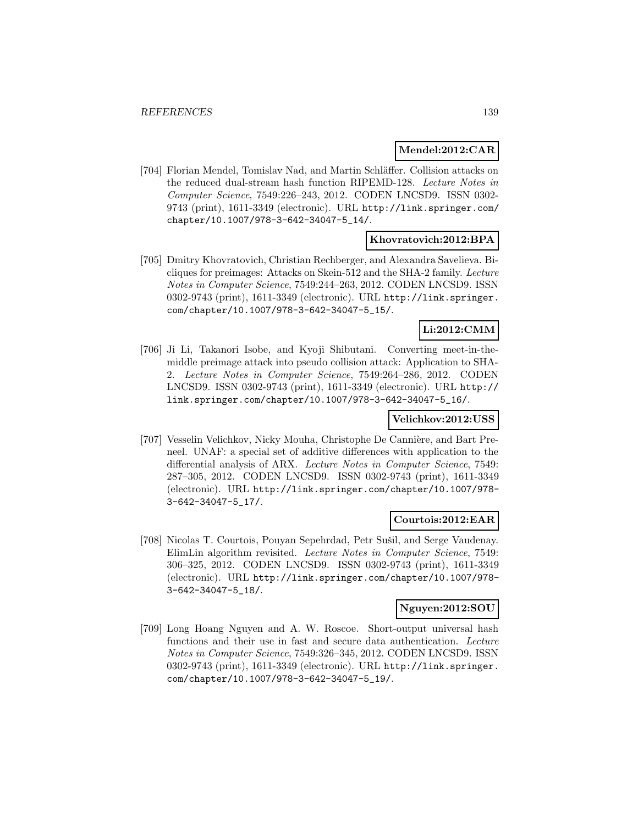### **Mendel:2012:CAR**

[704] Florian Mendel, Tomislav Nad, and Martin Schl¨affer. Collision attacks on the reduced dual-stream hash function RIPEMD-128. Lecture Notes in Computer Science, 7549:226–243, 2012. CODEN LNCSD9. ISSN 0302- 9743 (print), 1611-3349 (electronic). URL http://link.springer.com/ chapter/10.1007/978-3-642-34047-5\_14/.

## **Khovratovich:2012:BPA**

[705] Dmitry Khovratovich, Christian Rechberger, and Alexandra Savelieva. Bicliques for preimages: Attacks on Skein-512 and the SHA-2 family. Lecture Notes in Computer Science, 7549:244–263, 2012. CODEN LNCSD9. ISSN 0302-9743 (print), 1611-3349 (electronic). URL http://link.springer. com/chapter/10.1007/978-3-642-34047-5\_15/.

## **Li:2012:CMM**

[706] Ji Li, Takanori Isobe, and Kyoji Shibutani. Converting meet-in-themiddle preimage attack into pseudo collision attack: Application to SHA-2. Lecture Notes in Computer Science, 7549:264–286, 2012. CODEN LNCSD9. ISSN 0302-9743 (print), 1611-3349 (electronic). URL http:// link.springer.com/chapter/10.1007/978-3-642-34047-5\_16/.

## **Velichkov:2012:USS**

[707] Vesselin Velichkov, Nicky Mouha, Christophe De Cannière, and Bart Preneel. UNAF: a special set of additive differences with application to the differential analysis of ARX. Lecture Notes in Computer Science, 7549: 287–305, 2012. CODEN LNCSD9. ISSN 0302-9743 (print), 1611-3349 (electronic). URL http://link.springer.com/chapter/10.1007/978- 3-642-34047-5\_17/.

## **Courtois:2012:EAR**

[708] Nicolas T. Courtois, Pouyan Sepehrdad, Petr Sušil, and Serge Vaudenay. ElimLin algorithm revisited. Lecture Notes in Computer Science, 7549: 306–325, 2012. CODEN LNCSD9. ISSN 0302-9743 (print), 1611-3349 (electronic). URL http://link.springer.com/chapter/10.1007/978- 3-642-34047-5\_18/.

### **Nguyen:2012:SOU**

[709] Long Hoang Nguyen and A. W. Roscoe. Short-output universal hash functions and their use in fast and secure data authentication. Lecture Notes in Computer Science, 7549:326–345, 2012. CODEN LNCSD9. ISSN 0302-9743 (print), 1611-3349 (electronic). URL http://link.springer. com/chapter/10.1007/978-3-642-34047-5\_19/.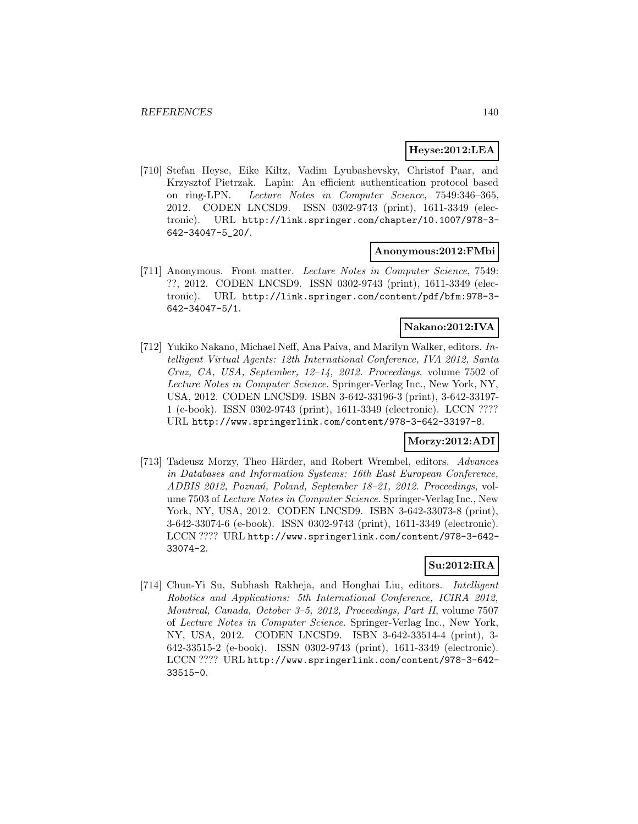### **Heyse:2012:LEA**

[710] Stefan Heyse, Eike Kiltz, Vadim Lyubashevsky, Christof Paar, and Krzysztof Pietrzak. Lapin: An efficient authentication protocol based on ring-LPN. Lecture Notes in Computer Science, 7549:346–365, 2012. CODEN LNCSD9. ISSN 0302-9743 (print), 1611-3349 (electronic). URL http://link.springer.com/chapter/10.1007/978-3- 642-34047-5\_20/.

#### **Anonymous:2012:FMbi**

[711] Anonymous. Front matter. Lecture Notes in Computer Science, 7549: ??, 2012. CODEN LNCSD9. ISSN 0302-9743 (print), 1611-3349 (electronic). URL http://link.springer.com/content/pdf/bfm:978-3- 642-34047-5/1.

## **Nakano:2012:IVA**

[712] Yukiko Nakano, Michael Neff, Ana Paiva, and Marilyn Walker, editors. Intelligent Virtual Agents: 12th International Conference, IVA 2012, Santa Cruz, CA, USA, September, 12–14, 2012. Proceedings, volume 7502 of Lecture Notes in Computer Science. Springer-Verlag Inc., New York, NY, USA, 2012. CODEN LNCSD9. ISBN 3-642-33196-3 (print), 3-642-33197- 1 (e-book). ISSN 0302-9743 (print), 1611-3349 (electronic). LCCN ???? URL http://www.springerlink.com/content/978-3-642-33197-8.

### **Morzy:2012:ADI**

[713] Tadeusz Morzy, Theo Härder, and Robert Wrembel, editors. Advances in Databases and Information Systems: 16th East European Conference, ADBIS 2012, Poznań, Poland, September 18-21, 2012. Proceedings, volume 7503 of Lecture Notes in Computer Science. Springer-Verlag Inc., New York, NY, USA, 2012. CODEN LNCSD9. ISBN 3-642-33073-8 (print), 3-642-33074-6 (e-book). ISSN 0302-9743 (print), 1611-3349 (electronic). LCCN ???? URL http://www.springerlink.com/content/978-3-642- 33074-2.

## **Su:2012:IRA**

[714] Chun-Yi Su, Subhash Rakheja, and Honghai Liu, editors. *Intelligent* Robotics and Applications: 5th International Conference, ICIRA 2012, Montreal, Canada, October 3–5, 2012, Proceedings, Part II, volume 7507 of Lecture Notes in Computer Science. Springer-Verlag Inc., New York, NY, USA, 2012. CODEN LNCSD9. ISBN 3-642-33514-4 (print), 3- 642-33515-2 (e-book). ISSN 0302-9743 (print), 1611-3349 (electronic). LCCN ???? URL http://www.springerlink.com/content/978-3-642- 33515-0.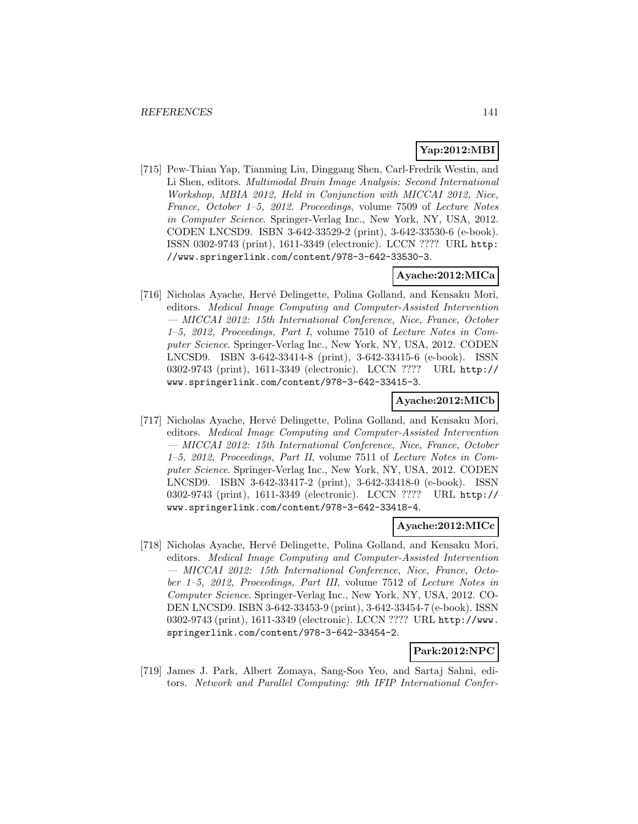# **Yap:2012:MBI**

[715] Pew-Thian Yap, Tianming Liu, Dinggang Shen, Carl-Fredrik Westin, and Li Shen, editors. Multimodal Brain Image Analysis: Second International Workshop, MBIA 2012, Held in Conjunction with MICCAI 2012, Nice, France, October 1–5, 2012. Proceedings, volume 7509 of Lecture Notes in Computer Science. Springer-Verlag Inc., New York, NY, USA, 2012. CODEN LNCSD9. ISBN 3-642-33529-2 (print), 3-642-33530-6 (e-book). ISSN 0302-9743 (print), 1611-3349 (electronic). LCCN ???? URL http: //www.springerlink.com/content/978-3-642-33530-3.

## **Ayache:2012:MICa**

[716] Nicholas Ayache, Hervé Delingette, Polina Golland, and Kensaku Mori, editors. Medical Image Computing and Computer-Assisted Intervention — MICCAI 2012: 15th International Conference, Nice, France, October 1–5, 2012, Proceedings, Part I, volume 7510 of Lecture Notes in Computer Science. Springer-Verlag Inc., New York, NY, USA, 2012. CODEN LNCSD9. ISBN 3-642-33414-8 (print), 3-642-33415-6 (e-book). ISSN 0302-9743 (print), 1611-3349 (electronic). LCCN ???? URL http:// www.springerlink.com/content/978-3-642-33415-3.

### **Ayache:2012:MICb**

[717] Nicholas Ayache, Hervé Delingette, Polina Golland, and Kensaku Mori, editors. Medical Image Computing and Computer-Assisted Intervention — MICCAI 2012: 15th International Conference, Nice, France, October 1–5, 2012, Proceedings, Part II, volume 7511 of Lecture Notes in Computer Science. Springer-Verlag Inc., New York, NY, USA, 2012. CODEN LNCSD9. ISBN 3-642-33417-2 (print), 3-642-33418-0 (e-book). ISSN 0302-9743 (print), 1611-3349 (electronic). LCCN ???? URL http:// www.springerlink.com/content/978-3-642-33418-4.

### **Ayache:2012:MICc**

[718] Nicholas Ayache, Hervé Delingette, Polina Golland, and Kensaku Mori, editors. Medical Image Computing and Computer-Assisted Intervention — MICCAI 2012: 15th International Conference, Nice, France, October 1–5, 2012, Proceedings, Part III, volume 7512 of Lecture Notes in Computer Science. Springer-Verlag Inc., New York, NY, USA, 2012. CO-DEN LNCSD9. ISBN 3-642-33453-9 (print), 3-642-33454-7 (e-book). ISSN 0302-9743 (print), 1611-3349 (electronic). LCCN ???? URL http://www. springerlink.com/content/978-3-642-33454-2.

## **Park:2012:NPC**

[719] James J. Park, Albert Zomaya, Sang-Soo Yeo, and Sartaj Sahni, editors. Network and Parallel Computing: 9th IFIP International Confer-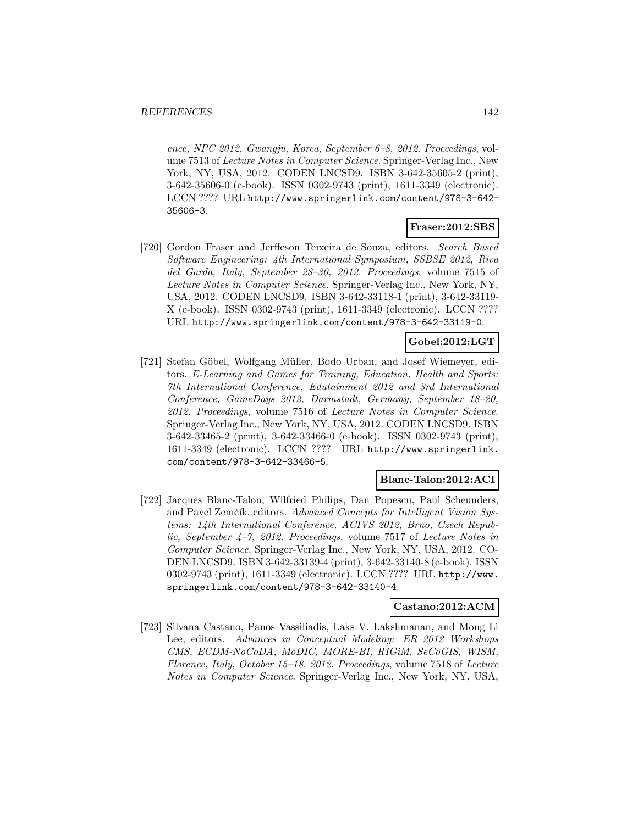ence, NPC 2012, Gwangju, Korea, September 6–8, 2012. Proceedings, volume 7513 of Lecture Notes in Computer Science. Springer-Verlag Inc., New York, NY, USA, 2012. CODEN LNCSD9. ISBN 3-642-35605-2 (print), 3-642-35606-0 (e-book). ISSN 0302-9743 (print), 1611-3349 (electronic). LCCN ???? URL http://www.springerlink.com/content/978-3-642- 35606-3.

## **Fraser:2012:SBS**

[720] Gordon Fraser and Jerffeson Teixeira de Souza, editors. Search Based Software Engineering: 4th International Symposium, SSBSE 2012, Riva del Garda, Italy, September 28–30, 2012. Proceedings, volume 7515 of Lecture Notes in Computer Science. Springer-Verlag Inc., New York, NY, USA, 2012. CODEN LNCSD9. ISBN 3-642-33118-1 (print), 3-642-33119- X (e-book). ISSN 0302-9743 (print), 1611-3349 (electronic). LCCN ???? URL http://www.springerlink.com/content/978-3-642-33119-0.

## **Gobel:2012:LGT**

[721] Stefan Göbel, Wolfgang Müller, Bodo Urban, and Josef Wiemeyer, editors. E-Learning and Games for Training, Education, Health and Sports: 7th International Conference, Edutainment 2012 and 3rd International Conference, GameDays 2012, Darmstadt, Germany, September 18–20, 2012. Proceedings, volume 7516 of Lecture Notes in Computer Science. Springer-Verlag Inc., New York, NY, USA, 2012. CODEN LNCSD9. ISBN 3-642-33465-2 (print), 3-642-33466-0 (e-book). ISSN 0302-9743 (print), 1611-3349 (electronic). LCCN ???? URL http://www.springerlink. com/content/978-3-642-33466-5.

## **Blanc-Talon:2012:ACI**

[722] Jacques Blanc-Talon, Wilfried Philips, Dan Popescu, Paul Scheunders, and Pavel Zemčík, editors. Advanced Concepts for Intelligent Vision Systems: 14th International Conference, ACIVS 2012, Brno, Czech Republic, September 4–7, 2012. Proceedings, volume 7517 of Lecture Notes in Computer Science. Springer-Verlag Inc., New York, NY, USA, 2012. CO-DEN LNCSD9. ISBN 3-642-33139-4 (print), 3-642-33140-8 (e-book). ISSN 0302-9743 (print), 1611-3349 (electronic). LCCN ???? URL http://www. springerlink.com/content/978-3-642-33140-4.

### **Castano:2012:ACM**

[723] Silvana Castano, Panos Vassiliadis, Laks V. Lakshmanan, and Mong Li Lee, editors. Advances in Conceptual Modeling: ER 2012 Workshops CMS, ECDM-NoCoDA, MoDIC, MORE-BI, RIGiM, SeCoGIS, WISM, Florence, Italy, October 15–18, 2012. Proceedings, volume 7518 of Lecture Notes in Computer Science. Springer-Verlag Inc., New York, NY, USA,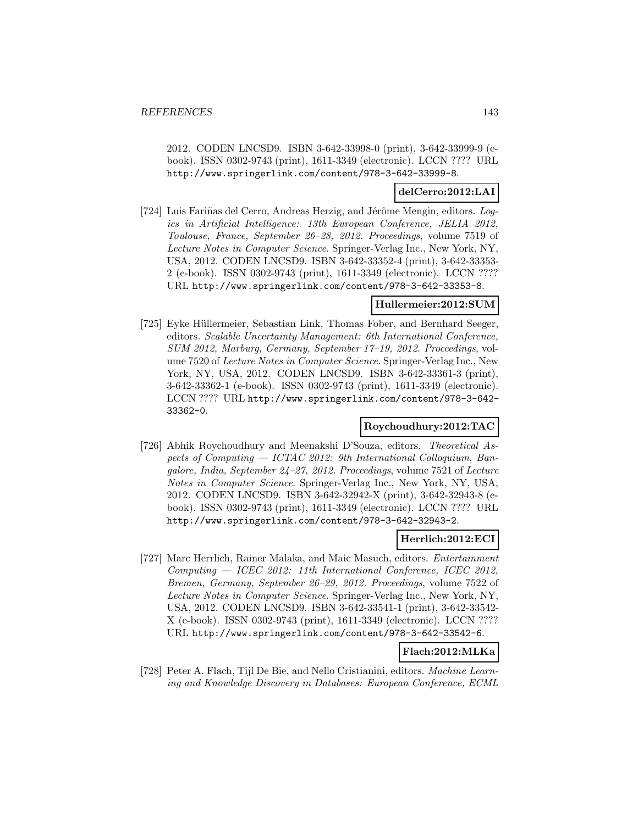2012. CODEN LNCSD9. ISBN 3-642-33998-0 (print), 3-642-33999-9 (ebook). ISSN 0302-9743 (print), 1611-3349 (electronic). LCCN ???? URL http://www.springerlink.com/content/978-3-642-33999-8.

### **delCerro:2012:LAI**

[724] Luis Fariñas del Cerro, Andreas Herzig, and Jérôme Mengin, editors. Logics in Artificial Intelligence: 13th European Conference, JELIA 2012, Toulouse, France, September 26–28, 2012. Proceedings, volume 7519 of Lecture Notes in Computer Science. Springer-Verlag Inc., New York, NY, USA, 2012. CODEN LNCSD9. ISBN 3-642-33352-4 (print), 3-642-33353- 2 (e-book). ISSN 0302-9743 (print), 1611-3349 (electronic). LCCN ???? URL http://www.springerlink.com/content/978-3-642-33353-8.

### **Hullermeier:2012:SUM**

[725] Eyke Hüllermeier, Sebastian Link, Thomas Fober, and Bernhard Seeger, editors. Scalable Uncertainty Management: 6th International Conference, SUM 2012, Marburg, Germany, September 17–19, 2012. Proceedings, volume 7520 of Lecture Notes in Computer Science. Springer-Verlag Inc., New York, NY, USA, 2012. CODEN LNCSD9. ISBN 3-642-33361-3 (print), 3-642-33362-1 (e-book). ISSN 0302-9743 (print), 1611-3349 (electronic). LCCN ???? URL http://www.springerlink.com/content/978-3-642- 33362-0.

## **Roychoudhury:2012:TAC**

[726] Abhik Roychoudhury and Meenakshi D'Souza, editors. Theoretical Aspects of Computing — ICTAC 2012: 9th International Colloquium, Bangalore, India, September 24–27, 2012. Proceedings, volume 7521 of Lecture Notes in Computer Science. Springer-Verlag Inc., New York, NY, USA, 2012. CODEN LNCSD9. ISBN 3-642-32942-X (print), 3-642-32943-8 (ebook). ISSN 0302-9743 (print), 1611-3349 (electronic). LCCN ???? URL http://www.springerlink.com/content/978-3-642-32943-2.

### **Herrlich:2012:ECI**

[727] Marc Herrlich, Rainer Malaka, and Maic Masuch, editors. Entertainment Computing — ICEC 2012: 11th International Conference, ICEC 2012, Bremen, Germany, September 26–29, 2012. Proceedings, volume 7522 of Lecture Notes in Computer Science. Springer-Verlag Inc., New York, NY, USA, 2012. CODEN LNCSD9. ISBN 3-642-33541-1 (print), 3-642-33542- X (e-book). ISSN 0302-9743 (print), 1611-3349 (electronic). LCCN ???? URL http://www.springerlink.com/content/978-3-642-33542-6.

## **Flach:2012:MLKa**

[728] Peter A. Flach, Tijl De Bie, and Nello Cristianini, editors. Machine Learning and Knowledge Discovery in Databases: European Conference, ECML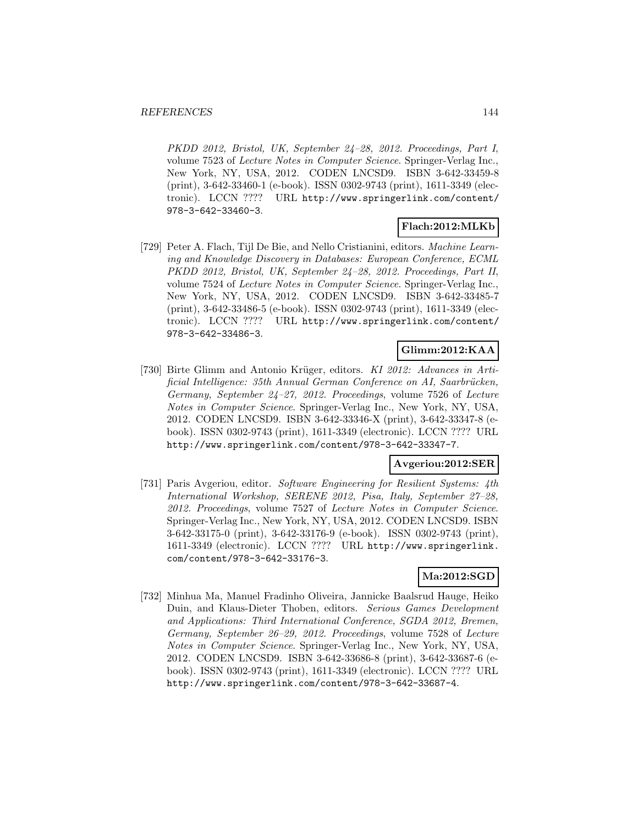PKDD 2012, Bristol, UK, September 24–28, 2012. Proceedings, Part I, volume 7523 of Lecture Notes in Computer Science. Springer-Verlag Inc., New York, NY, USA, 2012. CODEN LNCSD9. ISBN 3-642-33459-8 (print), 3-642-33460-1 (e-book). ISSN 0302-9743 (print), 1611-3349 (electronic). LCCN ???? URL http://www.springerlink.com/content/ 978-3-642-33460-3.

## **Flach:2012:MLKb**

[729] Peter A. Flach, Tijl De Bie, and Nello Cristianini, editors. Machine Learning and Knowledge Discovery in Databases: European Conference, ECML PKDD 2012, Bristol, UK, September 24–28, 2012. Proceedings, Part II, volume 7524 of Lecture Notes in Computer Science. Springer-Verlag Inc., New York, NY, USA, 2012. CODEN LNCSD9. ISBN 3-642-33485-7 (print), 3-642-33486-5 (e-book). ISSN 0302-9743 (print), 1611-3349 (electronic). LCCN ???? URL http://www.springerlink.com/content/ 978-3-642-33486-3.

## **Glimm:2012:KAA**

[730] Birte Glimm and Antonio Krüger, editors. KI 2012: Advances in Artificial Intelligence: 35th Annual German Conference on AI, Saarbrücken, Germany, September 24–27, 2012. Proceedings, volume 7526 of Lecture Notes in Computer Science. Springer-Verlag Inc., New York, NY, USA, 2012. CODEN LNCSD9. ISBN 3-642-33346-X (print), 3-642-33347-8 (ebook). ISSN 0302-9743 (print), 1611-3349 (electronic). LCCN ???? URL http://www.springerlink.com/content/978-3-642-33347-7.

## **Avgeriou:2012:SER**

[731] Paris Avgeriou, editor. Software Engineering for Resilient Systems: 4th International Workshop, SERENE 2012, Pisa, Italy, September 27–28, 2012. Proceedings, volume 7527 of Lecture Notes in Computer Science. Springer-Verlag Inc., New York, NY, USA, 2012. CODEN LNCSD9. ISBN 3-642-33175-0 (print), 3-642-33176-9 (e-book). ISSN 0302-9743 (print), 1611-3349 (electronic). LCCN ???? URL http://www.springerlink. com/content/978-3-642-33176-3.

## **Ma:2012:SGD**

[732] Minhua Ma, Manuel Fradinho Oliveira, Jannicke Baalsrud Hauge, Heiko Duin, and Klaus-Dieter Thoben, editors. Serious Games Development and Applications: Third International Conference, SGDA 2012, Bremen, Germany, September 26–29, 2012. Proceedings, volume 7528 of Lecture Notes in Computer Science. Springer-Verlag Inc., New York, NY, USA, 2012. CODEN LNCSD9. ISBN 3-642-33686-8 (print), 3-642-33687-6 (ebook). ISSN 0302-9743 (print), 1611-3349 (electronic). LCCN ???? URL http://www.springerlink.com/content/978-3-642-33687-4.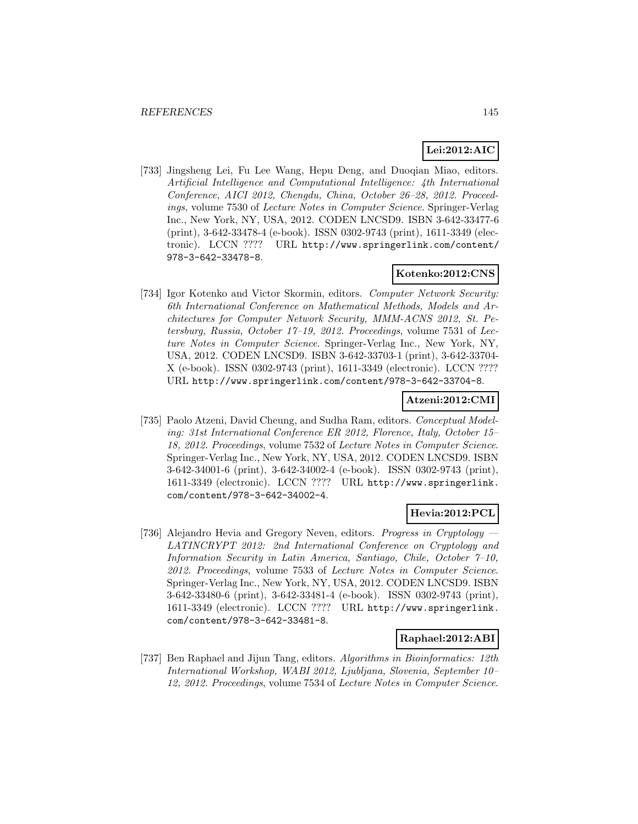# **Lei:2012:AIC**

[733] Jingsheng Lei, Fu Lee Wang, Hepu Deng, and Duoqian Miao, editors. Artificial Intelligence and Computational Intelligence: 4th International Conference, AICI 2012, Chengdu, China, October 26–28, 2012. Proceedings, volume 7530 of Lecture Notes in Computer Science. Springer-Verlag Inc., New York, NY, USA, 2012. CODEN LNCSD9. ISBN 3-642-33477-6 (print), 3-642-33478-4 (e-book). ISSN 0302-9743 (print), 1611-3349 (electronic). LCCN ???? URL http://www.springerlink.com/content/ 978-3-642-33478-8.

# **Kotenko:2012:CNS**

[734] Igor Kotenko and Victor Skormin, editors. Computer Network Security: 6th International Conference on Mathematical Methods, Models and Architectures for Computer Network Security, MMM-ACNS 2012, St. Petersburg, Russia, October 17–19, 2012. Proceedings, volume 7531 of Lecture Notes in Computer Science. Springer-Verlag Inc., New York, NY, USA, 2012. CODEN LNCSD9. ISBN 3-642-33703-1 (print), 3-642-33704- X (e-book). ISSN 0302-9743 (print), 1611-3349 (electronic). LCCN ???? URL http://www.springerlink.com/content/978-3-642-33704-8.

## **Atzeni:2012:CMI**

[735] Paolo Atzeni, David Cheung, and Sudha Ram, editors. Conceptual Modeling: 31st International Conference ER 2012, Florence, Italy, October 15– 18, 2012. Proceedings, volume 7532 of Lecture Notes in Computer Science. Springer-Verlag Inc., New York, NY, USA, 2012. CODEN LNCSD9. ISBN 3-642-34001-6 (print), 3-642-34002-4 (e-book). ISSN 0302-9743 (print), 1611-3349 (electronic). LCCN ???? URL http://www.springerlink. com/content/978-3-642-34002-4.

# **Hevia:2012:PCL**

[736] Alejandro Hevia and Gregory Neven, editors. Progress in Cryptology LATINCRYPT 2012: 2nd International Conference on Cryptology and Information Security in Latin America, Santiago, Chile, October 7–10, 2012. Proceedings, volume 7533 of Lecture Notes in Computer Science. Springer-Verlag Inc., New York, NY, USA, 2012. CODEN LNCSD9. ISBN 3-642-33480-6 (print), 3-642-33481-4 (e-book). ISSN 0302-9743 (print), 1611-3349 (electronic). LCCN ???? URL http://www.springerlink. com/content/978-3-642-33481-8.

### **Raphael:2012:ABI**

[737] Ben Raphael and Jijun Tang, editors. Algorithms in Bioinformatics: 12th International Workshop, WABI 2012, Ljubljana, Slovenia, September 10– 12, 2012. Proceedings, volume 7534 of Lecture Notes in Computer Science.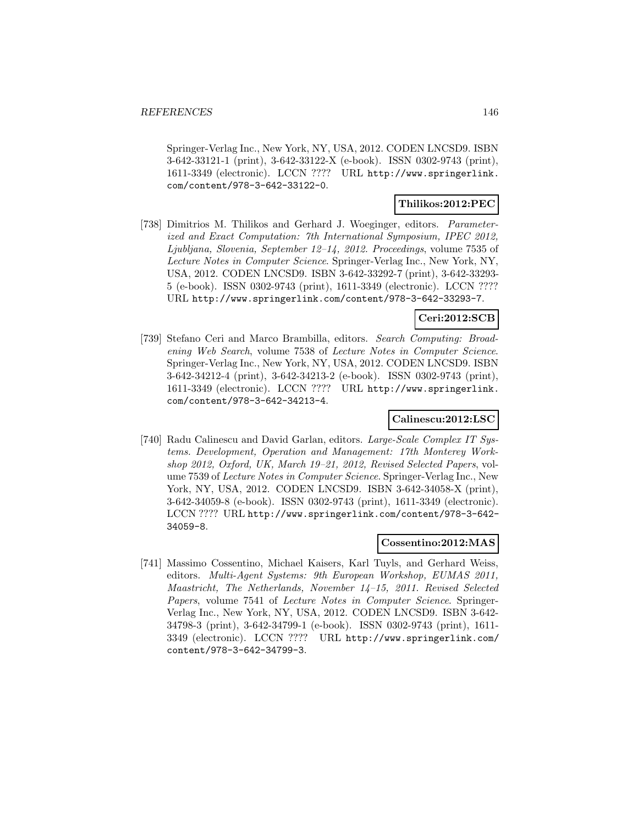Springer-Verlag Inc., New York, NY, USA, 2012. CODEN LNCSD9. ISBN 3-642-33121-1 (print), 3-642-33122-X (e-book). ISSN 0302-9743 (print), 1611-3349 (electronic). LCCN ???? URL http://www.springerlink. com/content/978-3-642-33122-0.

## **Thilikos:2012:PEC**

[738] Dimitrios M. Thilikos and Gerhard J. Woeginger, editors. Parameterized and Exact Computation: 7th International Symposium, IPEC 2012, Ljubljana, Slovenia, September 12–14, 2012. Proceedings, volume 7535 of Lecture Notes in Computer Science. Springer-Verlag Inc., New York, NY, USA, 2012. CODEN LNCSD9. ISBN 3-642-33292-7 (print), 3-642-33293- 5 (e-book). ISSN 0302-9743 (print), 1611-3349 (electronic). LCCN ???? URL http://www.springerlink.com/content/978-3-642-33293-7.

## **Ceri:2012:SCB**

[739] Stefano Ceri and Marco Brambilla, editors. Search Computing: Broadening Web Search, volume 7538 of Lecture Notes in Computer Science. Springer-Verlag Inc., New York, NY, USA, 2012. CODEN LNCSD9. ISBN 3-642-34212-4 (print), 3-642-34213-2 (e-book). ISSN 0302-9743 (print), 1611-3349 (electronic). LCCN ???? URL http://www.springerlink. com/content/978-3-642-34213-4.

## **Calinescu:2012:LSC**

[740] Radu Calinescu and David Garlan, editors. Large-Scale Complex IT Systems. Development, Operation and Management: 17th Monterey Workshop 2012, Oxford, UK, March 19–21, 2012, Revised Selected Papers, volume 7539 of Lecture Notes in Computer Science. Springer-Verlag Inc., New York, NY, USA, 2012. CODEN LNCSD9. ISBN 3-642-34058-X (print), 3-642-34059-8 (e-book). ISSN 0302-9743 (print), 1611-3349 (electronic). LCCN ???? URL http://www.springerlink.com/content/978-3-642- 34059-8.

### **Cossentino:2012:MAS**

[741] Massimo Cossentino, Michael Kaisers, Karl Tuyls, and Gerhard Weiss, editors. Multi-Agent Systems: 9th European Workshop, EUMAS 2011, Maastricht, The Netherlands, November 14–15, 2011. Revised Selected Papers, volume 7541 of Lecture Notes in Computer Science. Springer-Verlag Inc., New York, NY, USA, 2012. CODEN LNCSD9. ISBN 3-642- 34798-3 (print), 3-642-34799-1 (e-book). ISSN 0302-9743 (print), 1611- 3349 (electronic). LCCN ???? URL http://www.springerlink.com/ content/978-3-642-34799-3.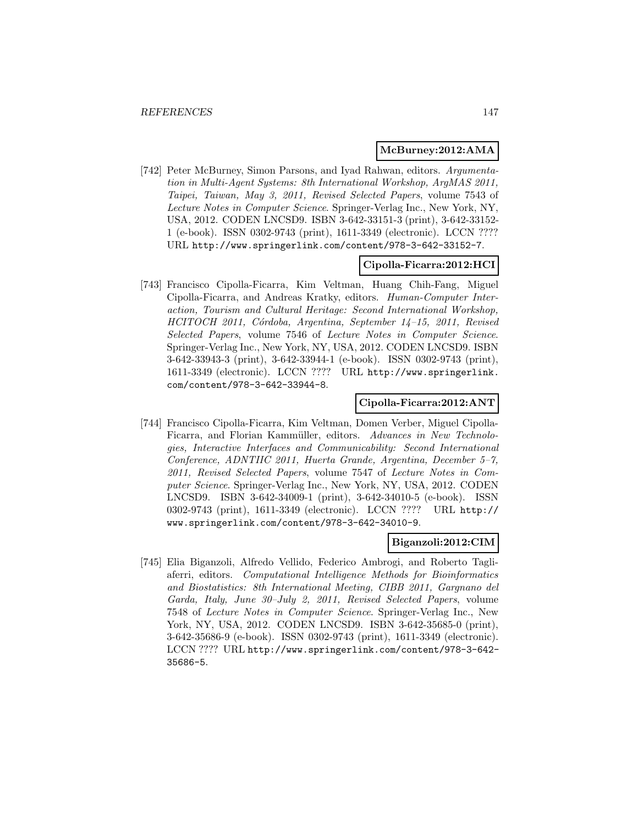#### **McBurney:2012:AMA**

[742] Peter McBurney, Simon Parsons, and Iyad Rahwan, editors. Argumentation in Multi-Agent Systems: 8th International Workshop, ArgMAS 2011, Taipei, Taiwan, May 3, 2011, Revised Selected Papers, volume 7543 of Lecture Notes in Computer Science. Springer-Verlag Inc., New York, NY, USA, 2012. CODEN LNCSD9. ISBN 3-642-33151-3 (print), 3-642-33152- 1 (e-book). ISSN 0302-9743 (print), 1611-3349 (electronic). LCCN ???? URL http://www.springerlink.com/content/978-3-642-33152-7.

### **Cipolla-Ficarra:2012:HCI**

[743] Francisco Cipolla-Ficarra, Kim Veltman, Huang Chih-Fang, Miguel Cipolla-Ficarra, and Andreas Kratky, editors. Human-Computer Interaction, Tourism and Cultural Heritage: Second International Workshop, HCITOCH 2011, Córdoba, Argentina, September 14-15, 2011, Revised Selected Papers, volume 7546 of Lecture Notes in Computer Science. Springer-Verlag Inc., New York, NY, USA, 2012. CODEN LNCSD9. ISBN 3-642-33943-3 (print), 3-642-33944-1 (e-book). ISSN 0302-9743 (print), 1611-3349 (electronic). LCCN ???? URL http://www.springerlink. com/content/978-3-642-33944-8.

### **Cipolla-Ficarra:2012:ANT**

[744] Francisco Cipolla-Ficarra, Kim Veltman, Domen Verber, Miguel Cipolla-Ficarra, and Florian Kammüller, editors. Advances in New Technologies, Interactive Interfaces and Communicability: Second International Conference, ADNTIIC 2011, Huerta Grande, Argentina, December 5–7, 2011, Revised Selected Papers, volume 7547 of Lecture Notes in Computer Science. Springer-Verlag Inc., New York, NY, USA, 2012. CODEN LNCSD9. ISBN 3-642-34009-1 (print), 3-642-34010-5 (e-book). ISSN 0302-9743 (print), 1611-3349 (electronic). LCCN ???? URL http:// www.springerlink.com/content/978-3-642-34010-9.

### **Biganzoli:2012:CIM**

[745] Elia Biganzoli, Alfredo Vellido, Federico Ambrogi, and Roberto Tagliaferri, editors. Computational Intelligence Methods for Bioinformatics and Biostatistics: 8th International Meeting, CIBB 2011, Gargnano del Garda, Italy, June 30–July 2, 2011, Revised Selected Papers, volume 7548 of Lecture Notes in Computer Science. Springer-Verlag Inc., New York, NY, USA, 2012. CODEN LNCSD9. ISBN 3-642-35685-0 (print), 3-642-35686-9 (e-book). ISSN 0302-9743 (print), 1611-3349 (electronic). LCCN ???? URL http://www.springerlink.com/content/978-3-642- 35686-5.